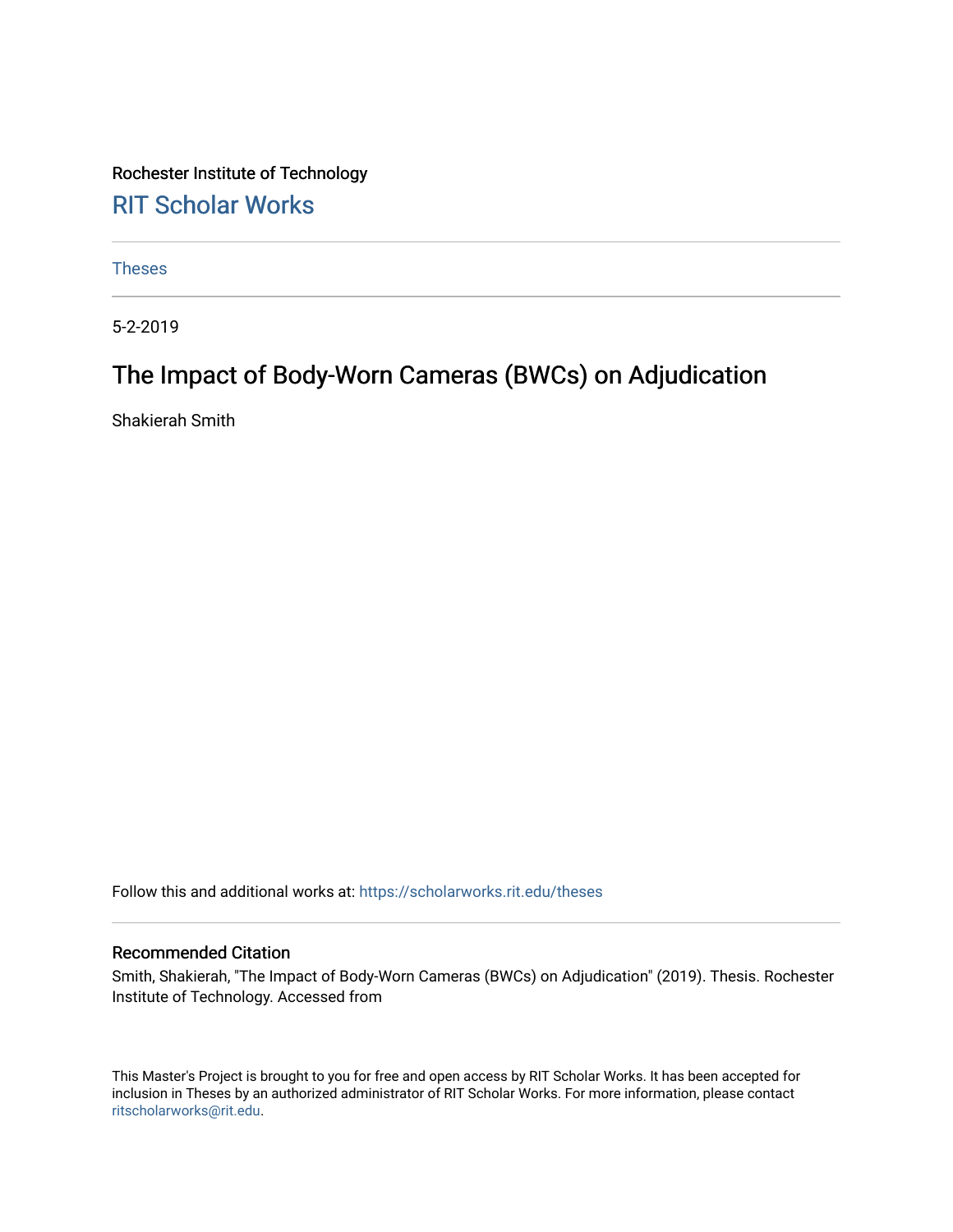Rochester Institute of Technology [RIT Scholar Works](https://scholarworks.rit.edu/)

[Theses](https://scholarworks.rit.edu/theses) 

5-2-2019

## The Impact of Body-Worn Cameras (BWCs) on Adjudication

Shakierah Smith

Follow this and additional works at: [https://scholarworks.rit.edu/theses](https://scholarworks.rit.edu/theses?utm_source=scholarworks.rit.edu%2Ftheses%2F10839&utm_medium=PDF&utm_campaign=PDFCoverPages) 

#### Recommended Citation

Smith, Shakierah, "The Impact of Body-Worn Cameras (BWCs) on Adjudication" (2019). Thesis. Rochester Institute of Technology. Accessed from

This Master's Project is brought to you for free and open access by RIT Scholar Works. It has been accepted for inclusion in Theses by an authorized administrator of RIT Scholar Works. For more information, please contact [ritscholarworks@rit.edu](mailto:ritscholarworks@rit.edu).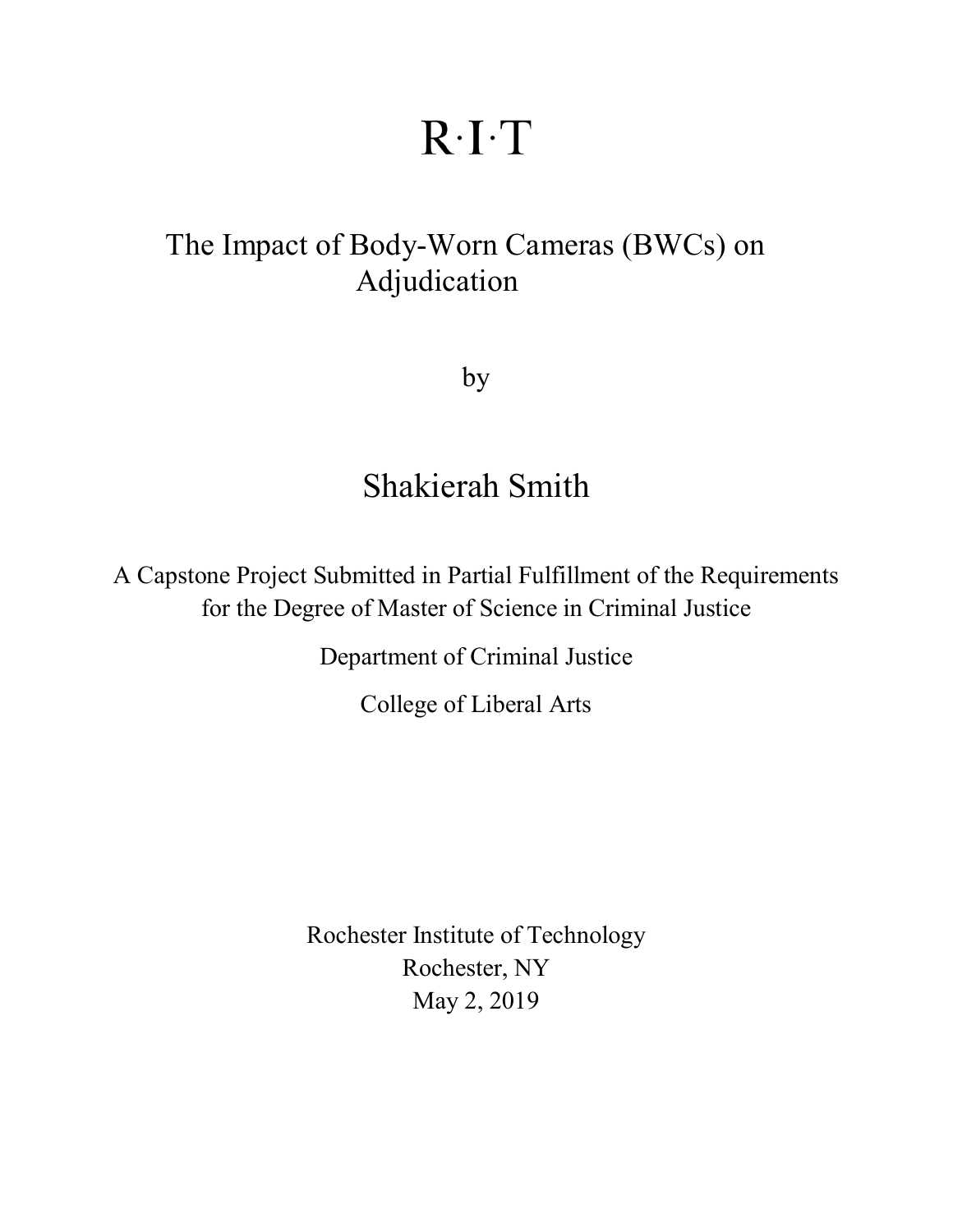# $R-I$

## <span id="page-1-1"></span><span id="page-1-0"></span>The Impact of Body-Worn Cameras (BWCs) on Adjudication

by

## Shakierah Smith

A Capstone Project Submitted in Partial Fulfillment of the Requirements for the Degree of Master of Science in Criminal Justice

Department of Criminal Justice

College of Liberal Arts

Rochester Institute of Technology Rochester, NY May 2, 2019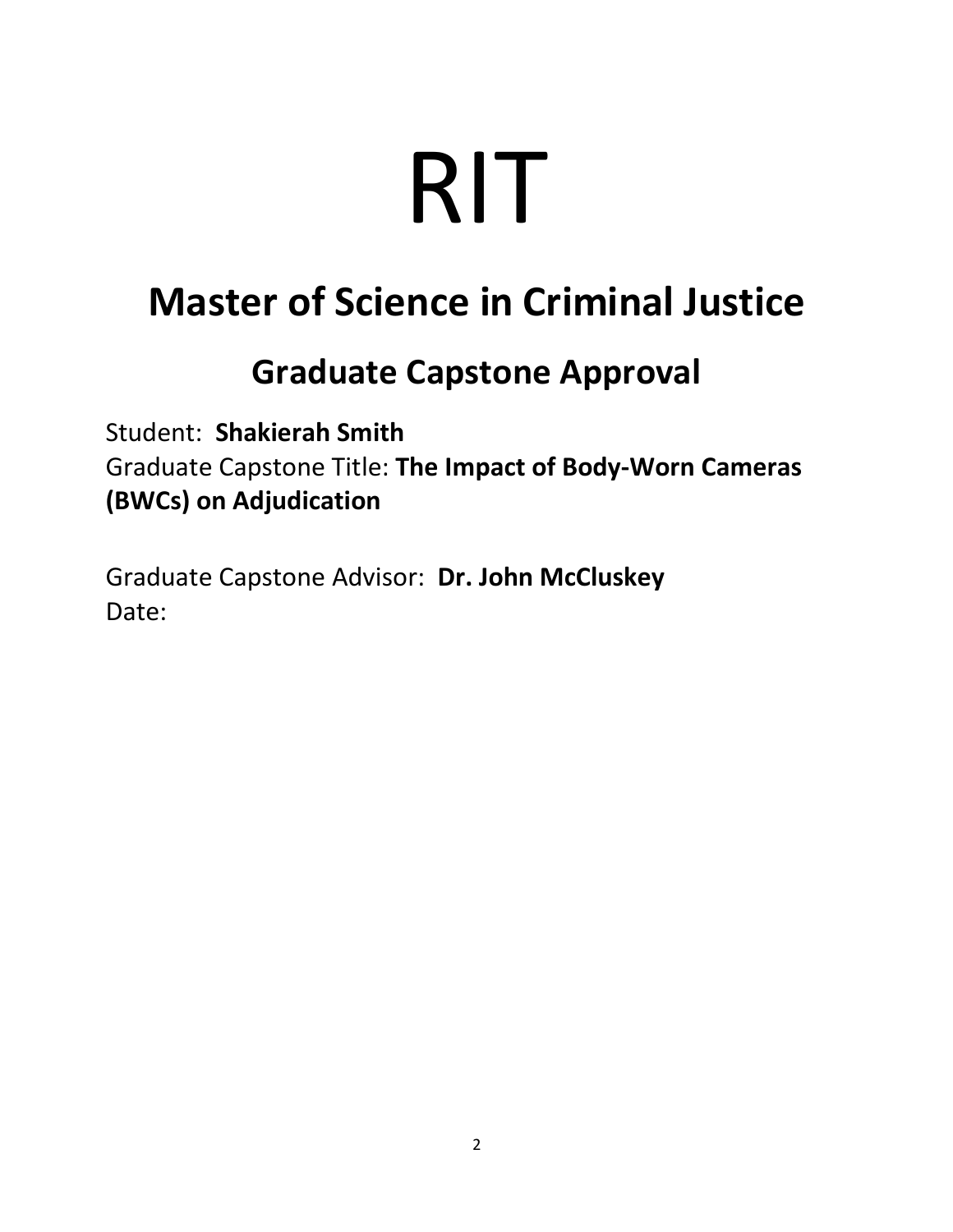# RIT

## **Master of Science in Criminal Justice**

## **Graduate Capstone Approval**

Student: **Shakierah Smith** Graduate Capstone Title: **The Impact of Body-Worn Cameras (BWCs) on Adjudication**

Graduate Capstone Advisor: **Dr. John McCluskey** Date: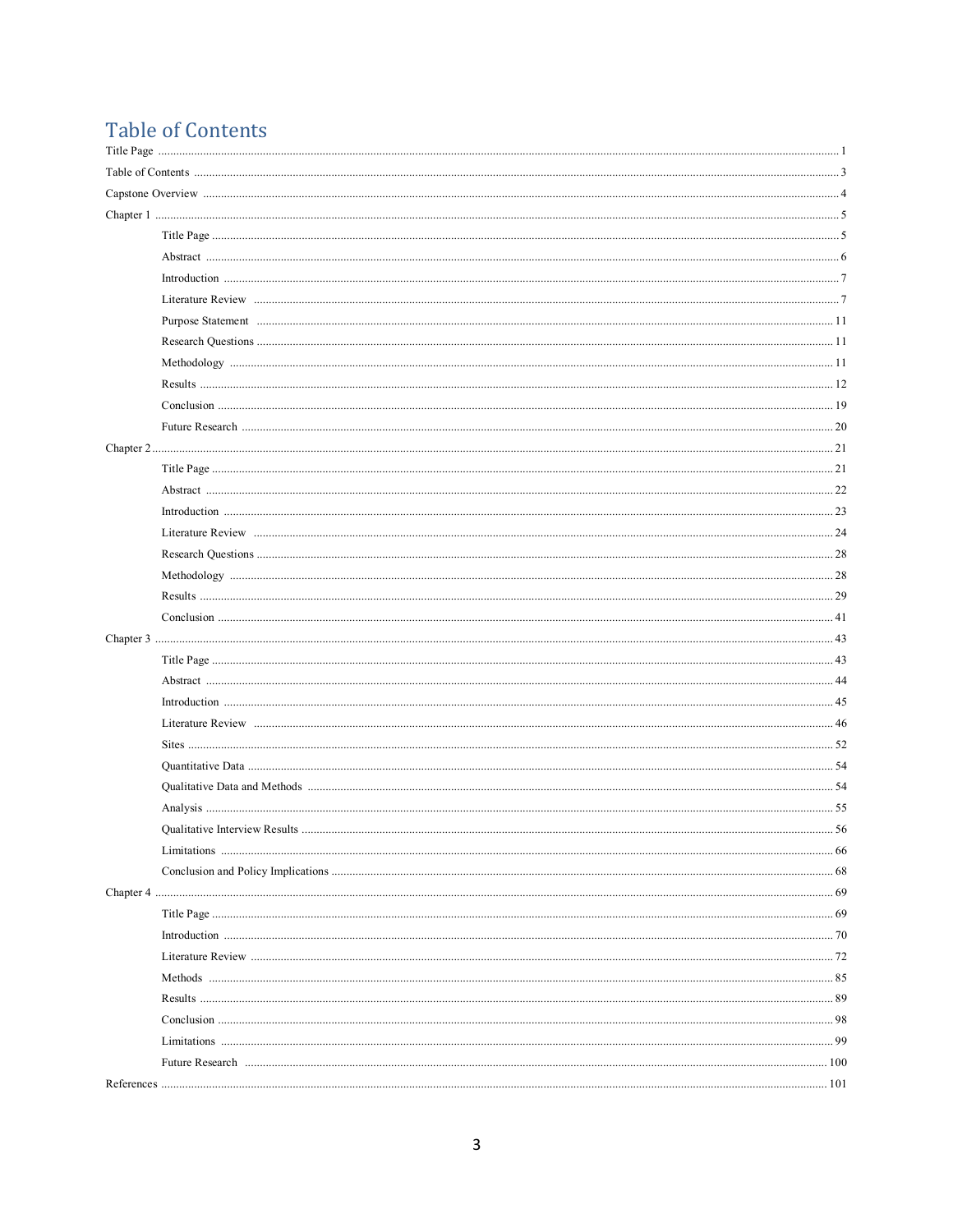### **Table of Contents**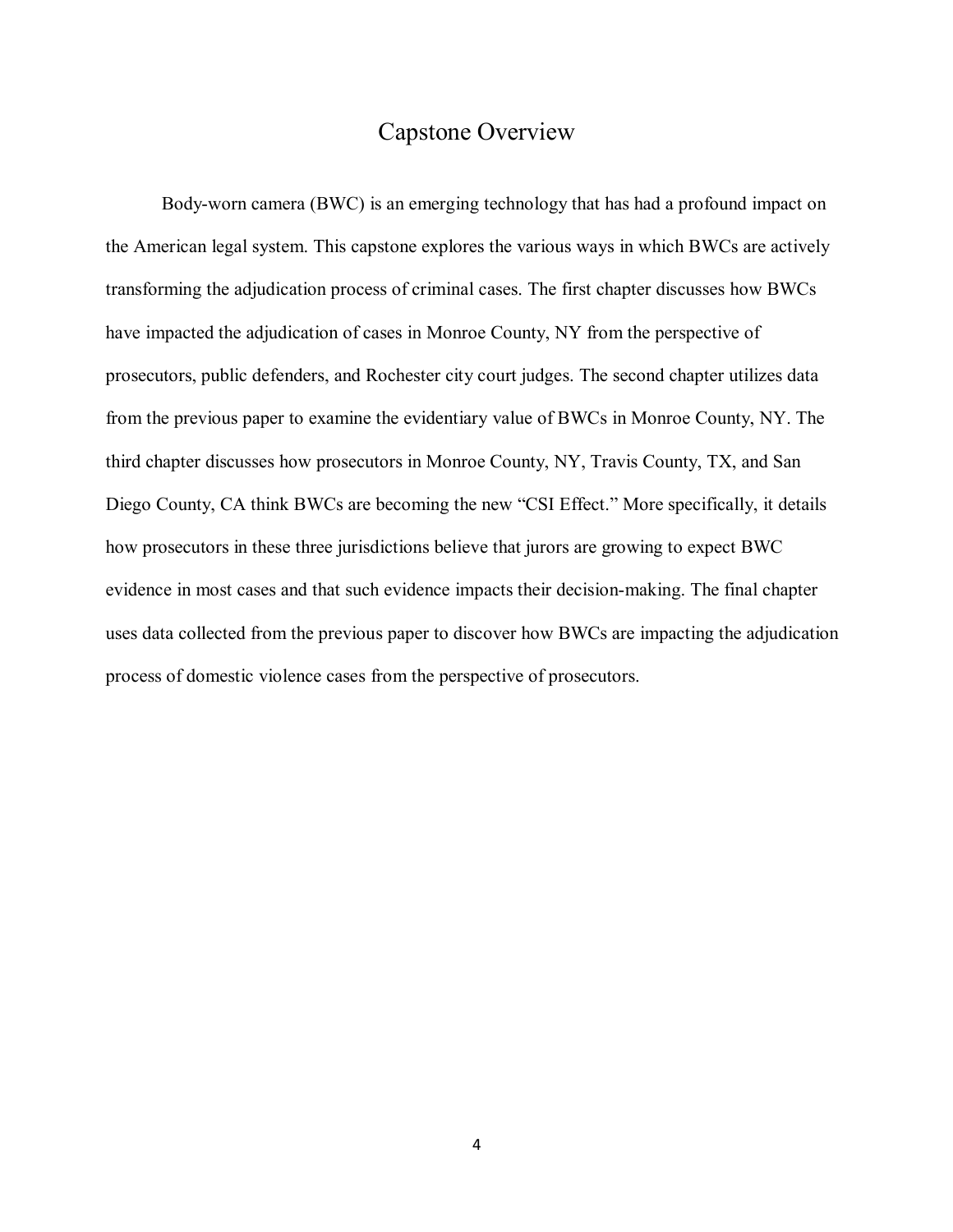#### Capstone Overview

Body-worn camera (BWC) is an emerging technology that has had a profound impact on the American legal system. This capstone explores the various ways in which BWCs are actively transforming the adjudication process of criminal cases. The first chapter discusses how BWCs have impacted the adjudication of cases in Monroe County, NY from the perspective of prosecutors, public defenders, and Rochester city court judges. The second chapter utilizes data from the previous paper to examine the evidentiary value of BWCs in Monroe County, NY. The third chapter discusses how prosecutors in Monroe County, NY, Travis County, TX, and San Diego County, CA think BWCs are becoming the new "CSI Effect." More specifically, it details how prosecutors in these three jurisdictions believe that jurors are growing to expect BWC evidence in most cases and that such evidence impacts their decision-making. The final chapter uses data collected from the previous paper to discover how BWCs are impacting the adjudication process of domestic violence cases from the perspective of prosecutors.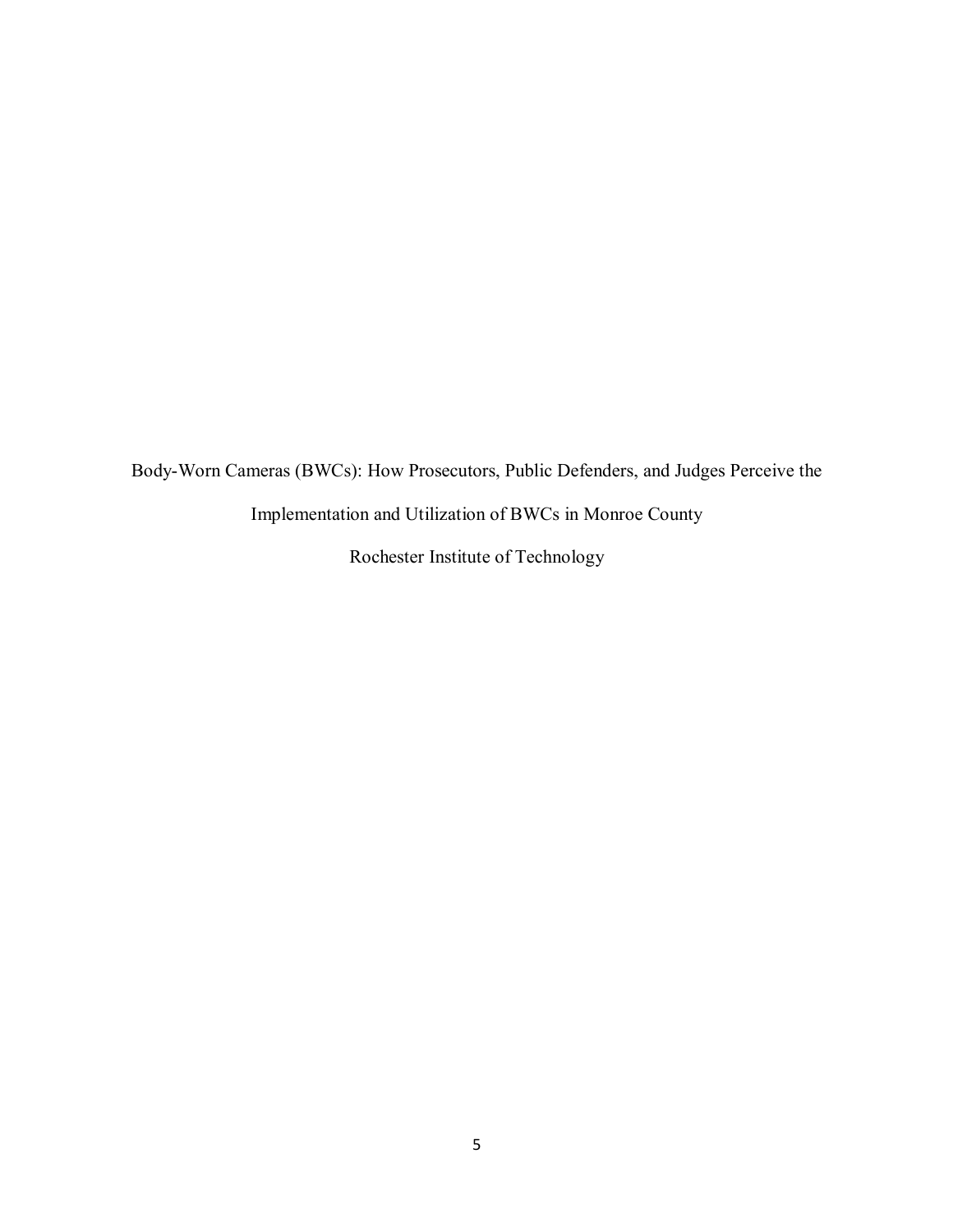Body-Worn Cameras (BWCs): How Prosecutors, Public Defenders, and Judges Perceive the

Implementation and Utilization of BWCs in Monroe County

Rochester Institute of Technology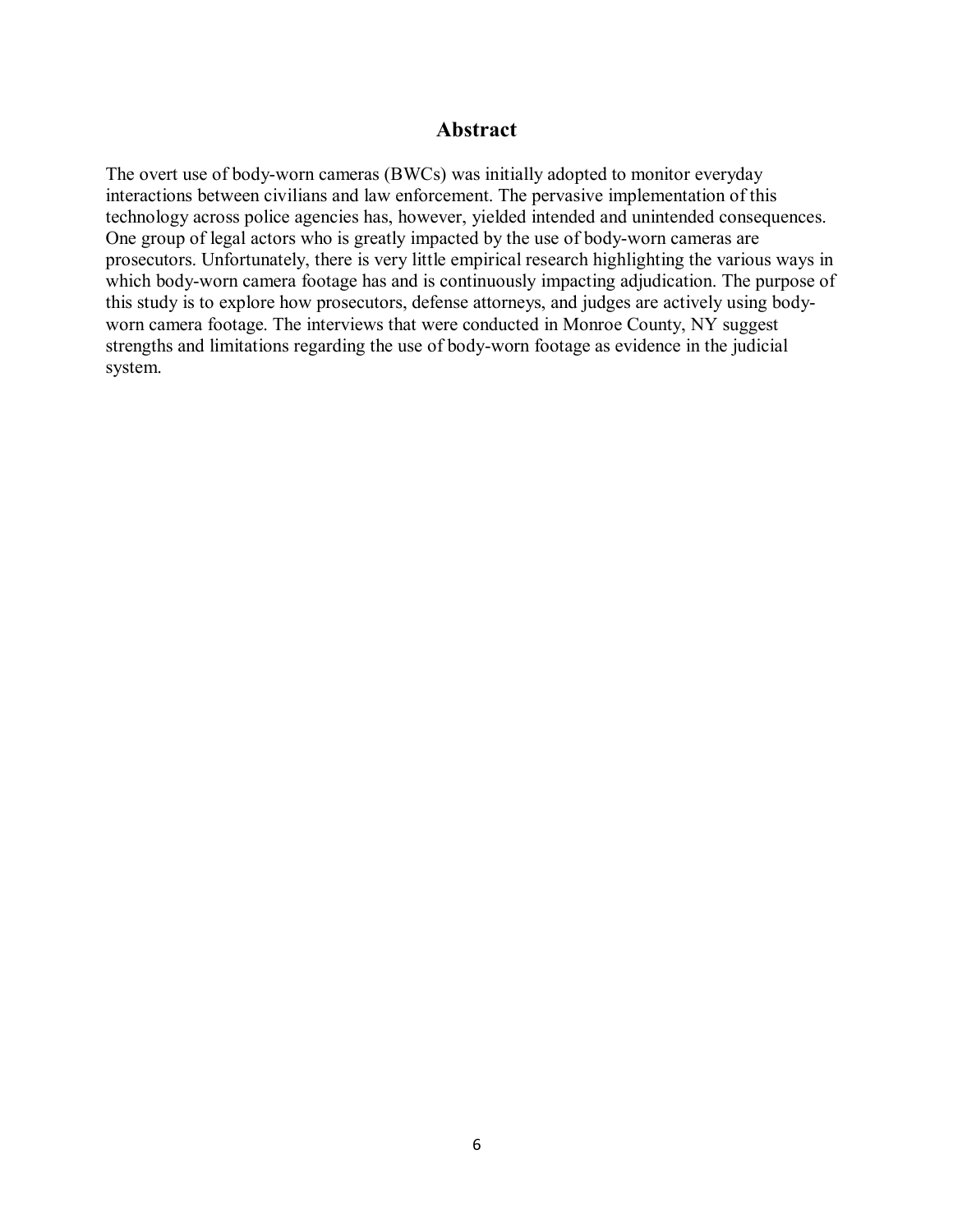#### **Abstract**

The overt use of body-worn cameras (BWCs) was initially adopted to monitor everyday interactions between civilians and law enforcement. The pervasive implementation of this technology across police agencies has, however, yielded intended and unintended consequences. One group of legal actors who is greatly impacted by the use of body-worn cameras are prosecutors. Unfortunately, there is very little empirical research highlighting the various ways in which body-worn camera footage has and is continuously impacting adjudication. The purpose of this study is to explore how prosecutors, defense attorneys, and judges are actively using bodyworn camera footage. The interviews that were conducted in Monroe County, NY suggest strengths and limitations regarding the use of body-worn footage as evidence in the judicial system.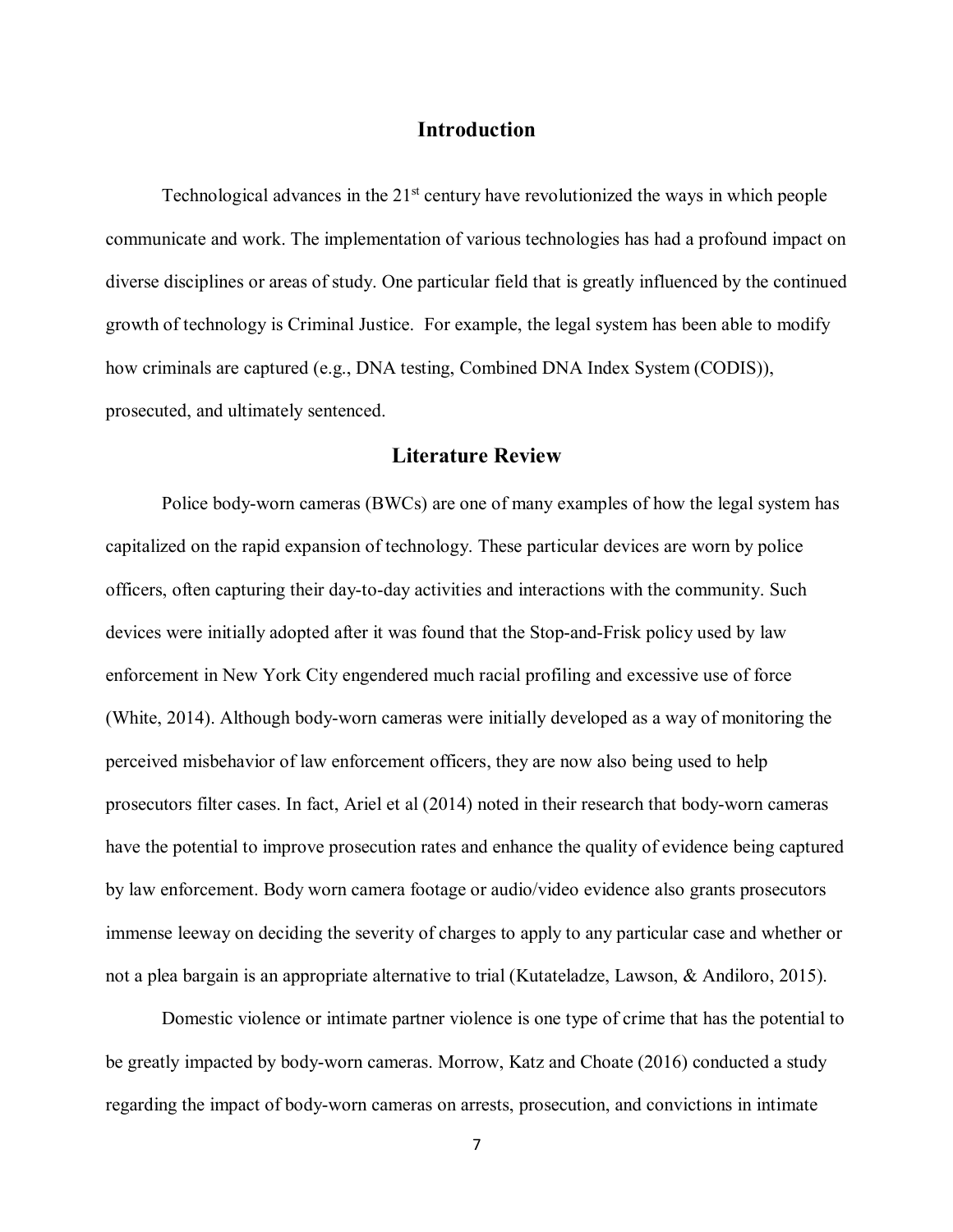#### **Introduction**

Technological advances in the  $21<sup>st</sup>$  century have revolutionized the ways in which people communicate and work. The implementation of various technologies has had a profound impact on diverse disciplines or areas of study. One particular field that is greatly influenced by the continued growth of technology is Criminal Justice. For example, the legal system has been able to modify how criminals are captured (e.g., DNA testing, Combined DNA Index System (CODIS)), prosecuted, and ultimately sentenced.

#### **Literature Review**

Police body-worn cameras (BWCs) are one of many examples of how the legal system has capitalized on the rapid expansion of technology. These particular devices are worn by police officers, often capturing their day-to-day activities and interactions with the community. Such devices were initially adopted after it was found that the Stop-and-Frisk policy used by law enforcement in New York City engendered much racial profiling and excessive use of force (White, 2014). Although body-worn cameras were initially developed as a way of monitoring the perceived misbehavior of law enforcement officers, they are now also being used to help prosecutors filter cases. In fact, Ariel et al (2014) noted in their research that body-worn cameras have the potential to improve prosecution rates and enhance the quality of evidence being captured by law enforcement. Body worn camera footage or audio/video evidence also grants prosecutors immense leeway on deciding the severity of charges to apply to any particular case and whether or not a plea bargain is an appropriate alternative to trial (Kutateladze, Lawson, & Andiloro, 2015).

Domestic violence or intimate partner violence is one type of crime that has the potential to be greatly impacted by body-worn cameras. Morrow, Katz and Choate (2016) conducted a study regarding the impact of body-worn cameras on arrests, prosecution, and convictions in intimate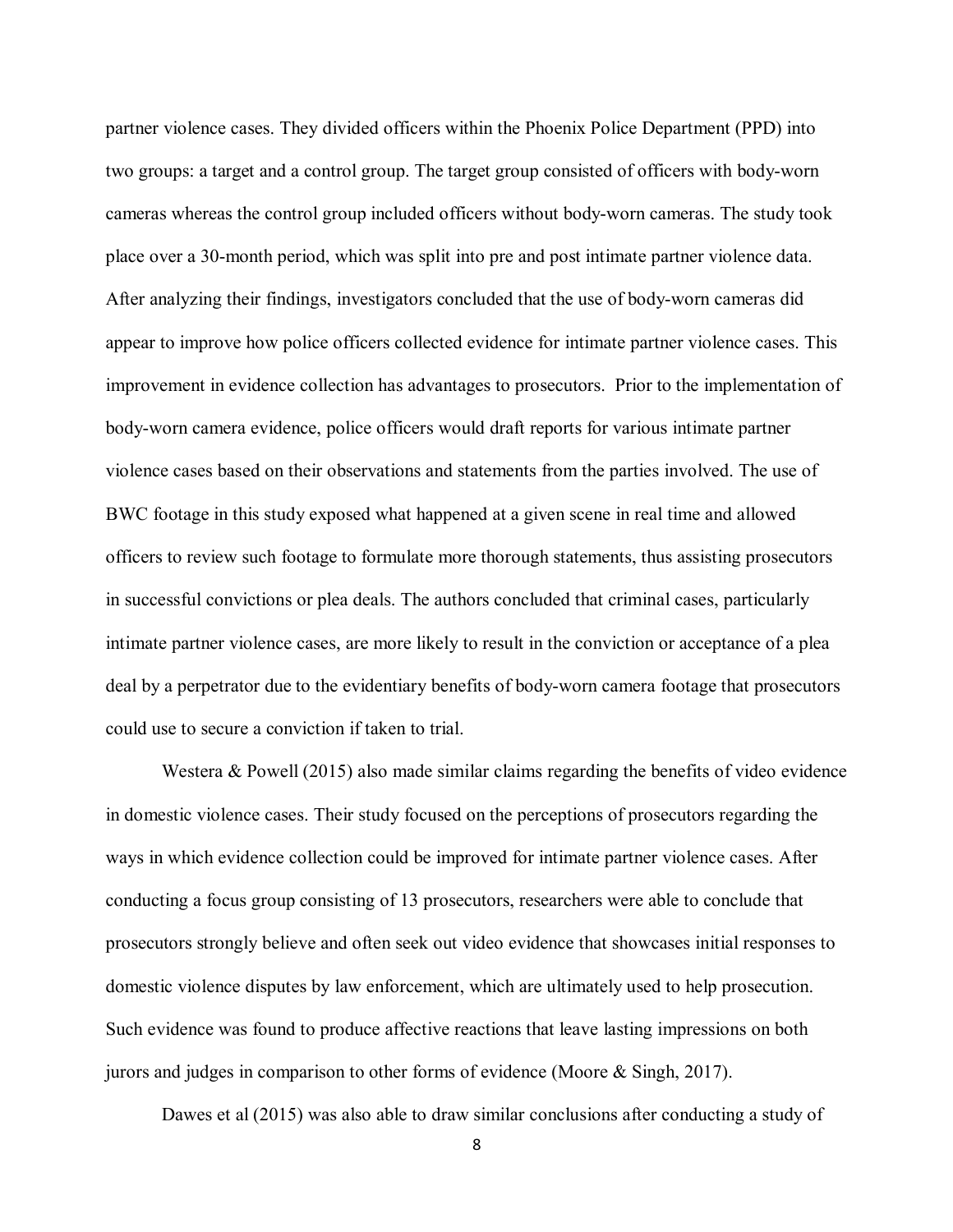partner violence cases. They divided officers within the Phoenix Police Department (PPD) into two groups: a target and a control group. The target group consisted of officers with body-worn cameras whereas the control group included officers without body-worn cameras. The study took place over a 30-month period, which was split into pre and post intimate partner violence data. After analyzing their findings, investigators concluded that the use of body-worn cameras did appear to improve how police officers collected evidence for intimate partner violence cases. This improvement in evidence collection has advantages to prosecutors. Prior to the implementation of body-worn camera evidence, police officers would draft reports for various intimate partner violence cases based on their observations and statements from the parties involved. The use of BWC footage in this study exposed what happened at a given scene in real time and allowed officers to review such footage to formulate more thorough statements, thus assisting prosecutors in successful convictions or plea deals. The authors concluded that criminal cases, particularly intimate partner violence cases, are more likely to result in the conviction or acceptance of a plea deal by a perpetrator due to the evidentiary benefits of body-worn camera footage that prosecutors could use to secure a conviction if taken to trial.

Westera & Powell (2015) also made similar claims regarding the benefits of video evidence in domestic violence cases. Their study focused on the perceptions of prosecutors regarding the ways in which evidence collection could be improved for intimate partner violence cases. After conducting a focus group consisting of 13 prosecutors, researchers were able to conclude that prosecutors strongly believe and often seek out video evidence that showcases initial responses to domestic violence disputes by law enforcement, which are ultimately used to help prosecution. Such evidence was found to produce affective reactions that leave lasting impressions on both jurors and judges in comparison to other forms of evidence (Moore & Singh, 2017).

Dawes et al (2015) was also able to draw similar conclusions after conducting a study of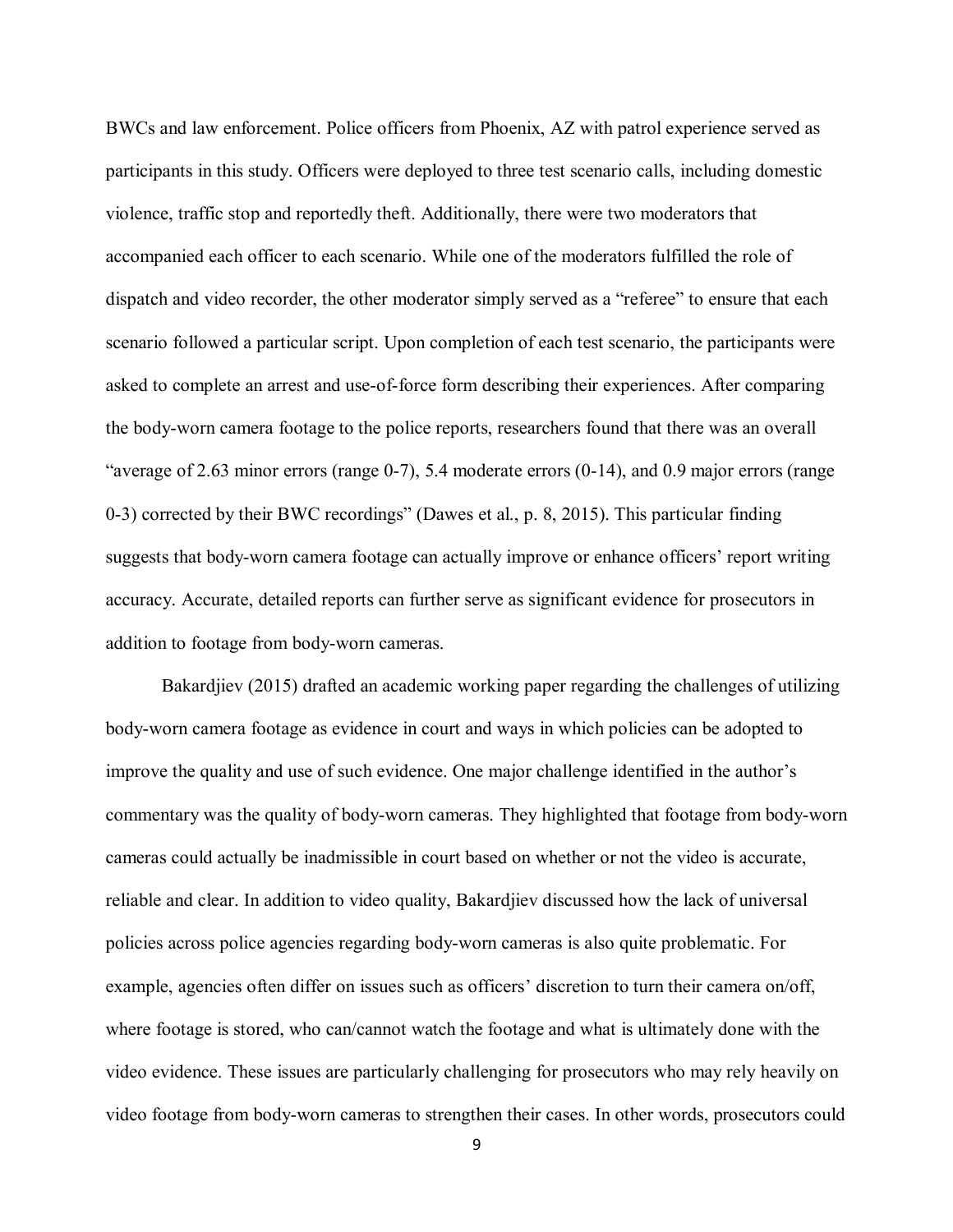BWCs and law enforcement. Police officers from Phoenix, AZ with patrol experience served as participants in this study. Officers were deployed to three test scenario calls, including domestic violence, traffic stop and reportedly theft. Additionally, there were two moderators that accompanied each officer to each scenario. While one of the moderators fulfilled the role of dispatch and video recorder, the other moderator simply served as a "referee" to ensure that each scenario followed a particular script. Upon completion of each test scenario, the participants were asked to complete an arrest and use-of-force form describing their experiences. After comparing the body-worn camera footage to the police reports, researchers found that there was an overall "average of 2.63 minor errors (range  $0-7$ ), 5.4 moderate errors  $(0-14)$ , and 0.9 major errors (range 0-3) corrected by their BWC recordings" (Dawes et al., p. 8, 2015). This particular finding suggests that body-worn camera footage can actually improve or enhance officers' report writing accuracy. Accurate, detailed reports can further serve as significant evidence for prosecutors in addition to footage from body-worn cameras.

Bakardjiev (2015) drafted an academic working paper regarding the challenges of utilizing body-worn camera footage as evidence in court and ways in which policies can be adopted to improve the quality and use of such evidence. One major challenge identified in the author's commentary was the quality of body-worn cameras. They highlighted that footage from body-worn cameras could actually be inadmissible in court based on whether or not the video is accurate, reliable and clear. In addition to video quality, Bakardjiev discussed how the lack of universal policies across police agencies regarding body-worn cameras is also quite problematic. For example, agencies often differ on issues such as officers' discretion to turn their camera on/off, where footage is stored, who can/cannot watch the footage and what is ultimately done with the video evidence. These issues are particularly challenging for prosecutors who may rely heavily on video footage from body-worn cameras to strengthen their cases. In other words, prosecutors could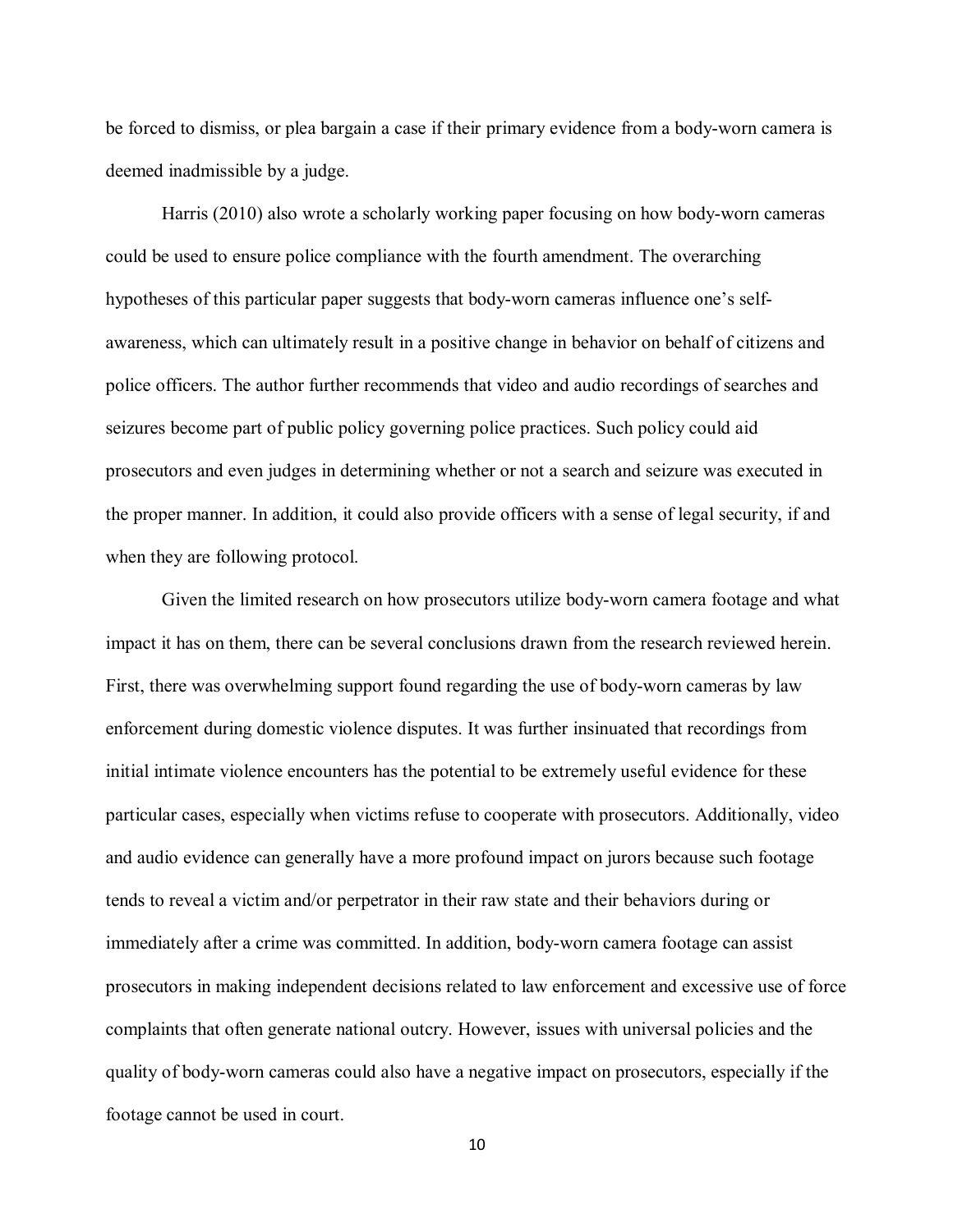be forced to dismiss, or plea bargain a case if their primary evidence from a body-worn camera is deemed inadmissible by a judge.

Harris (2010) also wrote a scholarly working paper focusing on how body-worn cameras could be used to ensure police compliance with the fourth amendment. The overarching hypotheses of this particular paper suggests that body-worn cameras influence one's selfawareness, which can ultimately result in a positive change in behavior on behalf of citizens and police officers. The author further recommends that video and audio recordings of searches and seizures become part of public policy governing police practices. Such policy could aid prosecutors and even judges in determining whether or not a search and seizure was executed in the proper manner. In addition, it could also provide officers with a sense of legal security, if and when they are following protocol.

Given the limited research on how prosecutors utilize body-worn camera footage and what impact it has on them, there can be several conclusions drawn from the research reviewed herein. First, there was overwhelming support found regarding the use of body-worn cameras by law enforcement during domestic violence disputes. It was further insinuated that recordings from initial intimate violence encounters has the potential to be extremely useful evidence for these particular cases, especially when victims refuse to cooperate with prosecutors. Additionally, video and audio evidence can generally have a more profound impact on jurors because such footage tends to reveal a victim and/or perpetrator in their raw state and their behaviors during or immediately after a crime was committed. In addition, body-worn camera footage can assist prosecutors in making independent decisions related to law enforcement and excessive use of force complaints that often generate national outcry. However, issues with universal policies and the quality of body-worn cameras could also have a negative impact on prosecutors, especially if the footage cannot be used in court.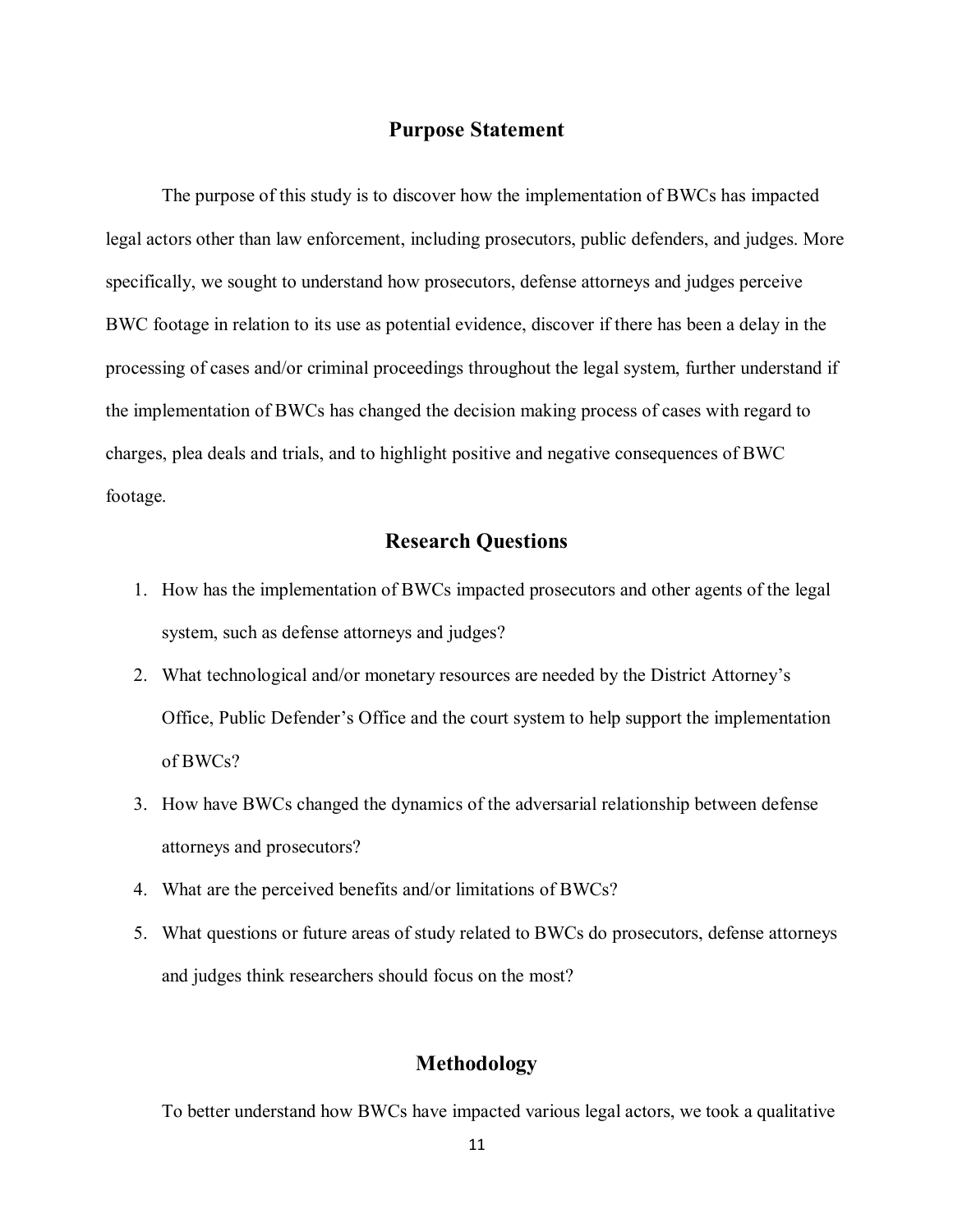#### **Purpose Statement**

The purpose of this study is to discover how the implementation of BWCs has impacted legal actors other than law enforcement, including prosecutors, public defenders, and judges. More specifically, we sought to understand how prosecutors, defense attorneys and judges perceive BWC footage in relation to its use as potential evidence, discover if there has been a delay in the processing of cases and/or criminal proceedings throughout the legal system, further understand if the implementation of BWCs has changed the decision making process of cases with regard to charges, plea deals and trials, and to highlight positive and negative consequences of BWC footage.

#### **Research Questions**

- 1. How has the implementation of BWCs impacted prosecutors and other agents of the legal system, such as defense attorneys and judges?
- 2. What technological and/or monetary resources are needed by the District Attorney's Office, Public Defender's Office and the court system to help support the implementation of BWCs?
- 3. How have BWCs changed the dynamics of the adversarial relationship between defense attorneys and prosecutors?
- 4. What are the perceived benefits and/or limitations of BWCs?
- 5. What questions or future areas of study related to BWCs do prosecutors, defense attorneys and judges think researchers should focus on the most?

#### **Methodology**

To better understand how BWCs have impacted various legal actors, we took a qualitative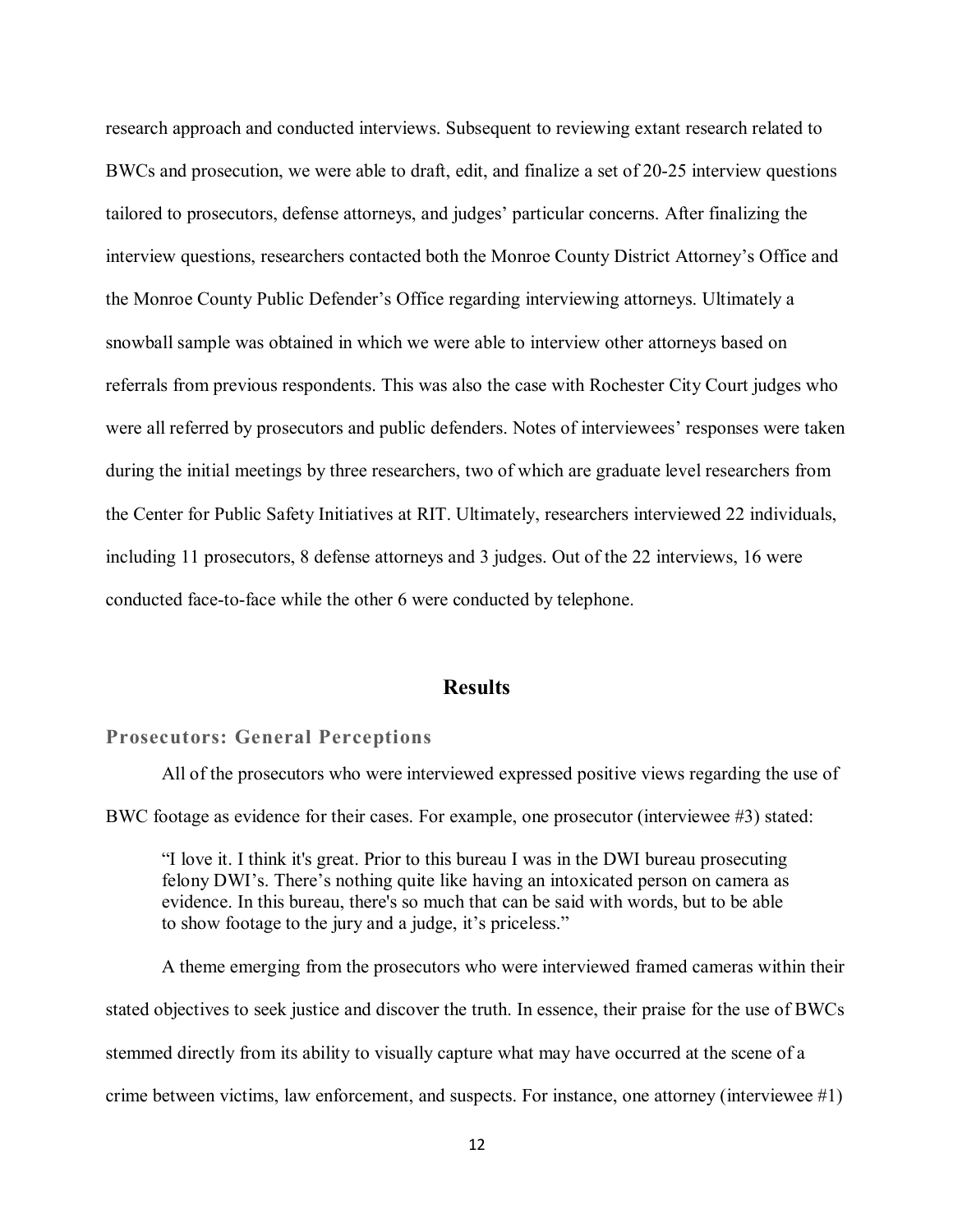research approach and conducted interviews. Subsequent to reviewing extant research related to BWCs and prosecution, we were able to draft, edit, and finalize a set of 20-25 interview questions tailored to prosecutors, defense attorneys, and judges' particular concerns. After finalizing the interview questions, researchers contacted both the Monroe County District Attorney's Office and the Monroe County Public Defender's Office regarding interviewing attorneys. Ultimately a snowball sample was obtained in which we were able to interview other attorneys based on referrals from previous respondents. This was also the case with Rochester City Court judges who were all referred by prosecutors and public defenders. Notes of interviewees' responses were taken during the initial meetings by three researchers, two of which are graduate level researchers from the Center for Public Safety Initiatives at RIT. Ultimately, researchers interviewed 22 individuals, including 11 prosecutors, 8 defense attorneys and 3 judges. Out of the 22 interviews, 16 were conducted face-to-face while the other 6 were conducted by telephone.

#### **Results**

#### **Prosecutors: General Perceptions**

All of the prosecutors who were interviewed expressed positive views regarding the use of BWC footage as evidence for their cases. For example, one prosecutor (interviewee #3) stated:

"I love it. I think it's great. Prior to this bureau I was in the DWI bureau prosecuting felony DWI's. There's nothing quite like having an intoxicated person on camera as evidence. In this bureau, there's so much that can be said with words, but to be able to show footage to the jury and a judge, it's priceless."

A theme emerging from the prosecutors who were interviewed framed cameras within their stated objectives to seek justice and discover the truth. In essence, their praise for the use of BWCs stemmed directly from its ability to visually capture what may have occurred at the scene of a crime between victims, law enforcement, and suspects. For instance, one attorney (interviewee #1)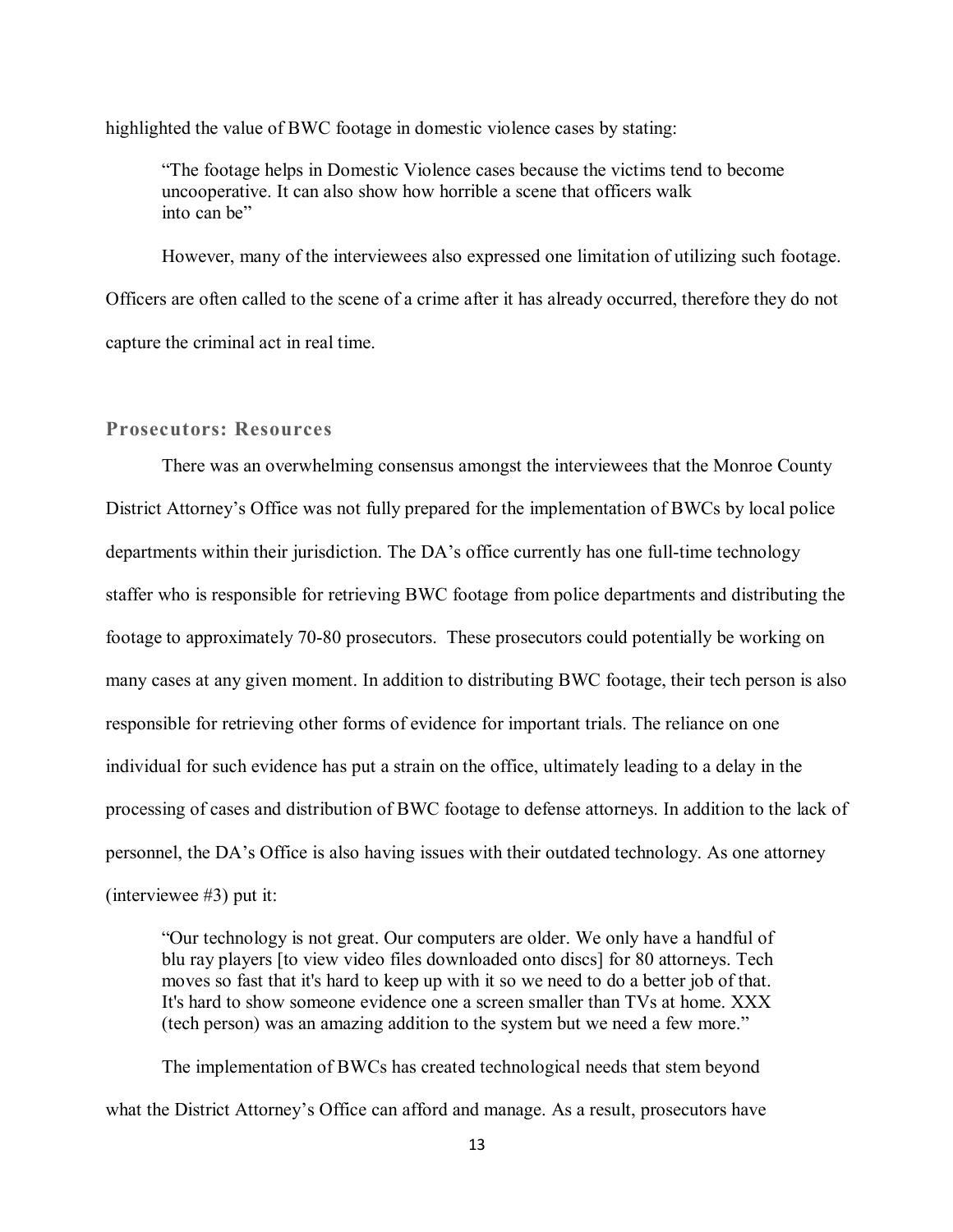highlighted the value of BWC footage in domestic violence cases by stating:

"The footage helps in Domestic Violence cases because the victims tend to become uncooperative. It can also show how horrible a scene that officers walk into can be"

However, many of the interviewees also expressed one limitation of utilizing such footage. Officers are often called to the scene of a crime after it has already occurred, therefore they do not capture the criminal act in real time.

#### **Prosecutors: Resources**

There was an overwhelming consensus amongst the interviewees that the Monroe County District Attorney's Office was not fully prepared for the implementation of BWCs by local police departments within their jurisdiction. The DA's office currently has one full-time technology staffer who is responsible for retrieving BWC footage from police departments and distributing the footage to approximately 70-80 prosecutors. These prosecutors could potentially be working on many cases at any given moment. In addition to distributing BWC footage, their tech person is also responsible for retrieving other forms of evidence for important trials. The reliance on one individual for such evidence has put a strain on the office, ultimately leading to a delay in the processing of cases and distribution of BWC footage to defense attorneys. In addition to the lack of personnel, the DA's Office is also having issues with their outdated technology. As one attorney (interviewee #3) put it:

"Our technology is not great. Our computers are older. We only have a handful of blu ray players [to view video files downloaded onto discs] for 80 attorneys. Tech moves so fast that it's hard to keep up with it so we need to do a better job of that. It's hard to show someone evidence one a screen smaller than TVs at home. XXX (tech person) was an amazing addition to the system but we need a few more."

The implementation of BWCs has created technological needs that stem beyond what the District Attorney's Office can afford and manage. As a result, prosecutors have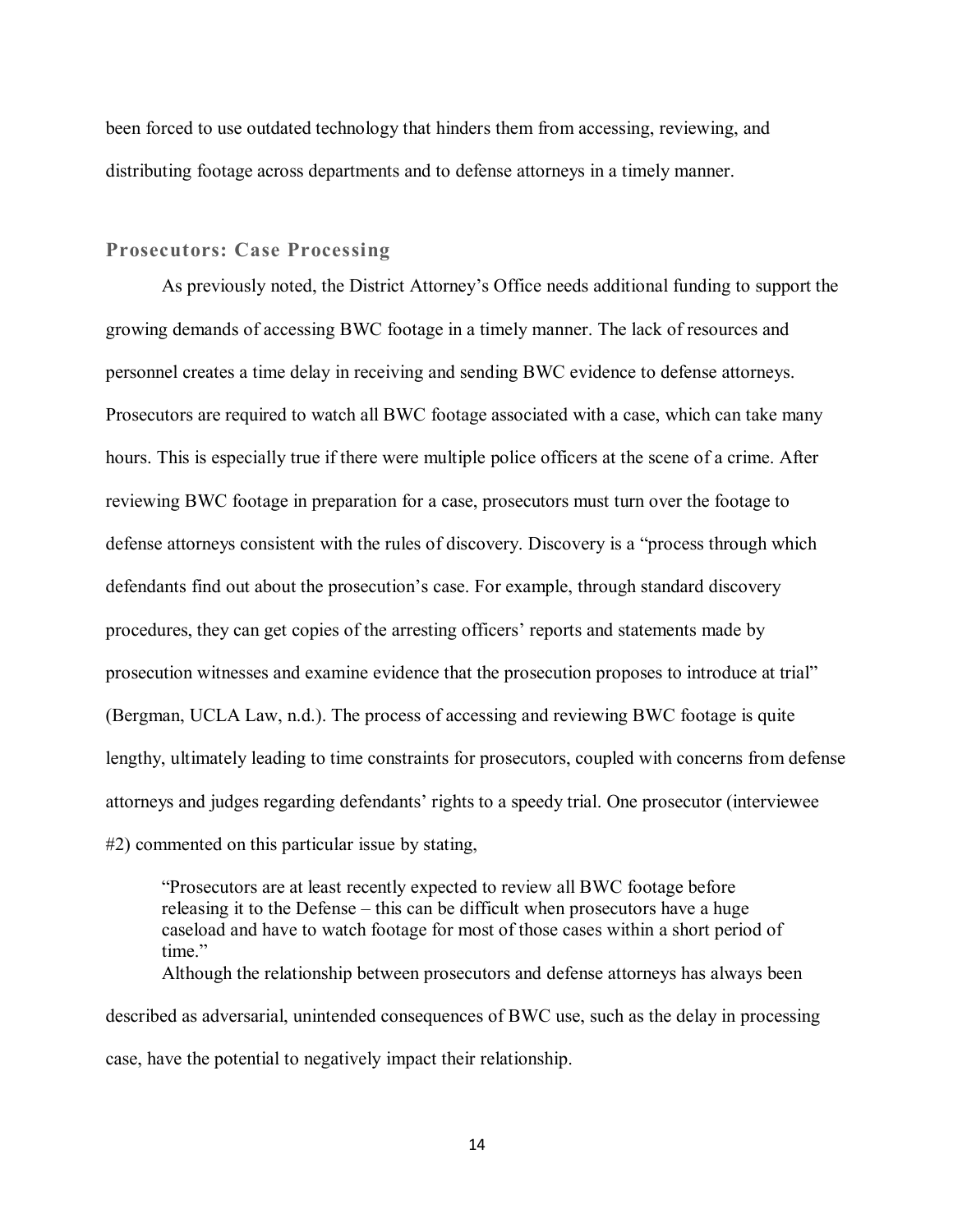been forced to use outdated technology that hinders them from accessing, reviewing, and distributing footage across departments and to defense attorneys in a timely manner.

#### **Prosecutors: Case Processing**

As previously noted, the District Attorney's Office needs additional funding to support the growing demands of accessing BWC footage in a timely manner. The lack of resources and personnel creates a time delay in receiving and sending BWC evidence to defense attorneys. Prosecutors are required to watch all BWC footage associated with a case, which can take many hours. This is especially true if there were multiple police officers at the scene of a crime. After reviewing BWC footage in preparation for a case, prosecutors must turn over the footage to defense attorneys consistent with the rules of discovery. Discovery is a "process through which defendants find out about the prosecution's case. For example, through standard discovery procedures, they can get copies of the arresting officers' reports and statements made by prosecution witnesses and examine evidence that the prosecution proposes to introduce at trial" (Bergman, UCLA Law, n.d.). The process of accessing and reviewing BWC footage is quite lengthy, ultimately leading to time constraints for prosecutors, coupled with concerns from defense attorneys and judges regarding defendants' rights to a speedy trial. One prosecutor (interviewee #2) commented on this particular issue by stating,

"Prosecutors are at least recently expected to review all BWC footage before releasing it to the Defense – this can be difficult when prosecutors have a huge caseload and have to watch footage for most of those cases within a short period of time." Although the relationship between prosecutors and defense attorneys has always been

described as adversarial, unintended consequences of BWC use, such as the delay in processing case, have the potential to negatively impact their relationship.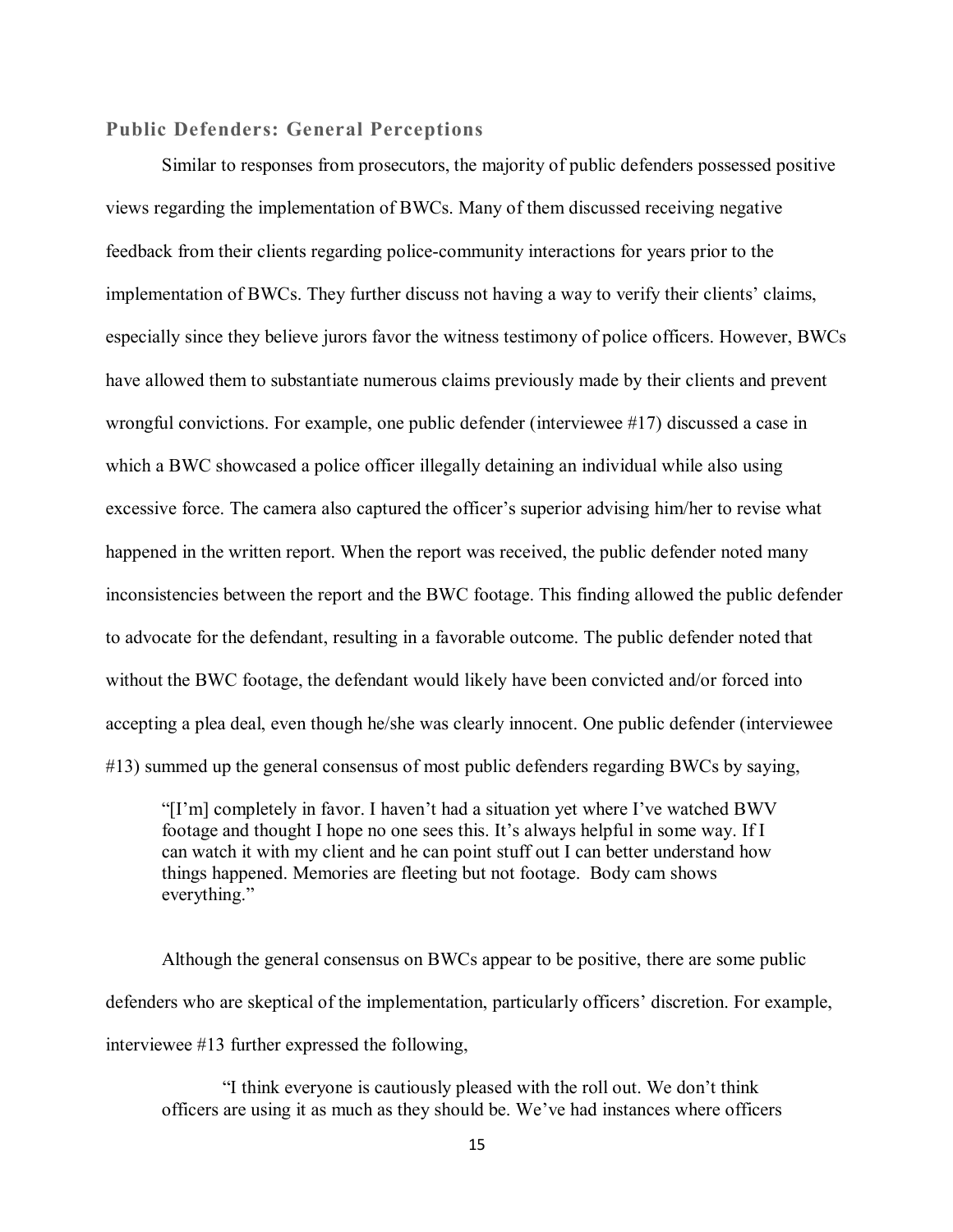#### **Public Defenders: General Perceptions**

Similar to responses from prosecutors, the majority of public defenders possessed positive views regarding the implementation of BWCs. Many of them discussed receiving negative feedback from their clients regarding police-community interactions for years prior to the implementation of BWCs. They further discuss not having a way to verify their clients' claims, especially since they believe jurors favor the witness testimony of police officers. However, BWCs have allowed them to substantiate numerous claims previously made by their clients and prevent wrongful convictions. For example, one public defender (interviewee #17) discussed a case in which a BWC showcased a police officer illegally detaining an individual while also using excessive force. The camera also captured the officer's superior advising him/her to revise what happened in the written report. When the report was received, the public defender noted many inconsistencies between the report and the BWC footage. This finding allowed the public defender to advocate for the defendant, resulting in a favorable outcome. The public defender noted that without the BWC footage, the defendant would likely have been convicted and/or forced into accepting a plea deal, even though he/she was clearly innocent. One public defender (interviewee #13) summed up the general consensus of most public defenders regarding BWCs by saying,

"[I'm] completely in favor. I haven't had a situation yet where I've watched BWV footage and thought I hope no one sees this. It's always helpful in some way. If I can watch it with my client and he can point stuff out I can better understand how things happened. Memories are fleeting but not footage. Body cam shows everything."

Although the general consensus on BWCs appear to be positive, there are some public defenders who are skeptical of the implementation, particularly officers' discretion. For example, interviewee #13 further expressed the following,

"I think everyone is cautiously pleased with the roll out. We don't think officers are using it as much as they should be. We've had instances where officers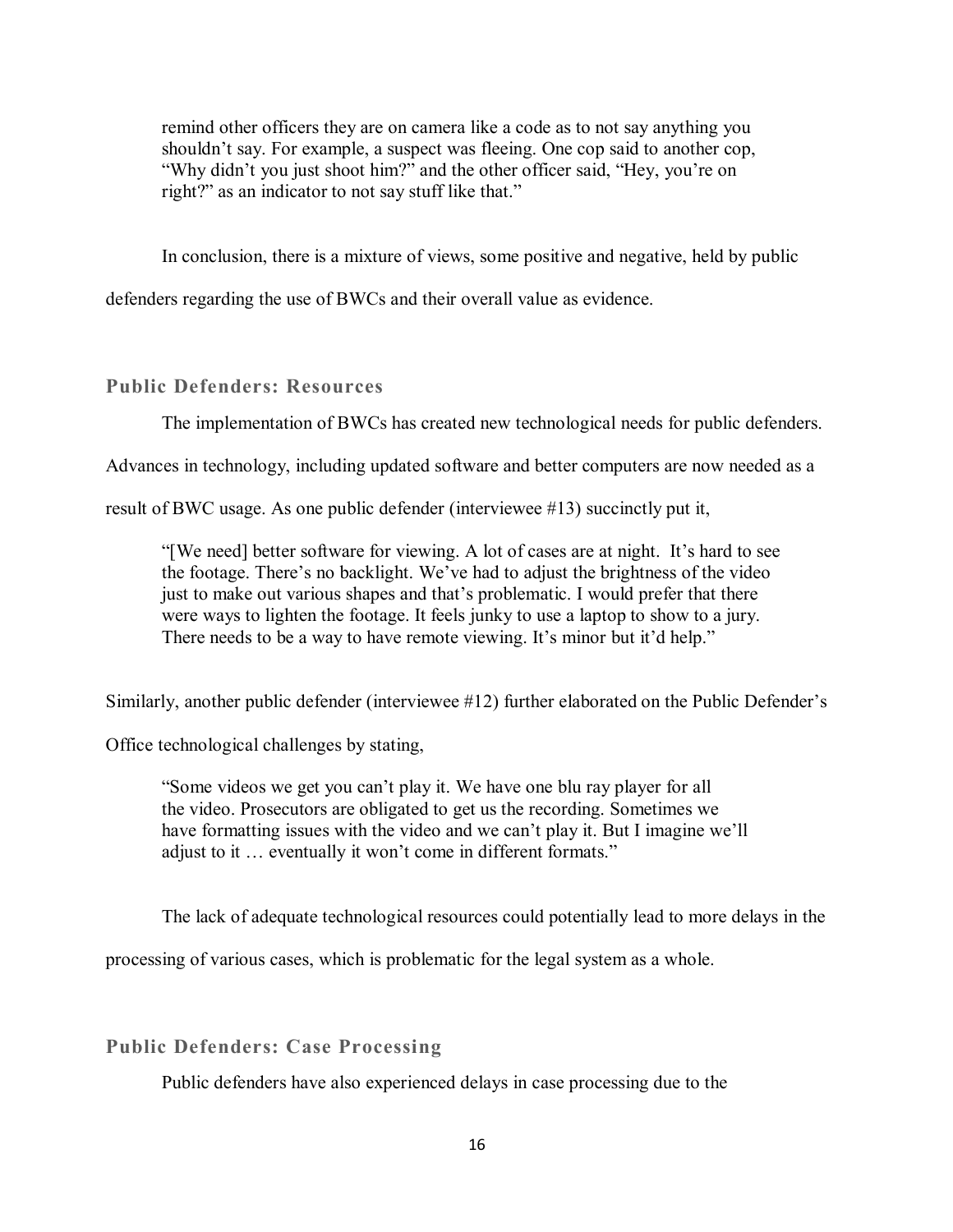remind other officers they are on camera like a code as to not say anything you shouldn't say. For example, a suspect was fleeing. One cop said to another cop, "Why didn't you just shoot him?" and the other officer said, "Hey, you're on right?" as an indicator to not say stuff like that."

In conclusion, there is a mixture of views, some positive and negative, held by public

defenders regarding the use of BWCs and their overall value as evidence.

#### **Public Defenders: Resources**

The implementation of BWCs has created new technological needs for public defenders.

Advances in technology, including updated software and better computers are now needed as a

result of BWC usage. As one public defender (interviewee #13) succinctly put it,

"[We need] better software for viewing. A lot of cases are at night. It's hard to see the footage. There's no backlight. We've had to adjust the brightness of the video just to make out various shapes and that's problematic. I would prefer that there were ways to lighten the footage. It feels junky to use a laptop to show to a jury. There needs to be a way to have remote viewing. It's minor but it'd help."

Similarly, another public defender (interviewee #12) further elaborated on the Public Defender's

Office technological challenges by stating,

"Some videos we get you can't play it. We have one blu ray player for all the video. Prosecutors are obligated to get us the recording. Sometimes we have formatting issues with the video and we can't play it. But I imagine we'll adjust to it … eventually it won't come in different formats."

The lack of adequate technological resources could potentially lead to more delays in the

processing of various cases, which is problematic for the legal system as a whole.

#### **Public Defenders: Case Processing**

Public defenders have also experienced delays in case processing due to the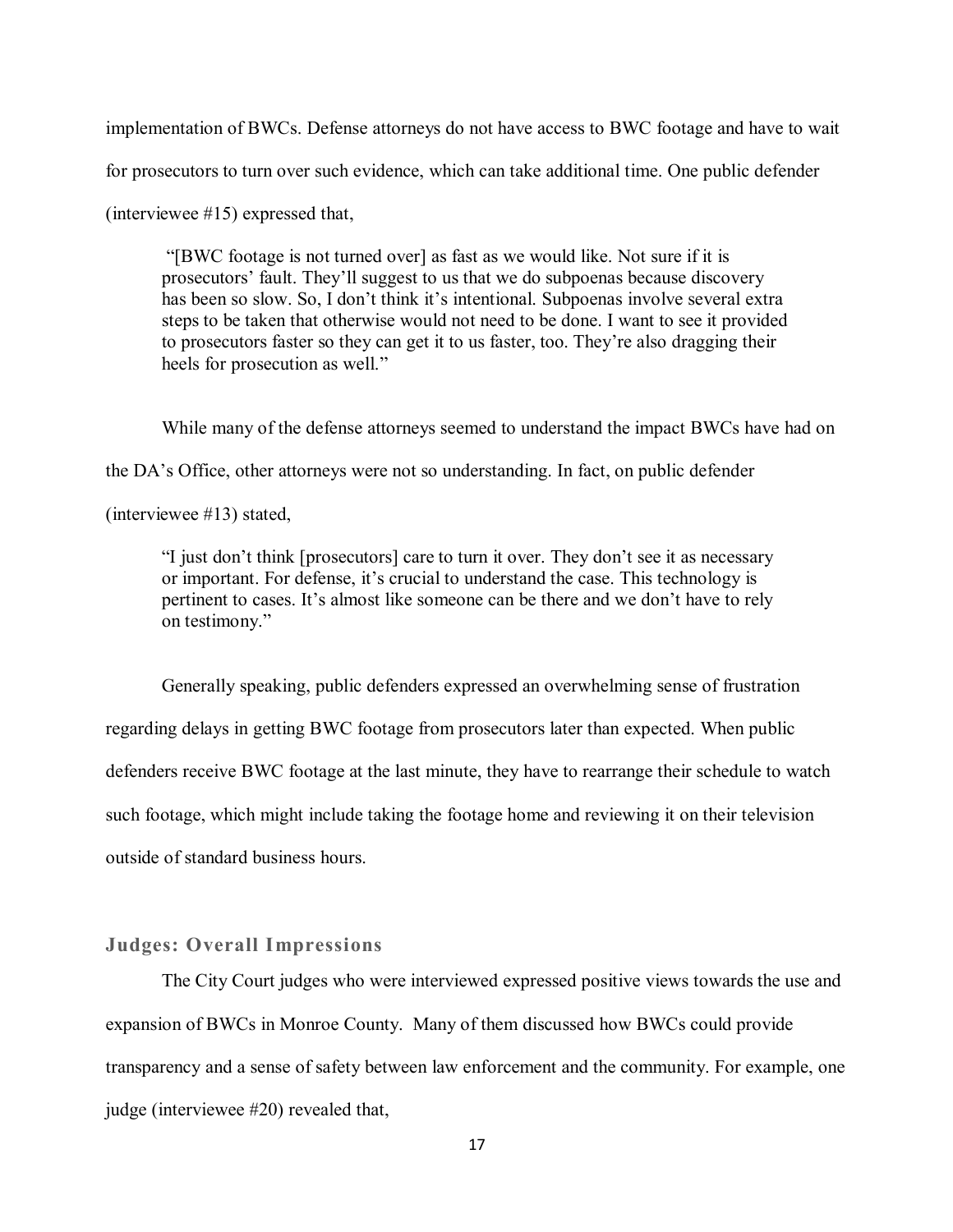implementation of BWCs. Defense attorneys do not have access to BWC footage and have to wait

for prosecutors to turn over such evidence, which can take additional time. One public defender

(interviewee #15) expressed that,

"[BWC footage is not turned over] as fast as we would like. Not sure if it is prosecutors' fault. They'll suggest to us that we do subpoenas because discovery has been so slow. So, I don't think it's intentional. Subpoenas involve several extra steps to be taken that otherwise would not need to be done. I want to see it provided to prosecutors faster so they can get it to us faster, too. They're also dragging their heels for prosecution as well."

While many of the defense attorneys seemed to understand the impact BWCs have had on

the DA's Office, other attorneys were not so understanding. In fact, on public defender

(interviewee #13) stated,

"I just don't think [prosecutors] care to turn it over. They don't see it as necessary or important. For defense, it's crucial to understand the case. This technology is pertinent to cases. It's almost like someone can be there and we don't have to rely on testimony."

Generally speaking, public defenders expressed an overwhelming sense of frustration regarding delays in getting BWC footage from prosecutors later than expected. When public defenders receive BWC footage at the last minute, they have to rearrange their schedule to watch such footage, which might include taking the footage home and reviewing it on their television outside of standard business hours.

#### **Judges: Overall Impressions**

The City Court judges who were interviewed expressed positive views towards the use and expansion of BWCs in Monroe County. Many of them discussed how BWCs could provide transparency and a sense of safety between law enforcement and the community. For example, one judge (interviewee #20) revealed that,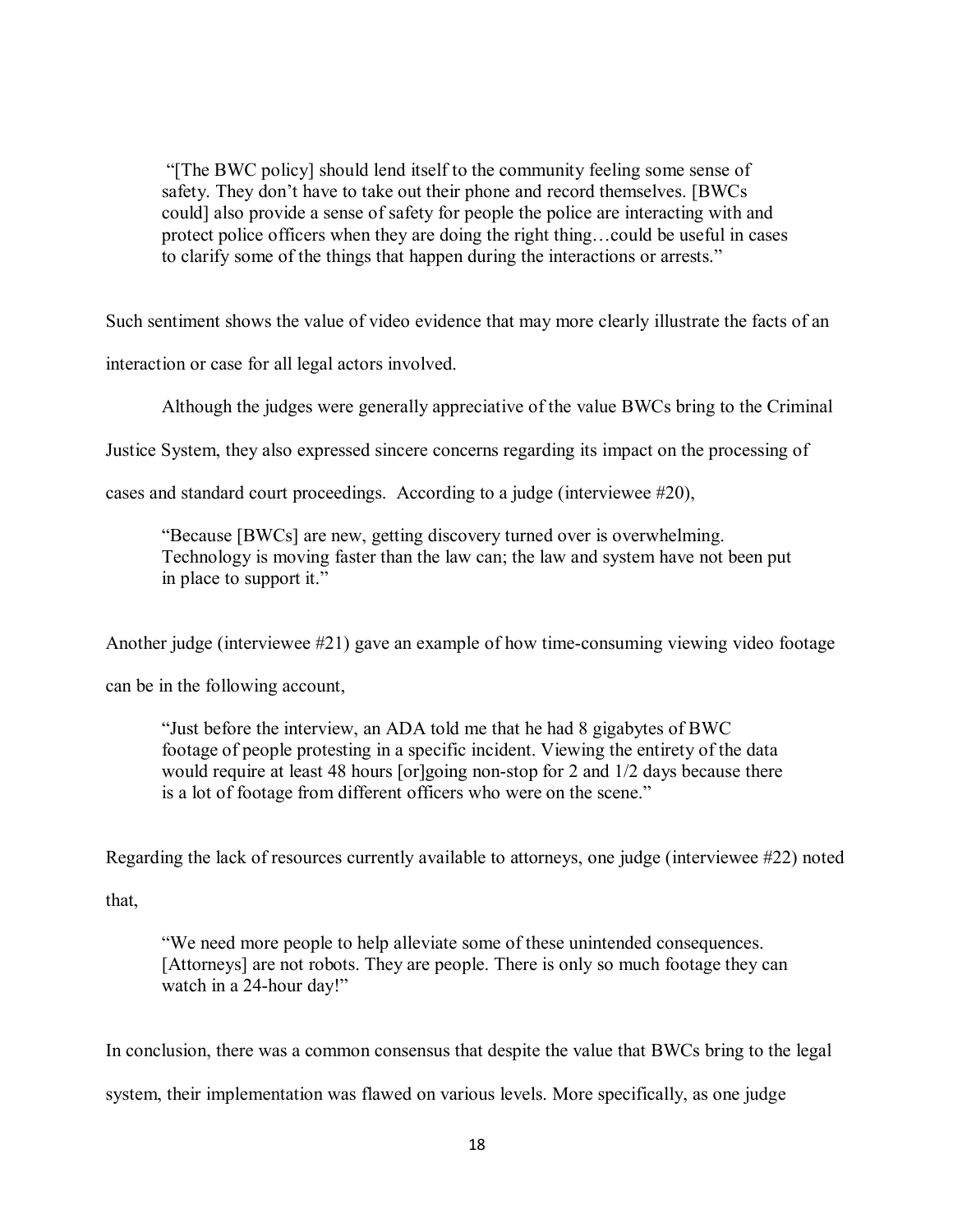"[The BWC policy] should lend itself to the community feeling some sense of safety. They don't have to take out their phone and record themselves. [BWCs could] also provide a sense of safety for people the police are interacting with and protect police officers when they are doing the right thing…could be useful in cases to clarify some of the things that happen during the interactions or arrests."

Such sentiment shows the value of video evidence that may more clearly illustrate the facts of an

interaction or case for all legal actors involved.

Although the judges were generally appreciative of the value BWCs bring to the Criminal

Justice System, they also expressed sincere concerns regarding its impact on the processing of

cases and standard court proceedings. According to a judge (interviewee #20),

"Because [BWCs] are new, getting discovery turned over is overwhelming. Technology is moving faster than the law can; the law and system have not been put in place to support it."

Another judge (interviewee #21) gave an example of how time-consuming viewing video footage

can be in the following account,

"Just before the interview, an ADA told me that he had 8 gigabytes of BWC footage of people protesting in a specific incident. Viewing the entirety of the data would require at least 48 hours [or]going non-stop for 2 and 1/2 days because there is a lot of footage from different officers who were on the scene."

Regarding the lack of resources currently available to attorneys, one judge (interviewee #22) noted

that,

"We need more people to help alleviate some of these unintended consequences. [Attorneys] are not robots. They are people. There is only so much footage they can watch in a 24-hour day!"

In conclusion, there was a common consensus that despite the value that BWCs bring to the legal system, their implementation was flawed on various levels. More specifically, as one judge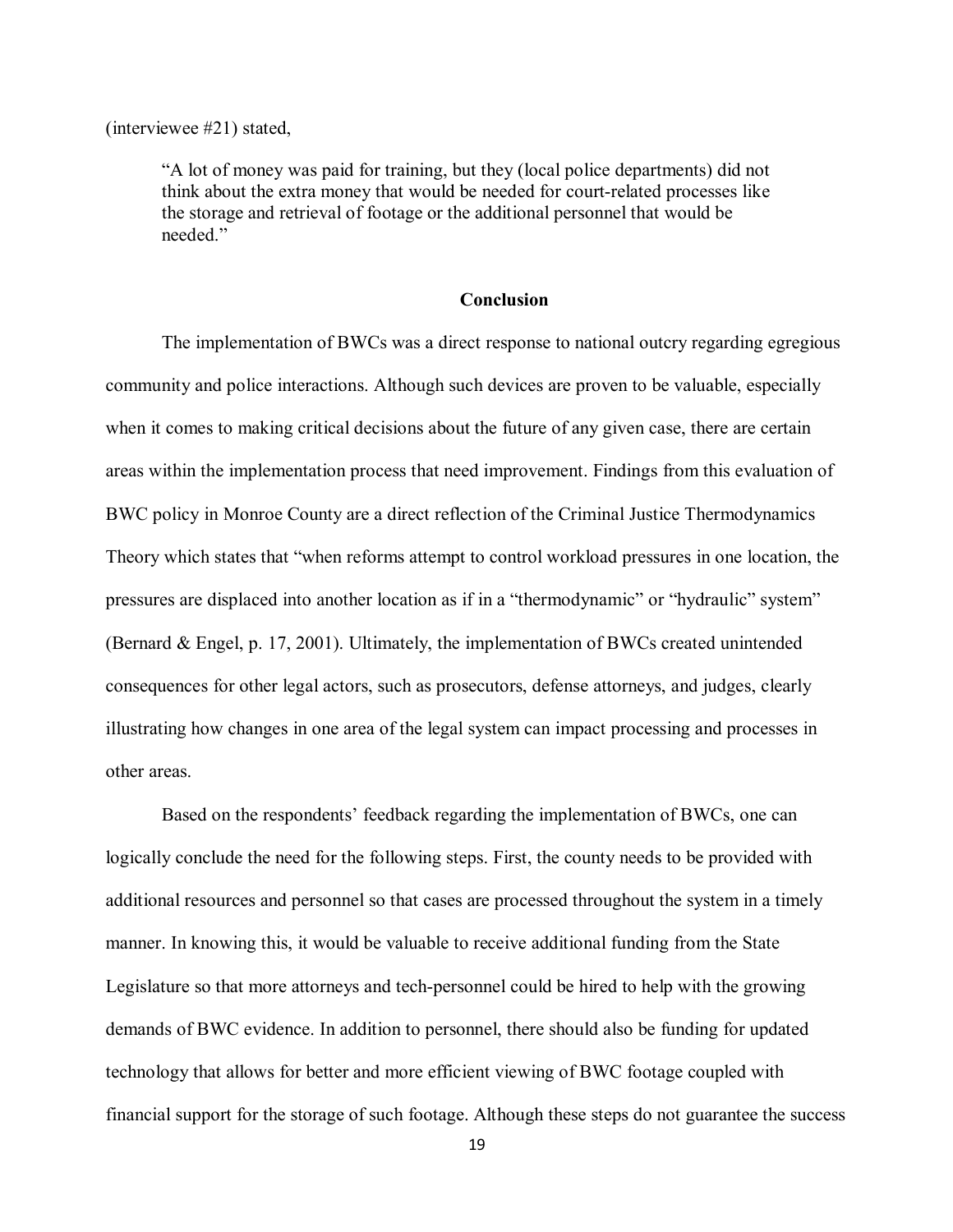(interviewee #21) stated,

"A lot of money was paid for training, but they (local police departments) did not think about the extra money that would be needed for court-related processes like the storage and retrieval of footage or the additional personnel that would be needed."

#### **Conclusion**

The implementation of BWCs was a direct response to national outcry regarding egregious community and police interactions. Although such devices are proven to be valuable, especially when it comes to making critical decisions about the future of any given case, there are certain areas within the implementation process that need improvement. Findings from this evaluation of BWC policy in Monroe County are a direct reflection of the Criminal Justice Thermodynamics Theory which states that "when reforms attempt to control workload pressures in one location, the pressures are displaced into another location as if in a "thermodynamic" or "hydraulic" system" (Bernard & Engel, p. 17, 2001). Ultimately, the implementation of BWCs created unintended consequences for other legal actors, such as prosecutors, defense attorneys, and judges, clearly illustrating how changes in one area of the legal system can impact processing and processes in other areas.

Based on the respondents' feedback regarding the implementation of BWCs, one can logically conclude the need for the following steps. First, the county needs to be provided with additional resources and personnel so that cases are processed throughout the system in a timely manner. In knowing this, it would be valuable to receive additional funding from the State Legislature so that more attorneys and tech-personnel could be hired to help with the growing demands of BWC evidence. In addition to personnel, there should also be funding for updated technology that allows for better and more efficient viewing of BWC footage coupled with financial support for the storage of such footage. Although these steps do not guarantee the success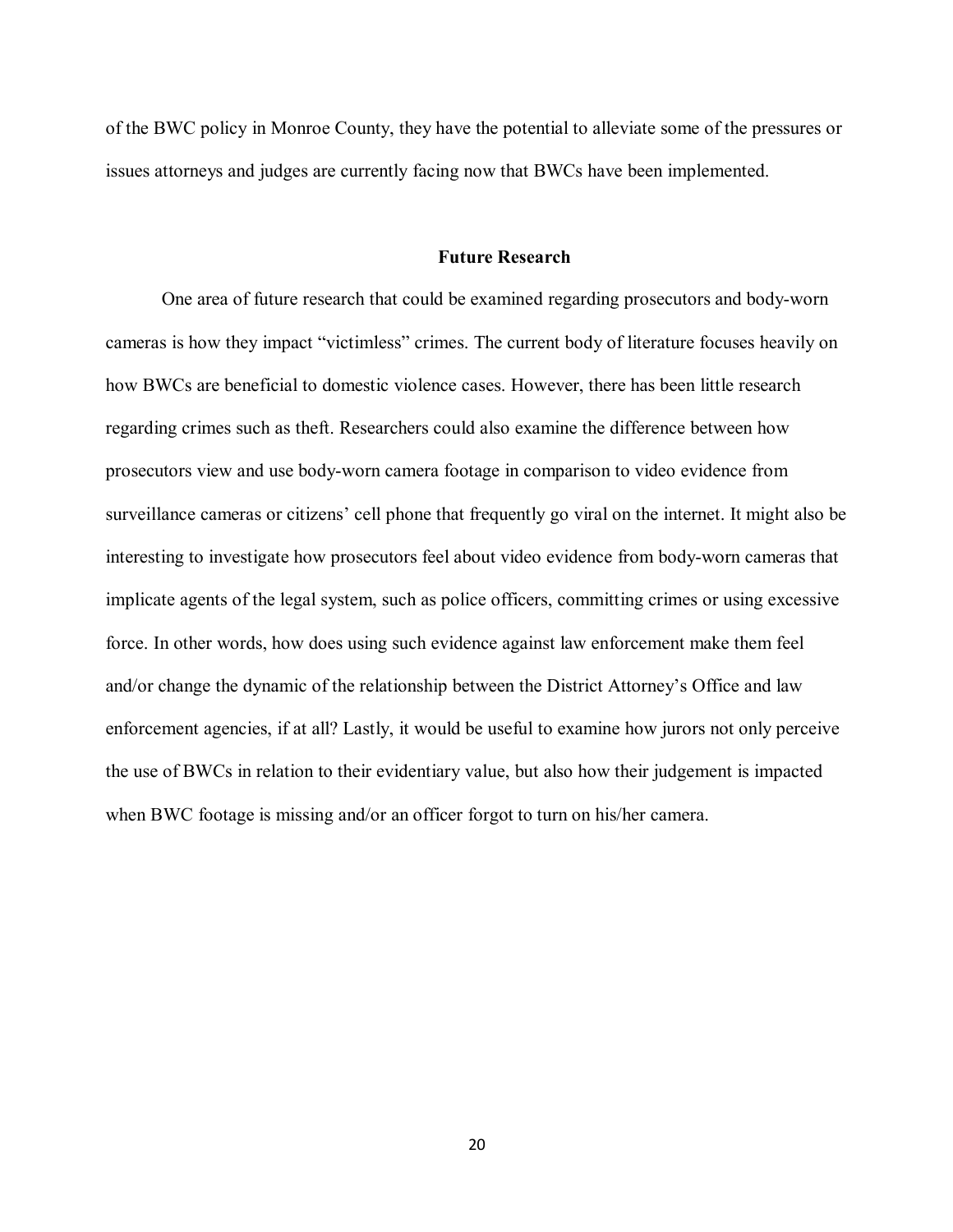of the BWC policy in Monroe County, they have the potential to alleviate some of the pressures or issues attorneys and judges are currently facing now that BWCs have been implemented.

#### **Future Research**

One area of future research that could be examined regarding prosecutors and body-worn cameras is how they impact "victimless" crimes. The current body of literature focuses heavily on how BWCs are beneficial to domestic violence cases. However, there has been little research regarding crimes such as theft. Researchers could also examine the difference between how prosecutors view and use body-worn camera footage in comparison to video evidence from surveillance cameras or citizens' cell phone that frequently go viral on the internet. It might also be interesting to investigate how prosecutors feel about video evidence from body-worn cameras that implicate agents of the legal system, such as police officers, committing crimes or using excessive force. In other words, how does using such evidence against law enforcement make them feel and/or change the dynamic of the relationship between the District Attorney's Office and law enforcement agencies, if at all? Lastly, it would be useful to examine how jurors not only perceive the use of BWCs in relation to their evidentiary value, but also how their judgement is impacted when BWC footage is missing and/or an officer forgot to turn on his/her camera.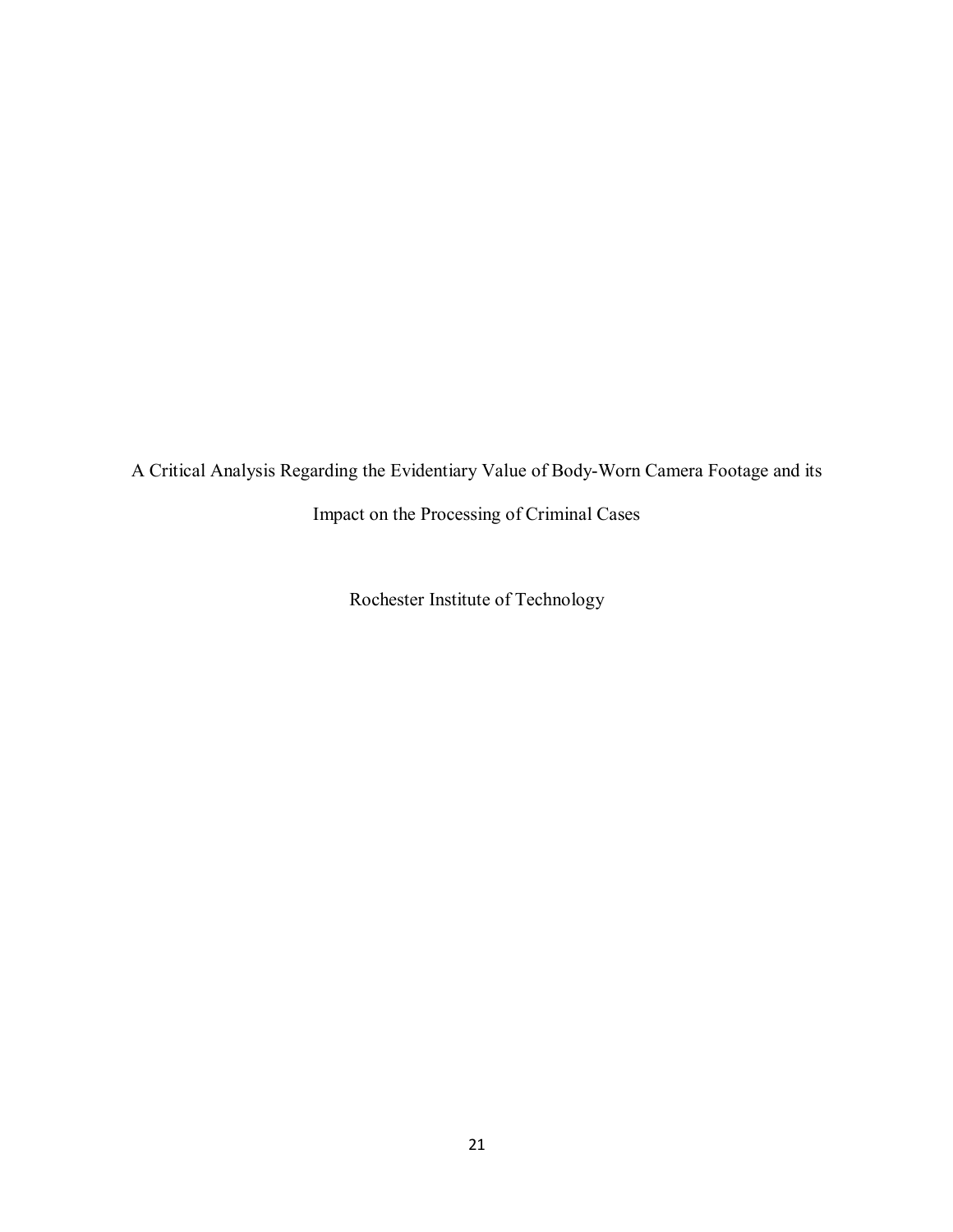A Critical Analysis Regarding the Evidentiary Value of Body-Worn Camera Footage and its

Impact on the Processing of Criminal Cases

Rochester Institute of Technology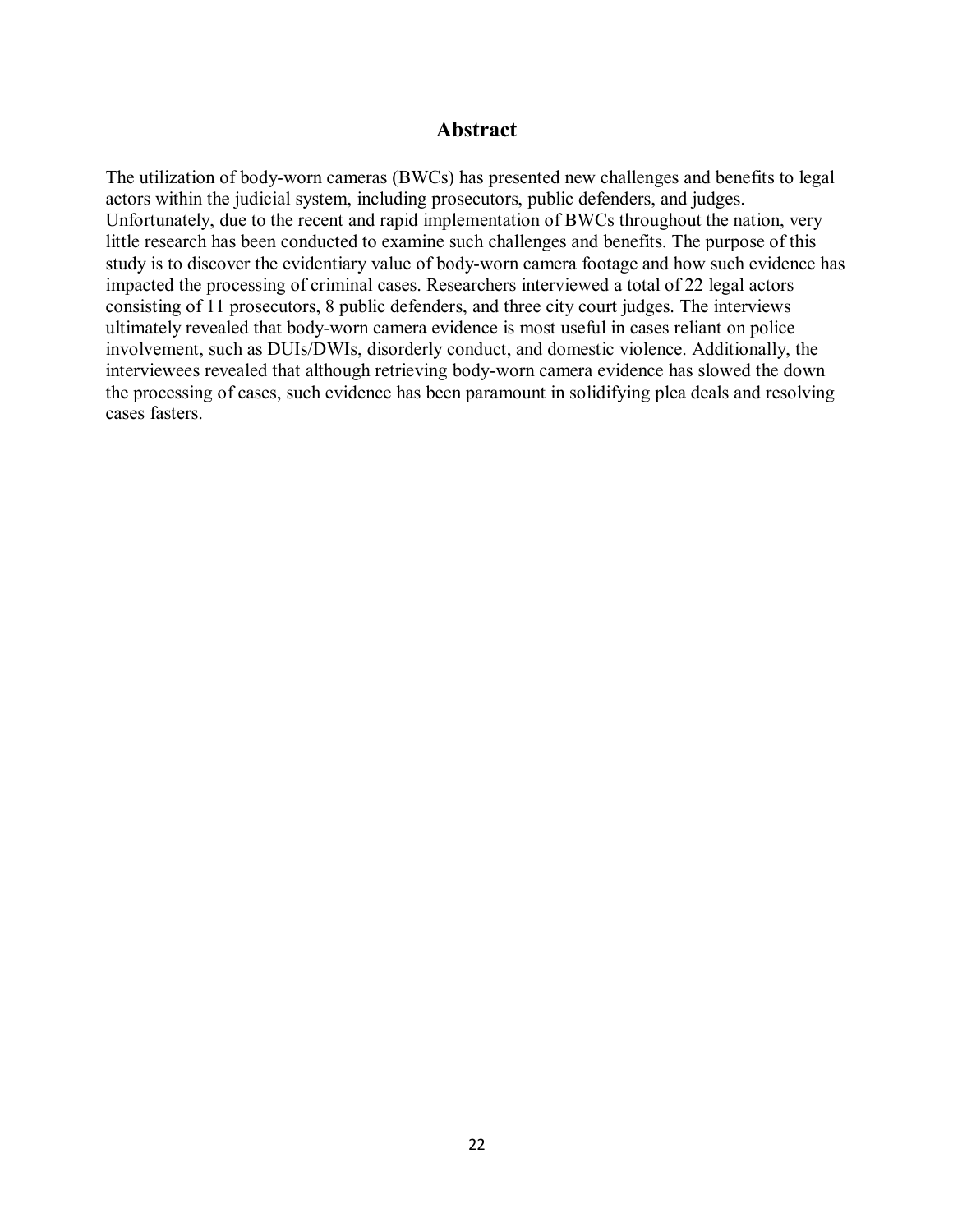#### **Abstract**

The utilization of body-worn cameras (BWCs) has presented new challenges and benefits to legal actors within the judicial system, including prosecutors, public defenders, and judges. Unfortunately, due to the recent and rapid implementation of BWCs throughout the nation, very little research has been conducted to examine such challenges and benefits. The purpose of this study is to discover the evidentiary value of body-worn camera footage and how such evidence has impacted the processing of criminal cases. Researchers interviewed a total of 22 legal actors consisting of 11 prosecutors, 8 public defenders, and three city court judges. The interviews ultimately revealed that body-worn camera evidence is most useful in cases reliant on police involvement, such as DUIs/DWIs, disorderly conduct, and domestic violence. Additionally, the interviewees revealed that although retrieving body-worn camera evidence has slowed the down the processing of cases, such evidence has been paramount in solidifying plea deals and resolving cases fasters.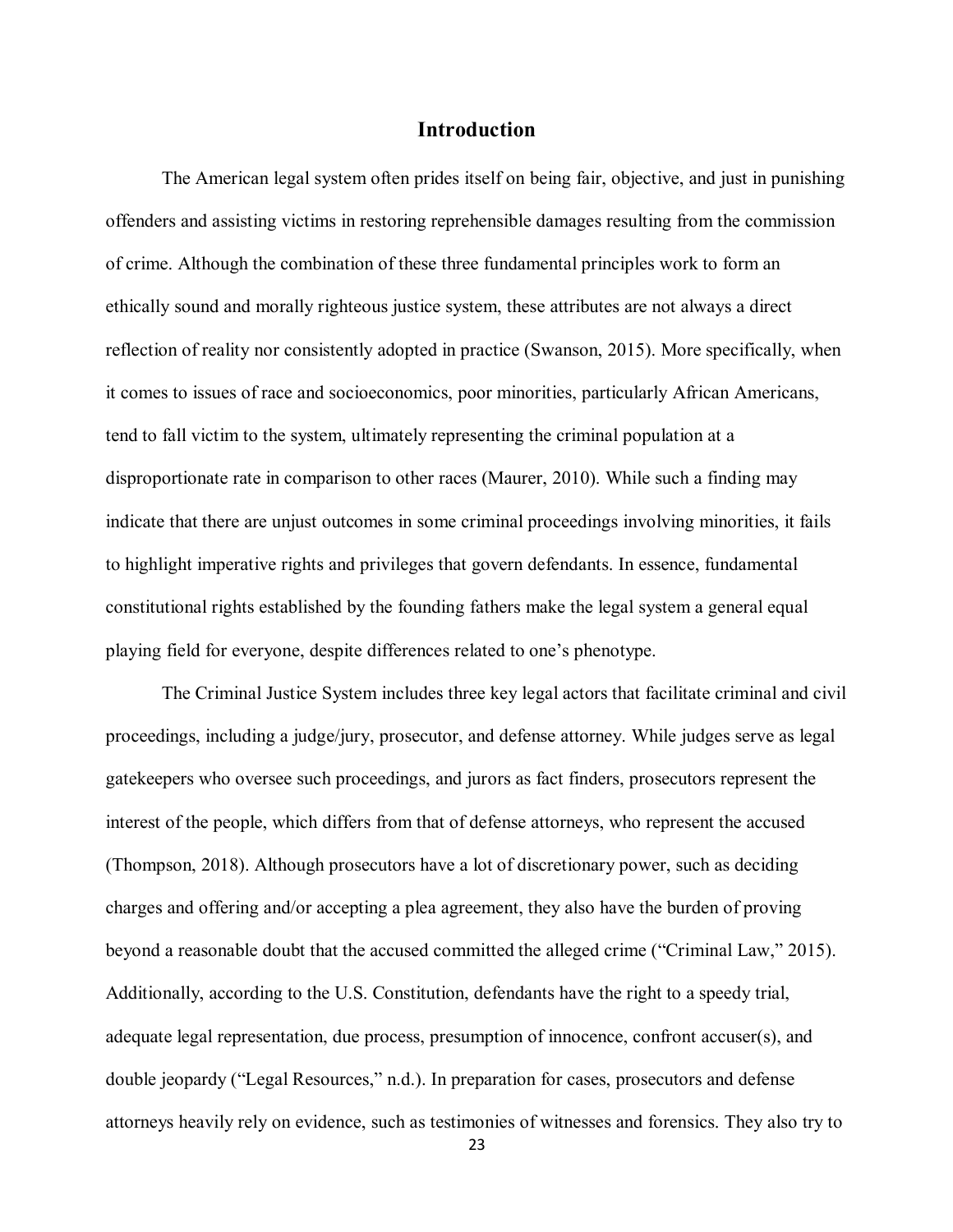#### **Introduction**

The American legal system often prides itself on being fair, objective, and just in punishing offenders and assisting victims in restoring reprehensible damages resulting from the commission of crime. Although the combination of these three fundamental principles work to form an ethically sound and morally righteous justice system, these attributes are not always a direct reflection of reality nor consistently adopted in practice (Swanson, 2015). More specifically, when it comes to issues of race and socioeconomics, poor minorities, particularly African Americans, tend to fall victim to the system, ultimately representing the criminal population at a disproportionate rate in comparison to other races (Maurer, 2010). While such a finding may indicate that there are unjust outcomes in some criminal proceedings involving minorities, it fails to highlight imperative rights and privileges that govern defendants. In essence, fundamental constitutional rights established by the founding fathers make the legal system a general equal playing field for everyone, despite differences related to one's phenotype.

The Criminal Justice System includes three key legal actors that facilitate criminal and civil proceedings, including a judge/jury, prosecutor, and defense attorney. While judges serve as legal gatekeepers who oversee such proceedings, and jurors as fact finders, prosecutors represent the interest of the people, which differs from that of defense attorneys, who represent the accused (Thompson, 2018). Although prosecutors have a lot of discretionary power, such as deciding charges and offering and/or accepting a plea agreement, they also have the burden of proving beyond a reasonable doubt that the accused committed the alleged crime ("Criminal Law," 2015). Additionally, according to the U.S. Constitution, defendants have the right to a speedy trial, adequate legal representation, due process, presumption of innocence, confront accuser(s), and double jeopardy ("Legal Resources," n.d.). In preparation for cases, prosecutors and defense attorneys heavily rely on evidence, such as testimonies of witnesses and forensics. They also try to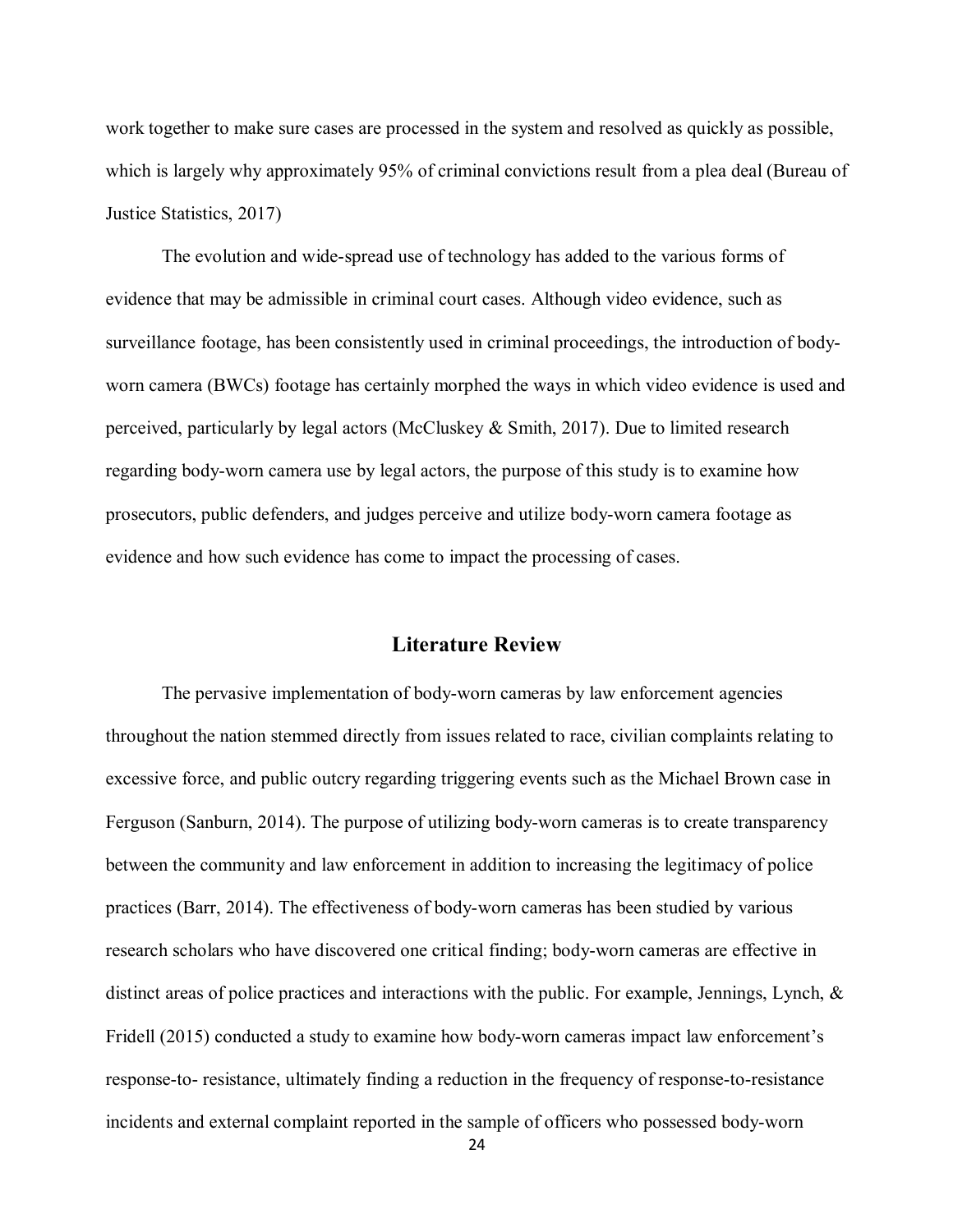work together to make sure cases are processed in the system and resolved as quickly as possible, which is largely why approximately 95% of criminal convictions result from a plea deal (Bureau of Justice Statistics, 2017)

The evolution and wide-spread use of technology has added to the various forms of evidence that may be admissible in criminal court cases. Although video evidence, such as surveillance footage, has been consistently used in criminal proceedings, the introduction of bodyworn camera (BWCs) footage has certainly morphed the ways in which video evidence is used and perceived, particularly by legal actors (McCluskey & Smith, 2017). Due to limited research regarding body-worn camera use by legal actors, the purpose of this study is to examine how prosecutors, public defenders, and judges perceive and utilize body-worn camera footage as evidence and how such evidence has come to impact the processing of cases.

#### **Literature Review**

The pervasive implementation of body-worn cameras by law enforcement agencies throughout the nation stemmed directly from issues related to race, civilian complaints relating to excessive force, and public outcry regarding triggering events such as the Michael Brown case in Ferguson (Sanburn, 2014). The purpose of utilizing body-worn cameras is to create transparency between the community and law enforcement in addition to increasing the legitimacy of police practices (Barr, 2014). The effectiveness of body-worn cameras has been studied by various research scholars who have discovered one critical finding; body-worn cameras are effective in distinct areas of police practices and interactions with the public. For example, Jennings, Lynch, & Fridell (2015) conducted a study to examine how body-worn cameras impact law enforcement's response-to- resistance, ultimately finding a reduction in the frequency of response-to-resistance incidents and external complaint reported in the sample of officers who possessed body-worn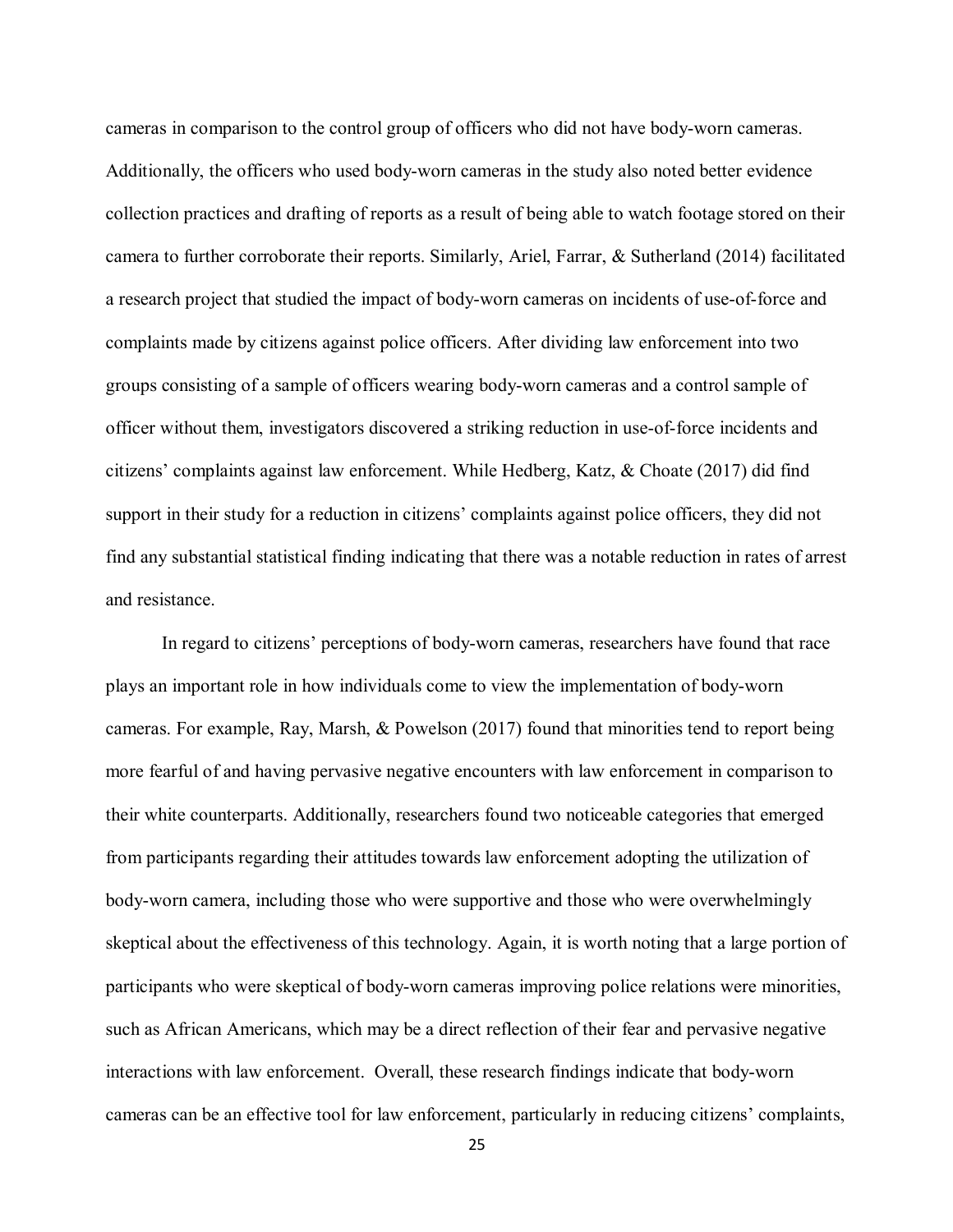cameras in comparison to the control group of officers who did not have body-worn cameras. Additionally, the officers who used body-worn cameras in the study also noted better evidence collection practices and drafting of reports as a result of being able to watch footage stored on their camera to further corroborate their reports. Similarly, Ariel, Farrar, & Sutherland (2014) facilitated a research project that studied the impact of body-worn cameras on incidents of use-of-force and complaints made by citizens against police officers. After dividing law enforcement into two groups consisting of a sample of officers wearing body-worn cameras and a control sample of officer without them, investigators discovered a striking reduction in use-of-force incidents and citizens' complaints against law enforcement. While Hedberg, Katz, & Choate (2017) did find support in their study for a reduction in citizens' complaints against police officers, they did not find any substantial statistical finding indicating that there was a notable reduction in rates of arrest and resistance.

In regard to citizens' perceptions of body-worn cameras, researchers have found that race plays an important role in how individuals come to view the implementation of body-worn cameras. For example, Ray, Marsh, & Powelson (2017) found that minorities tend to report being more fearful of and having pervasive negative encounters with law enforcement in comparison to their white counterparts. Additionally, researchers found two noticeable categories that emerged from participants regarding their attitudes towards law enforcement adopting the utilization of body-worn camera, including those who were supportive and those who were overwhelmingly skeptical about the effectiveness of this technology. Again, it is worth noting that a large portion of participants who were skeptical of body-worn cameras improving police relations were minorities, such as African Americans, which may be a direct reflection of their fear and pervasive negative interactions with law enforcement. Overall, these research findings indicate that body-worn cameras can be an effective tool for law enforcement, particularly in reducing citizens' complaints,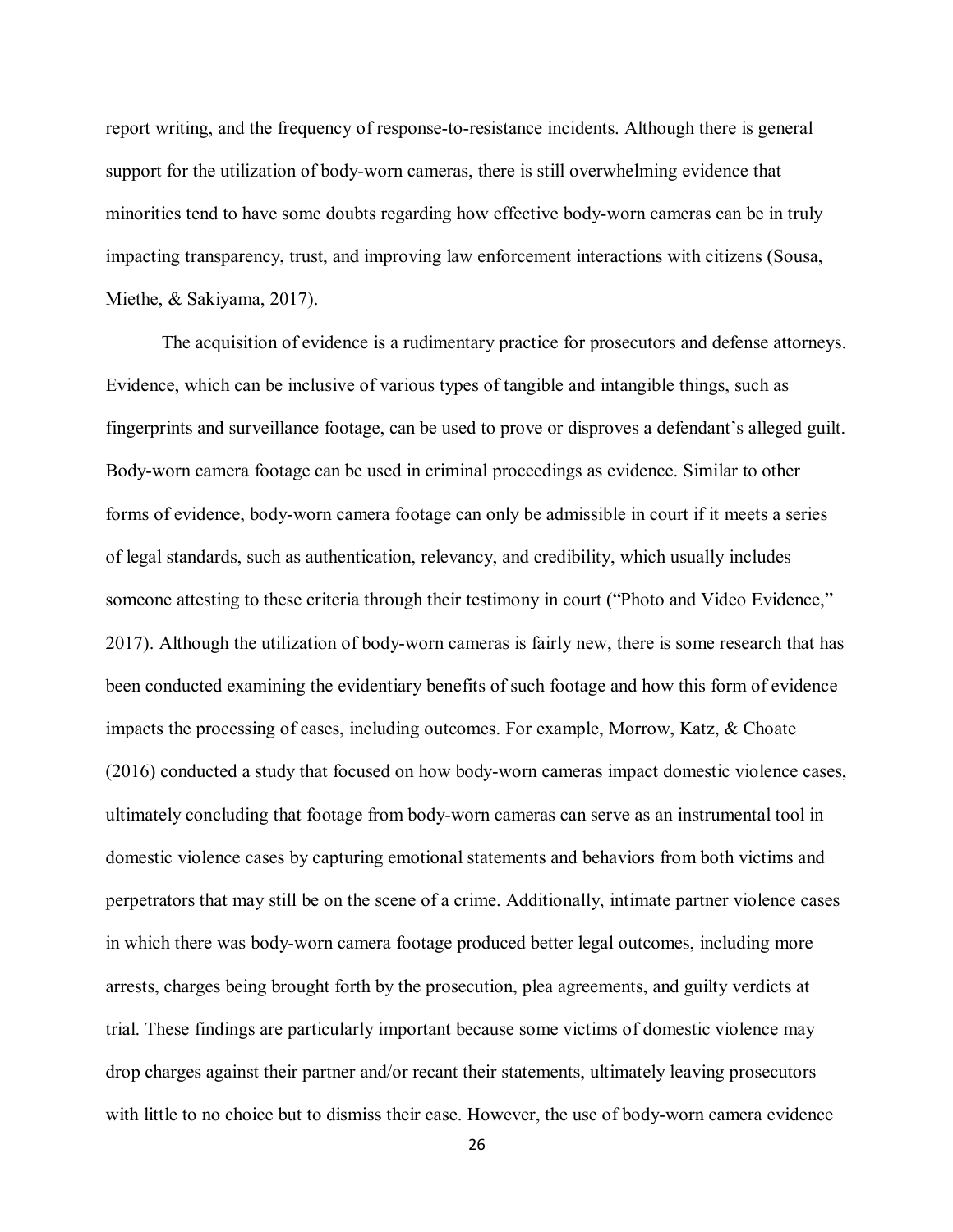report writing, and the frequency of response-to-resistance incidents. Although there is general support for the utilization of body-worn cameras, there is still overwhelming evidence that minorities tend to have some doubts regarding how effective body-worn cameras can be in truly impacting transparency, trust, and improving law enforcement interactions with citizens (Sousa, Miethe, & Sakiyama, 2017).

The acquisition of evidence is a rudimentary practice for prosecutors and defense attorneys. Evidence, which can be inclusive of various types of tangible and intangible things, such as fingerprints and surveillance footage, can be used to prove or disproves a defendant's alleged guilt. Body-worn camera footage can be used in criminal proceedings as evidence. Similar to other forms of evidence, body-worn camera footage can only be admissible in court if it meets a series of legal standards, such as authentication, relevancy, and credibility, which usually includes someone attesting to these criteria through their testimony in court ("Photo and Video Evidence," 2017). Although the utilization of body-worn cameras is fairly new, there is some research that has been conducted examining the evidentiary benefits of such footage and how this form of evidence impacts the processing of cases, including outcomes. For example, Morrow, Katz, & Choate (2016) conducted a study that focused on how body-worn cameras impact domestic violence cases, ultimately concluding that footage from body-worn cameras can serve as an instrumental tool in domestic violence cases by capturing emotional statements and behaviors from both victims and perpetrators that may still be on the scene of a crime. Additionally, intimate partner violence cases in which there was body-worn camera footage produced better legal outcomes, including more arrests, charges being brought forth by the prosecution, plea agreements, and guilty verdicts at trial. These findings are particularly important because some victims of domestic violence may drop charges against their partner and/or recant their statements, ultimately leaving prosecutors with little to no choice but to dismiss their case. However, the use of body-worn camera evidence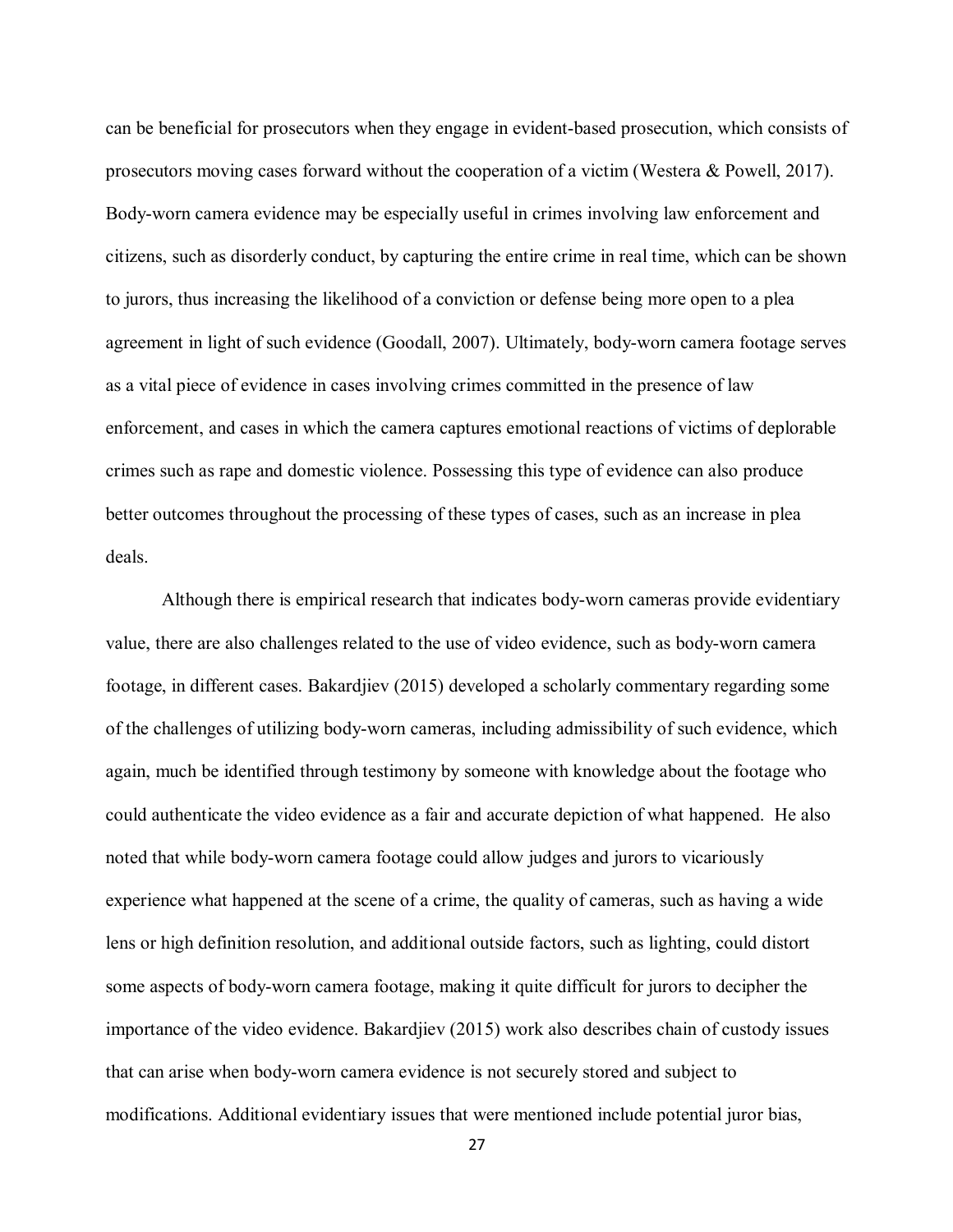can be beneficial for prosecutors when they engage in evident-based prosecution, which consists of prosecutors moving cases forward without the cooperation of a victim (Westera & Powell, 2017). Body-worn camera evidence may be especially useful in crimes involving law enforcement and citizens, such as disorderly conduct, by capturing the entire crime in real time, which can be shown to jurors, thus increasing the likelihood of a conviction or defense being more open to a plea agreement in light of such evidence (Goodall, 2007). Ultimately, body-worn camera footage serves as a vital piece of evidence in cases involving crimes committed in the presence of law enforcement, and cases in which the camera captures emotional reactions of victims of deplorable crimes such as rape and domestic violence. Possessing this type of evidence can also produce better outcomes throughout the processing of these types of cases, such as an increase in plea deals.

Although there is empirical research that indicates body-worn cameras provide evidentiary value, there are also challenges related to the use of video evidence, such as body-worn camera footage, in different cases. Bakardjiev (2015) developed a scholarly commentary regarding some of the challenges of utilizing body-worn cameras, including admissibility of such evidence, which again, much be identified through testimony by someone with knowledge about the footage who could authenticate the video evidence as a fair and accurate depiction of what happened. He also noted that while body-worn camera footage could allow judges and jurors to vicariously experience what happened at the scene of a crime, the quality of cameras, such as having a wide lens or high definition resolution, and additional outside factors, such as lighting, could distort some aspects of body-worn camera footage, making it quite difficult for jurors to decipher the importance of the video evidence. Bakardjiev (2015) work also describes chain of custody issues that can arise when body-worn camera evidence is not securely stored and subject to modifications. Additional evidentiary issues that were mentioned include potential juror bias,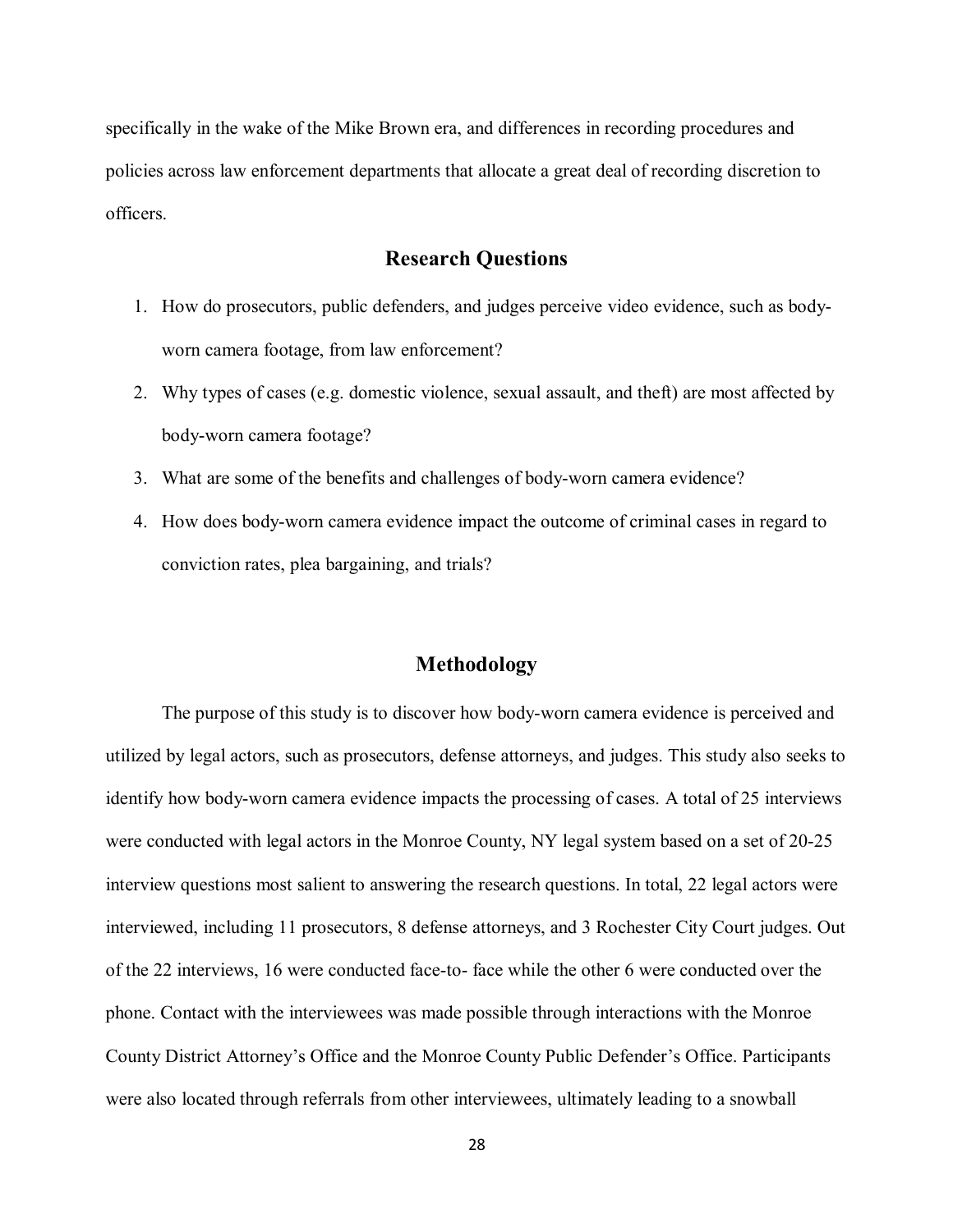specifically in the wake of the Mike Brown era, and differences in recording procedures and policies across law enforcement departments that allocate a great deal of recording discretion to officers.

#### **Research Questions**

- 1. How do prosecutors, public defenders, and judges perceive video evidence, such as bodyworn camera footage, from law enforcement?
- 2. Why types of cases (e.g. domestic violence, sexual assault, and theft) are most affected by body-worn camera footage?
- 3. What are some of the benefits and challenges of body-worn camera evidence?
- 4. How does body-worn camera evidence impact the outcome of criminal cases in regard to conviction rates, plea bargaining, and trials?

#### **Methodology**

The purpose of this study is to discover how body-worn camera evidence is perceived and utilized by legal actors, such as prosecutors, defense attorneys, and judges. This study also seeks to identify how body-worn camera evidence impacts the processing of cases. A total of 25 interviews were conducted with legal actors in the Monroe County, NY legal system based on a set of 20-25 interview questions most salient to answering the research questions. In total, 22 legal actors were interviewed, including 11 prosecutors, 8 defense attorneys, and 3 Rochester City Court judges. Out of the 22 interviews, 16 were conducted face-to- face while the other 6 were conducted over the phone. Contact with the interviewees was made possible through interactions with the Monroe County District Attorney's Office and the Monroe County Public Defender's Office. Participants were also located through referrals from other interviewees, ultimately leading to a snowball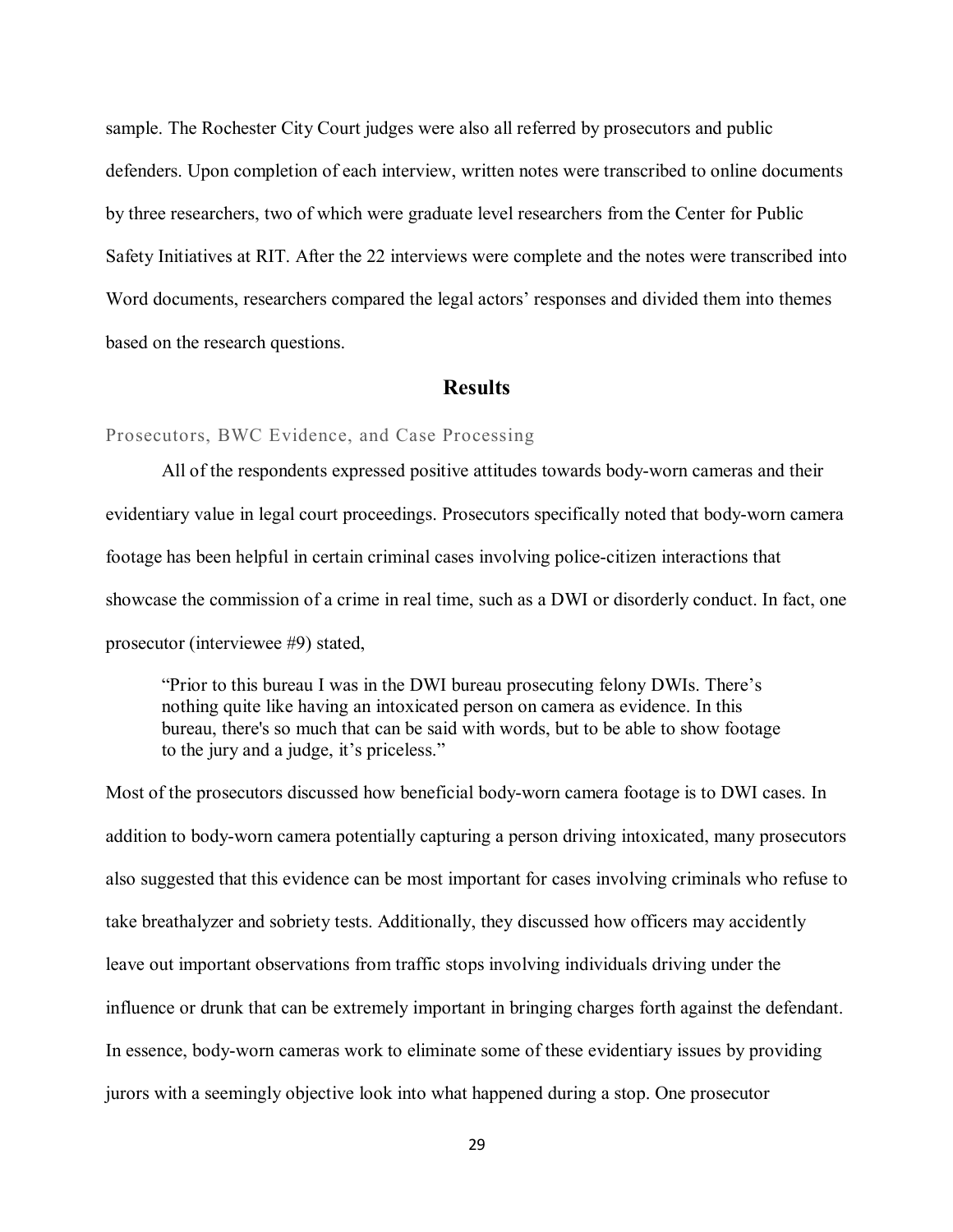sample. The Rochester City Court judges were also all referred by prosecutors and public defenders. Upon completion of each interview, written notes were transcribed to online documents by three researchers, two of which were graduate level researchers from the Center for Public Safety Initiatives at RIT. After the 22 interviews were complete and the notes were transcribed into Word documents, researchers compared the legal actors' responses and divided them into themes based on the research questions.

#### **Results**

#### Prosecutors, BWC Evidence, and Case Processing

All of the respondents expressed positive attitudes towards body-worn cameras and their evidentiary value in legal court proceedings. Prosecutors specifically noted that body-worn camera footage has been helpful in certain criminal cases involving police-citizen interactions that showcase the commission of a crime in real time, such as a DWI or disorderly conduct. In fact, one prosecutor (interviewee #9) stated,

"Prior to this bureau I was in the DWI bureau prosecuting felony DWIs. There's nothing quite like having an intoxicated person on camera as evidence. In this bureau, there's so much that can be said with words, but to be able to show footage to the jury and a judge, it's priceless."

Most of the prosecutors discussed how beneficial body-worn camera footage is to DWI cases. In addition to body-worn camera potentially capturing a person driving intoxicated, many prosecutors also suggested that this evidence can be most important for cases involving criminals who refuse to take breathalyzer and sobriety tests. Additionally, they discussed how officers may accidently leave out important observations from traffic stops involving individuals driving under the influence or drunk that can be extremely important in bringing charges forth against the defendant. In essence, body-worn cameras work to eliminate some of these evidentiary issues by providing jurors with a seemingly objective look into what happened during a stop. One prosecutor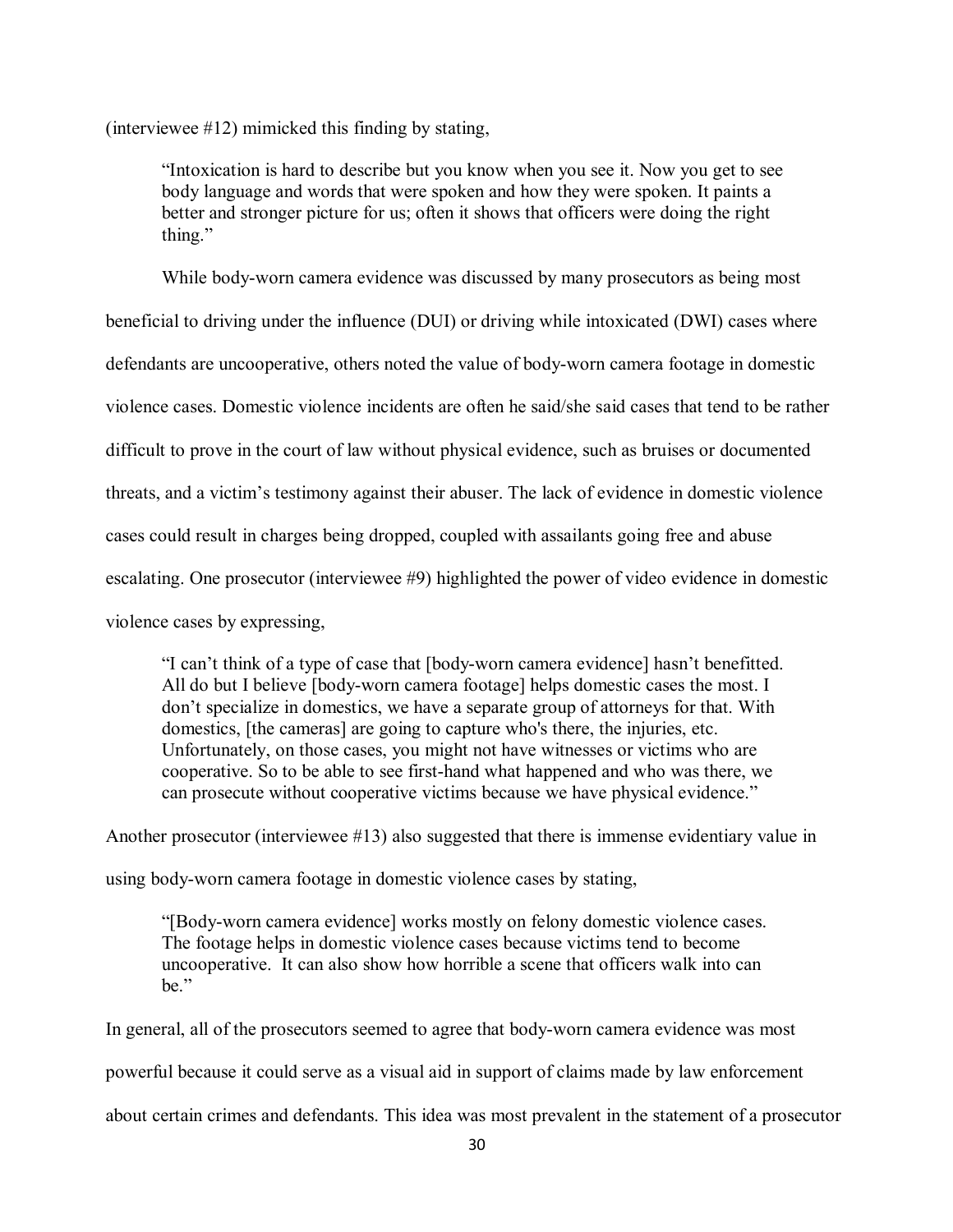(interviewee #12) mimicked this finding by stating,

"Intoxication is hard to describe but you know when you see it. Now you get to see body language and words that were spoken and how they were spoken. It paints a better and stronger picture for us; often it shows that officers were doing the right thing."

While body-worn camera evidence was discussed by many prosecutors as being most beneficial to driving under the influence (DUI) or driving while intoxicated (DWI) cases where defendants are uncooperative, others noted the value of body-worn camera footage in domestic violence cases. Domestic violence incidents are often he said/she said cases that tend to be rather difficult to prove in the court of law without physical evidence, such as bruises or documented threats, and a victim's testimony against their abuser. The lack of evidence in domestic violence cases could result in charges being dropped, coupled with assailants going free and abuse escalating. One prosecutor (interviewee #9) highlighted the power of video evidence in domestic violence cases by expressing,

"I can't think of a type of case that [body-worn camera evidence] hasn't benefitted. All do but I believe [body-worn camera footage] helps domestic cases the most. I don't specialize in domestics, we have a separate group of attorneys for that. With domestics, [the cameras] are going to capture who's there, the injuries, etc. Unfortunately, on those cases, you might not have witnesses or victims who are cooperative. So to be able to see first-hand what happened and who was there, we can prosecute without cooperative victims because we have physical evidence."

Another prosecutor (interviewee #13) also suggested that there is immense evidentiary value in

using body-worn camera footage in domestic violence cases by stating,

"[Body-worn camera evidence] works mostly on felony domestic violence cases. The footage helps in domestic violence cases because victims tend to become uncooperative. It can also show how horrible a scene that officers walk into can be."

In general, all of the prosecutors seemed to agree that body-worn camera evidence was most powerful because it could serve as a visual aid in support of claims made by law enforcement about certain crimes and defendants. This idea was most prevalent in the statement of a prosecutor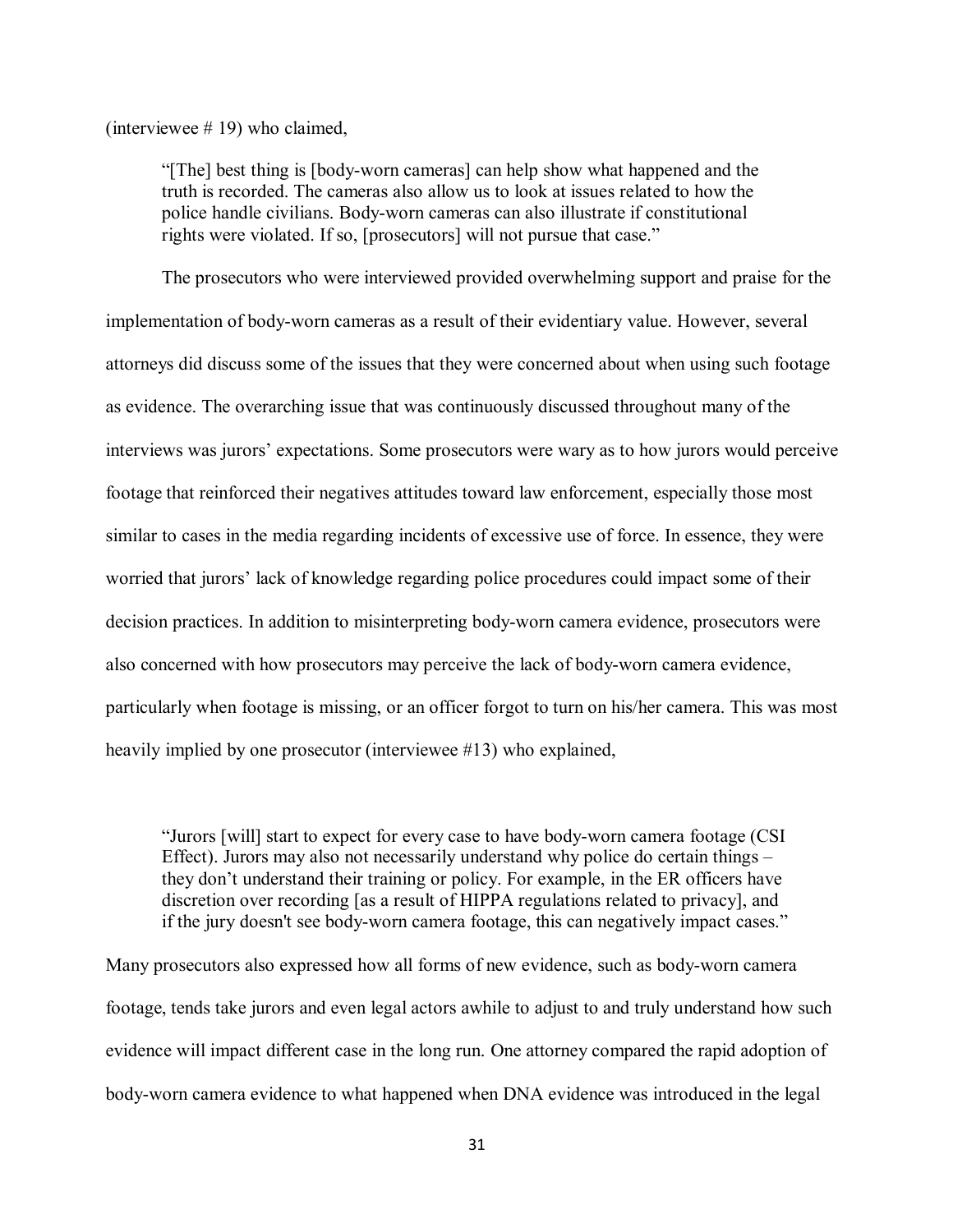(interviewee # 19) who claimed,

"[The] best thing is [body-worn cameras] can help show what happened and the truth is recorded. The cameras also allow us to look at issues related to how the police handle civilians. Body-worn cameras can also illustrate if constitutional rights were violated. If so, [prosecutors] will not pursue that case."

The prosecutors who were interviewed provided overwhelming support and praise for the implementation of body-worn cameras as a result of their evidentiary value. However, several attorneys did discuss some of the issues that they were concerned about when using such footage as evidence. The overarching issue that was continuously discussed throughout many of the interviews was jurors' expectations. Some prosecutors were wary as to how jurors would perceive footage that reinforced their negatives attitudes toward law enforcement, especially those most similar to cases in the media regarding incidents of excessive use of force. In essence, they were worried that jurors' lack of knowledge regarding police procedures could impact some of their decision practices. In addition to misinterpreting body-worn camera evidence, prosecutors were also concerned with how prosecutors may perceive the lack of body-worn camera evidence, particularly when footage is missing, or an officer forgot to turn on his/her camera. This was most heavily implied by one prosecutor (interviewee #13) who explained,

"Jurors [will] start to expect for every case to have body-worn camera footage (CSI Effect). Jurors may also not necessarily understand why police do certain things – they don't understand their training or policy. For example, in the ER officers have discretion over recording [as a result of HIPPA regulations related to privacy], and if the jury doesn't see body-worn camera footage, this can negatively impact cases."

Many prosecutors also expressed how all forms of new evidence, such as body-worn camera footage, tends take jurors and even legal actors awhile to adjust to and truly understand how such evidence will impact different case in the long run. One attorney compared the rapid adoption of body-worn camera evidence to what happened when DNA evidence was introduced in the legal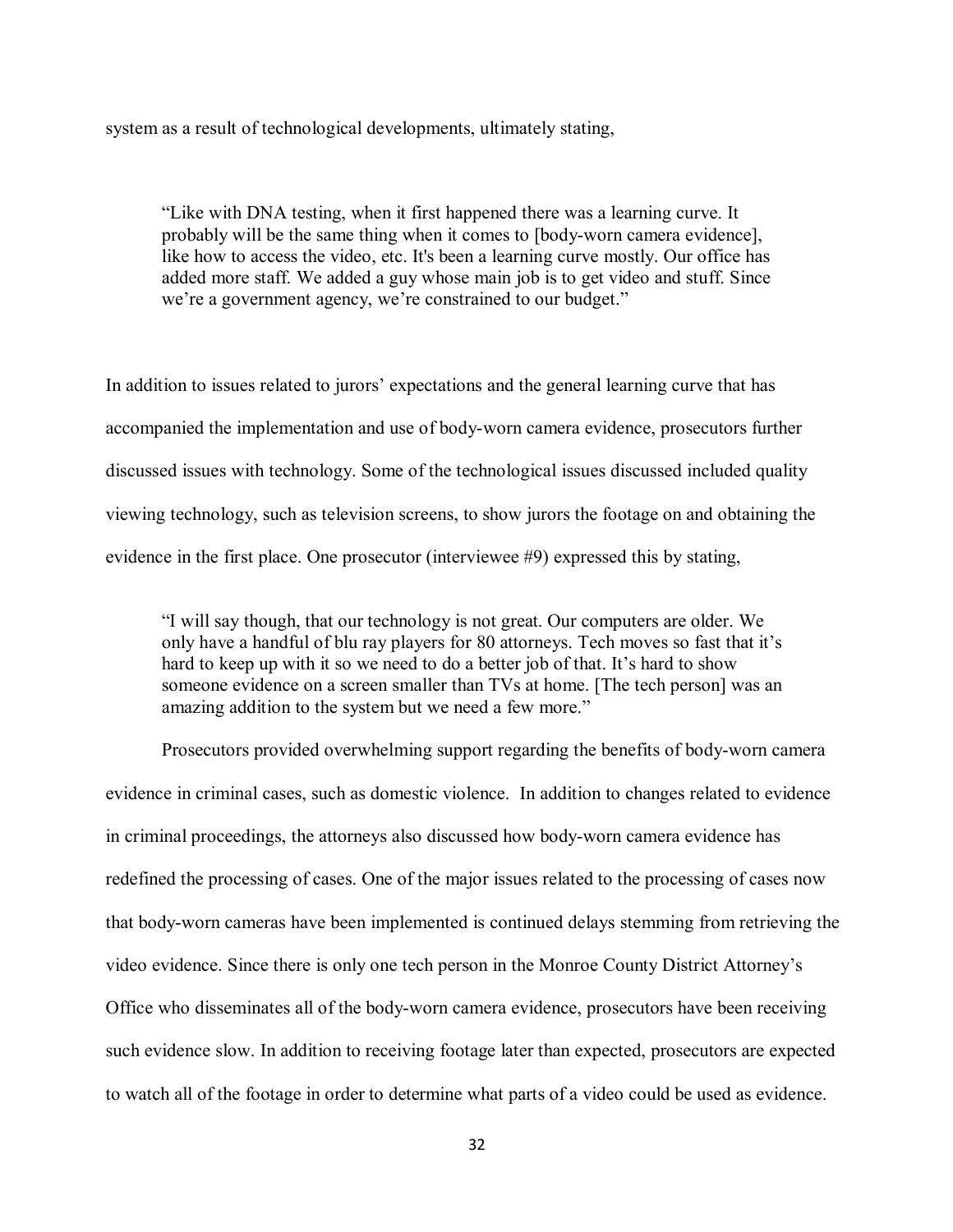system as a result of technological developments, ultimately stating,

"Like with DNA testing, when it first happened there was a learning curve. It probably will be the same thing when it comes to [body-worn camera evidence], like how to access the video, etc. It's been a learning curve mostly. Our office has added more staff. We added a guy whose main job is to get video and stuff. Since we're a government agency, we're constrained to our budget."

In addition to issues related to jurors' expectations and the general learning curve that has accompanied the implementation and use of body-worn camera evidence, prosecutors further discussed issues with technology. Some of the technological issues discussed included quality viewing technology, such as television screens, to show jurors the footage on and obtaining the evidence in the first place. One prosecutor (interviewee #9) expressed this by stating,

"I will say though, that our technology is not great. Our computers are older. We only have a handful of blu ray players for 80 attorneys. Tech moves so fast that it's hard to keep up with it so we need to do a better job of that. It's hard to show someone evidence on a screen smaller than TVs at home. [The tech person] was an amazing addition to the system but we need a few more."

Prosecutors provided overwhelming support regarding the benefits of body-worn camera evidence in criminal cases, such as domestic violence. In addition to changes related to evidence in criminal proceedings, the attorneys also discussed how body-worn camera evidence has redefined the processing of cases. One of the major issues related to the processing of cases now that body-worn cameras have been implemented is continued delays stemming from retrieving the video evidence. Since there is only one tech person in the Monroe County District Attorney's Office who disseminates all of the body-worn camera evidence, prosecutors have been receiving such evidence slow. In addition to receiving footage later than expected, prosecutors are expected to watch all of the footage in order to determine what parts of a video could be used as evidence.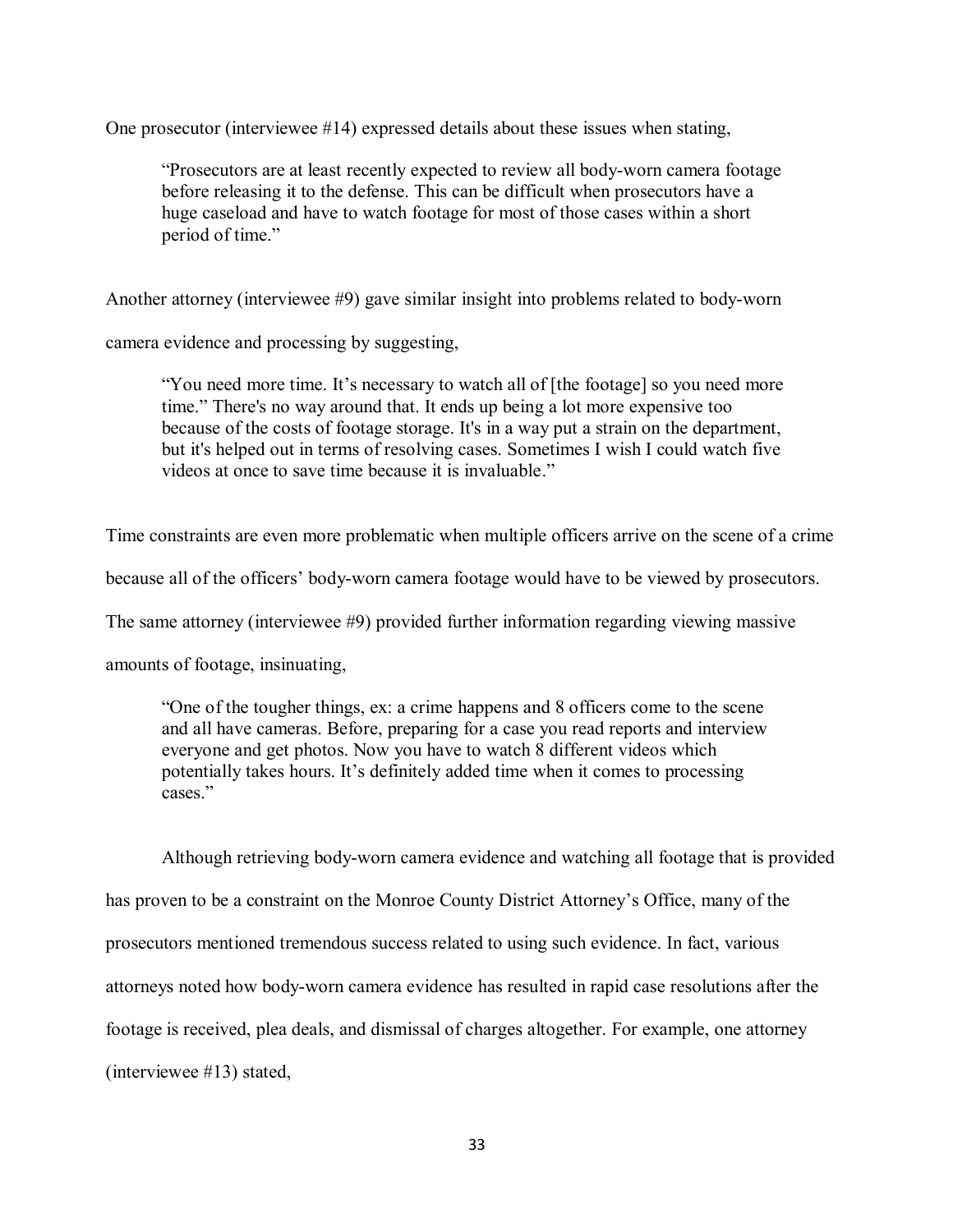One prosecutor (interviewee #14) expressed details about these issues when stating,

"Prosecutors are at least recently expected to review all body-worn camera footage before releasing it to the defense. This can be difficult when prosecutors have a huge caseload and have to watch footage for most of those cases within a short period of time."

Another attorney (interviewee #9) gave similar insight into problems related to body-worn

camera evidence and processing by suggesting,

"You need more time. It's necessary to watch all of [the footage] so you need more time." There's no way around that. It ends up being a lot more expensive too because of the costs of footage storage. It's in a way put a strain on the department, but it's helped out in terms of resolving cases. Sometimes I wish I could watch five videos at once to save time because it is invaluable."

Time constraints are even more problematic when multiple officers arrive on the scene of a crime

because all of the officers' body-worn camera footage would have to be viewed by prosecutors.

The same attorney (interviewee #9) provided further information regarding viewing massive

amounts of footage, insinuating,

"One of the tougher things, ex: a crime happens and 8 officers come to the scene and all have cameras. Before, preparing for a case you read reports and interview everyone and get photos. Now you have to watch 8 different videos which potentially takes hours. It's definitely added time when it comes to processing cases."

Although retrieving body-worn camera evidence and watching all footage that is provided has proven to be a constraint on the Monroe County District Attorney's Office, many of the prosecutors mentioned tremendous success related to using such evidence. In fact, various attorneys noted how body-worn camera evidence has resulted in rapid case resolutions after the footage is received, plea deals, and dismissal of charges altogether. For example, one attorney (interviewee #13) stated,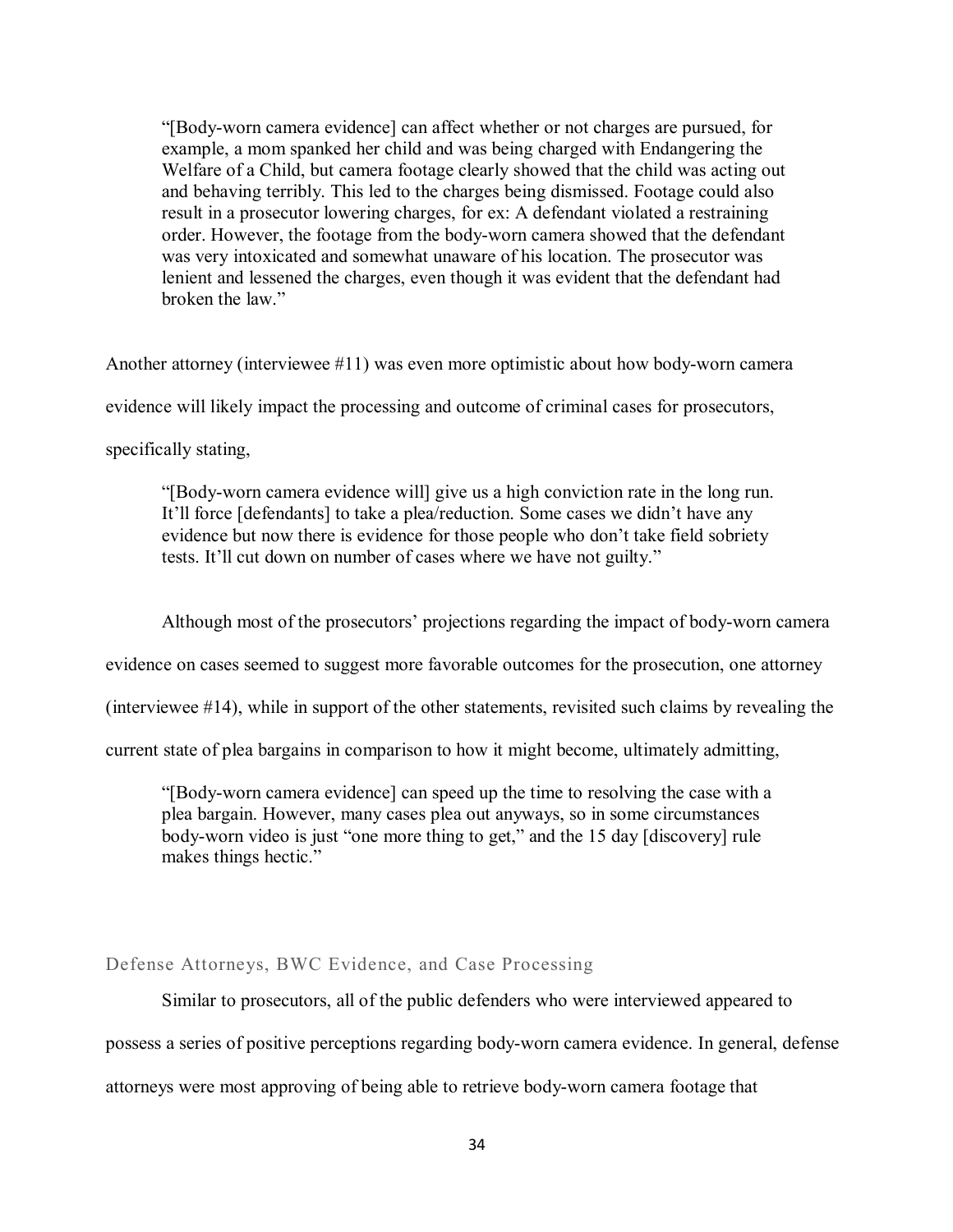"[Body-worn camera evidence] can affect whether or not charges are pursued, for example, a mom spanked her child and was being charged with Endangering the Welfare of a Child, but camera footage clearly showed that the child was acting out and behaving terribly. This led to the charges being dismissed. Footage could also result in a prosecutor lowering charges, for ex: A defendant violated a restraining order. However, the footage from the body-worn camera showed that the defendant was very intoxicated and somewhat unaware of his location. The prosecutor was lenient and lessened the charges, even though it was evident that the defendant had broken the law."

Another attorney (interviewee #11) was even more optimistic about how body-worn camera

evidence will likely impact the processing and outcome of criminal cases for prosecutors,

specifically stating,

"[Body-worn camera evidence will] give us a high conviction rate in the long run. It'll force [defendants] to take a plea/reduction. Some cases we didn't have any evidence but now there is evidence for those people who don't take field sobriety tests. It'll cut down on number of cases where we have not guilty."

Although most of the prosecutors' projections regarding the impact of body-worn camera

evidence on cases seemed to suggest more favorable outcomes for the prosecution, one attorney

(interviewee #14), while in support of the other statements, revisited such claims by revealing the

current state of plea bargains in comparison to how it might become, ultimately admitting,

"[Body-worn camera evidence] can speed up the time to resolving the case with a plea bargain. However, many cases plea out anyways, so in some circumstances body-worn video is just "one more thing to get," and the 15 day [discovery] rule makes things hectic."

#### Defense Attorneys, BWC Evidence, and Case Processing

Similar to prosecutors, all of the public defenders who were interviewed appeared to possess a series of positive perceptions regarding body-worn camera evidence. In general, defense attorneys were most approving of being able to retrieve body-worn camera footage that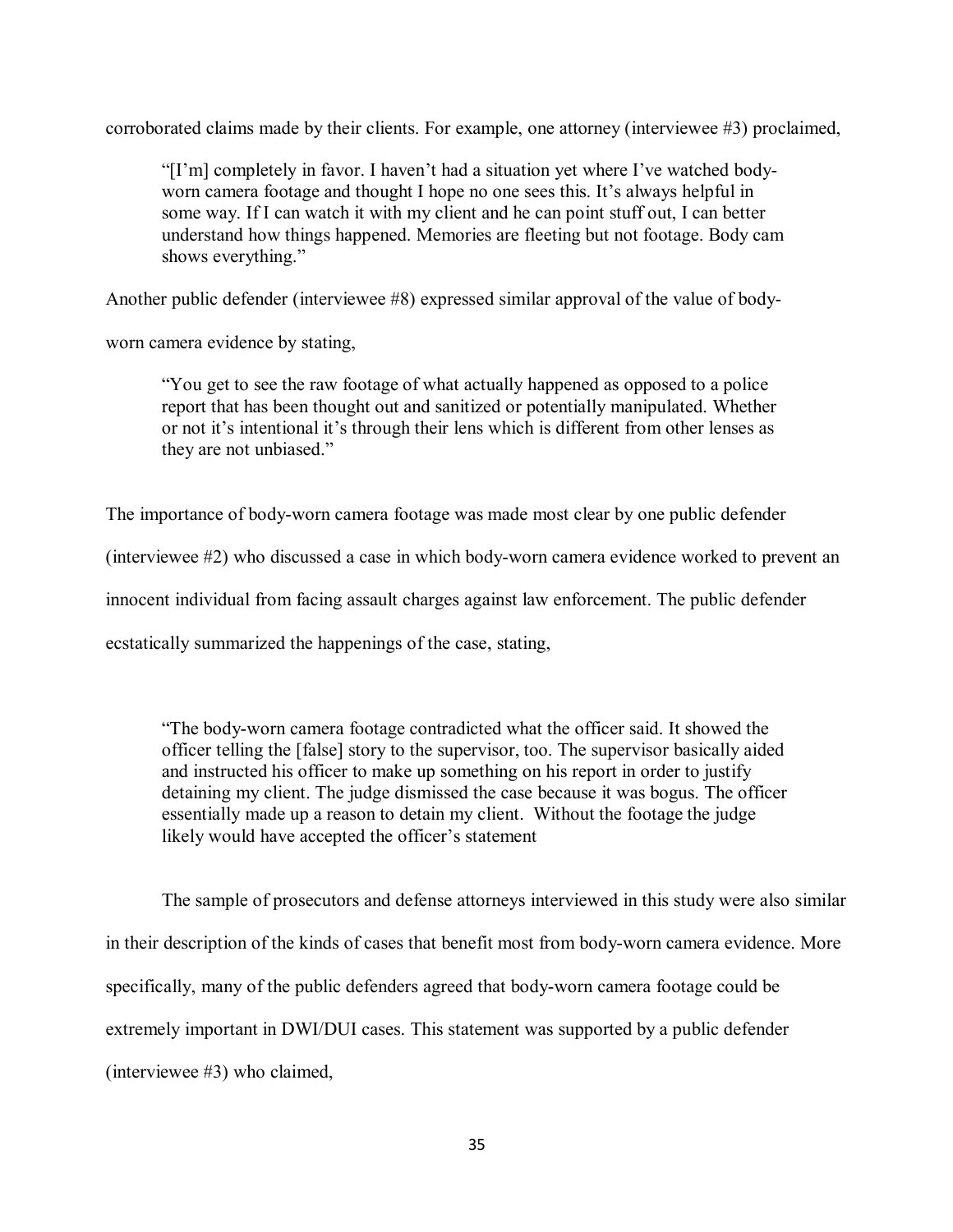corroborated claims made by their clients. For example, one attorney (interviewee #3) proclaimed,

"[I'm] completely in favor. I haven't had a situation yet where I've watched bodyworn camera footage and thought I hope no one sees this. It's always helpful in some way. If I can watch it with my client and he can point stuff out, I can better understand how things happened. Memories are fleeting but not footage. Body cam shows everything."

Another public defender (interviewee #8) expressed similar approval of the value of body-

worn camera evidence by stating,

"You get to see the raw footage of what actually happened as opposed to a police report that has been thought out and sanitized or potentially manipulated. Whether or not it's intentional it's through their lens which is different from other lenses as they are not unbiased."

The importance of body-worn camera footage was made most clear by one public defender

(interviewee #2) who discussed a case in which body-worn camera evidence worked to prevent an

innocent individual from facing assault charges against law enforcement. The public defender

ecstatically summarized the happenings of the case, stating,

"The body-worn camera footage contradicted what the officer said. It showed the officer telling the [false] story to the supervisor, too. The supervisor basically aided and instructed his officer to make up something on his report in order to justify detaining my client. The judge dismissed the case because it was bogus. The officer essentially made up a reason to detain my client. Without the footage the judge likely would have accepted the officer's statement

The sample of prosecutors and defense attorneys interviewed in this study were also similar in their description of the kinds of cases that benefit most from body-worn camera evidence. More specifically, many of the public defenders agreed that body-worn camera footage could be extremely important in DWI/DUI cases. This statement was supported by a public defender (interviewee #3) who claimed,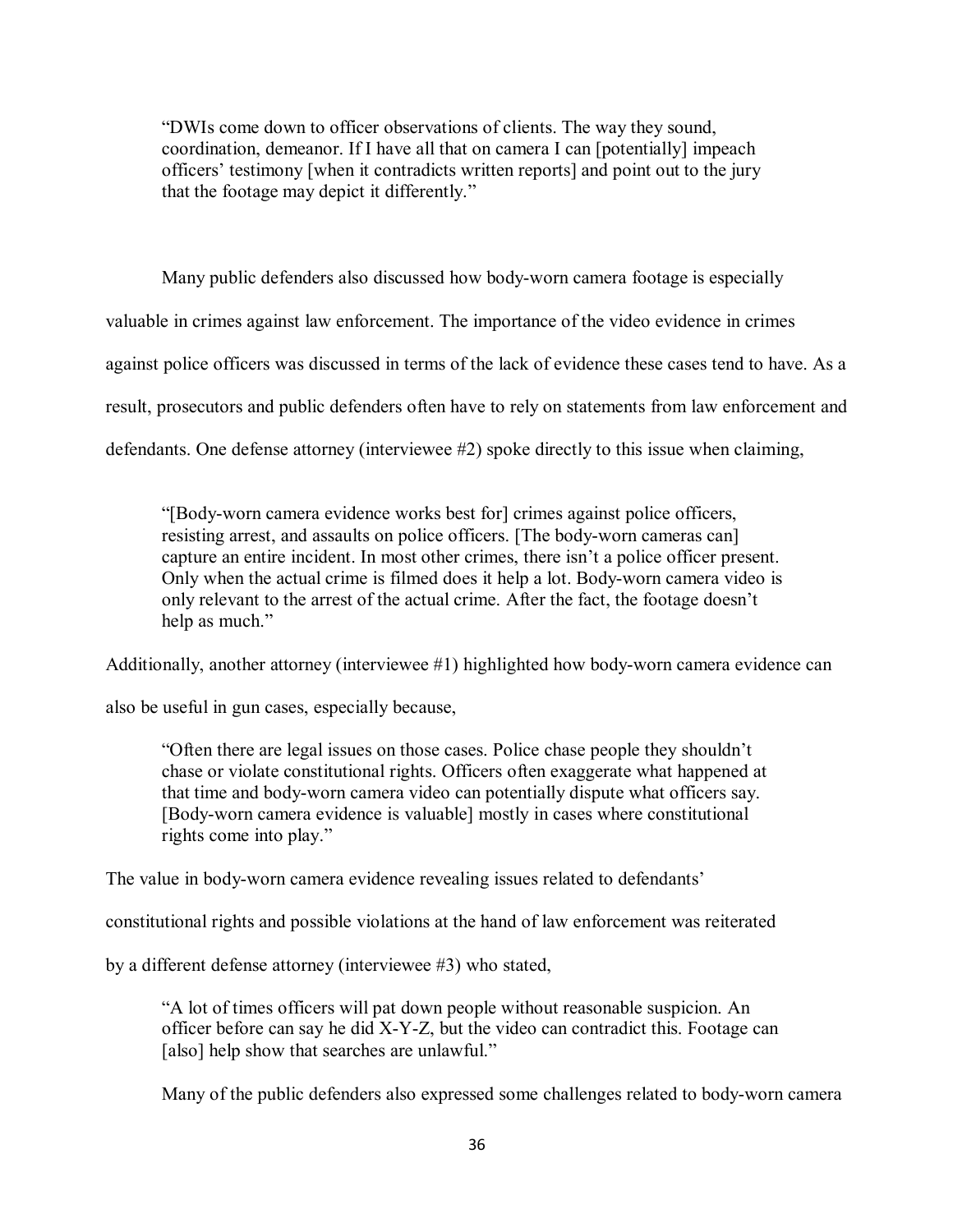"DWIs come down to officer observations of clients. The way they sound, coordination, demeanor. If I have all that on camera I can [potentially] impeach officers' testimony [when it contradicts written reports] and point out to the jury that the footage may depict it differently."

Many public defenders also discussed how body-worn camera footage is especially valuable in crimes against law enforcement. The importance of the video evidence in crimes against police officers was discussed in terms of the lack of evidence these cases tend to have. As a result, prosecutors and public defenders often have to rely on statements from law enforcement and defendants. One defense attorney (interviewee #2) spoke directly to this issue when claiming,

"[Body-worn camera evidence works best for] crimes against police officers, resisting arrest, and assaults on police officers. [The body-worn cameras can] capture an entire incident. In most other crimes, there isn't a police officer present. Only when the actual crime is filmed does it help a lot. Body-worn camera video is only relevant to the arrest of the actual crime. After the fact, the footage doesn't help as much."

Additionally, another attorney (interviewee #1) highlighted how body-worn camera evidence can

also be useful in gun cases, especially because,

"Often there are legal issues on those cases. Police chase people they shouldn't chase or violate constitutional rights. Officers often exaggerate what happened at that time and body-worn camera video can potentially dispute what officers say. [Body-worn camera evidence is valuable] mostly in cases where constitutional rights come into play."

The value in body-worn camera evidence revealing issues related to defendants'

constitutional rights and possible violations at the hand of law enforcement was reiterated

by a different defense attorney (interviewee #3) who stated,

"A lot of times officers will pat down people without reasonable suspicion. An officer before can say he did X-Y-Z, but the video can contradict this. Footage can [also] help show that searches are unlawful."

Many of the public defenders also expressed some challenges related to body-worn camera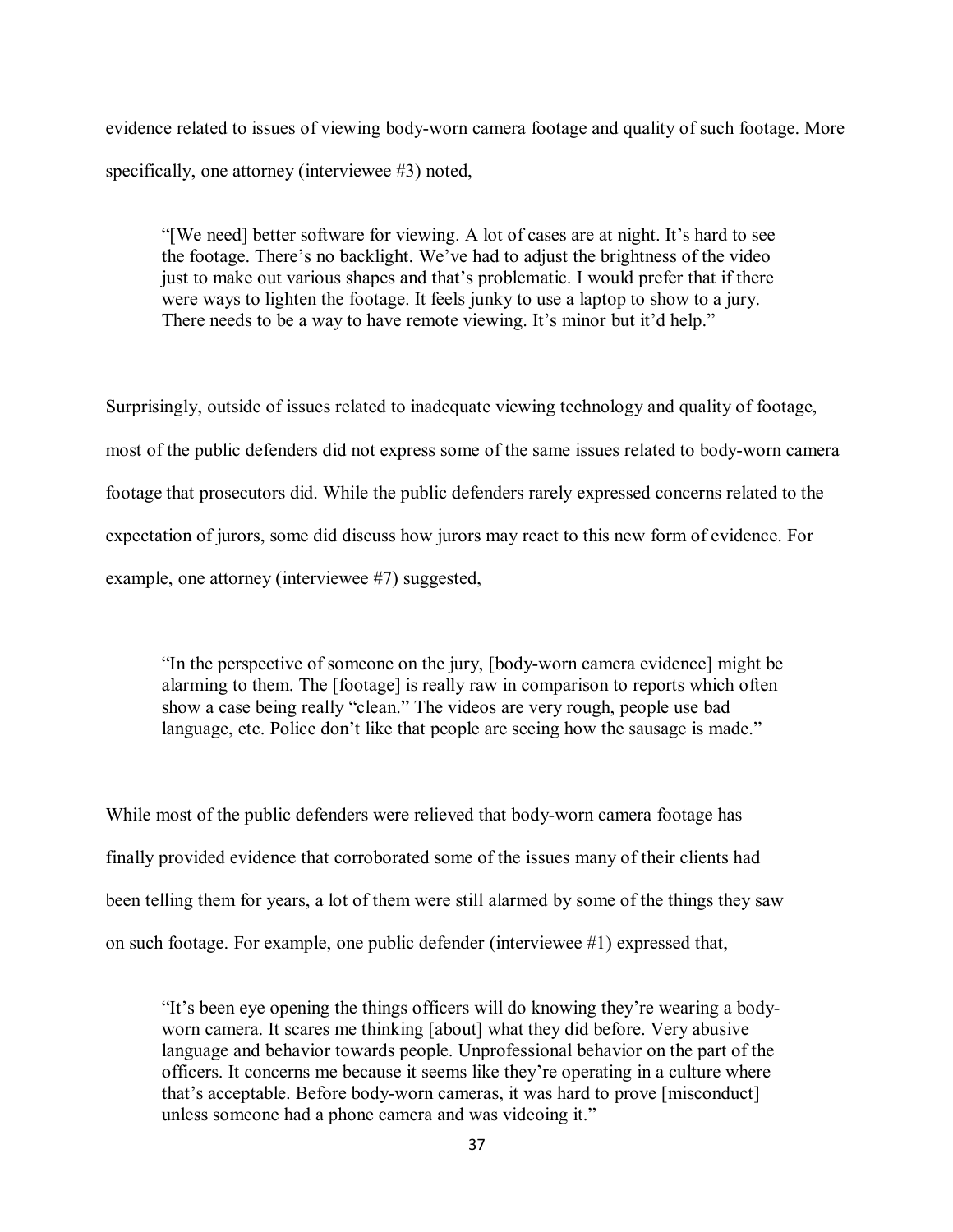evidence related to issues of viewing body-worn camera footage and quality of such footage. More specifically, one attorney (interviewee #3) noted,

"[We need] better software for viewing. A lot of cases are at night. It's hard to see the footage. There's no backlight. We've had to adjust the brightness of the video just to make out various shapes and that's problematic. I would prefer that if there were ways to lighten the footage. It feels junky to use a laptop to show to a jury. There needs to be a way to have remote viewing. It's minor but it'd help."

Surprisingly, outside of issues related to inadequate viewing technology and quality of footage, most of the public defenders did not express some of the same issues related to body-worn camera footage that prosecutors did. While the public defenders rarely expressed concerns related to the expectation of jurors, some did discuss how jurors may react to this new form of evidence. For example, one attorney (interviewee #7) suggested,

"In the perspective of someone on the jury, [body-worn camera evidence] might be alarming to them. The [footage] is really raw in comparison to reports which often show a case being really "clean." The videos are very rough, people use bad language, etc. Police don't like that people are seeing how the sausage is made."

While most of the public defenders were relieved that body-worn camera footage has finally provided evidence that corroborated some of the issues many of their clients had been telling them for years, a lot of them were still alarmed by some of the things they saw on such footage. For example, one public defender (interviewee #1) expressed that,

"It's been eye opening the things officers will do knowing they're wearing a bodyworn camera. It scares me thinking [about] what they did before. Very abusive language and behavior towards people. Unprofessional behavior on the part of the officers. It concerns me because it seems like they're operating in a culture where that's acceptable. Before body-worn cameras, it was hard to prove [misconduct] unless someone had a phone camera and was videoing it."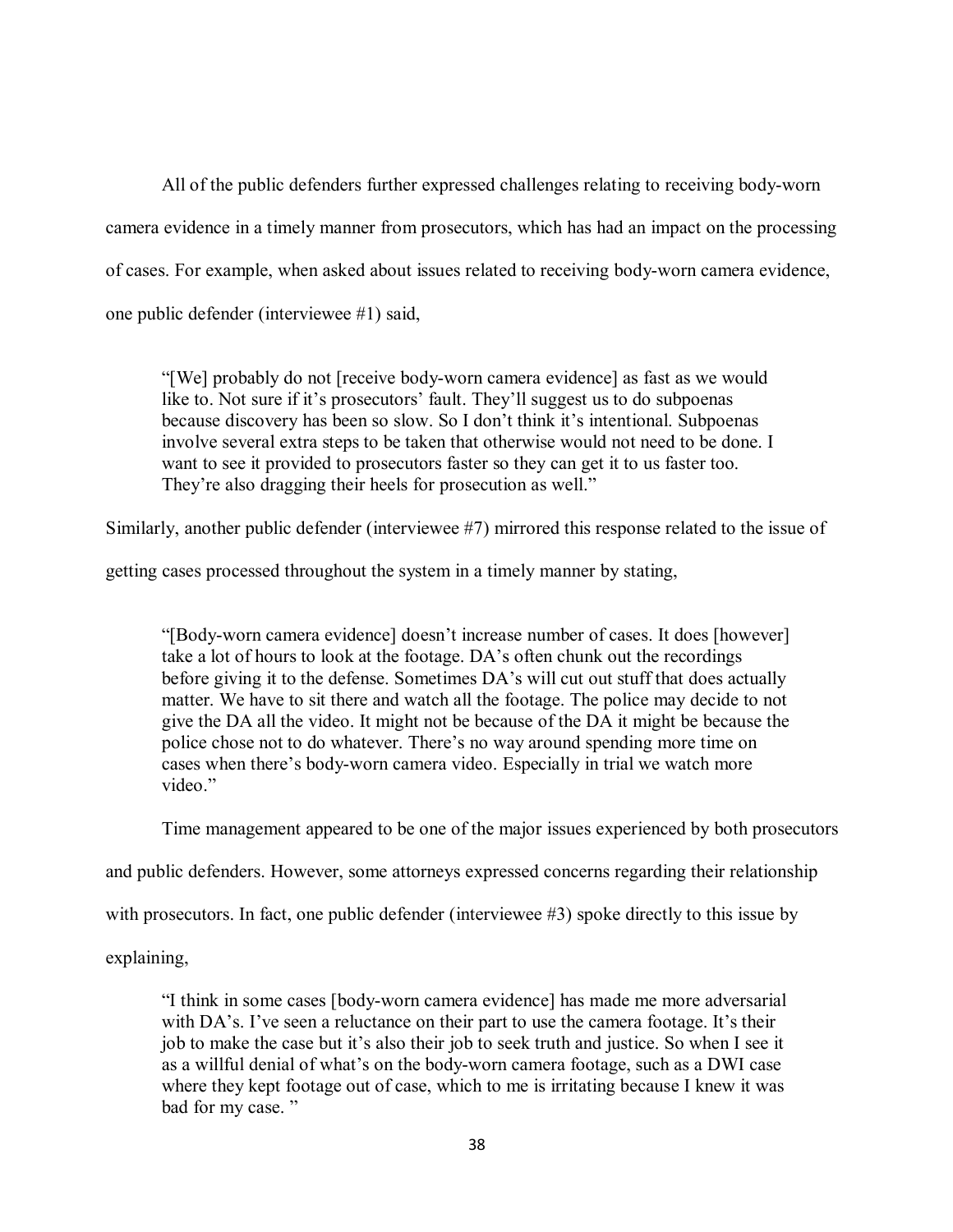All of the public defenders further expressed challenges relating to receiving body-worn camera evidence in a timely manner from prosecutors, which has had an impact on the processing of cases. For example, when asked about issues related to receiving body-worn camera evidence, one public defender (interviewee #1) said,

"[We] probably do not [receive body-worn camera evidence] as fast as we would like to. Not sure if it's prosecutors' fault. They'll suggest us to do subpoenas because discovery has been so slow. So I don't think it's intentional. Subpoenas involve several extra steps to be taken that otherwise would not need to be done. I want to see it provided to prosecutors faster so they can get it to us faster too. They're also dragging their heels for prosecution as well."

Similarly, another public defender (interviewee #7) mirrored this response related to the issue of

getting cases processed throughout the system in a timely manner by stating,

"[Body-worn camera evidence] doesn't increase number of cases. It does [however] take a lot of hours to look at the footage. DA's often chunk out the recordings before giving it to the defense. Sometimes DA's will cut out stuff that does actually matter. We have to sit there and watch all the footage. The police may decide to not give the DA all the video. It might not be because of the DA it might be because the police chose not to do whatever. There's no way around spending more time on cases when there's body-worn camera video. Especially in trial we watch more video."

Time management appeared to be one of the major issues experienced by both prosecutors

and public defenders. However, some attorneys expressed concerns regarding their relationship

with prosecutors. In fact, one public defender (interviewee #3) spoke directly to this issue by

explaining,

"I think in some cases [body-worn camera evidence] has made me more adversarial with DA's. I've seen a reluctance on their part to use the camera footage. It's their job to make the case but it's also their job to seek truth and justice. So when I see it as a willful denial of what's on the body-worn camera footage, such as a DWI case where they kept footage out of case, which to me is irritating because I knew it was bad for my case."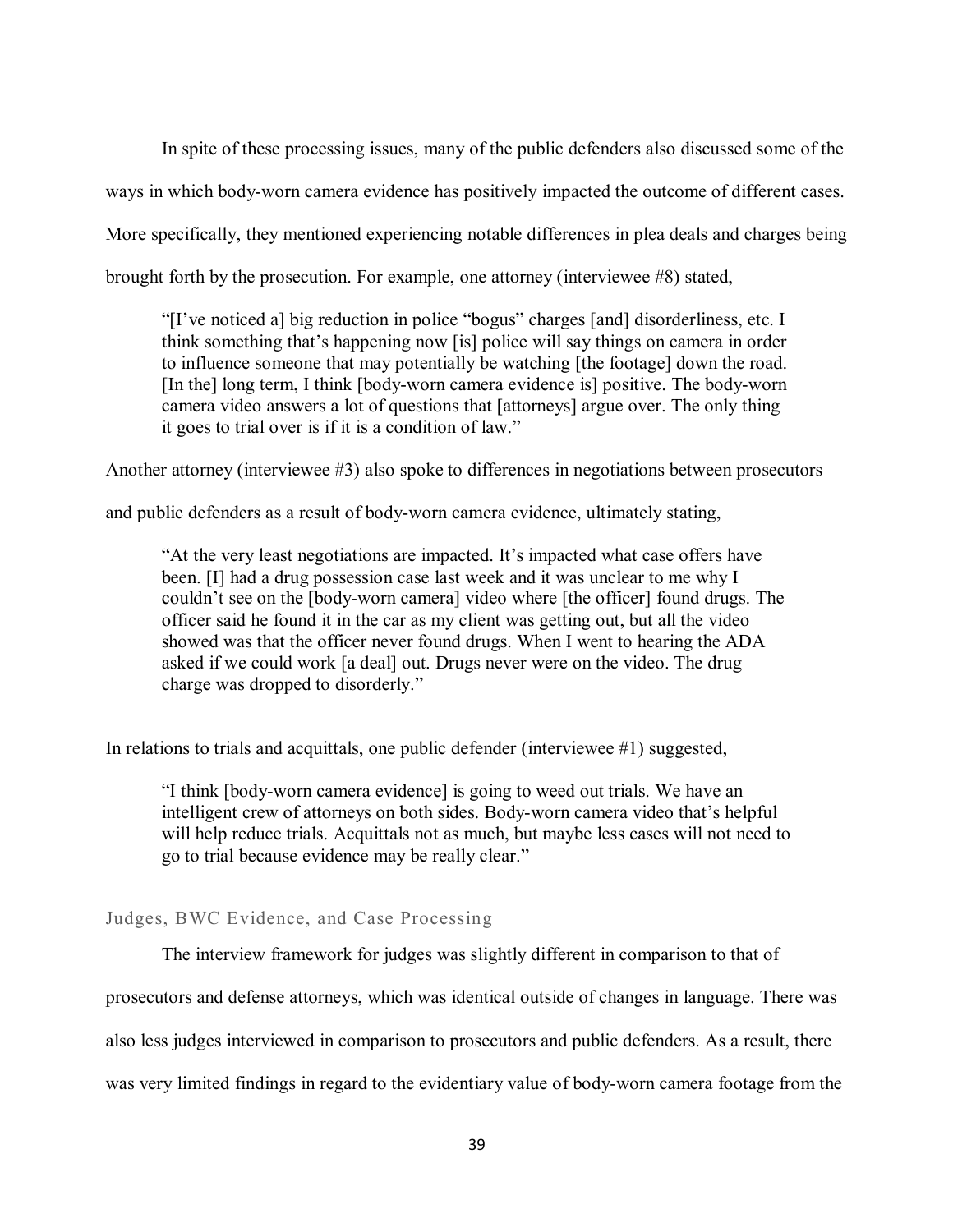In spite of these processing issues, many of the public defenders also discussed some of the ways in which body-worn camera evidence has positively impacted the outcome of different cases. More specifically, they mentioned experiencing notable differences in plea deals and charges being brought forth by the prosecution. For example, one attorney (interviewee #8) stated,

"[I've noticed a] big reduction in police "bogus" charges [and] disorderliness, etc. I think something that's happening now [is] police will say things on camera in order to influence someone that may potentially be watching [the footage] down the road. [In the] long term, I think [body-worn camera evidence is] positive. The body-worn camera video answers a lot of questions that [attorneys] argue over. The only thing it goes to trial over is if it is a condition of law."

Another attorney (interviewee #3) also spoke to differences in negotiations between prosecutors

and public defenders as a result of body-worn camera evidence, ultimately stating,

"At the very least negotiations are impacted. It's impacted what case offers have been. [I] had a drug possession case last week and it was unclear to me why I couldn't see on the [body-worn camera] video where [the officer] found drugs. The officer said he found it in the car as my client was getting out, but all the video showed was that the officer never found drugs. When I went to hearing the ADA asked if we could work [a deal] out. Drugs never were on the video. The drug charge was dropped to disorderly."

In relations to trials and acquittals, one public defender (interviewee #1) suggested,

"I think [body-worn camera evidence] is going to weed out trials. We have an intelligent crew of attorneys on both sides. Body-worn camera video that's helpful will help reduce trials. Acquittals not as much, but maybe less cases will not need to go to trial because evidence may be really clear."

Judges, BWC Evidence, and Case Processing

The interview framework for judges was slightly different in comparison to that of

prosecutors and defense attorneys, which was identical outside of changes in language. There was

also less judges interviewed in comparison to prosecutors and public defenders. As a result, there

was very limited findings in regard to the evidentiary value of body-worn camera footage from the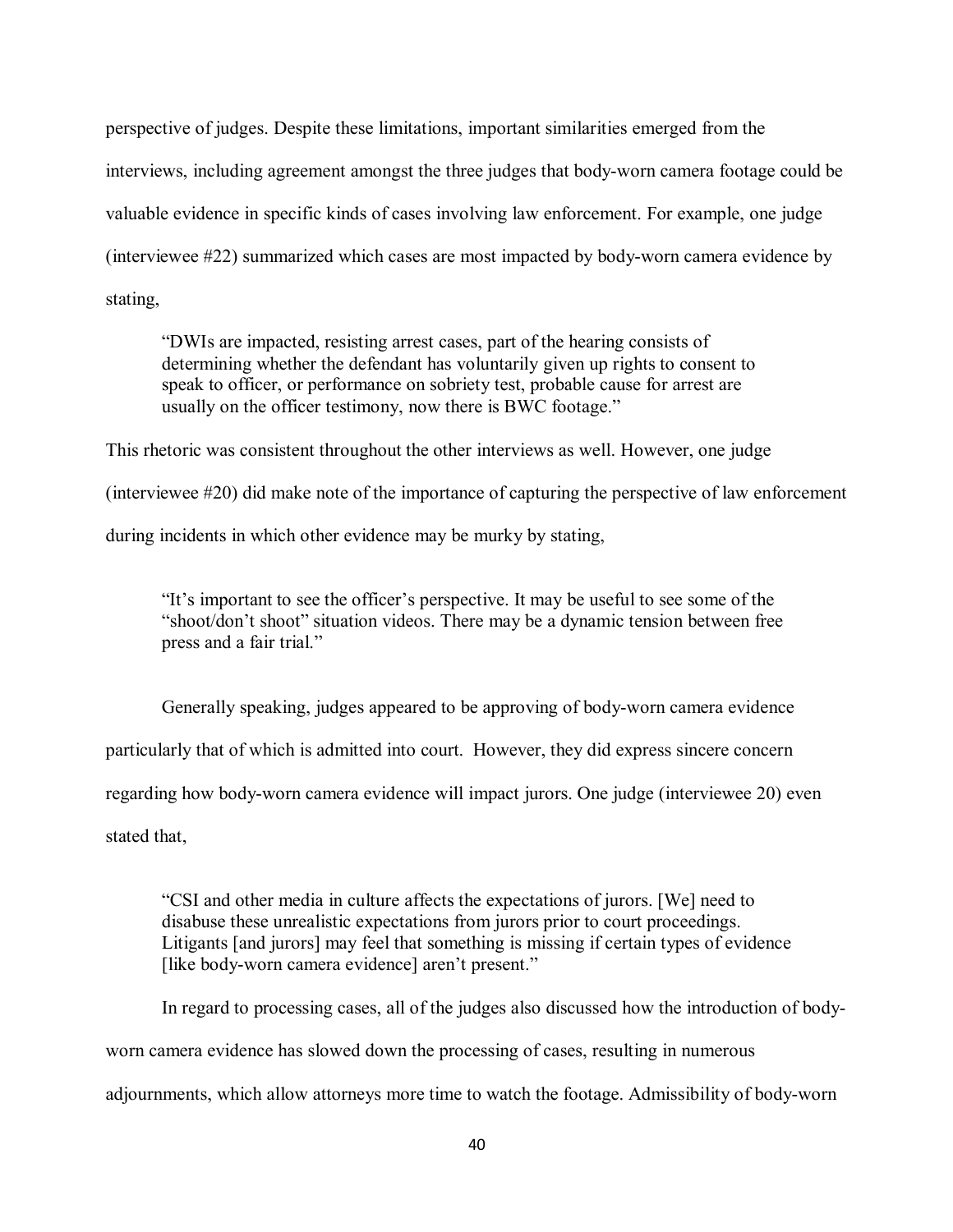perspective of judges. Despite these limitations, important similarities emerged from the interviews, including agreement amongst the three judges that body-worn camera footage could be valuable evidence in specific kinds of cases involving law enforcement. For example, one judge (interviewee #22) summarized which cases are most impacted by body-worn camera evidence by stating,

"DWIs are impacted, resisting arrest cases, part of the hearing consists of determining whether the defendant has voluntarily given up rights to consent to speak to officer, or performance on sobriety test, probable cause for arrest are usually on the officer testimony, now there is BWC footage."

This rhetoric was consistent throughout the other interviews as well. However, one judge (interviewee #20) did make note of the importance of capturing the perspective of law enforcement during incidents in which other evidence may be murky by stating,

"It's important to see the officer's perspective. It may be useful to see some of the "shoot/don't shoot" situation videos. There may be a dynamic tension between free press and a fair trial."

Generally speaking, judges appeared to be approving of body-worn camera evidence particularly that of which is admitted into court. However, they did express sincere concern regarding how body-worn camera evidence will impact jurors. One judge (interviewee 20) even stated that,

"CSI and other media in culture affects the expectations of jurors. [We] need to disabuse these unrealistic expectations from jurors prior to court proceedings. Litigants [and jurors] may feel that something is missing if certain types of evidence [like body-worn camera evidence] aren't present."

In regard to processing cases, all of the judges also discussed how the introduction of bodyworn camera evidence has slowed down the processing of cases, resulting in numerous adjournments, which allow attorneys more time to watch the footage. Admissibility of body-worn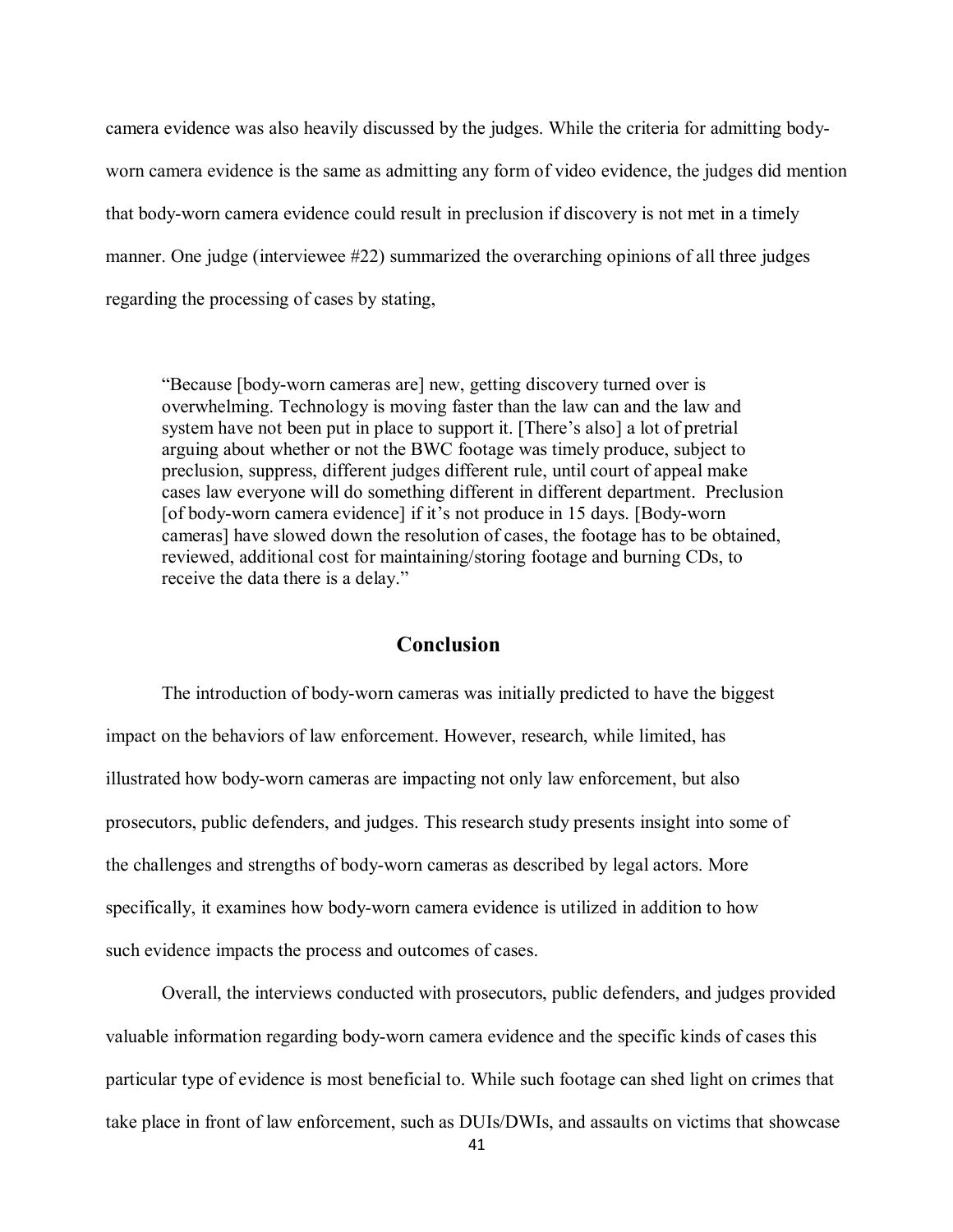camera evidence was also heavily discussed by the judges. While the criteria for admitting bodyworn camera evidence is the same as admitting any form of video evidence, the judges did mention that body-worn camera evidence could result in preclusion if discovery is not met in a timely manner. One judge (interviewee #22) summarized the overarching opinions of all three judges regarding the processing of cases by stating,

"Because [body-worn cameras are] new, getting discovery turned over is overwhelming. Technology is moving faster than the law can and the law and system have not been put in place to support it. [There's also] a lot of pretrial arguing about whether or not the BWC footage was timely produce, subject to preclusion, suppress, different judges different rule, until court of appeal make cases law everyone will do something different in different department. Preclusion [of body-worn camera evidence] if it's not produce in 15 days. [Body-worn] cameras] have slowed down the resolution of cases, the footage has to be obtained, reviewed, additional cost for maintaining/storing footage and burning CDs, to receive the data there is a delay."

# **Conclusion**

The introduction of body-worn cameras was initially predicted to have the biggest impact on the behaviors of law enforcement. However, research, while limited, has illustrated how body-worn cameras are impacting not only law enforcement, but also prosecutors, public defenders, and judges. This research study presents insight into some of the challenges and strengths of body-worn cameras as described by legal actors. More specifically, it examines how body-worn camera evidence is utilized in addition to how such evidence impacts the process and outcomes of cases.

Overall, the interviews conducted with prosecutors, public defenders, and judges provided valuable information regarding body-worn camera evidence and the specific kinds of cases this particular type of evidence is most beneficial to. While such footage can shed light on crimes that take place in front of law enforcement, such as DUIs/DWIs, and assaults on victims that showcase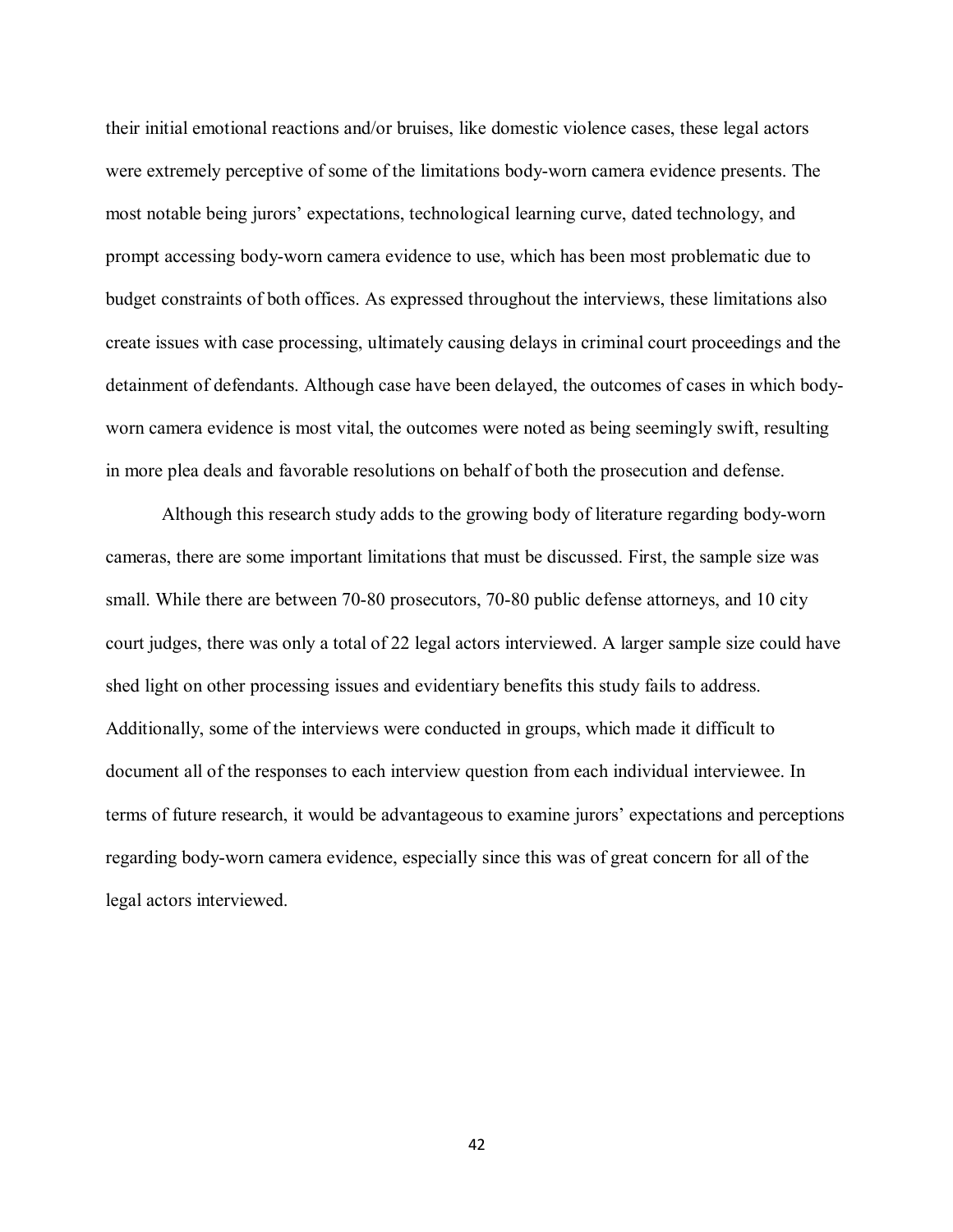their initial emotional reactions and/or bruises, like domestic violence cases, these legal actors were extremely perceptive of some of the limitations body-worn camera evidence presents. The most notable being jurors' expectations, technological learning curve, dated technology, and prompt accessing body-worn camera evidence to use, which has been most problematic due to budget constraints of both offices. As expressed throughout the interviews, these limitations also create issues with case processing, ultimately causing delays in criminal court proceedings and the detainment of defendants. Although case have been delayed, the outcomes of cases in which bodyworn camera evidence is most vital, the outcomes were noted as being seemingly swift, resulting in more plea deals and favorable resolutions on behalf of both the prosecution and defense.

Although this research study adds to the growing body of literature regarding body-worn cameras, there are some important limitations that must be discussed. First, the sample size was small. While there are between 70-80 prosecutors, 70-80 public defense attorneys, and 10 city court judges, there was only a total of 22 legal actors interviewed. A larger sample size could have shed light on other processing issues and evidentiary benefits this study fails to address. Additionally, some of the interviews were conducted in groups, which made it difficult to document all of the responses to each interview question from each individual interviewee. In terms of future research, it would be advantageous to examine jurors' expectations and perceptions regarding body-worn camera evidence, especially since this was of great concern for all of the legal actors interviewed.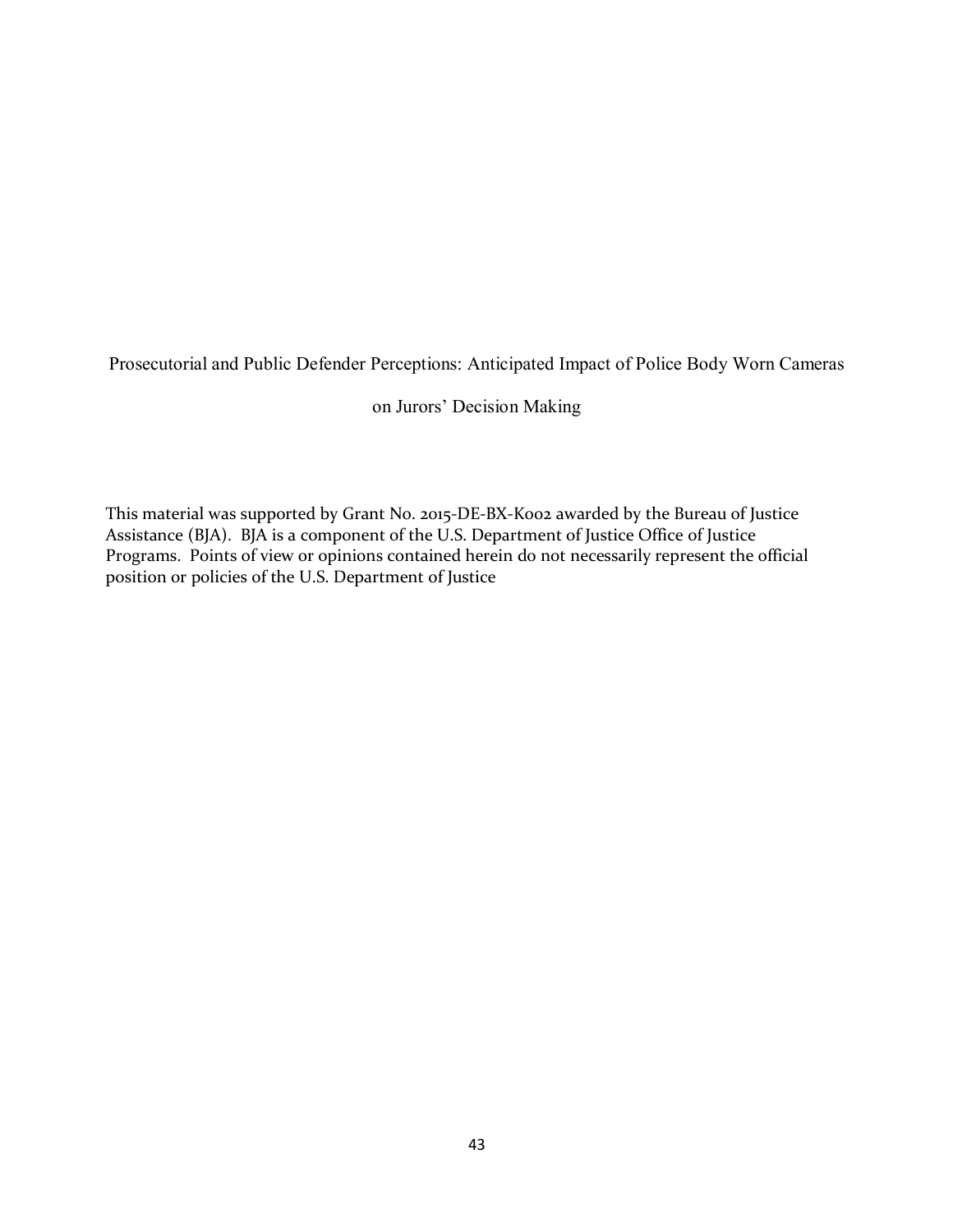Prosecutorial and Public Defender Perceptions: Anticipated Impact of Police Body Worn Cameras

on Jurors' Decision Making

This material was supported by Grant No. 2015-DE-BX-K002 awarded by the Bureau of Justice Assistance (BJA). BJA is a component of the U.S. Department of Justice Office of Justice Programs. Points of view or opinions contained herein do not necessarily represent the official position or policies of the U.S. Department of Justice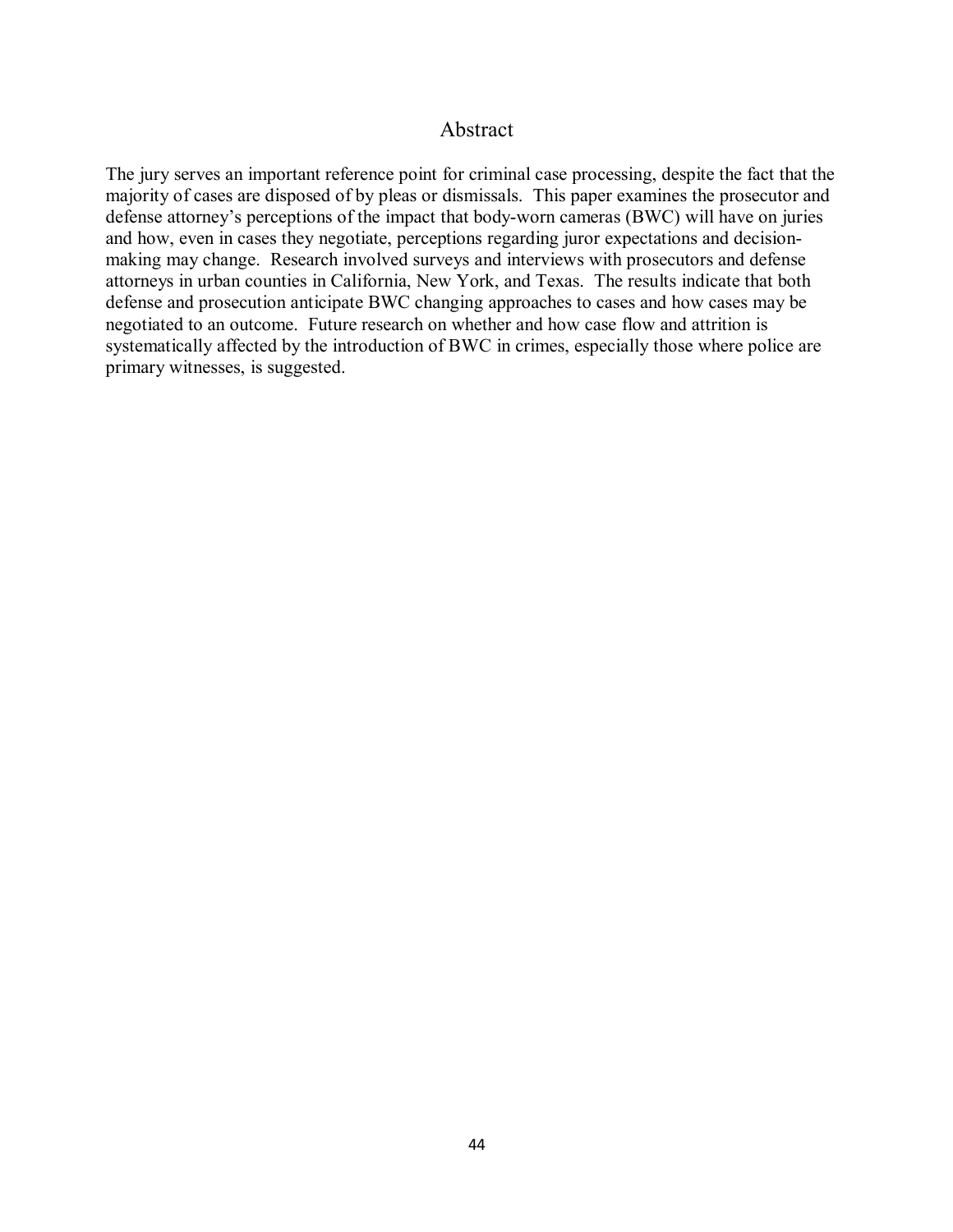# Abstract

The jury serves an important reference point for criminal case processing, despite the fact that the majority of cases are disposed of by pleas or dismissals. This paper examines the prosecutor and defense attorney's perceptions of the impact that body-worn cameras (BWC) will have on juries and how, even in cases they negotiate, perceptions regarding juror expectations and decisionmaking may change. Research involved surveys and interviews with prosecutors and defense attorneys in urban counties in California, New York, and Texas. The results indicate that both defense and prosecution anticipate BWC changing approaches to cases and how cases may be negotiated to an outcome. Future research on whether and how case flow and attrition is systematically affected by the introduction of BWC in crimes, especially those where police are primary witnesses, is suggested.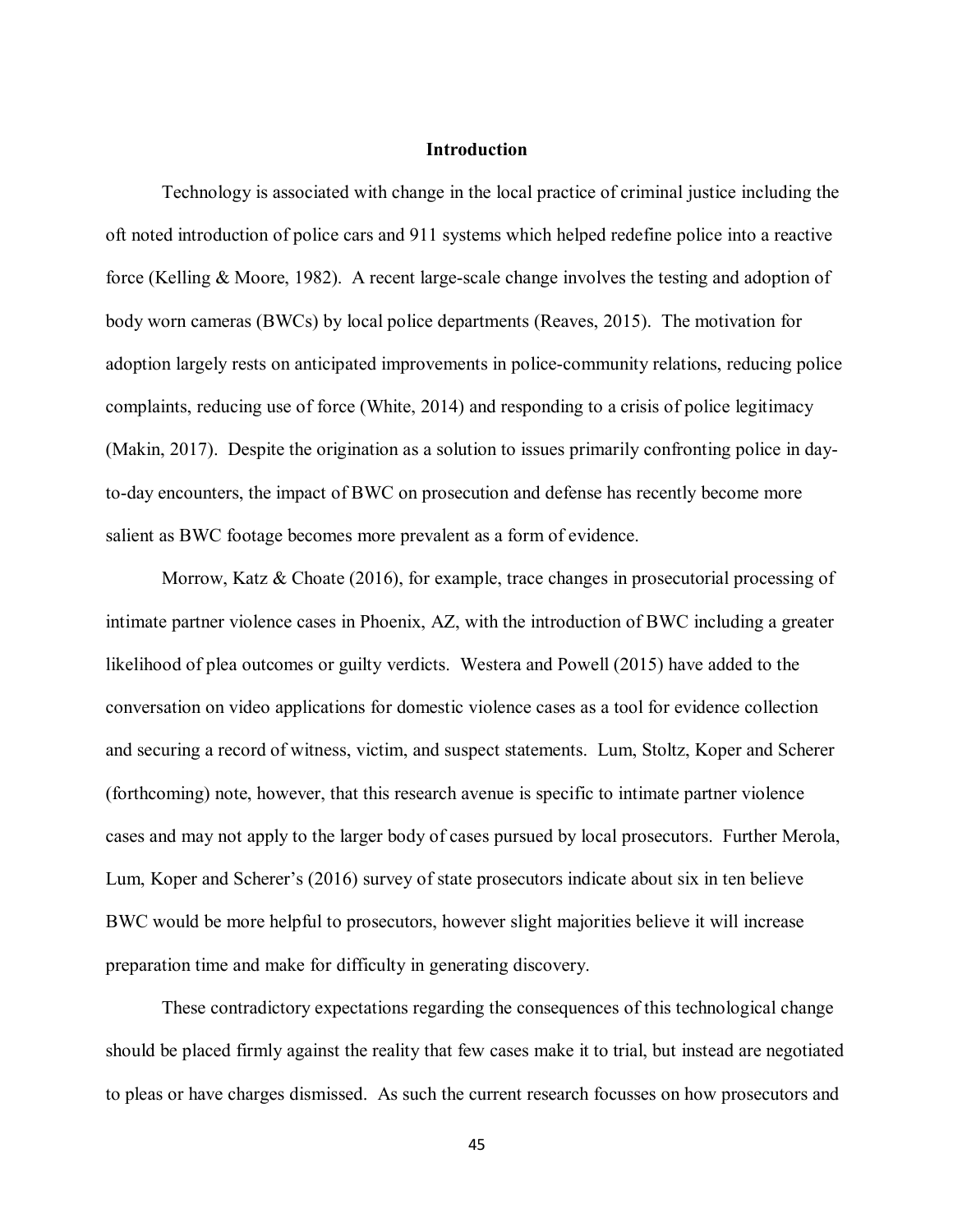#### **Introduction**

Technology is associated with change in the local practice of criminal justice including the oft noted introduction of police cars and 911 systems which helped redefine police into a reactive force (Kelling & Moore, 1982). A recent large-scale change involves the testing and adoption of body worn cameras (BWCs) by local police departments (Reaves, 2015). The motivation for adoption largely rests on anticipated improvements in police-community relations, reducing police complaints, reducing use of force (White, 2014) and responding to a crisis of police legitimacy (Makin, 2017). Despite the origination as a solution to issues primarily confronting police in dayto-day encounters, the impact of BWC on prosecution and defense has recently become more salient as BWC footage becomes more prevalent as a form of evidence.

Morrow, Katz & Choate (2016), for example, trace changes in prosecutorial processing of intimate partner violence cases in Phoenix, AZ, with the introduction of BWC including a greater likelihood of plea outcomes or guilty verdicts. Westera and Powell (2015) have added to the conversation on video applications for domestic violence cases as a tool for evidence collection and securing a record of witness, victim, and suspect statements. Lum, Stoltz, Koper and Scherer (forthcoming) note, however, that this research avenue is specific to intimate partner violence cases and may not apply to the larger body of cases pursued by local prosecutors. Further Merola, Lum, Koper and Scherer's (2016) survey of state prosecutors indicate about six in ten believe BWC would be more helpful to prosecutors, however slight majorities believe it will increase preparation time and make for difficulty in generating discovery.

These contradictory expectations regarding the consequences of this technological change should be placed firmly against the reality that few cases make it to trial, but instead are negotiated to pleas or have charges dismissed. As such the current research focusses on how prosecutors and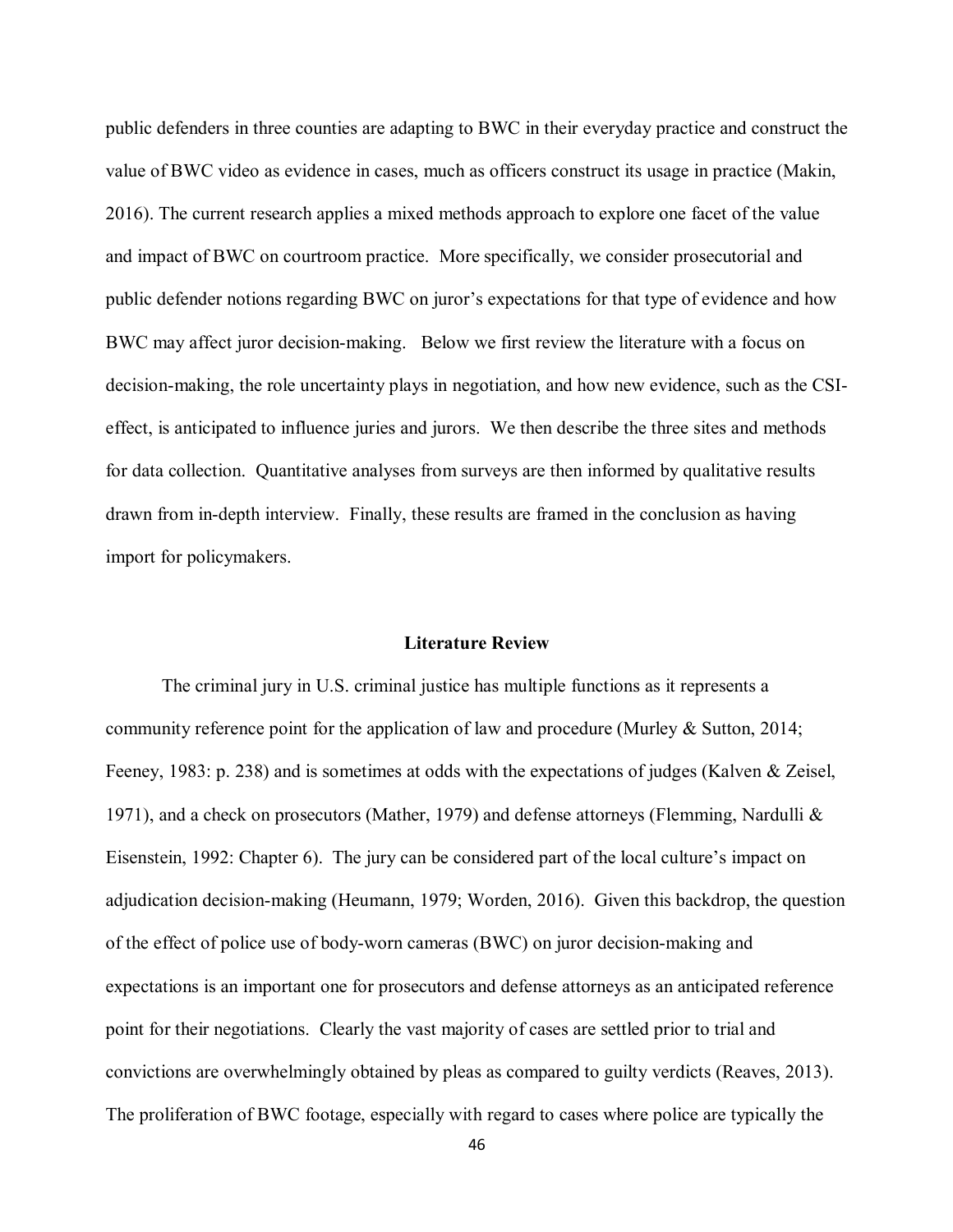public defenders in three counties are adapting to BWC in their everyday practice and construct the value of BWC video as evidence in cases, much as officers construct its usage in practice (Makin, 2016). The current research applies a mixed methods approach to explore one facet of the value and impact of BWC on courtroom practice. More specifically, we consider prosecutorial and public defender notions regarding BWC on juror's expectations for that type of evidence and how BWC may affect juror decision-making. Below we first review the literature with a focus on decision-making, the role uncertainty plays in negotiation, and how new evidence, such as the CSIeffect, is anticipated to influence juries and jurors. We then describe the three sites and methods for data collection. Quantitative analyses from surveys are then informed by qualitative results drawn from in-depth interview. Finally, these results are framed in the conclusion as having import for policymakers.

## **Literature Review**

The criminal jury in U.S. criminal justice has multiple functions as it represents a community reference point for the application of law and procedure (Murley & Sutton, 2014; Feeney, 1983: p. 238) and is sometimes at odds with the expectations of judges (Kalven & Zeisel, 1971), and a check on prosecutors (Mather, 1979) and defense attorneys (Flemming, Nardulli & Eisenstein, 1992: Chapter 6). The jury can be considered part of the local culture's impact on adjudication decision-making (Heumann, 1979; Worden, 2016). Given this backdrop, the question of the effect of police use of body-worn cameras (BWC) on juror decision-making and expectations is an important one for prosecutors and defense attorneys as an anticipated reference point for their negotiations. Clearly the vast majority of cases are settled prior to trial and convictions are overwhelmingly obtained by pleas as compared to guilty verdicts (Reaves, 2013). The proliferation of BWC footage, especially with regard to cases where police are typically the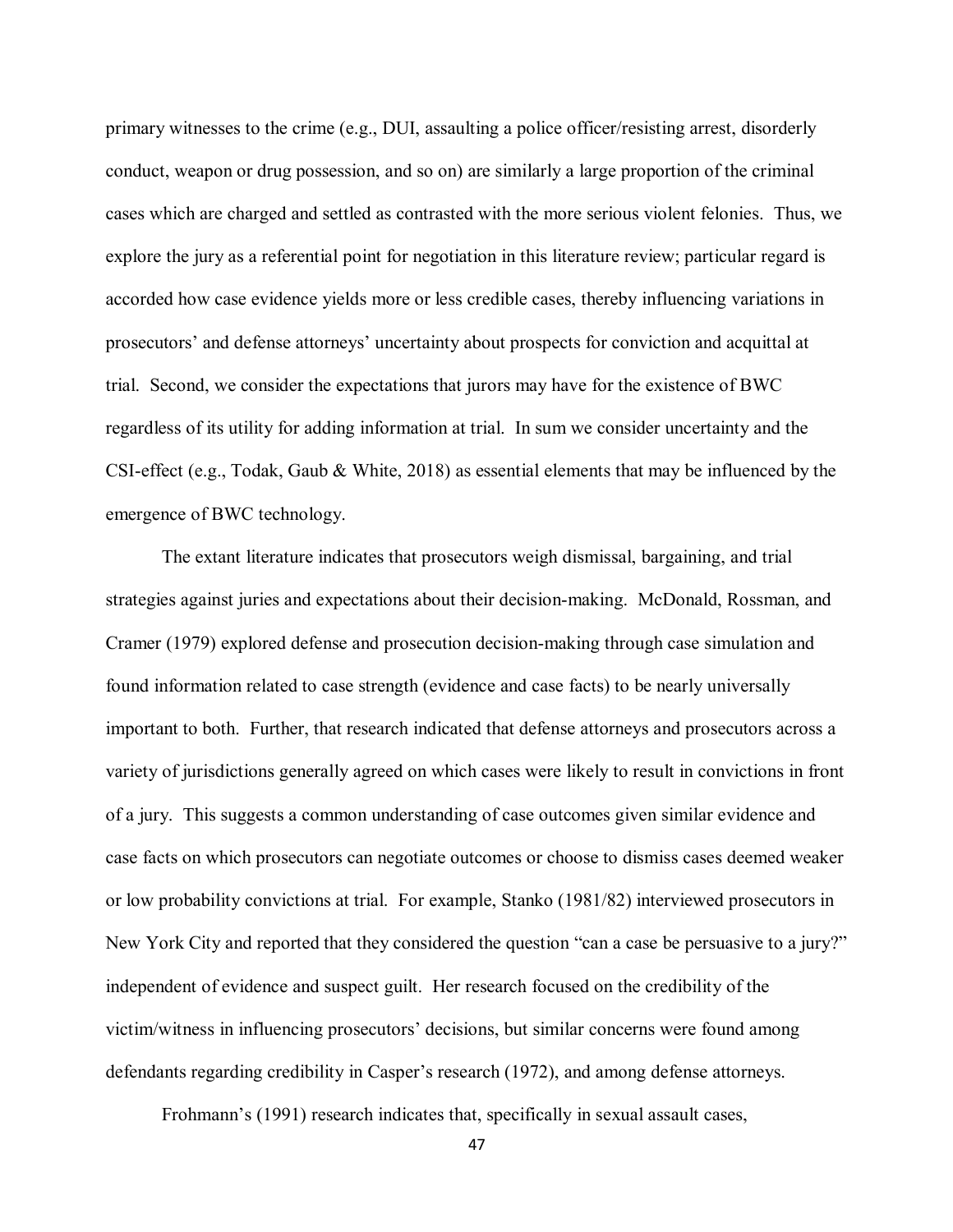primary witnesses to the crime (e.g., DUI, assaulting a police officer/resisting arrest, disorderly conduct, weapon or drug possession, and so on) are similarly a large proportion of the criminal cases which are charged and settled as contrasted with the more serious violent felonies. Thus, we explore the jury as a referential point for negotiation in this literature review; particular regard is accorded how case evidence yields more or less credible cases, thereby influencing variations in prosecutors' and defense attorneys' uncertainty about prospects for conviction and acquittal at trial. Second, we consider the expectations that jurors may have for the existence of BWC regardless of its utility for adding information at trial. In sum we consider uncertainty and the CSI-effect (e.g., Todak, Gaub & White, 2018) as essential elements that may be influenced by the emergence of BWC technology.

The extant literature indicates that prosecutors weigh dismissal, bargaining, and trial strategies against juries and expectations about their decision-making. McDonald, Rossman, and Cramer (1979) explored defense and prosecution decision-making through case simulation and found information related to case strength (evidence and case facts) to be nearly universally important to both. Further, that research indicated that defense attorneys and prosecutors across a variety of jurisdictions generally agreed on which cases were likely to result in convictions in front of a jury. This suggests a common understanding of case outcomes given similar evidence and case facts on which prosecutors can negotiate outcomes or choose to dismiss cases deemed weaker or low probability convictions at trial. For example, Stanko (1981/82) interviewed prosecutors in New York City and reported that they considered the question "can a case be persuasive to a jury?" independent of evidence and suspect guilt. Her research focused on the credibility of the victim/witness in influencing prosecutors' decisions, but similar concerns were found among defendants regarding credibility in Casper's research (1972), and among defense attorneys.

Frohmann's (1991) research indicates that, specifically in sexual assault cases,

47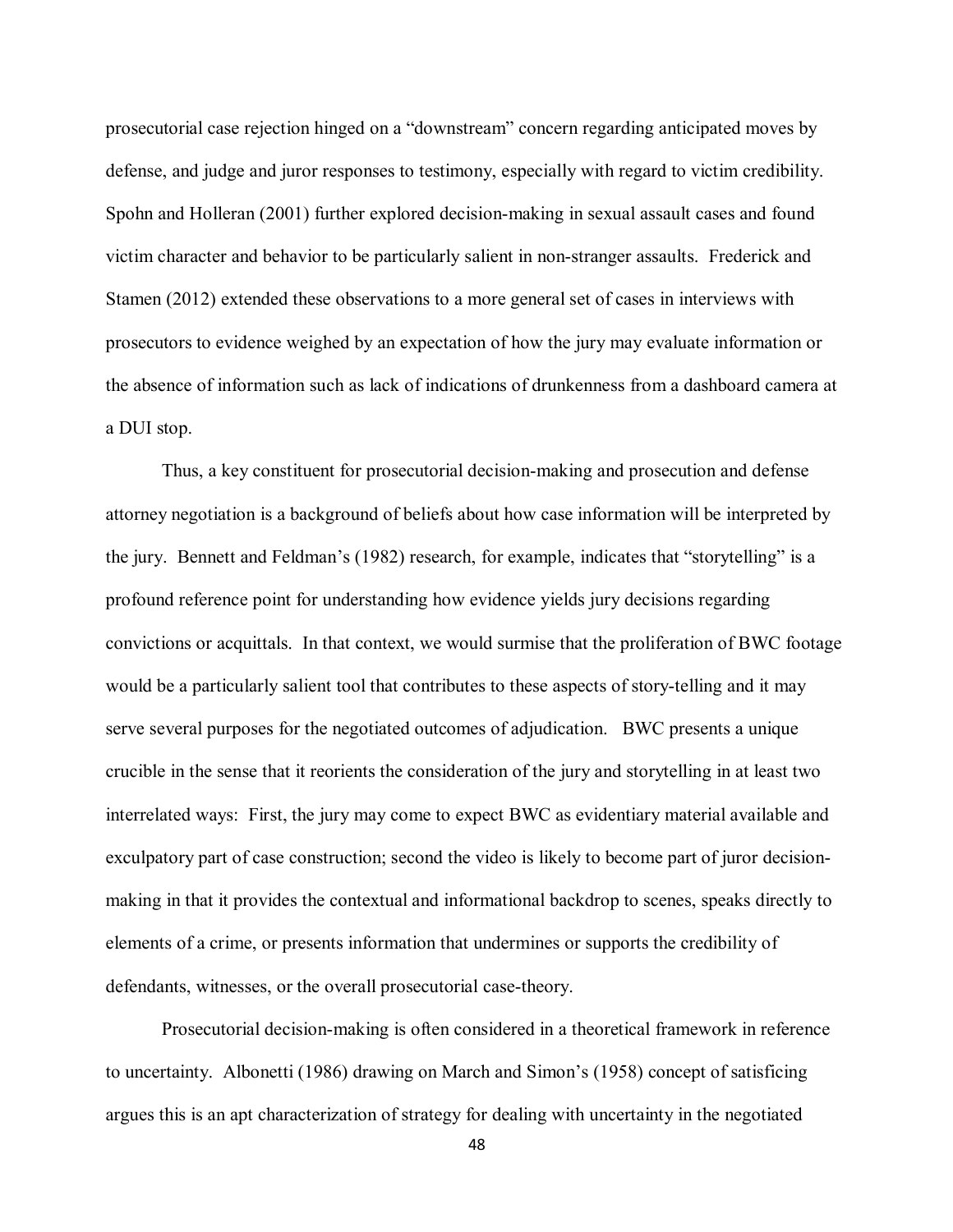prosecutorial case rejection hinged on a "downstream" concern regarding anticipated moves by defense, and judge and juror responses to testimony, especially with regard to victim credibility. Spohn and Holleran (2001) further explored decision-making in sexual assault cases and found victim character and behavior to be particularly salient in non-stranger assaults. Frederick and Stamen (2012) extended these observations to a more general set of cases in interviews with prosecutors to evidence weighed by an expectation of how the jury may evaluate information or the absence of information such as lack of indications of drunkenness from a dashboard camera at a DUI stop.

Thus, a key constituent for prosecutorial decision-making and prosecution and defense attorney negotiation is a background of beliefs about how case information will be interpreted by the jury. Bennett and Feldman's (1982) research, for example, indicates that "storytelling" is a profound reference point for understanding how evidence yields jury decisions regarding convictions or acquittals. In that context, we would surmise that the proliferation of BWC footage would be a particularly salient tool that contributes to these aspects of story-telling and it may serve several purposes for the negotiated outcomes of adjudication. BWC presents a unique crucible in the sense that it reorients the consideration of the jury and storytelling in at least two interrelated ways: First, the jury may come to expect BWC as evidentiary material available and exculpatory part of case construction; second the video is likely to become part of juror decisionmaking in that it provides the contextual and informational backdrop to scenes, speaks directly to elements of a crime, or presents information that undermines or supports the credibility of defendants, witnesses, or the overall prosecutorial case-theory.

Prosecutorial decision-making is often considered in a theoretical framework in reference to uncertainty. Albonetti (1986) drawing on March and Simon's (1958) concept of satisficing argues this is an apt characterization of strategy for dealing with uncertainty in the negotiated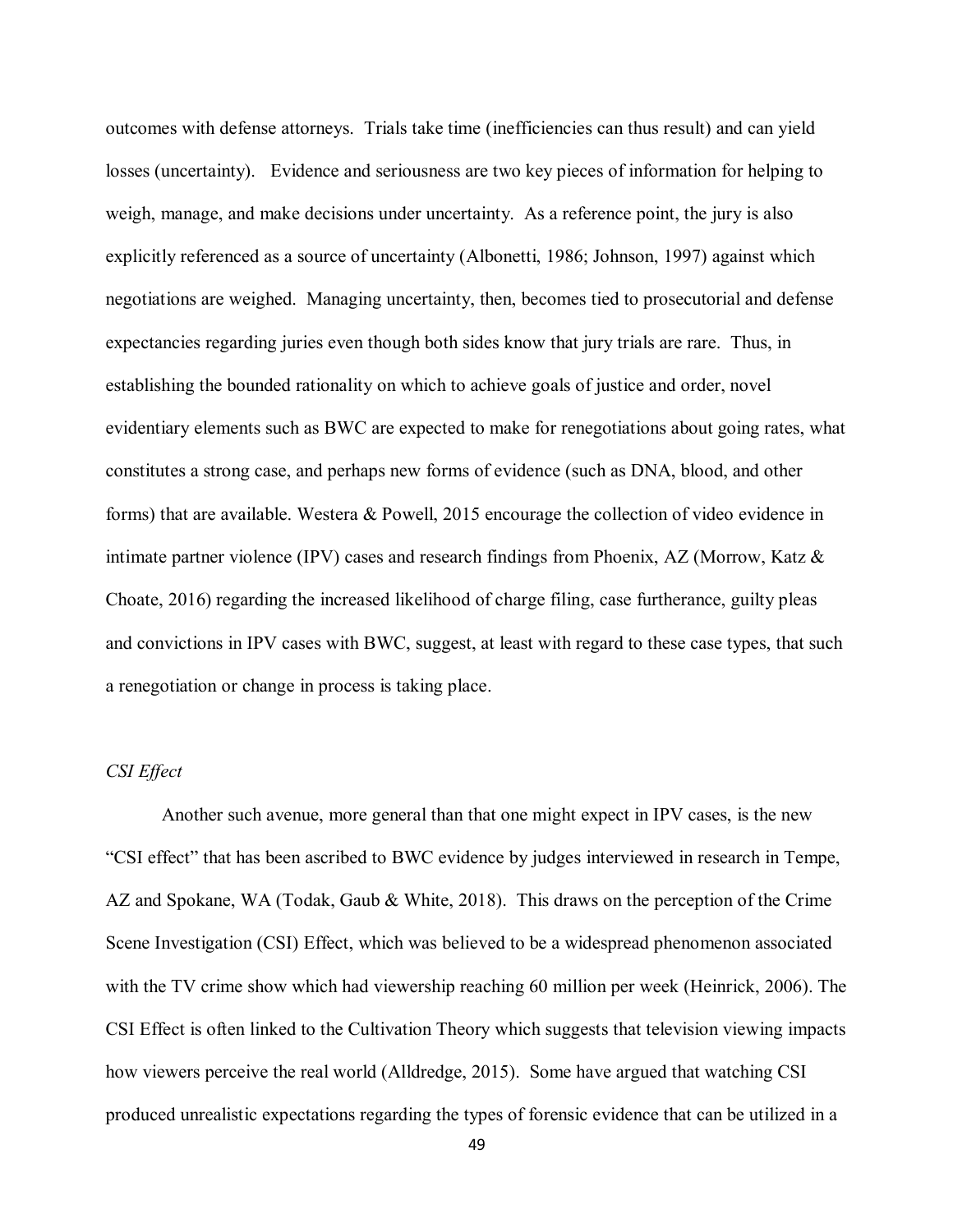outcomes with defense attorneys. Trials take time (inefficiencies can thus result) and can yield losses (uncertainty). Evidence and seriousness are two key pieces of information for helping to weigh, manage, and make decisions under uncertainty. As a reference point, the jury is also explicitly referenced as a source of uncertainty (Albonetti, 1986; Johnson, 1997) against which negotiations are weighed. Managing uncertainty, then, becomes tied to prosecutorial and defense expectancies regarding juries even though both sides know that jury trials are rare. Thus, in establishing the bounded rationality on which to achieve goals of justice and order, novel evidentiary elements such as BWC are expected to make for renegotiations about going rates, what constitutes a strong case, and perhaps new forms of evidence (such as DNA, blood, and other forms) that are available. Westera & Powell, 2015 encourage the collection of video evidence in intimate partner violence (IPV) cases and research findings from Phoenix, AZ (Morrow, Katz & Choate, 2016) regarding the increased likelihood of charge filing, case furtherance, guilty pleas and convictions in IPV cases with BWC, suggest, at least with regard to these case types, that such a renegotiation or change in process is taking place.

## *CSI Effect*

Another such avenue, more general than that one might expect in IPV cases, is the new "CSI effect" that has been ascribed to BWC evidence by judges interviewed in research in Tempe, AZ and Spokane, WA (Todak, Gaub & White, 2018). This draws on the perception of the Crime Scene Investigation (CSI) Effect, which was believed to be a widespread phenomenon associated with the TV crime show which had viewership reaching 60 million per week (Heinrick, 2006). The CSI Effect is often linked to the Cultivation Theory which suggests that television viewing impacts how viewers perceive the real world (Alldredge, 2015). Some have argued that watching CSI produced unrealistic expectations regarding the types of forensic evidence that can be utilized in a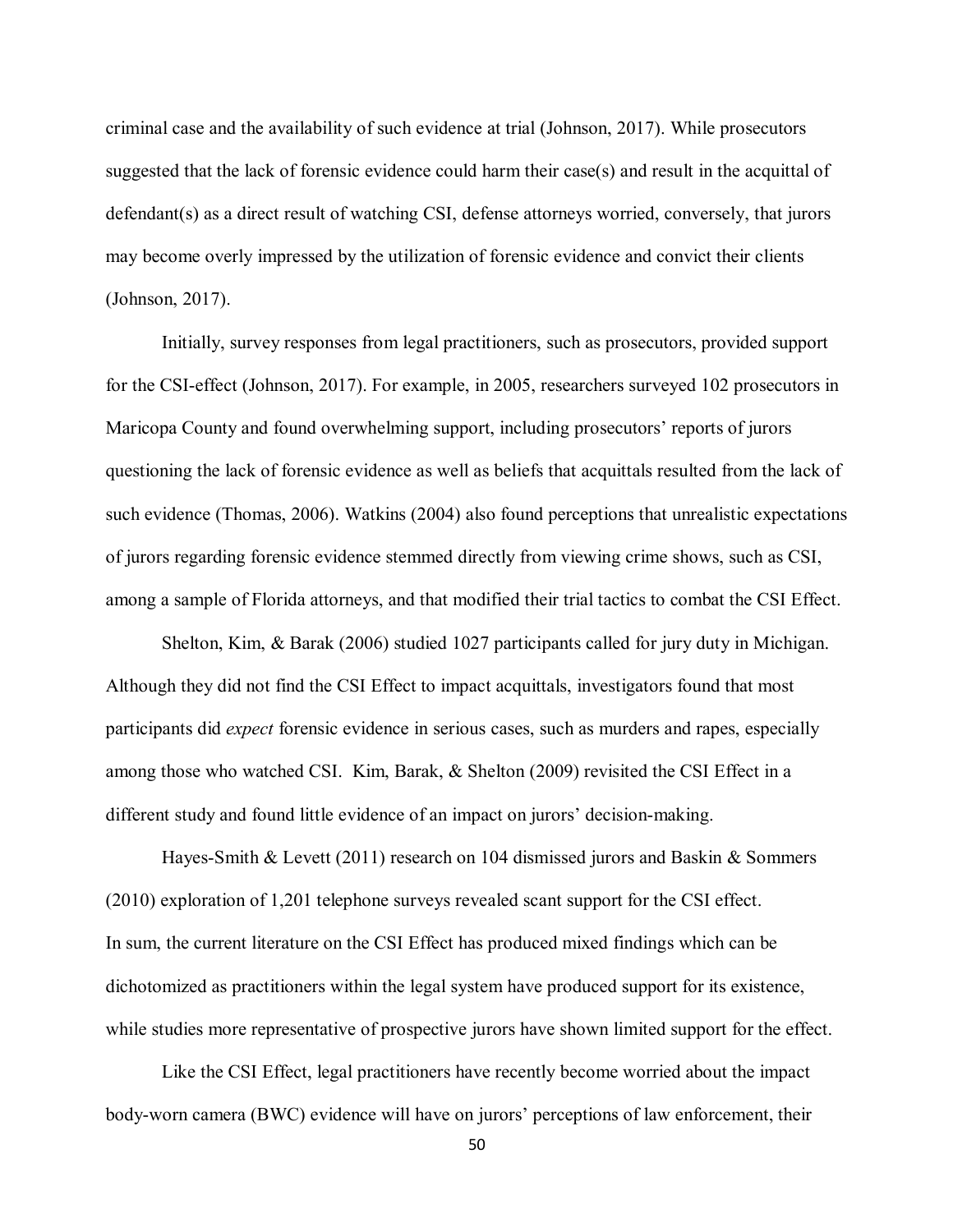criminal case and the availability of such evidence at trial (Johnson, 2017). While prosecutors suggested that the lack of forensic evidence could harm their case(s) and result in the acquittal of defendant(s) as a direct result of watching CSI, defense attorneys worried, conversely, that jurors may become overly impressed by the utilization of forensic evidence and convict their clients (Johnson, 2017).

Initially, survey responses from legal practitioners, such as prosecutors, provided support for the CSI-effect (Johnson, 2017). For example, in 2005, researchers surveyed 102 prosecutors in Maricopa County and found overwhelming support, including prosecutors' reports of jurors questioning the lack of forensic evidence as well as beliefs that acquittals resulted from the lack of such evidence (Thomas, 2006). Watkins (2004) also found perceptions that unrealistic expectations of jurors regarding forensic evidence stemmed directly from viewing crime shows, such as CSI, among a sample of Florida attorneys, and that modified their trial tactics to combat the CSI Effect.

Shelton, Kim, & Barak (2006) studied 1027 participants called for jury duty in Michigan. Although they did not find the CSI Effect to impact acquittals, investigators found that most participants did *expect* forensic evidence in serious cases, such as murders and rapes, especially among those who watched CSI. Kim, Barak, & Shelton (2009) revisited the CSI Effect in a different study and found little evidence of an impact on jurors' decision-making.

Hayes-Smith & Levett (2011) research on 104 dismissed jurors and Baskin & Sommers (2010) exploration of 1,201 telephone surveys revealed scant support for the CSI effect. In sum, the current literature on the CSI Effect has produced mixed findings which can be dichotomized as practitioners within the legal system have produced support for its existence, while studies more representative of prospective jurors have shown limited support for the effect.

Like the CSI Effect, legal practitioners have recently become worried about the impact body-worn camera (BWC) evidence will have on jurors' perceptions of law enforcement, their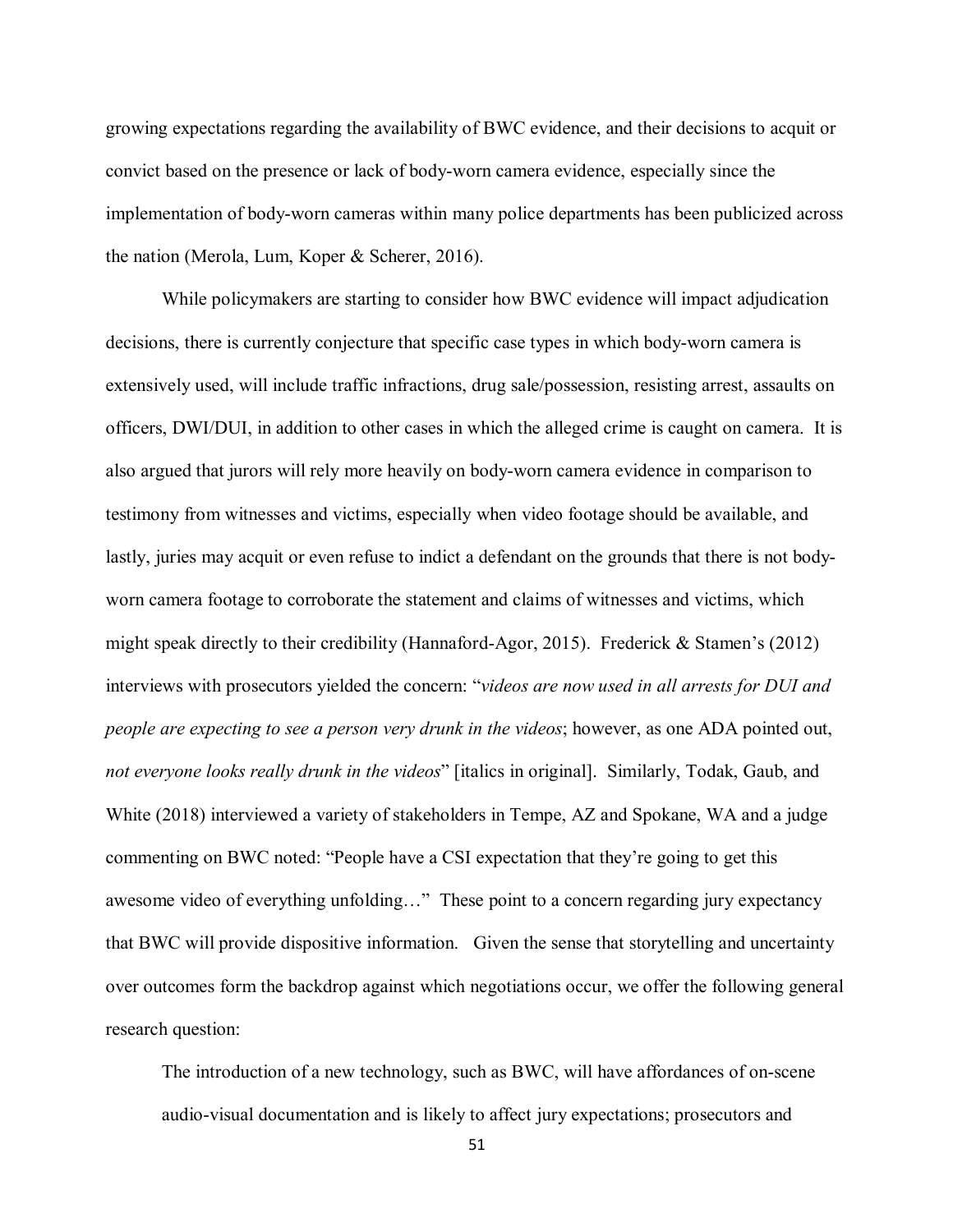growing expectations regarding the availability of BWC evidence, and their decisions to acquit or convict based on the presence or lack of body-worn camera evidence, especially since the implementation of body-worn cameras within many police departments has been publicized across the nation (Merola, Lum, Koper & Scherer, 2016).

While policymakers are starting to consider how BWC evidence will impact adjudication decisions, there is currently conjecture that specific case types in which body-worn camera is extensively used, will include traffic infractions, drug sale/possession, resisting arrest, assaults on officers, DWI/DUI, in addition to other cases in which the alleged crime is caught on camera. It is also argued that jurors will rely more heavily on body-worn camera evidence in comparison to testimony from witnesses and victims, especially when video footage should be available, and lastly, juries may acquit or even refuse to indict a defendant on the grounds that there is not bodyworn camera footage to corroborate the statement and claims of witnesses and victims, which might speak directly to their credibility (Hannaford-Agor, 2015). Frederick & Stamen's (2012) interviews with prosecutors yielded the concern: "*videos are now used in all arrests for DUI and people are expecting to see a person very drunk in the videos*; however, as one ADA pointed out, *not everyone looks really drunk in the videos*" [italics in original]. Similarly, Todak, Gaub, and White (2018) interviewed a variety of stakeholders in Tempe, AZ and Spokane, WA and a judge commenting on BWC noted: "People have a CSI expectation that they're going to get this awesome video of everything unfolding…" These point to a concern regarding jury expectancy that BWC will provide dispositive information. Given the sense that storytelling and uncertainty over outcomes form the backdrop against which negotiations occur, we offer the following general research question:

The introduction of a new technology, such as BWC, will have affordances of on-scene audio-visual documentation and is likely to affect jury expectations; prosecutors and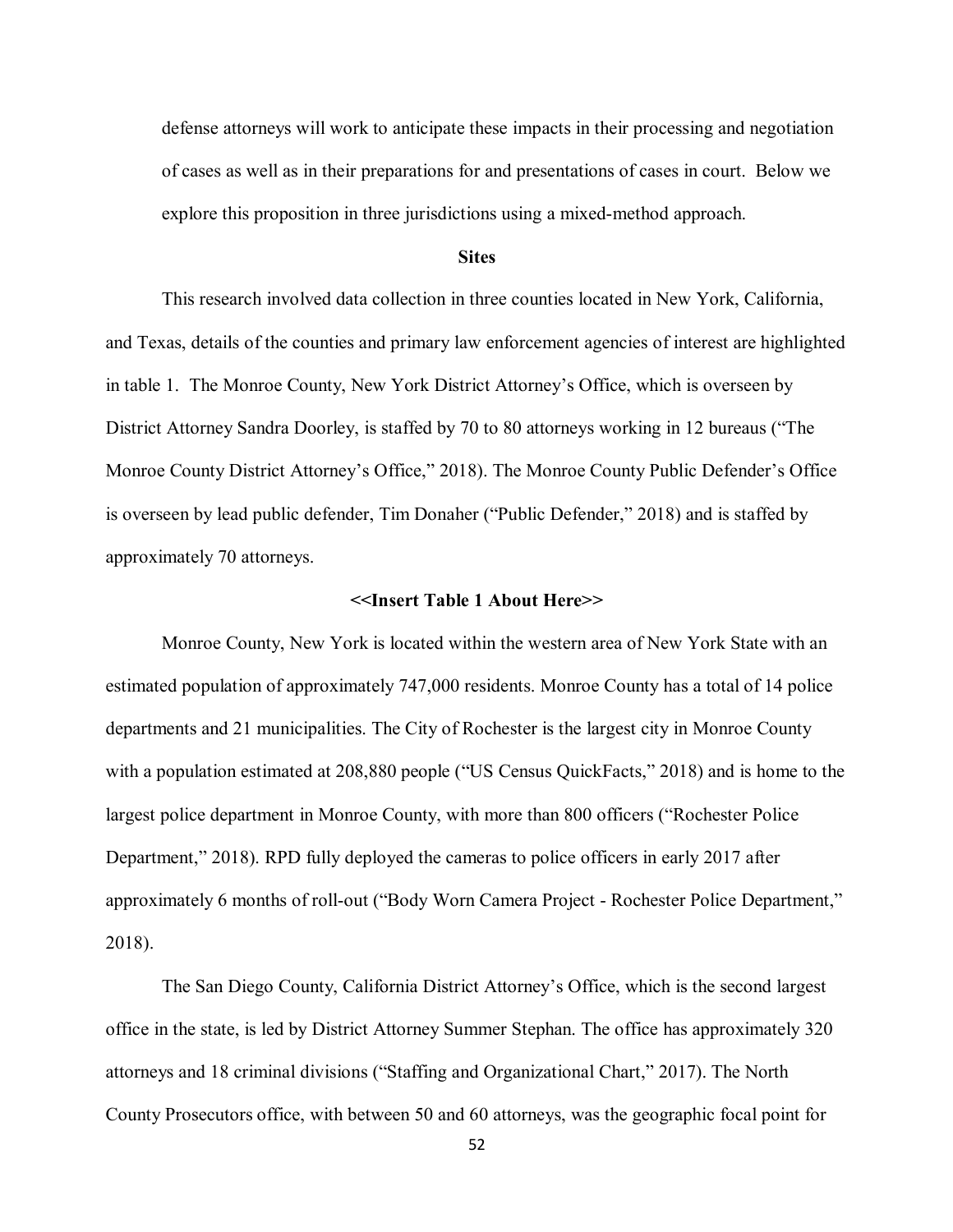defense attorneys will work to anticipate these impacts in their processing and negotiation of cases as well as in their preparations for and presentations of cases in court. Below we explore this proposition in three jurisdictions using a mixed-method approach.

## **Sites**

This research involved data collection in three counties located in New York, California, and Texas, details of the counties and primary law enforcement agencies of interest are highlighted in table 1. The Monroe County, New York District Attorney's Office, which is overseen by District Attorney Sandra Doorley, is staffed by 70 to 80 attorneys working in 12 bureaus ("The Monroe County District Attorney's Office," 2018). The Monroe County Public Defender's Office is overseen by lead public defender, Tim Donaher ("Public Defender," 2018) and is staffed by approximately 70 attorneys.

#### **<<Insert Table 1 About Here>>**

Monroe County, New York is located within the western area of New York State with an estimated population of approximately 747,000 residents. Monroe County has a total of 14 police departments and 21 municipalities. The City of Rochester is the largest city in Monroe County with a population estimated at 208,880 people ("US Census QuickFacts," 2018) and is home to the largest police department in Monroe County, with more than 800 officers ("Rochester Police Department," 2018). RPD fully deployed the cameras to police officers in early 2017 after approximately 6 months of roll-out ("Body Worn Camera Project - Rochester Police Department," 2018).

The San Diego County, California District Attorney's Office, which is the second largest office in the state, is led by District Attorney Summer Stephan. The office has approximately 320 attorneys and 18 criminal divisions ("Staffing and Organizational Chart," 2017). The North County Prosecutors office, with between 50 and 60 attorneys, was the geographic focal point for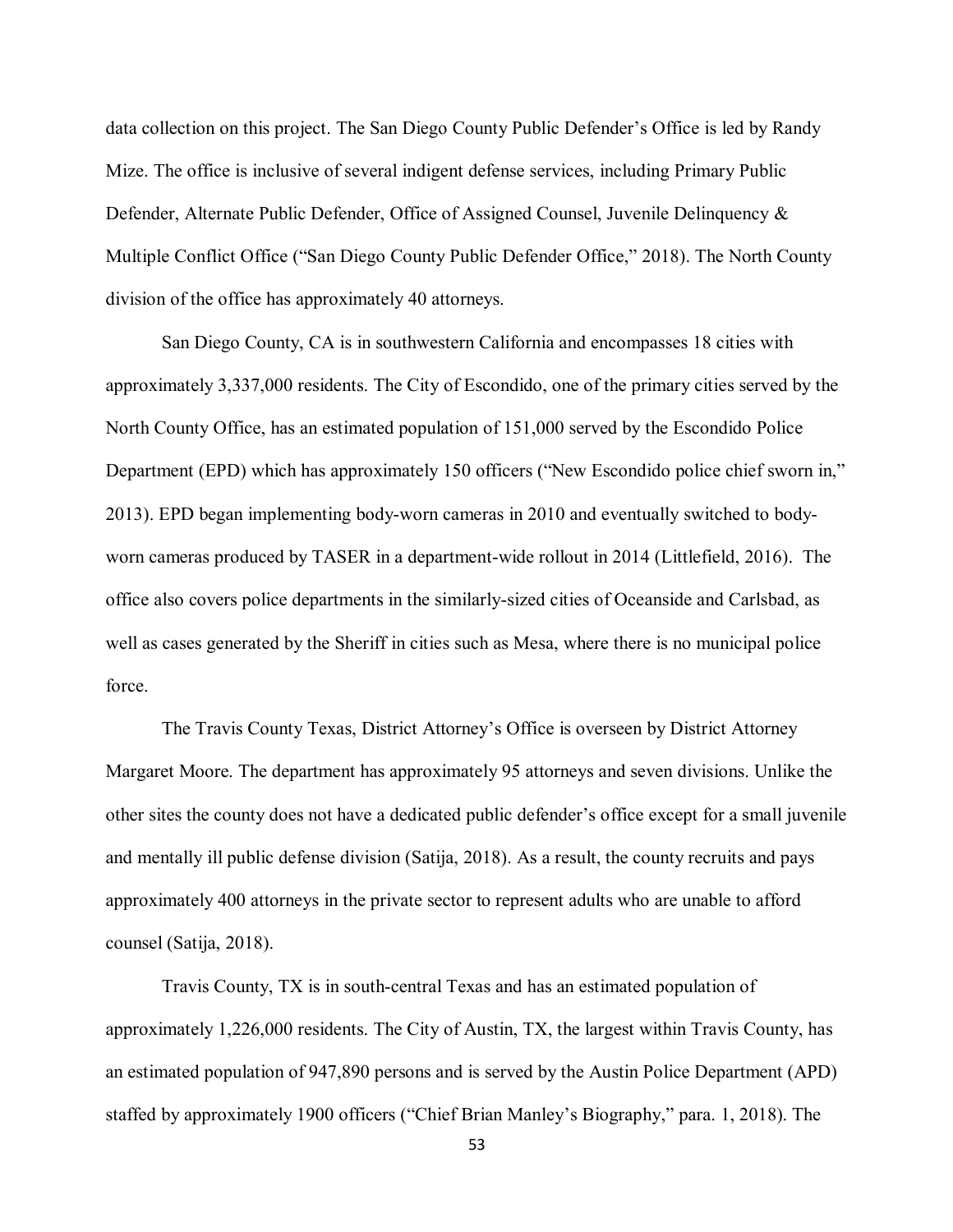data collection on this project. The San Diego County Public Defender's Office is led by Randy Mize. The office is inclusive of several indigent defense services, including Primary Public Defender, Alternate Public Defender, Office of Assigned Counsel, Juvenile Delinquency & Multiple Conflict Office ("San Diego County Public Defender Office," 2018). The North County division of the office has approximately 40 attorneys.

San Diego County, CA is in southwestern California and encompasses 18 cities with approximately 3,337,000 residents. The City of Escondido, one of the primary cities served by the North County Office, has an estimated population of 151,000 served by the Escondido Police Department (EPD) which has approximately 150 officers ("New Escondido police chief sworn in," 2013). EPD began implementing body-worn cameras in 2010 and eventually switched to bodyworn cameras produced by TASER in a department-wide rollout in 2014 (Littlefield, 2016). The office also covers police departments in the similarly-sized cities of Oceanside and Carlsbad, as well as cases generated by the Sheriff in cities such as Mesa, where there is no municipal police force.

The Travis County Texas, District Attorney's Office is overseen by District Attorney Margaret Moore. The department has approximately 95 attorneys and seven divisions. Unlike the other sites the county does not have a dedicated public defender's office except for a small juvenile and mentally ill public defense division (Satija, 2018). As a result, the county recruits and pays approximately 400 attorneys in the private sector to represent adults who are unable to afford counsel (Satija, 2018).

Travis County, TX is in south-central Texas and has an estimated population of approximately 1,226,000 residents. The City of Austin, TX, the largest within Travis County, has an estimated population of 947,890 persons and is served by the Austin Police Department (APD) staffed by approximately 1900 officers ("Chief Brian Manley's Biography," para. 1, 2018). The

53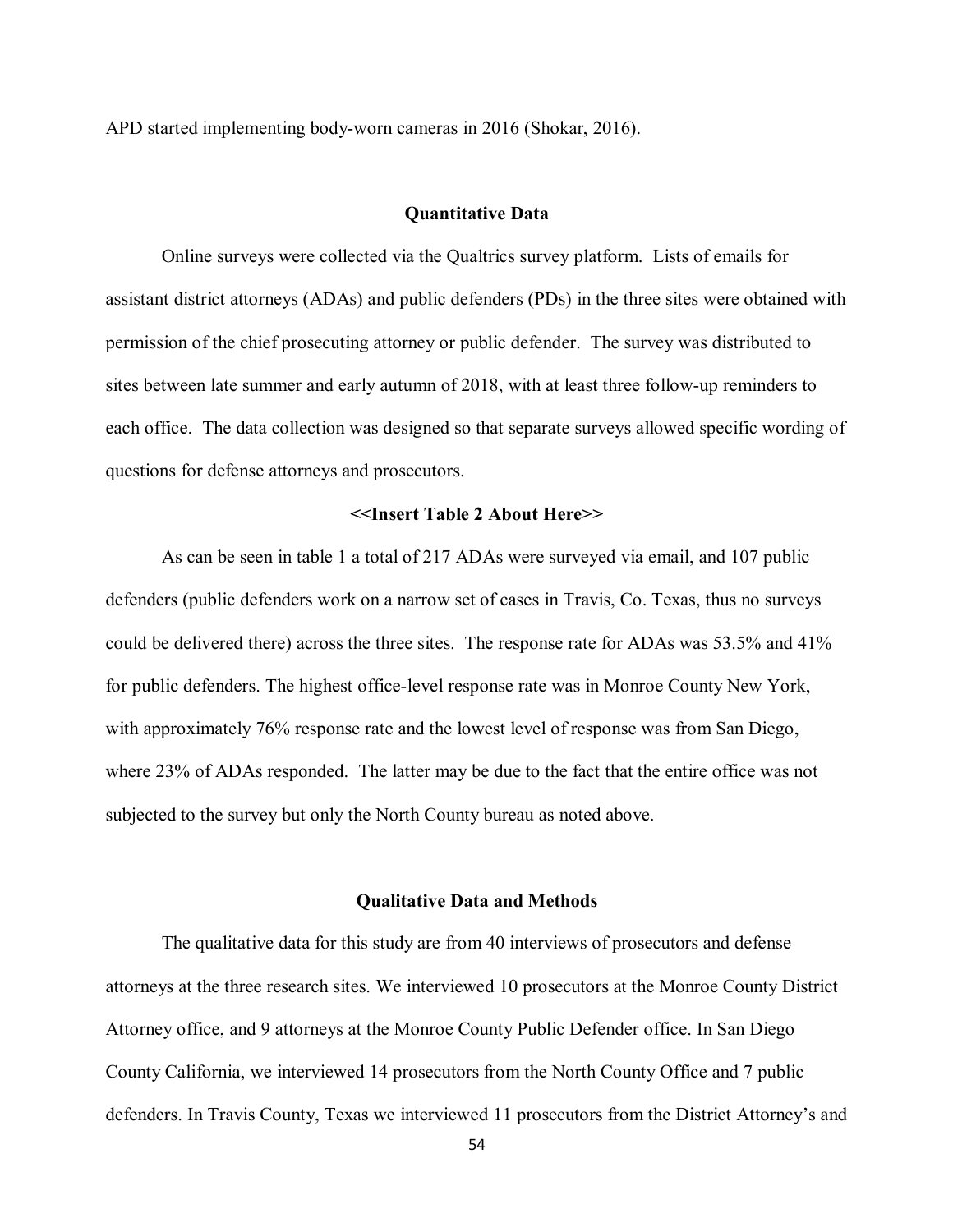APD started implementing body-worn cameras in 2016 (Shokar, 2016).

## **Quantitative Data**

Online surveys were collected via the Qualtrics survey platform. Lists of emails for assistant district attorneys (ADAs) and public defenders (PDs) in the three sites were obtained with permission of the chief prosecuting attorney or public defender. The survey was distributed to sites between late summer and early autumn of 2018, with at least three follow-up reminders to each office. The data collection was designed so that separate surveys allowed specific wording of questions for defense attorneys and prosecutors.

## **<<Insert Table 2 About Here>>**

As can be seen in table 1 a total of 217 ADAs were surveyed via email, and 107 public defenders (public defenders work on a narrow set of cases in Travis, Co. Texas, thus no surveys could be delivered there) across the three sites. The response rate for ADAs was 53.5% and 41% for public defenders. The highest office-level response rate was in Monroe County New York, with approximately 76% response rate and the lowest level of response was from San Diego, where 23% of ADAs responded. The latter may be due to the fact that the entire office was not subjected to the survey but only the North County bureau as noted above.

#### **Qualitative Data and Methods**

The qualitative data for this study are from 40 interviews of prosecutors and defense attorneys at the three research sites. We interviewed 10 prosecutors at the Monroe County District Attorney office, and 9 attorneys at the Monroe County Public Defender office. In San Diego County California, we interviewed 14 prosecutors from the North County Office and 7 public defenders. In Travis County, Texas we interviewed 11 prosecutors from the District Attorney's and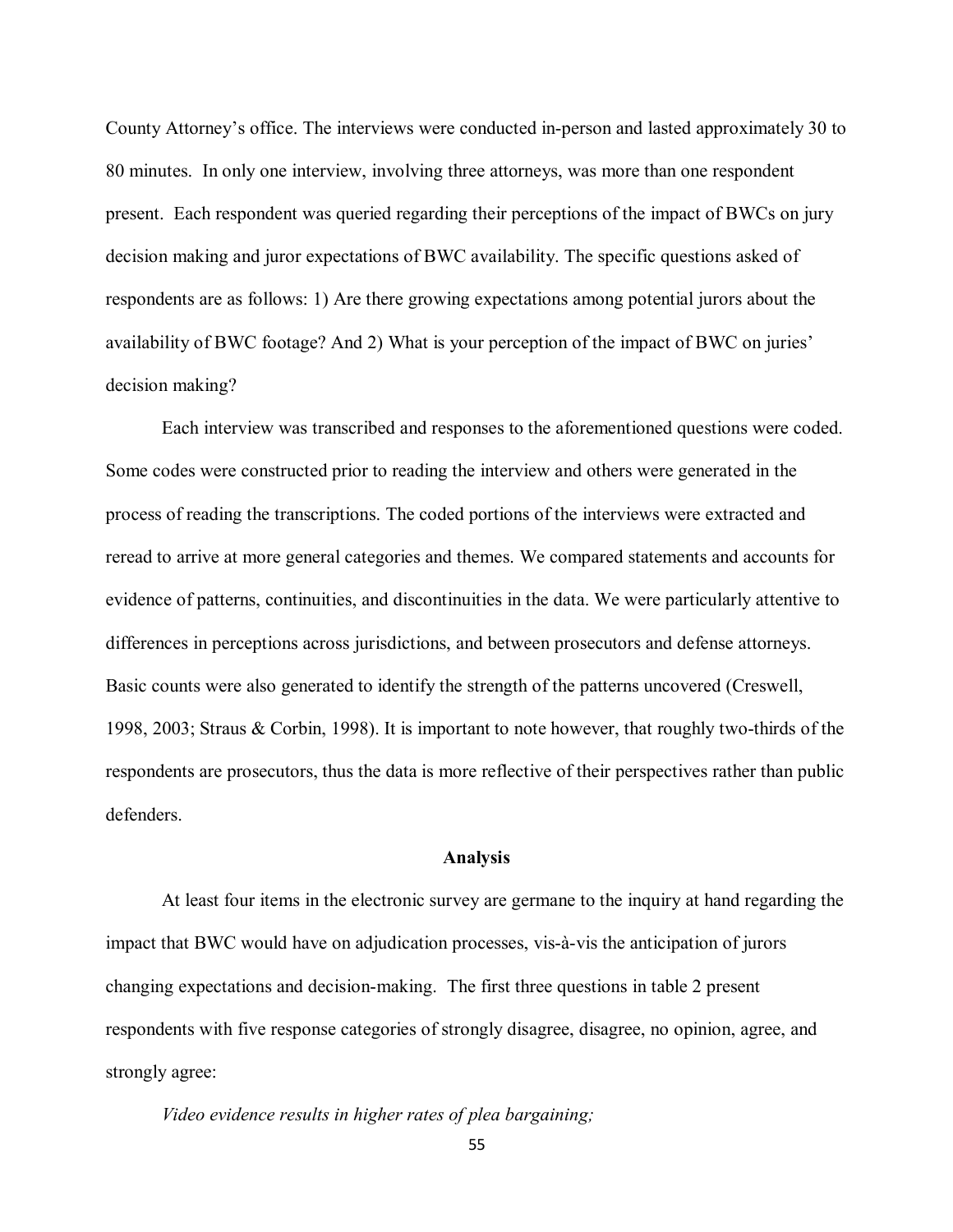County Attorney's office. The interviews were conducted in-person and lasted approximately 30 to 80 minutes. In only one interview, involving three attorneys, was more than one respondent present. Each respondent was queried regarding their perceptions of the impact of BWCs on jury decision making and juror expectations of BWC availability. The specific questions asked of respondents are as follows: 1) Are there growing expectations among potential jurors about the availability of BWC footage? And 2) What is your perception of the impact of BWC on juries' decision making?

Each interview was transcribed and responses to the aforementioned questions were coded. Some codes were constructed prior to reading the interview and others were generated in the process of reading the transcriptions. The coded portions of the interviews were extracted and reread to arrive at more general categories and themes. We compared statements and accounts for evidence of patterns, continuities, and discontinuities in the data. We were particularly attentive to differences in perceptions across jurisdictions, and between prosecutors and defense attorneys. Basic counts were also generated to identify the strength of the patterns uncovered (Creswell, 1998, 2003; Straus & Corbin, 1998). It is important to note however, that roughly two-thirds of the respondents are prosecutors, thus the data is more reflective of their perspectives rather than public defenders.

## **Analysis**

At least four items in the electronic survey are germane to the inquiry at hand regarding the impact that BWC would have on adjudication processes, vis-à-vis the anticipation of jurors changing expectations and decision-making. The first three questions in table 2 present respondents with five response categories of strongly disagree, disagree, no opinion, agree, and strongly agree:

*Video evidence results in higher rates of plea bargaining;*

55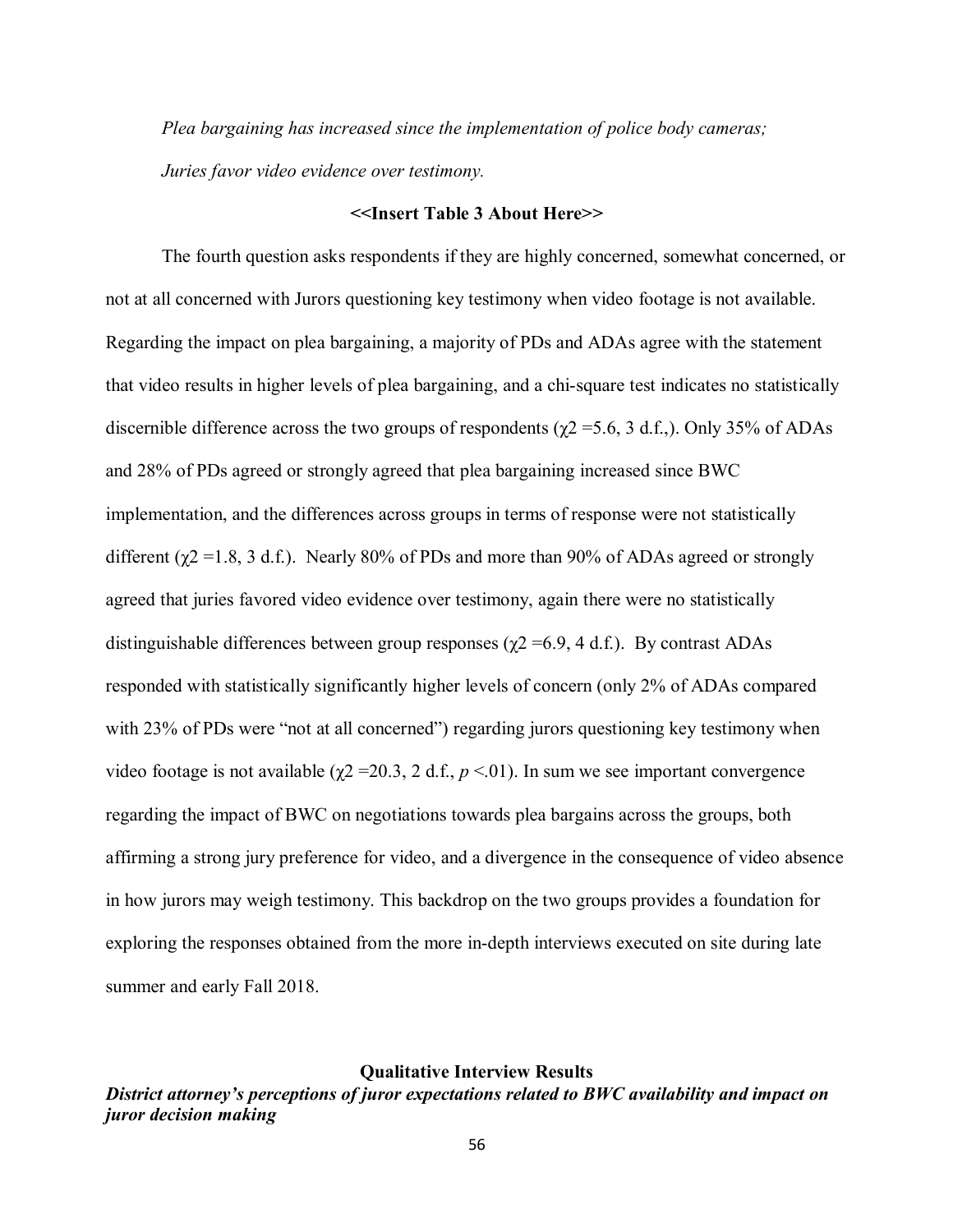*Plea bargaining has increased since the implementation of police body cameras; Juries favor video evidence over testimony.*

#### **<<Insert Table 3 About Here>>**

The fourth question asks respondents if they are highly concerned, somewhat concerned, or not at all concerned with Jurors questioning key testimony when video footage is not available. Regarding the impact on plea bargaining, a majority of PDs and ADAs agree with the statement that video results in higher levels of plea bargaining, and a chi-square test indicates no statistically discernible difference across the two groups of respondents ( $\chi$ 2 = 5.6, 3 d.f.,). Only 35% of ADAs and 28% of PDs agreed or strongly agreed that plea bargaining increased since BWC implementation, and the differences across groups in terms of response were not statistically different ( $\chi$ 2 = 1.8, 3 d.f.). Nearly 80% of PDs and more than 90% of ADAs agreed or strongly agreed that juries favored video evidence over testimony, again there were no statistically distinguishable differences between group responses ( $\chi$ 2 =6.9, 4 d.f.). By contrast ADAs responded with statistically significantly higher levels of concern (only 2% of ADAs compared with 23% of PDs were "not at all concerned") regarding jurors questioning key testimony when video footage is not available ( $χ$ 2 = 20.3, 2 d.f.,  $p$  < 01). In sum we see important convergence regarding the impact of BWC on negotiations towards plea bargains across the groups, both affirming a strong jury preference for video, and a divergence in the consequence of video absence in how jurors may weigh testimony. This backdrop on the two groups provides a foundation for exploring the responses obtained from the more in-depth interviews executed on site during late summer and early Fall 2018.

#### **Qualitative Interview Results**

*District attorney's perceptions of juror expectations related to BWC availability and impact on juror decision making*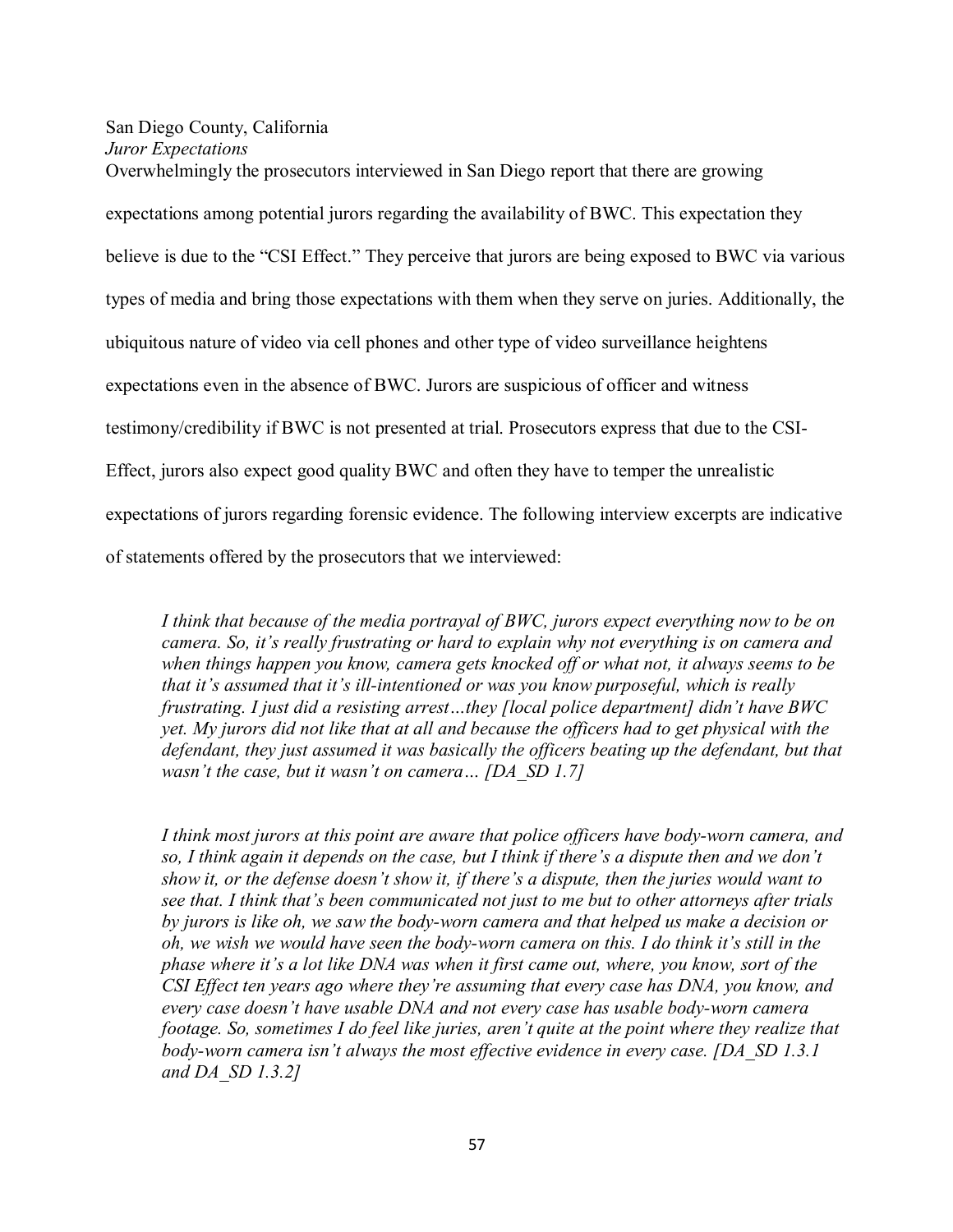## San Diego County, California *Juror Expectations*

Overwhelmingly the prosecutors interviewed in San Diego report that there are growing expectations among potential jurors regarding the availability of BWC. This expectation they believe is due to the "CSI Effect." They perceive that jurors are being exposed to BWC via various types of media and bring those expectations with them when they serve on juries. Additionally, the ubiquitous nature of video via cell phones and other type of video surveillance heightens expectations even in the absence of BWC. Jurors are suspicious of officer and witness testimony/credibility if BWC is not presented at trial. Prosecutors express that due to the CSI-Effect, jurors also expect good quality BWC and often they have to temper the unrealistic expectations of jurors regarding forensic evidence. The following interview excerpts are indicative

of statements offered by the prosecutors that we interviewed:

*I think that because of the media portrayal of BWC, jurors expect everything now to be on camera. So, it's really frustrating or hard to explain why not everything is on camera and when things happen you know, camera gets knocked off or what not, it always seems to be that it's assumed that it's ill-intentioned or was you know purposeful, which is really frustrating. I just did a resisting arrest…they [local police department] didn't have BWC yet. My jurors did not like that at all and because the officers had to get physical with the defendant, they just assumed it was basically the officers beating up the defendant, but that wasn't the case, but it wasn't on camera… [DA\_SD 1.7]*

*I think most jurors at this point are aware that police officers have body-worn camera, and so, I think again it depends on the case, but I think if there's a dispute then and we don't show it, or the defense doesn't show it, if there's a dispute, then the juries would want to see that. I think that's been communicated not just to me but to other attorneys after trials by jurors is like oh, we saw the body-worn camera and that helped us make a decision or oh, we wish we would have seen the body-worn camera on this. I do think it's still in the phase where it's a lot like DNA was when it first came out, where, you know, sort of the CSI Effect ten years ago where they're assuming that every case has DNA, you know, and every case doesn't have usable DNA and not every case has usable body-worn camera footage. So, sometimes I do feel like juries, aren't quite at the point where they realize that body-worn camera isn't always the most effective evidence in every case. [DA\_SD 1.3.1 and DA\_SD 1.3.2]*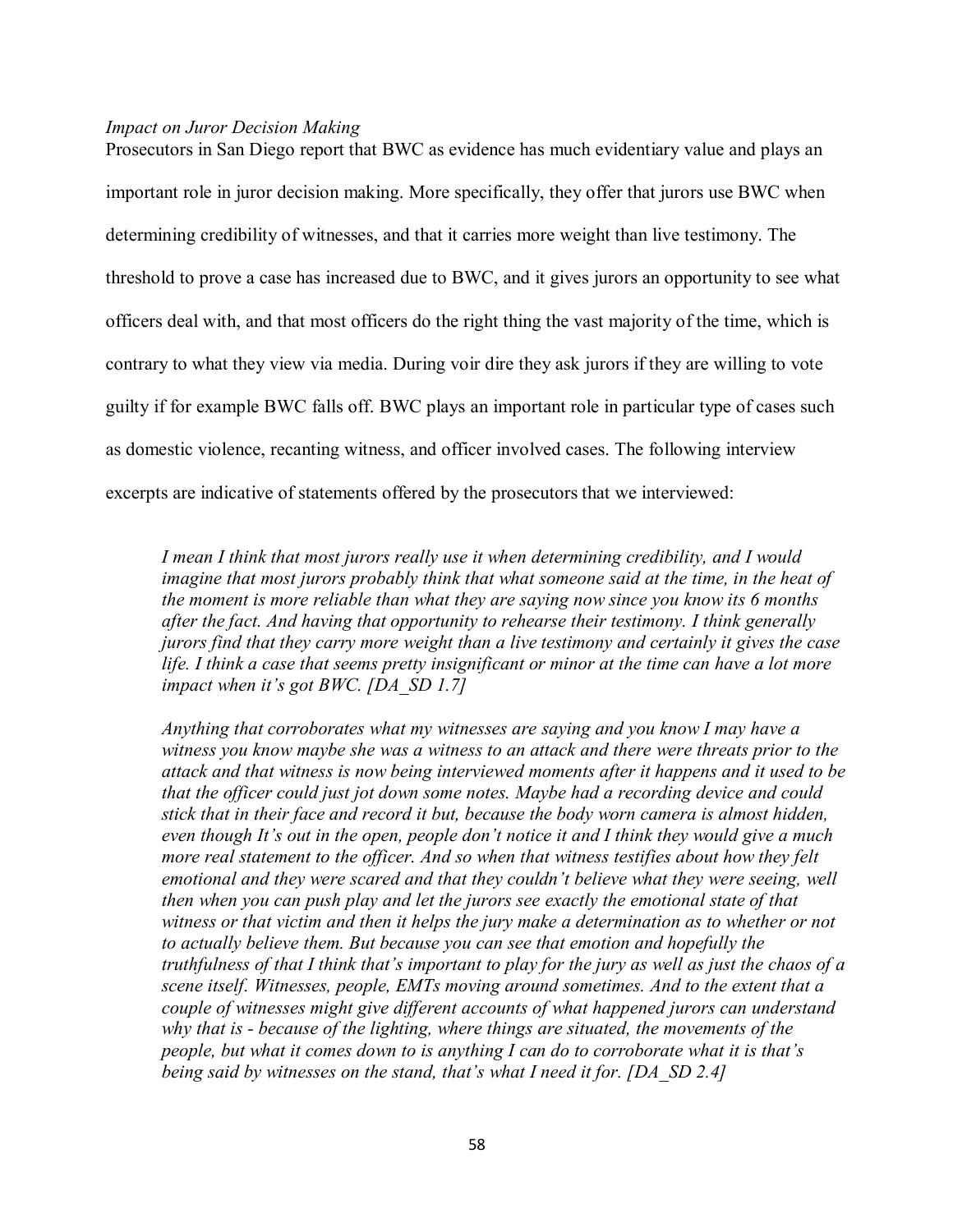#### *Impact on Juror Decision Making*

Prosecutors in San Diego report that BWC as evidence has much evidentiary value and plays an important role in juror decision making. More specifically, they offer that jurors use BWC when determining credibility of witnesses, and that it carries more weight than live testimony. The threshold to prove a case has increased due to BWC, and it gives jurors an opportunity to see what officers deal with, and that most officers do the right thing the vast majority of the time, which is contrary to what they view via media. During voir dire they ask jurors if they are willing to vote guilty if for example BWC falls off. BWC plays an important role in particular type of cases such as domestic violence, recanting witness, and officer involved cases. The following interview excerpts are indicative of statements offered by the prosecutors that we interviewed:

*I mean I think that most jurors really use it when determining credibility, and I would imagine that most jurors probably think that what someone said at the time, in the heat of the moment is more reliable than what they are saying now since you know its 6 months after the fact. And having that opportunity to rehearse their testimony. I think generally jurors find that they carry more weight than a live testimony and certainly it gives the case life. I think a case that seems pretty insignificant or minor at the time can have a lot more impact when it's got BWC. [DA\_SD 1.7]*

*Anything that corroborates what my witnesses are saying and you know I may have a witness you know maybe she was a witness to an attack and there were threats prior to the attack and that witness is now being interviewed moments after it happens and it used to be that the officer could just jot down some notes. Maybe had a recording device and could stick that in their face and record it but, because the body worn camera is almost hidden, even though It's out in the open, people don't notice it and I think they would give a much more real statement to the officer. And so when that witness testifies about how they felt*  emotional and they were scared and that they couldn't believe what they were seeing, well *then when you can push play and let the jurors see exactly the emotional state of that*  witness or that victim and then it helps the jury make a determination as to whether or not *to actually believe them. But because you can see that emotion and hopefully the truthfulness of that I think that's important to play for the jury as well as just the chaos of a scene itself. Witnesses, people, EMTs moving around sometimes. And to the extent that a couple of witnesses might give different accounts of what happened jurors can understand why that is - because of the lighting, where things are situated, the movements of the people, but what it comes down to is anything I can do to corroborate what it is that's being said by witnesses on the stand, that's what I need it for. [DA\_SD 2.4]*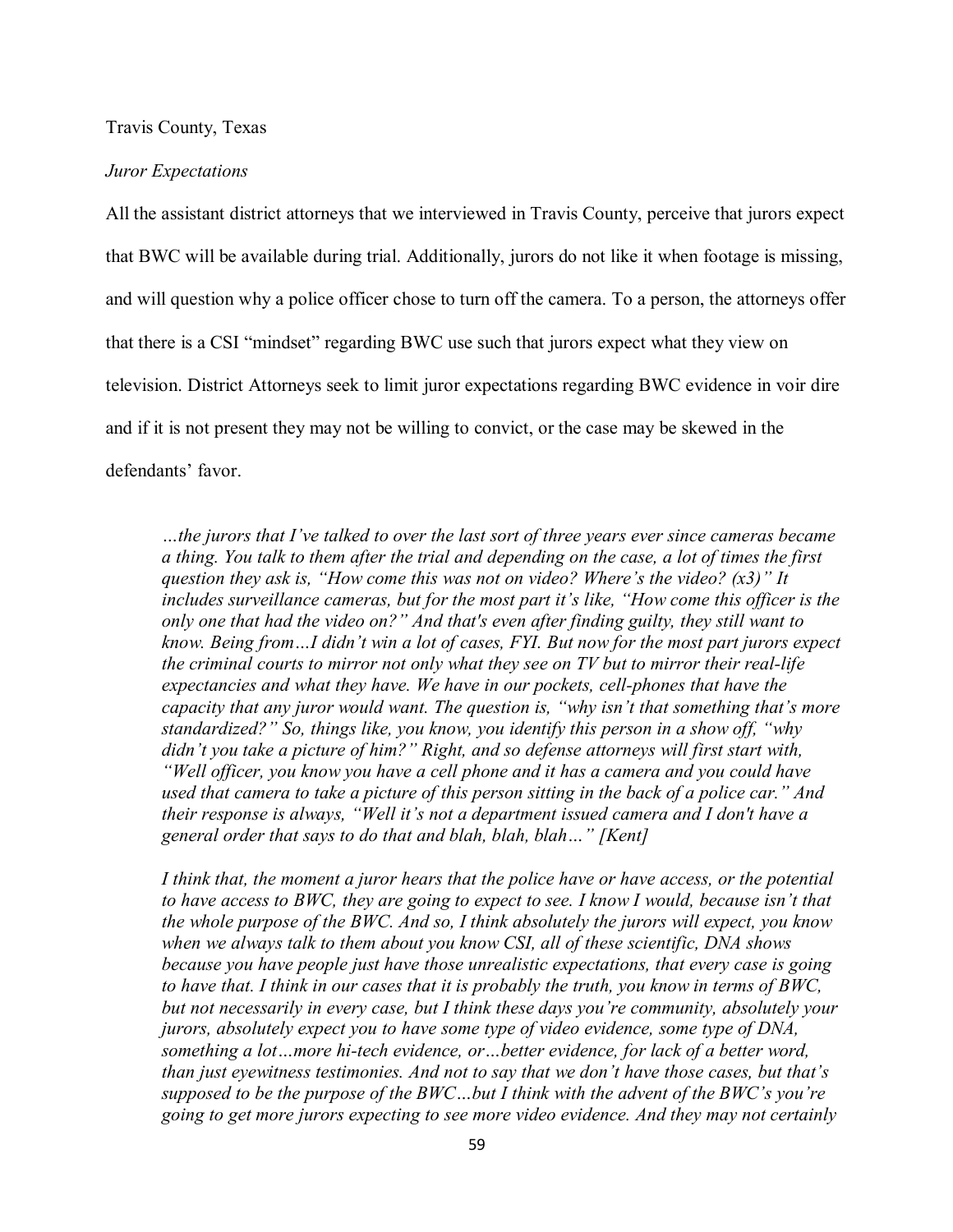Travis County, Texas

#### *Juror Expectations*

All the assistant district attorneys that we interviewed in Travis County, perceive that jurors expect that BWC will be available during trial. Additionally, jurors do not like it when footage is missing, and will question why a police officer chose to turn off the camera. To a person, the attorneys offer that there is a CSI "mindset" regarding BWC use such that jurors expect what they view on television. District Attorneys seek to limit juror expectations regarding BWC evidence in voir dire and if it is not present they may not be willing to convict, or the case may be skewed in the defendants' favor.

*…the jurors that I've talked to over the last sort of three years ever since cameras became a thing. You talk to them after the trial and depending on the case, a lot of times the first question they ask is, "How come this was not on video? Where's the video? (x3)" It includes surveillance cameras, but for the most part it's like, "How come this officer is the only one that had the video on?" And that's even after finding guilty, they still want to know. Being from…I didn't win a lot of cases, FYI. But now for the most part jurors expect the criminal courts to mirror not only what they see on TV but to mirror their real-life expectancies and what they have. We have in our pockets, cell-phones that have the capacity that any juror would want. The question is, "why isn't that something that's more standardized?" So, things like, you know, you identify this person in a show off, "why didn't you take a picture of him?" Right, and so defense attorneys will first start with, "Well officer, you know you have a cell phone and it has a camera and you could have used that camera to take a picture of this person sitting in the back of a police car." And their response is always, "Well it's not a department issued camera and I don't have a general order that says to do that and blah, blah, blah…" [Kent]*

*I think that, the moment a juror hears that the police have or have access, or the potential to have access to BWC, they are going to expect to see. I know I would, because isn't that the whole purpose of the BWC. And so, I think absolutely the jurors will expect, you know when we always talk to them about you know CSI, all of these scientific, DNA shows because you have people just have those unrealistic expectations, that every case is going to have that. I think in our cases that it is probably the truth, you know in terms of BWC, but not necessarily in every case, but I think these days you're community, absolutely your jurors, absolutely expect you to have some type of video evidence, some type of DNA, something a lot…more hi-tech evidence, or…better evidence, for lack of a better word, than just eyewitness testimonies. And not to say that we don't have those cases, but that's supposed to be the purpose of the BWC…but I think with the advent of the BWC's you're going to get more jurors expecting to see more video evidence. And they may not certainly*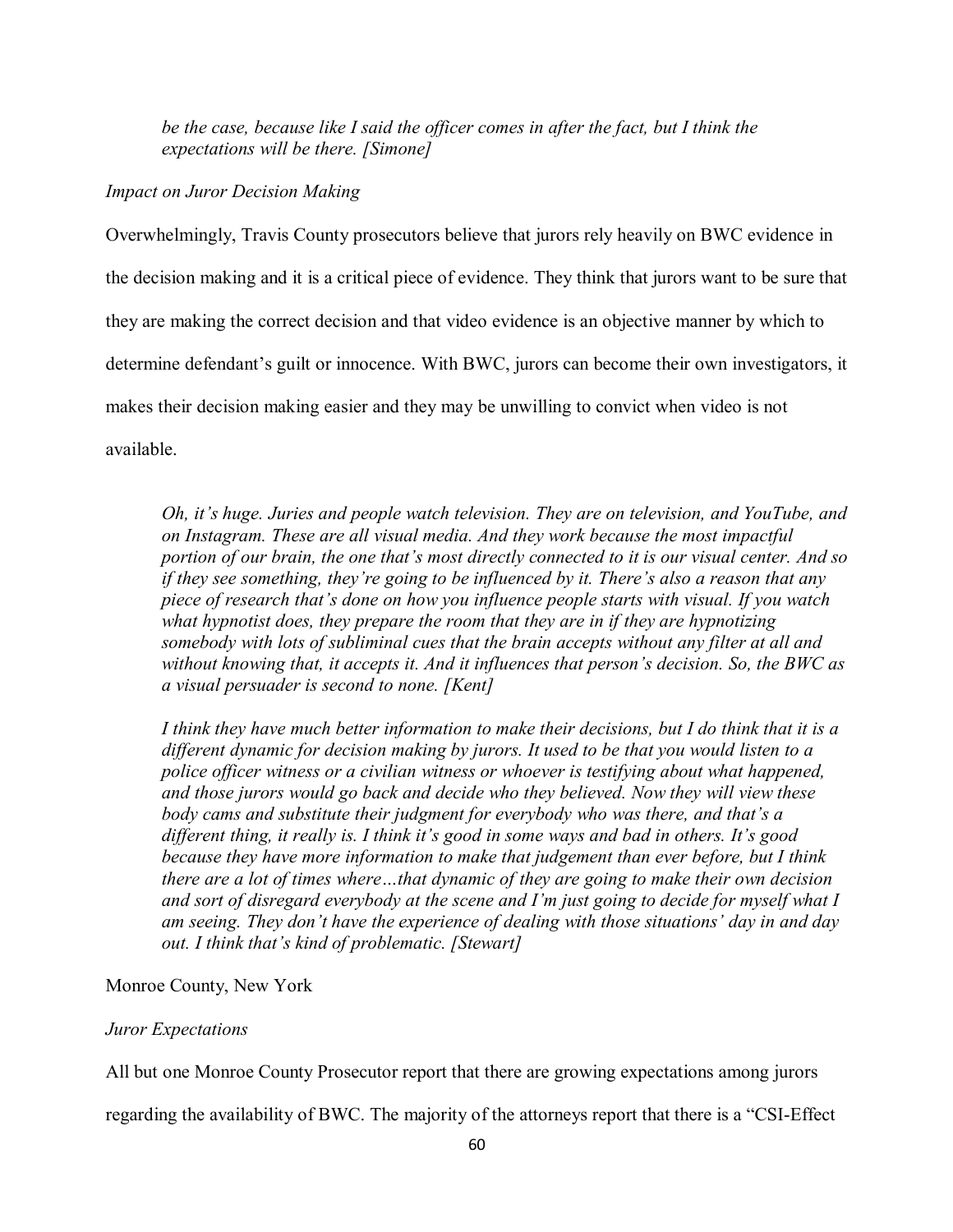*be the case, because like I said the officer comes in after the fact, but I think the expectations will be there. [Simone]*

*Impact on Juror Decision Making*

Overwhelmingly, Travis County prosecutors believe that jurors rely heavily on BWC evidence in the decision making and it is a critical piece of evidence. They think that jurors want to be sure that they are making the correct decision and that video evidence is an objective manner by which to determine defendant's guilt or innocence. With BWC, jurors can become their own investigators, it makes their decision making easier and they may be unwilling to convict when video is not available.

*Oh, it's huge. Juries and people watch television. They are on television, and YouTube, and on Instagram. These are all visual media. And they work because the most impactful portion of our brain, the one that's most directly connected to it is our visual center. And so if they see something, they're going to be influenced by it. There's also a reason that any piece of research that's done on how you influence people starts with visual. If you watch what hypnotist does, they prepare the room that they are in if they are hypnotizing somebody with lots of subliminal cues that the brain accepts without any filter at all and without knowing that, it accepts it. And it influences that person's decision. So, the BWC as a visual persuader is second to none. [Kent]*

*I think they have much better information to make their decisions, but I do think that it is a different dynamic for decision making by jurors. It used to be that you would listen to a police officer witness or a civilian witness or whoever is testifying about what happened, and those jurors would go back and decide who they believed. Now they will view these body cams and substitute their judgment for everybody who was there, and that's a different thing, it really is. I think it's good in some ways and bad in others. It's good because they have more information to make that judgement than ever before, but I think there are a lot of times where…that dynamic of they are going to make their own decision and sort of disregard everybody at the scene and I'm just going to decide for myself what I am seeing. They don't have the experience of dealing with those situations' day in and day out. I think that's kind of problematic. [Stewart]*

## Monroe County, New York

## *Juror Expectations*

All but one Monroe County Prosecutor report that there are growing expectations among jurors

regarding the availability of BWC. The majority of the attorneys report that there is a "CSI-Effect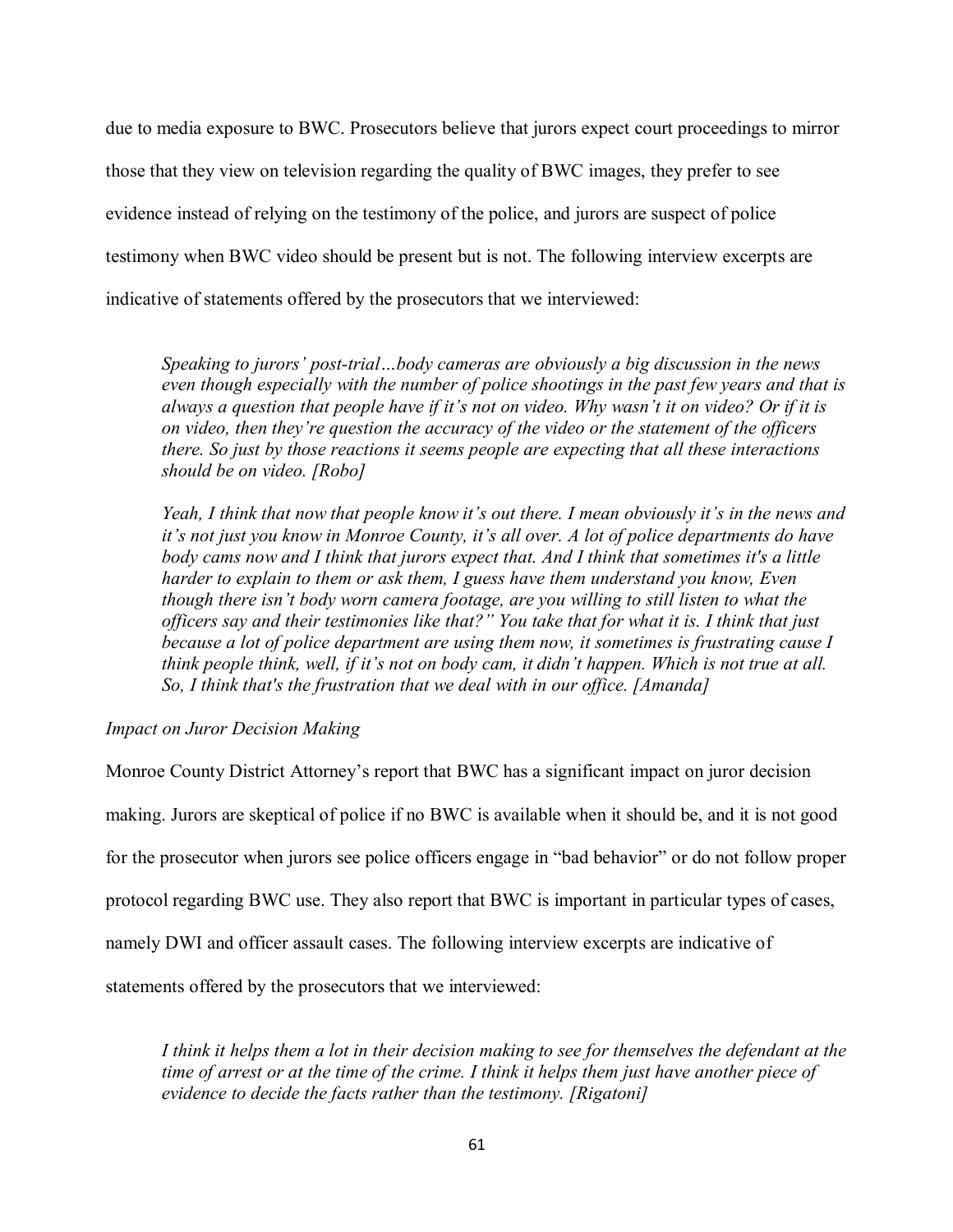due to media exposure to BWC. Prosecutors believe that jurors expect court proceedings to mirror those that they view on television regarding the quality of BWC images, they prefer to see evidence instead of relying on the testimony of the police, and jurors are suspect of police testimony when BWC video should be present but is not. The following interview excerpts are indicative of statements offered by the prosecutors that we interviewed:

*Speaking to jurors' post-trial…body cameras are obviously a big discussion in the news even though especially with the number of police shootings in the past few years and that is always a question that people have if it's not on video. Why wasn't it on video? Or if it is on video, then they're question the accuracy of the video or the statement of the officers there. So just by those reactions it seems people are expecting that all these interactions should be on video. [Robo]*

*Yeah, I think that now that people know it's out there. I mean obviously it's in the news and it's not just you know in Monroe County, it's all over. A lot of police departments do have body cams now and I think that jurors expect that. And I think that sometimes it's a little harder to explain to them or ask them, I guess have them understand you know, Even though there isn't body worn camera footage, are you willing to still listen to what the officers say and their testimonies like that?" You take that for what it is. I think that just because a lot of police department are using them now, it sometimes is frustrating cause I think people think, well, if it's not on body cam, it didn't happen. Which is not true at all. So, I think that's the frustration that we deal with in our office. [Amanda]*

## *Impact on Juror Decision Making*

Monroe County District Attorney's report that BWC has a significant impact on juror decision making. Jurors are skeptical of police if no BWC is available when it should be, and it is not good for the prosecutor when jurors see police officers engage in "bad behavior" or do not follow proper protocol regarding BWC use. They also report that BWC is important in particular types of cases, namely DWI and officer assault cases. The following interview excerpts are indicative of statements offered by the prosecutors that we interviewed:

*I think it helps them a lot in their decision making to see for themselves the defendant at the time of arrest or at the time of the crime. I think it helps them just have another piece of evidence to decide the facts rather than the testimony. [Rigatoni]*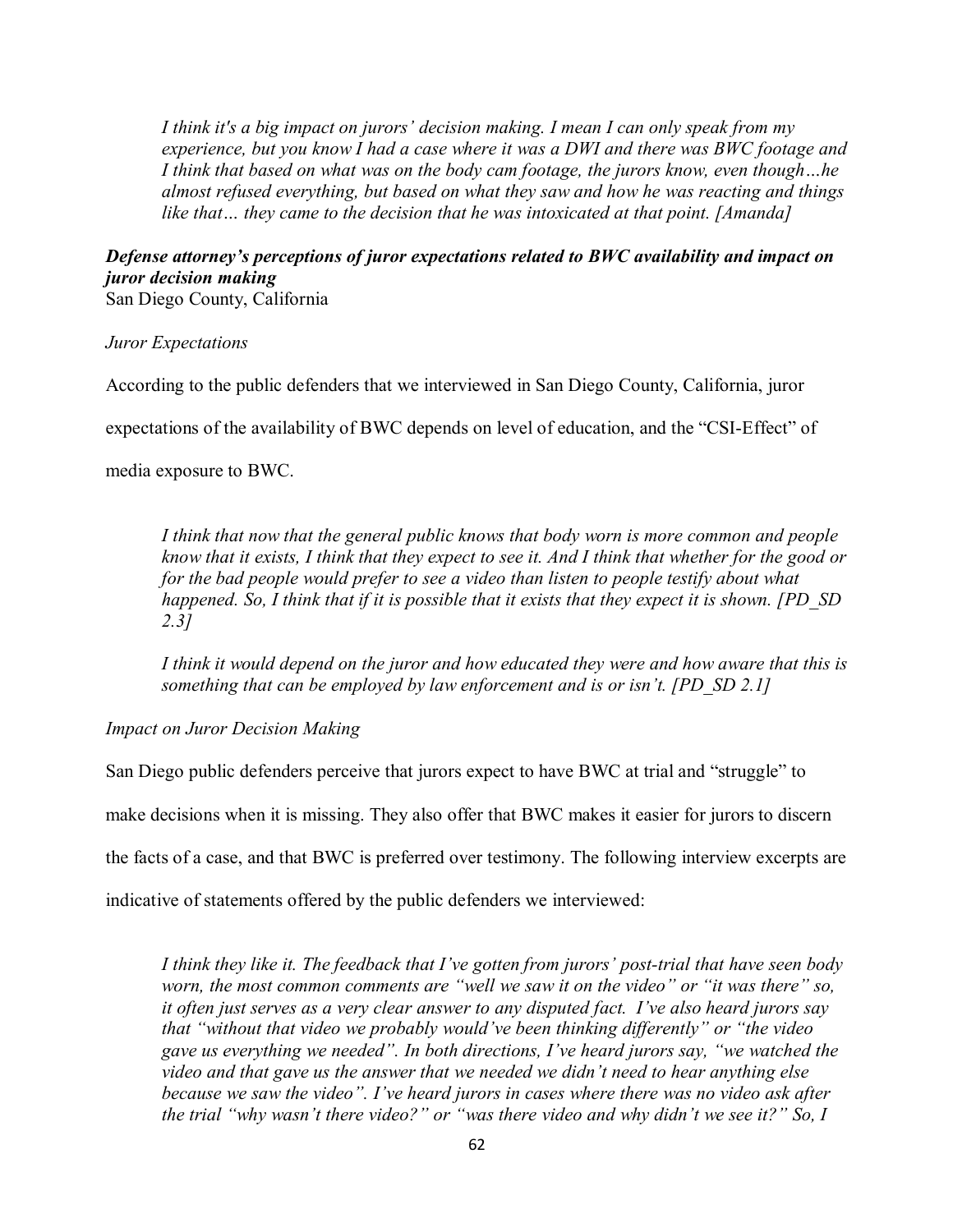*I think it's a big impact on jurors' decision making. I mean I can only speak from my experience, but you know I had a case where it was a DWI and there was BWC footage and I think that based on what was on the body cam footage, the jurors know, even though…he almost refused everything, but based on what they saw and how he was reacting and things like that… they came to the decision that he was intoxicated at that point. [Amanda]*

# *Defense attorney's perceptions of juror expectations related to BWC availability and impact on juror decision making*

San Diego County, California

## *Juror Expectations*

According to the public defenders that we interviewed in San Diego County, California, juror

expectations of the availability of BWC depends on level of education, and the "CSI-Effect" of

media exposure to BWC.

*I think that now that the general public knows that body worn is more common and people know that it exists, I think that they expect to see it. And I think that whether for the good or for the bad people would prefer to see a video than listen to people testify about what happened. So, I think that if it is possible that it exists that they expect it is shown. [PD\_SD 2.3]*

*I think it would depend on the juror and how educated they were and how aware that this is something that can be employed by law enforcement and is or isn't. [PD\_SD 2.1]*

## *Impact on Juror Decision Making*

San Diego public defenders perceive that jurors expect to have BWC at trial and "struggle" to make decisions when it is missing. They also offer that BWC makes it easier for jurors to discern the facts of a case, and that BWC is preferred over testimony. The following interview excerpts are indicative of statements offered by the public defenders we interviewed:

*I think they like it. The feedback that I've gotten from jurors' post-trial that have seen body worn, the most common comments are "well we saw it on the video" or "it was there" so, it often just serves as a very clear answer to any disputed fact. I've also heard jurors say that "without that video we probably would've been thinking differently" or "the video gave us everything we needed". In both directions, I've heard jurors say, "we watched the video and that gave us the answer that we needed we didn't need to hear anything else because we saw the video". I've heard jurors in cases where there was no video ask after the trial "why wasn't there video?" or "was there video and why didn't we see it?" So, I*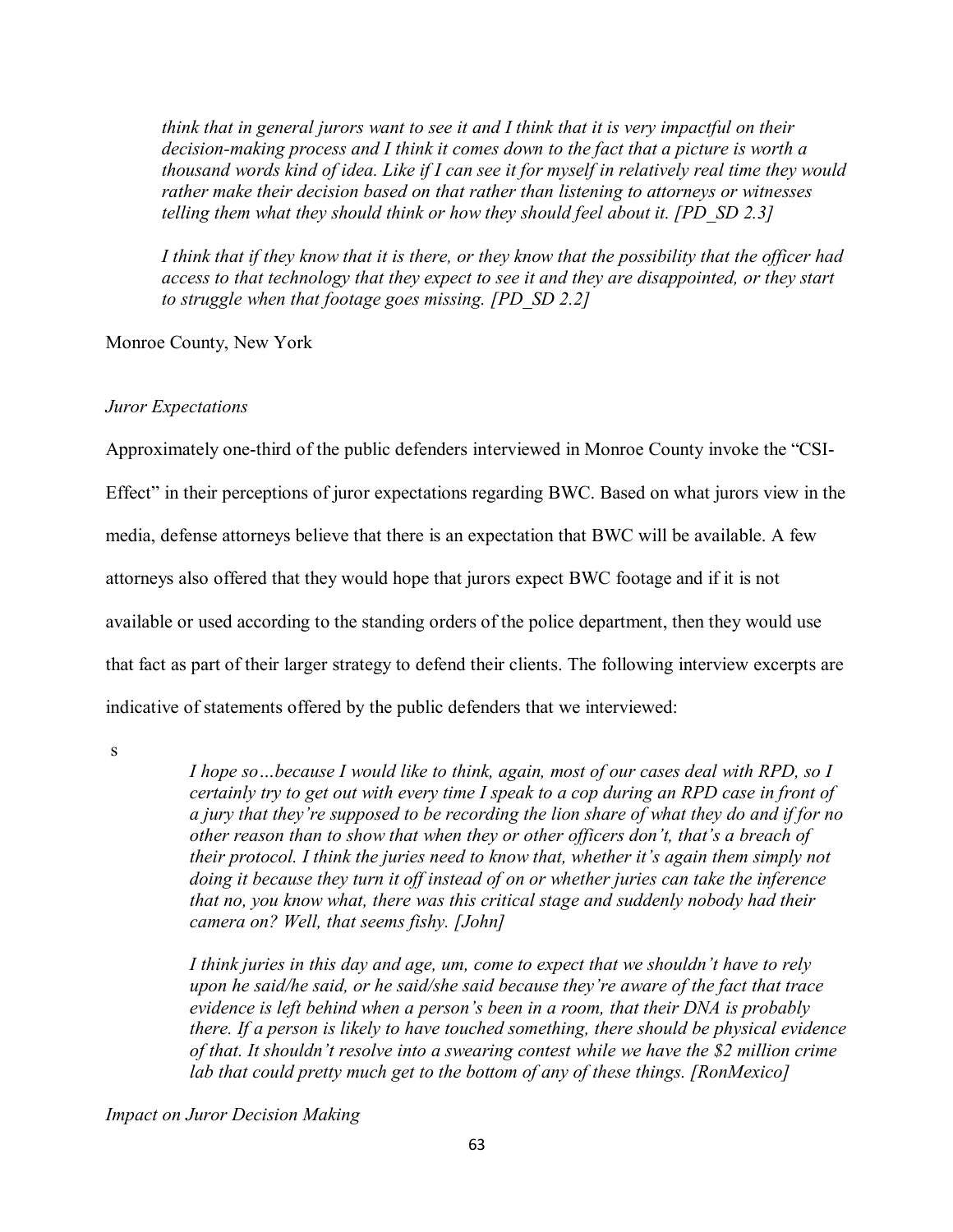*think that in general jurors want to see it and I think that it is very impactful on their decision-making process and I think it comes down to the fact that a picture is worth a thousand words kind of idea. Like if I can see it for myself in relatively real time they would rather make their decision based on that rather than listening to attorneys or witnesses telling them what they should think or how they should feel about it. [PD\_SD 2.3]*

*I think that if they know that it is there, or they know that the possibility that the officer had access to that technology that they expect to see it and they are disappointed, or they start to struggle when that footage goes missing. [PD\_SD 2.2]*

Monroe County, New York

# *Juror Expectations*

Approximately one-third of the public defenders interviewed in Monroe County invoke the "CSI-

Effect" in their perceptions of juror expectations regarding BWC. Based on what jurors view in the

media, defense attorneys believe that there is an expectation that BWC will be available. A few

attorneys also offered that they would hope that jurors expect BWC footage and if it is not

available or used according to the standing orders of the police department, then they would use

that fact as part of their larger strategy to defend their clients. The following interview excerpts are

indicative of statements offered by the public defenders that we interviewed:

s

*I hope so…because I would like to think, again, most of our cases deal with RPD, so I certainly try to get out with every time I speak to a cop during an RPD case in front of a jury that they're supposed to be recording the lion share of what they do and if for no other reason than to show that when they or other officers don't, that's a breach of their protocol. I think the juries need to know that, whether it's again them simply not doing it because they turn it off instead of on or whether juries can take the inference that no, you know what, there was this critical stage and suddenly nobody had their camera on? Well, that seems fishy. [John]*

*I think juries in this day and age, um, come to expect that we shouldn't have to rely upon he said/he said, or he said/she said because they're aware of the fact that trace evidence is left behind when a person's been in a room, that their DNA is probably there. If a person is likely to have touched something, there should be physical evidence of that. It shouldn't resolve into a swearing contest while we have the \$2 million crime lab that could pretty much get to the bottom of any of these things. [RonMexico]*

*Impact on Juror Decision Making*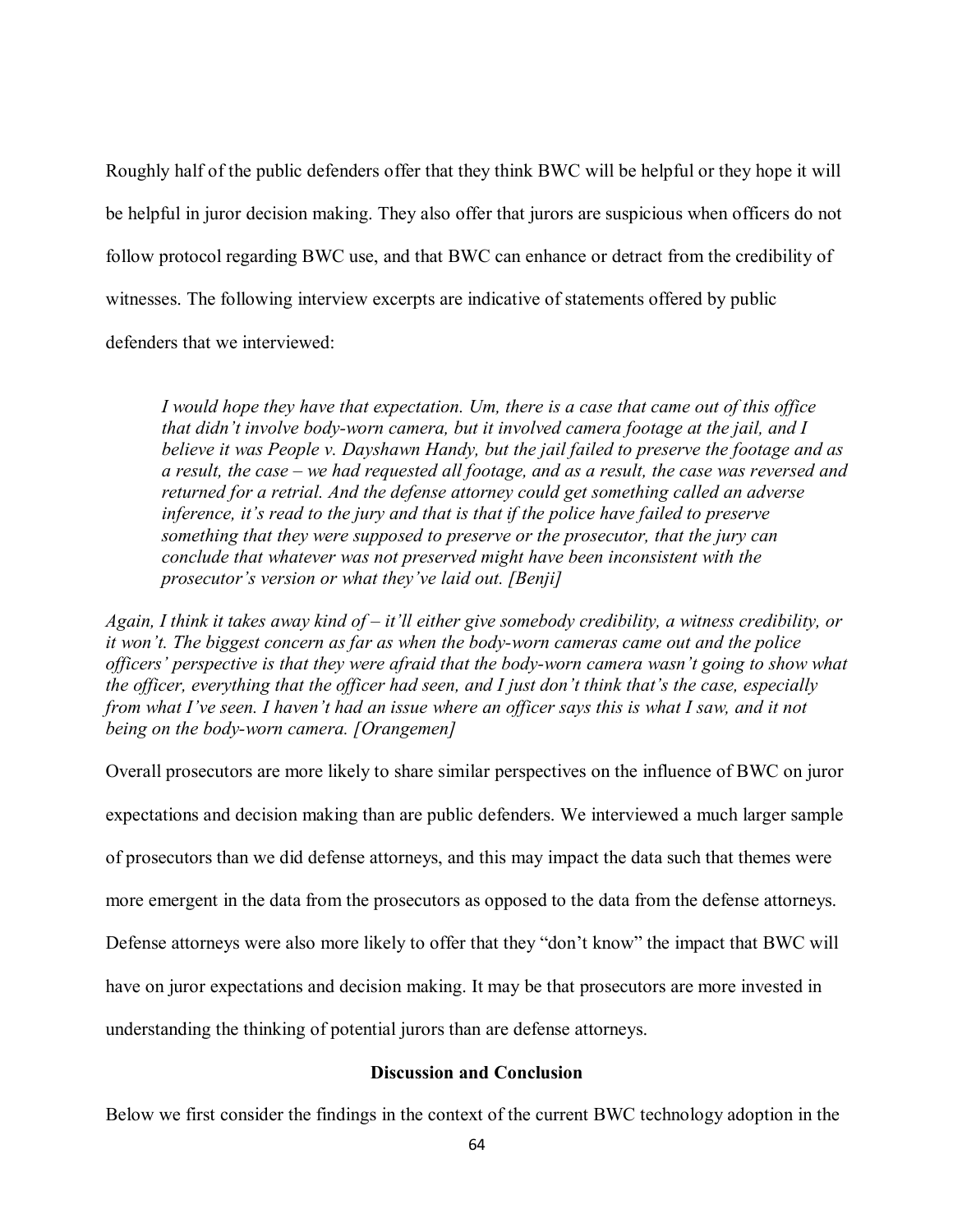Roughly half of the public defenders offer that they think BWC will be helpful or they hope it will be helpful in juror decision making. They also offer that jurors are suspicious when officers do not follow protocol regarding BWC use, and that BWC can enhance or detract from the credibility of witnesses. The following interview excerpts are indicative of statements offered by public defenders that we interviewed:

*I would hope they have that expectation. Um, there is a case that came out of this office that didn't involve body-worn camera, but it involved camera footage at the jail, and I believe it was People v. Dayshawn Handy, but the jail failed to preserve the footage and as a result, the case – we had requested all footage, and as a result, the case was reversed and returned for a retrial. And the defense attorney could get something called an adverse inference, it's read to the jury and that is that if the police have failed to preserve something that they were supposed to preserve or the prosecutor, that the jury can conclude that whatever was not preserved might have been inconsistent with the prosecutor's version or what they've laid out. [Benji]*

*Again, I think it takes away kind of – it'll either give somebody credibility, a witness credibility, or it won't. The biggest concern as far as when the body-worn cameras came out and the police officers' perspective is that they were afraid that the body-worn camera wasn't going to show what the officer, everything that the officer had seen, and I just don't think that's the case, especially from what I've seen. I haven't had an issue where an officer says this is what I saw, and it not being on the body-worn camera. [Orangemen]*

Overall prosecutors are more likely to share similar perspectives on the influence of BWC on juror expectations and decision making than are public defenders. We interviewed a much larger sample of prosecutors than we did defense attorneys, and this may impact the data such that themes were more emergent in the data from the prosecutors as opposed to the data from the defense attorneys.

Defense attorneys were also more likely to offer that they "don't know" the impact that BWC will

have on juror expectations and decision making. It may be that prosecutors are more invested in

understanding the thinking of potential jurors than are defense attorneys.

## **Discussion and Conclusion**

Below we first consider the findings in the context of the current BWC technology adoption in the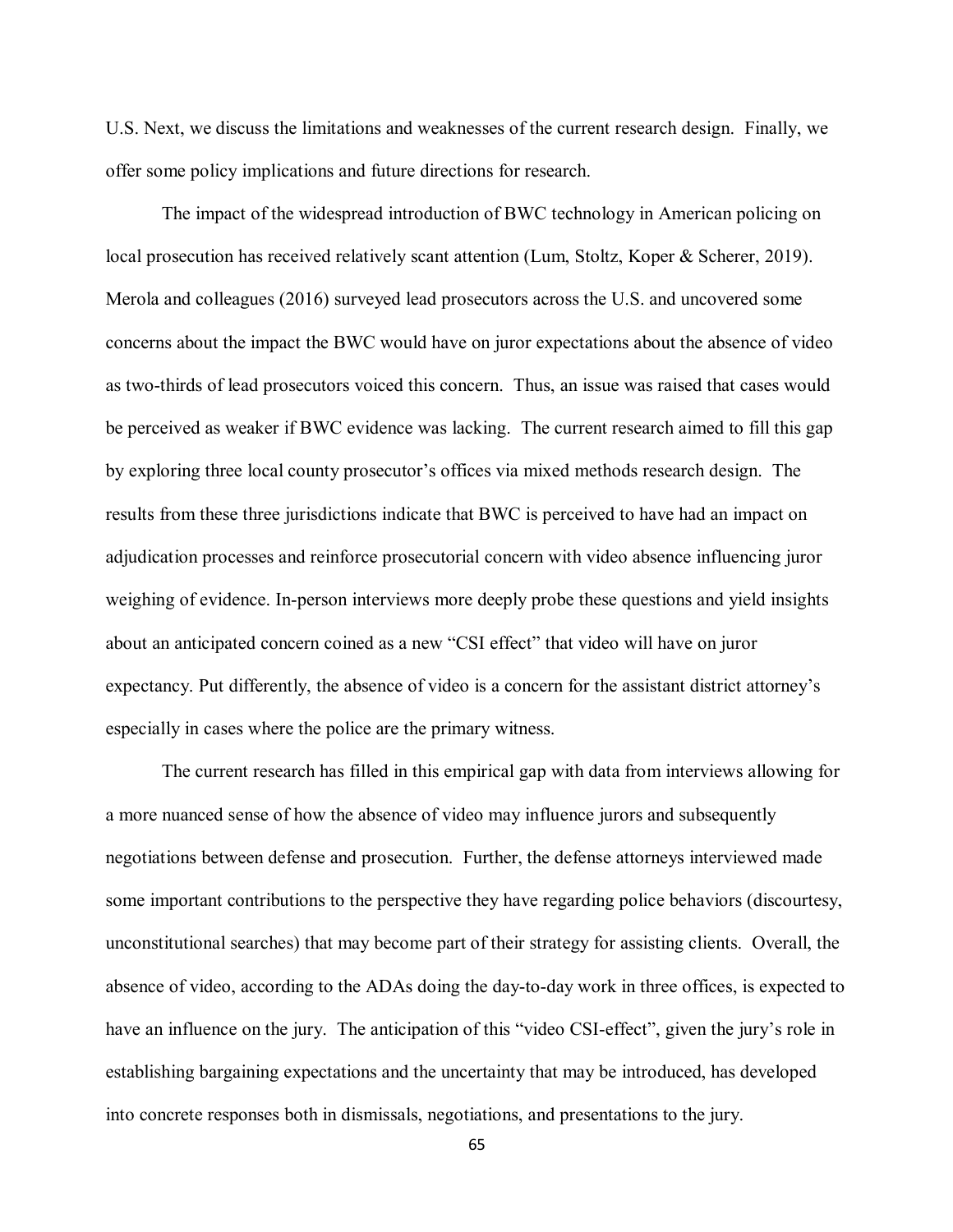U.S. Next, we discuss the limitations and weaknesses of the current research design. Finally, we offer some policy implications and future directions for research.

The impact of the widespread introduction of BWC technology in American policing on local prosecution has received relatively scant attention (Lum, Stoltz, Koper & Scherer, 2019). Merola and colleagues (2016) surveyed lead prosecutors across the U.S. and uncovered some concerns about the impact the BWC would have on juror expectations about the absence of video as two-thirds of lead prosecutors voiced this concern. Thus, an issue was raised that cases would be perceived as weaker if BWC evidence was lacking. The current research aimed to fill this gap by exploring three local county prosecutor's offices via mixed methods research design. The results from these three jurisdictions indicate that BWC is perceived to have had an impact on adjudication processes and reinforce prosecutorial concern with video absence influencing juror weighing of evidence. In-person interviews more deeply probe these questions and yield insights about an anticipated concern coined as a new "CSI effect" that video will have on juror expectancy. Put differently, the absence of video is a concern for the assistant district attorney's especially in cases where the police are the primary witness.

The current research has filled in this empirical gap with data from interviews allowing for a more nuanced sense of how the absence of video may influence jurors and subsequently negotiations between defense and prosecution. Further, the defense attorneys interviewed made some important contributions to the perspective they have regarding police behaviors (discourtesy, unconstitutional searches) that may become part of their strategy for assisting clients. Overall, the absence of video, according to the ADAs doing the day-to-day work in three offices, is expected to have an influence on the jury. The anticipation of this "video CSI-effect", given the jury's role in establishing bargaining expectations and the uncertainty that may be introduced, has developed into concrete responses both in dismissals, negotiations, and presentations to the jury.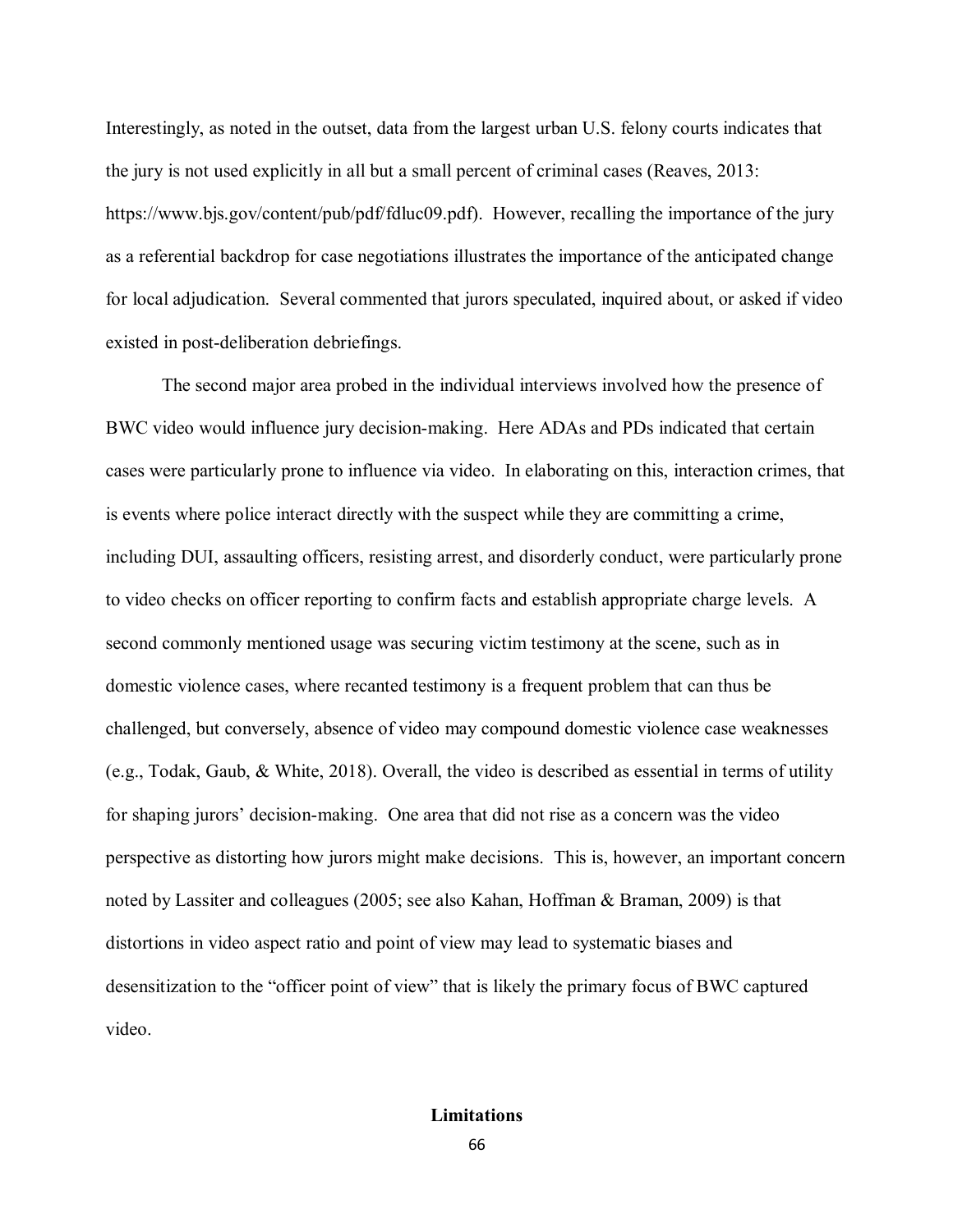Interestingly, as noted in the outset, data from the largest urban U.S. felony courts indicates that the jury is not used explicitly in all but a small percent of criminal cases (Reaves, 2013: https://www.bjs.gov/content/pub/pdf/fdluc09.pdf). However, recalling the importance of the jury as a referential backdrop for case negotiations illustrates the importance of the anticipated change for local adjudication. Several commented that jurors speculated, inquired about, or asked if video existed in post-deliberation debriefings.

The second major area probed in the individual interviews involved how the presence of BWC video would influence jury decision-making. Here ADAs and PDs indicated that certain cases were particularly prone to influence via video. In elaborating on this, interaction crimes, that is events where police interact directly with the suspect while they are committing a crime, including DUI, assaulting officers, resisting arrest, and disorderly conduct, were particularly prone to video checks on officer reporting to confirm facts and establish appropriate charge levels. A second commonly mentioned usage was securing victim testimony at the scene, such as in domestic violence cases, where recanted testimony is a frequent problem that can thus be challenged, but conversely, absence of video may compound domestic violence case weaknesses (e.g., Todak, Gaub, & White, 2018). Overall, the video is described as essential in terms of utility for shaping jurors' decision-making. One area that did not rise as a concern was the video perspective as distorting how jurors might make decisions. This is, however, an important concern noted by Lassiter and colleagues (2005; see also Kahan, Hoffman & Braman, 2009) is that distortions in video aspect ratio and point of view may lead to systematic biases and desensitization to the "officer point of view" that is likely the primary focus of BWC captured video.

## **Limitations**

66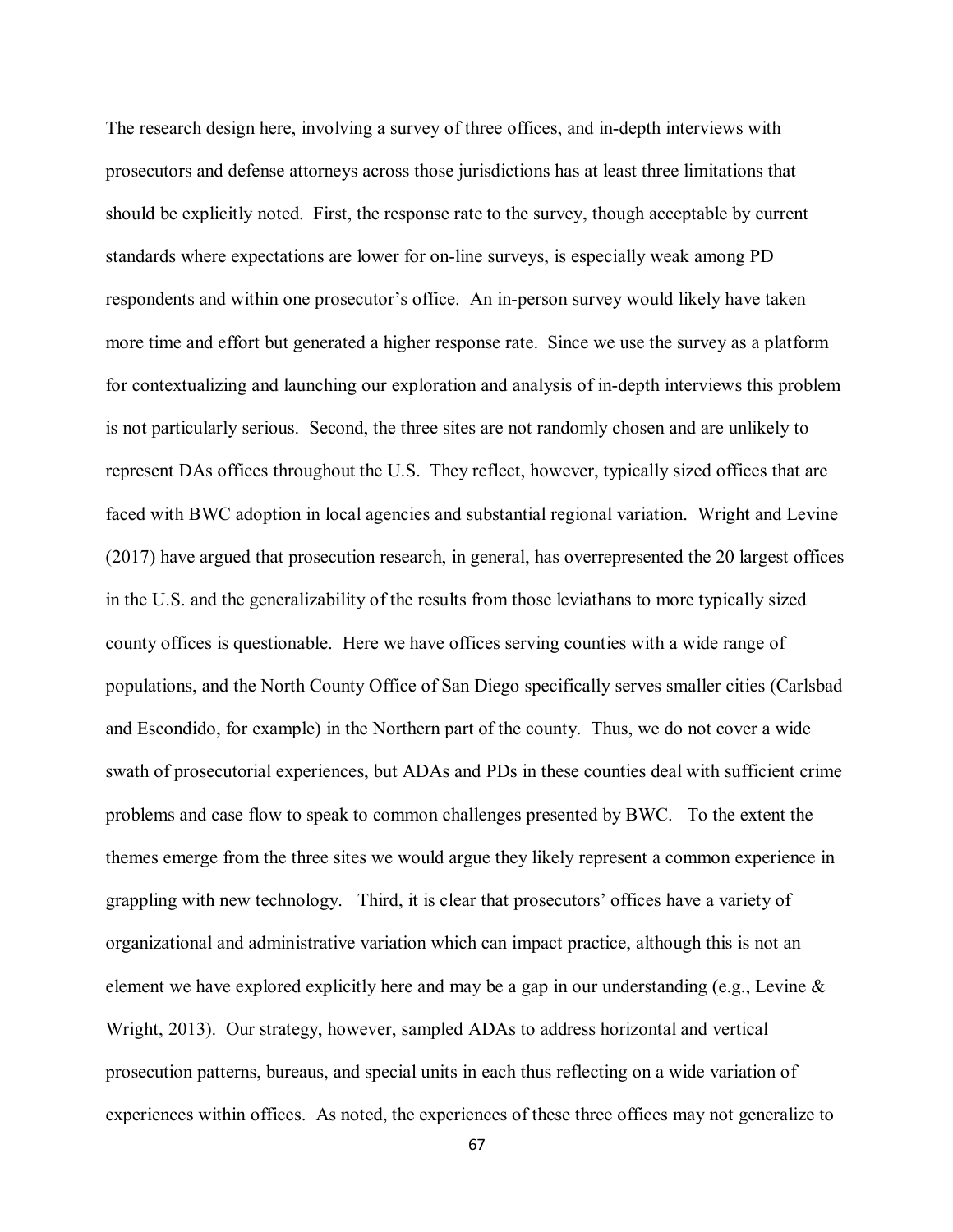The research design here, involving a survey of three offices, and in-depth interviews with prosecutors and defense attorneys across those jurisdictions has at least three limitations that should be explicitly noted. First, the response rate to the survey, though acceptable by current standards where expectations are lower for on-line surveys, is especially weak among PD respondents and within one prosecutor's office. An in-person survey would likely have taken more time and effort but generated a higher response rate. Since we use the survey as a platform for contextualizing and launching our exploration and analysis of in-depth interviews this problem is not particularly serious. Second, the three sites are not randomly chosen and are unlikely to represent DAs offices throughout the U.S. They reflect, however, typically sized offices that are faced with BWC adoption in local agencies and substantial regional variation. Wright and Levine (2017) have argued that prosecution research, in general, has overrepresented the 20 largest offices in the U.S. and the generalizability of the results from those leviathans to more typically sized county offices is questionable. Here we have offices serving counties with a wide range of populations, and the North County Office of San Diego specifically serves smaller cities (Carlsbad and Escondido, for example) in the Northern part of the county. Thus, we do not cover a wide swath of prosecutorial experiences, but ADAs and PDs in these counties deal with sufficient crime problems and case flow to speak to common challenges presented by BWC. To the extent the themes emerge from the three sites we would argue they likely represent a common experience in grappling with new technology. Third, it is clear that prosecutors' offices have a variety of organizational and administrative variation which can impact practice, although this is not an element we have explored explicitly here and may be a gap in our understanding (e.g., Levine  $\&$ Wright, 2013). Our strategy, however, sampled ADAs to address horizontal and vertical prosecution patterns, bureaus, and special units in each thus reflecting on a wide variation of experiences within offices. As noted, the experiences of these three offices may not generalize to

67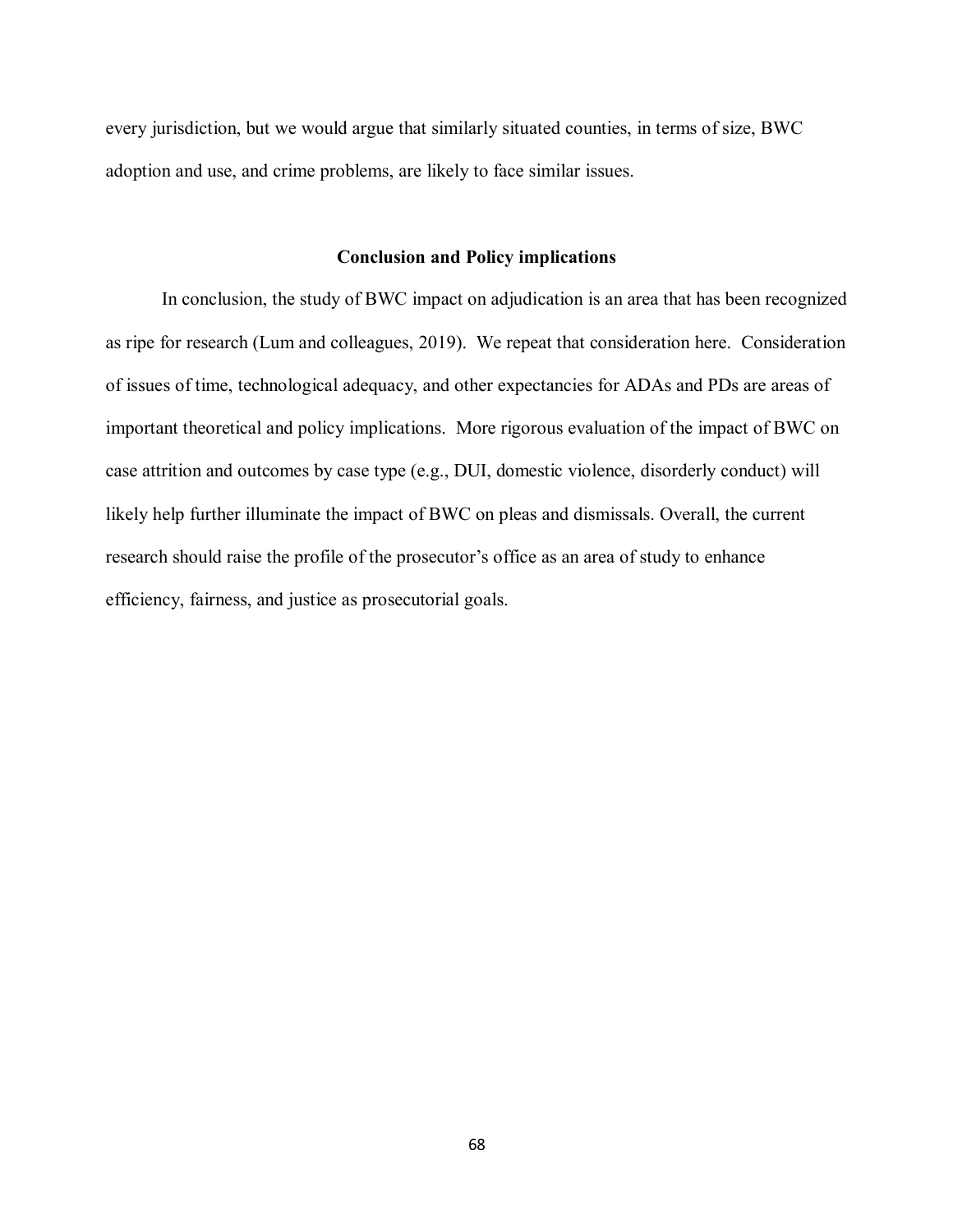every jurisdiction, but we would argue that similarly situated counties, in terms of size, BWC adoption and use, and crime problems, are likely to face similar issues.

## **Conclusion and Policy implications**

In conclusion, the study of BWC impact on adjudication is an area that has been recognized as ripe for research (Lum and colleagues, 2019). We repeat that consideration here. Consideration of issues of time, technological adequacy, and other expectancies for ADAs and PDs are areas of important theoretical and policy implications. More rigorous evaluation of the impact of BWC on case attrition and outcomes by case type (e.g., DUI, domestic violence, disorderly conduct) will likely help further illuminate the impact of BWC on pleas and dismissals. Overall, the current research should raise the profile of the prosecutor's office as an area of study to enhance efficiency, fairness, and justice as prosecutorial goals.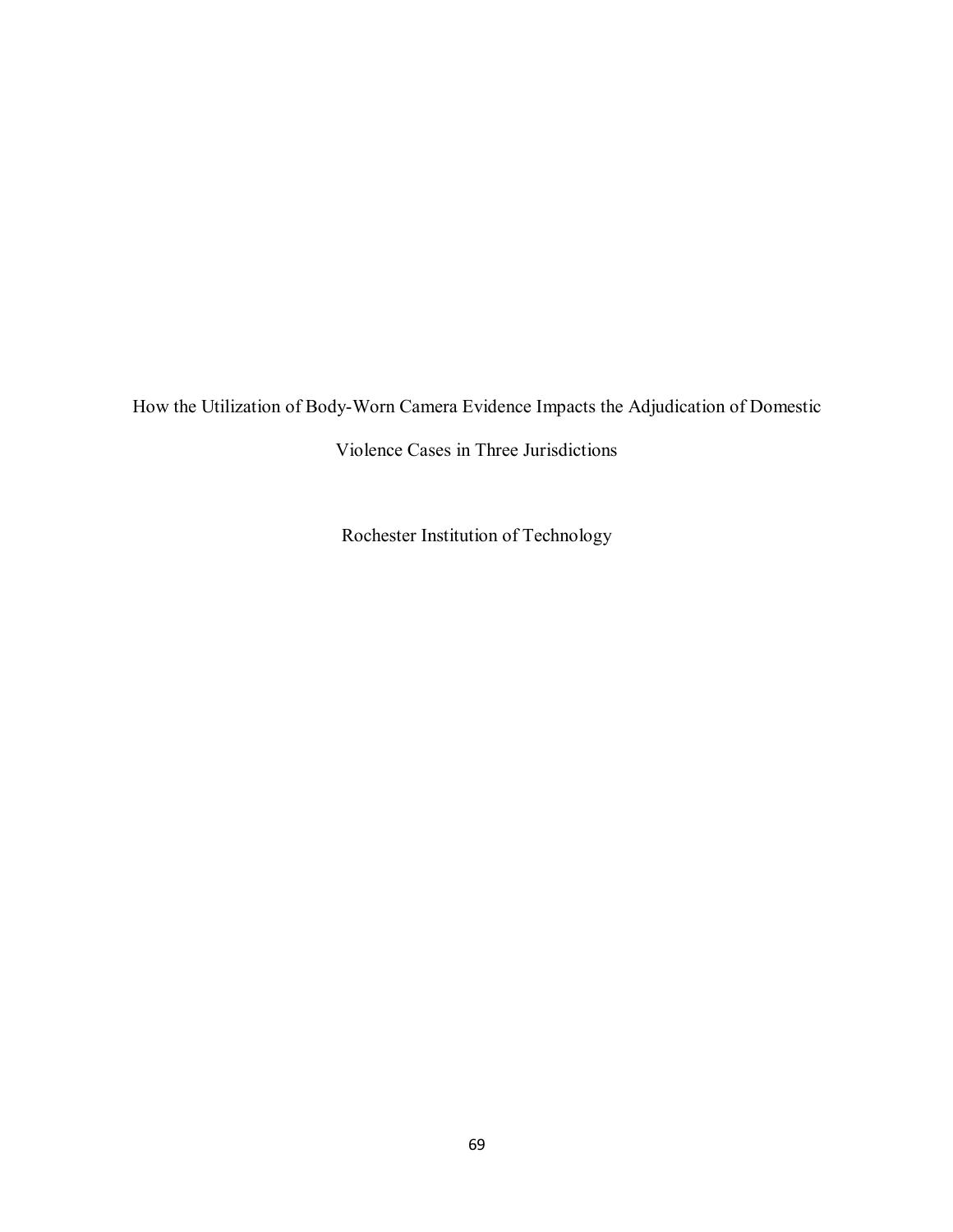How the Utilization of Body-Worn Camera Evidence Impacts the Adjudication of Domestic

Violence Cases in Three Jurisdictions

Rochester Institution of Technology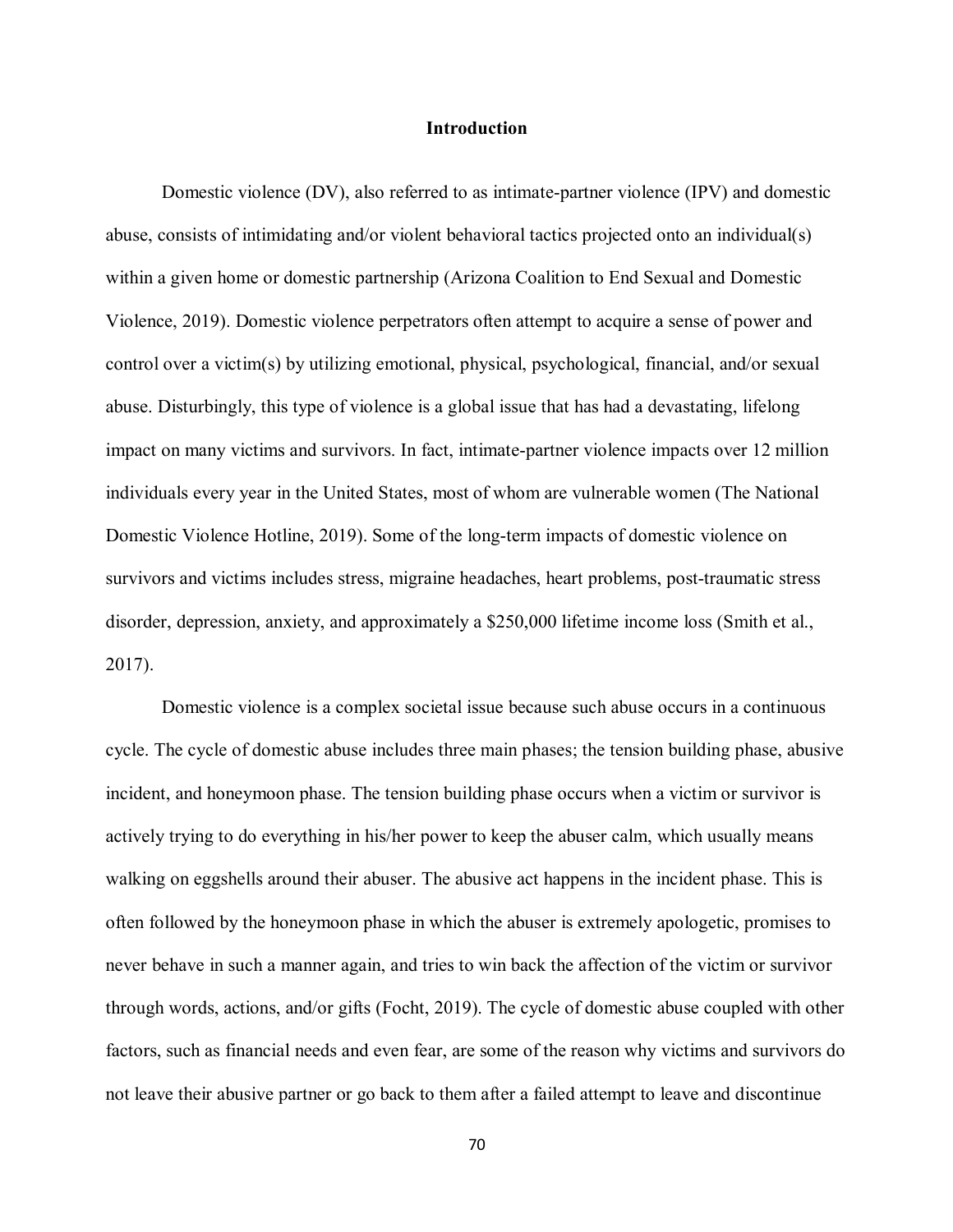#### **Introduction**

Domestic violence (DV), also referred to as intimate-partner violence (IPV) and domestic abuse, consists of intimidating and/or violent behavioral tactics projected onto an individual(s) within a given home or domestic partnership (Arizona Coalition to End Sexual and Domestic Violence, 2019). Domestic violence perpetrators often attempt to acquire a sense of power and control over a victim(s) by utilizing emotional, physical, psychological, financial, and/or sexual abuse. Disturbingly, this type of violence is a global issue that has had a devastating, lifelong impact on many victims and survivors. In fact, intimate-partner violence impacts over 12 million individuals every year in the United States, most of whom are vulnerable women (The National Domestic Violence Hotline, 2019). Some of the long-term impacts of domestic violence on survivors and victims includes stress, migraine headaches, heart problems, post-traumatic stress disorder, depression, anxiety, and approximately a \$250,000 lifetime income loss (Smith et al., 2017).

Domestic violence is a complex societal issue because such abuse occurs in a continuous cycle. The cycle of domestic abuse includes three main phases; the tension building phase, abusive incident, and honeymoon phase. The tension building phase occurs when a victim or survivor is actively trying to do everything in his/her power to keep the abuser calm, which usually means walking on eggshells around their abuser. The abusive act happens in the incident phase. This is often followed by the honeymoon phase in which the abuser is extremely apologetic, promises to never behave in such a manner again, and tries to win back the affection of the victim or survivor through words, actions, and/or gifts (Focht, 2019). The cycle of domestic abuse coupled with other factors, such as financial needs and even fear, are some of the reason why victims and survivors do not leave their abusive partner or go back to them after a failed attempt to leave and discontinue

70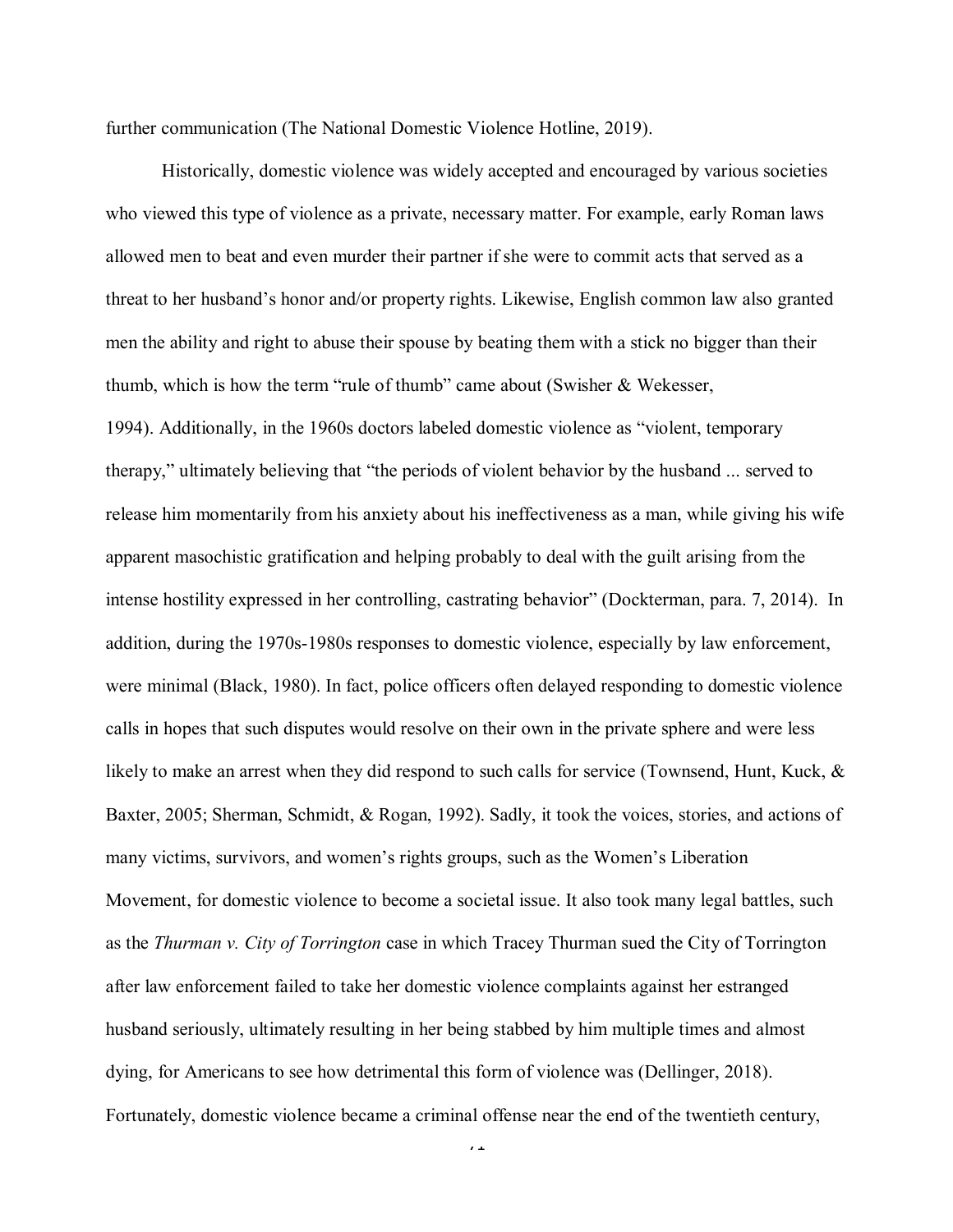further communication (The National Domestic Violence Hotline, 2019).

Historically, domestic violence was widely accepted and encouraged by various societies who viewed this type of violence as a private, necessary matter. For example, early Roman laws allowed men to beat and even murder their partner if she were to commit acts that served as a threat to her husband's honor and/or property rights. Likewise, English common law also granted men the ability and right to abuse their spouse by beating them with a stick no bigger than their thumb, which is how the term "rule of thumb" came about (Swisher & Wekesser, 1994). Additionally, in the 1960s doctors labeled domestic violence as "violent, temporary therapy," ultimately believing that "the periods of violent behavior by the husband ... served to release him momentarily from his anxiety about his ineffectiveness as a man, while giving his wife apparent masochistic gratification and helping probably to deal with the guilt arising from the intense hostility expressed in her controlling, castrating behavior" (Dockterman, para. 7, 2014). In addition, during the 1970s-1980s responses to domestic violence, especially by law enforcement, were minimal (Black, 1980). In fact, police officers often delayed responding to domestic violence calls in hopes that such disputes would resolve on their own in the private sphere and were less likely to make an arrest when they did respond to such calls for service (Townsend, Hunt, Kuck, & Baxter, 2005; Sherman, Schmidt, & Rogan, 1992). Sadly, it took the voices, stories, and actions of many victims, survivors, and women's rights groups, such as the Women's Liberation Movement, for domestic violence to become a societal issue. It also took many legal battles, such as the *Thurman v. City of Torrington* case in which Tracey Thurman sued the City of Torrington after law enforcement failed to take her domestic violence complaints against her estranged husband seriously, ultimately resulting in her being stabbed by him multiple times and almost dying, for Americans to see how detrimental this form of violence was (Dellinger, 2018). Fortunately, domestic violence became a criminal offense near the end of the twentieth century,

 $\overline{1}$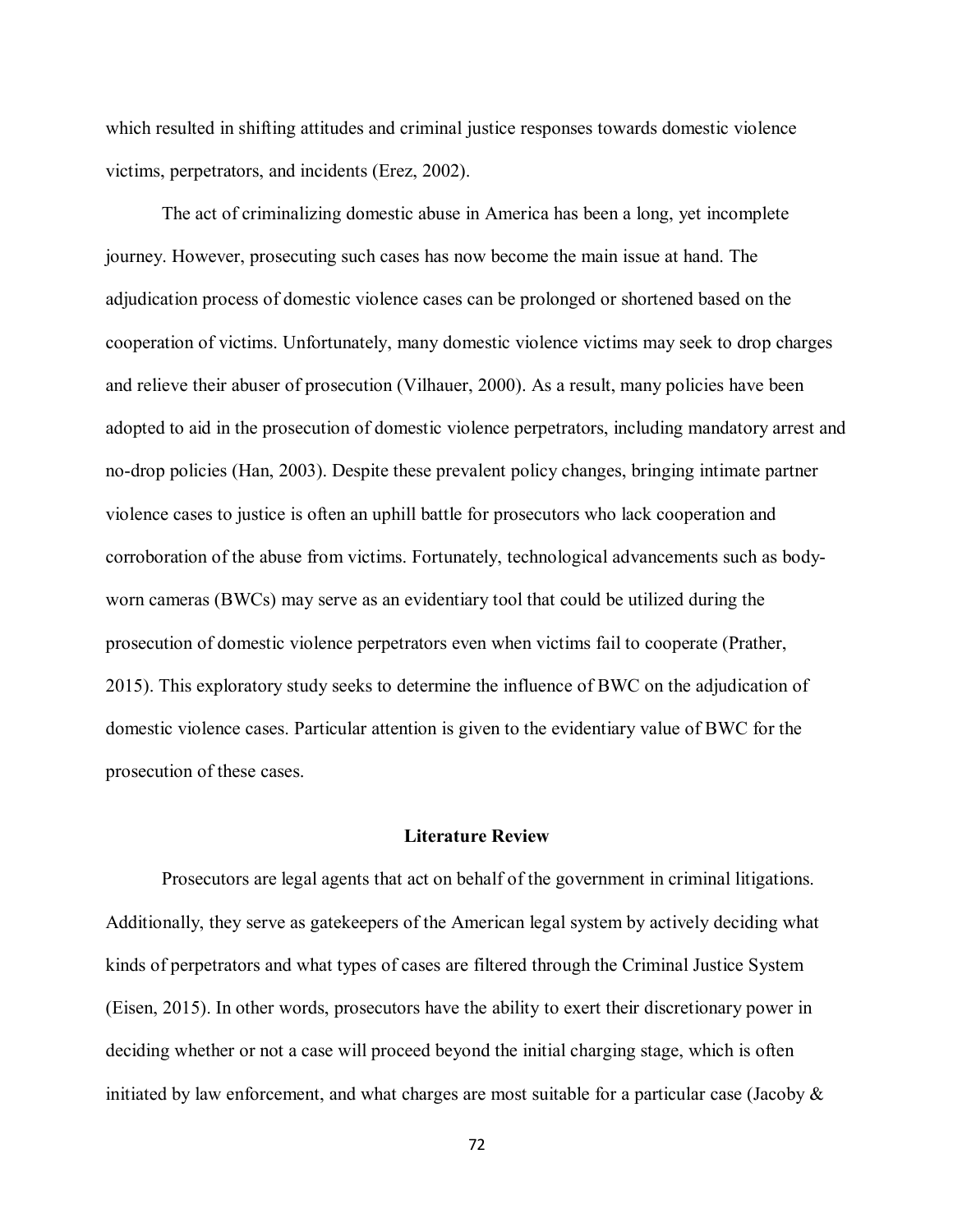which resulted in shifting attitudes and criminal justice responses towards domestic violence victims, perpetrators, and incidents (Erez, 2002).

The act of criminalizing domestic abuse in America has been a long, yet incomplete journey. However, prosecuting such cases has now become the main issue at hand. The adjudication process of domestic violence cases can be prolonged or shortened based on the cooperation of victims. Unfortunately, many domestic violence victims may seek to drop charges and relieve their abuser of prosecution (Vilhauer, 2000). As a result, many policies have been adopted to aid in the prosecution of domestic violence perpetrators, including mandatory arrest and no-drop policies (Han, 2003). Despite these prevalent policy changes, bringing intimate partner violence cases to justice is often an uphill battle for prosecutors who lack cooperation and corroboration of the abuse from victims. Fortunately, technological advancements such as bodyworn cameras (BWCs) may serve as an evidentiary tool that could be utilized during the prosecution of domestic violence perpetrators even when victims fail to cooperate (Prather, 2015). This exploratory study seeks to determine the influence of BWC on the adjudication of domestic violence cases. Particular attention is given to the evidentiary value of BWC for the prosecution of these cases.

#### **Literature Review**

Prosecutors are legal agents that act on behalf of the government in criminal litigations. Additionally, they serve as gatekeepers of the American legal system by actively deciding what kinds of perpetrators and what types of cases are filtered through the Criminal Justice System (Eisen, 2015). In other words, prosecutors have the ability to exert their discretionary power in deciding whether or not a case will proceed beyond the initial charging stage, which is often initiated by law enforcement, and what charges are most suitable for a particular case (Jacoby &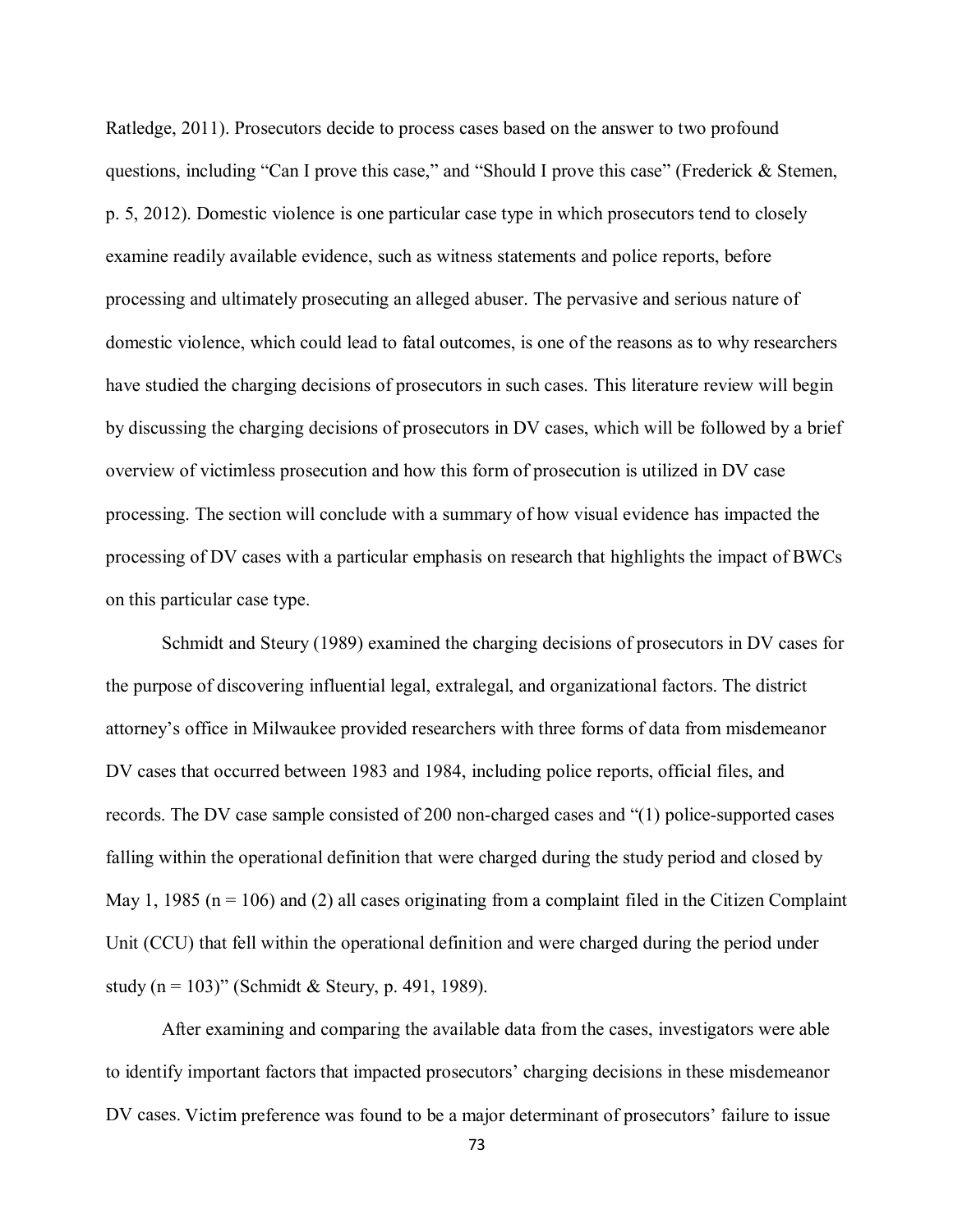Ratledge, 2011). Prosecutors decide to process cases based on the answer to two profound questions, including "Can I prove this case," and "Should I prove this case" (Frederick & Stemen, p. 5, 2012). Domestic violence is one particular case type in which prosecutors tend to closely examine readily available evidence, such as witness statements and police reports, before processing and ultimately prosecuting an alleged abuser. The pervasive and serious nature of domestic violence, which could lead to fatal outcomes, is one of the reasons as to why researchers have studied the charging decisions of prosecutors in such cases. This literature review will begin by discussing the charging decisions of prosecutors in DV cases, which will be followed by a brief overview of victimless prosecution and how this form of prosecution is utilized in DV case processing. The section will conclude with a summary of how visual evidence has impacted the processing of DV cases with a particular emphasis on research that highlights the impact of BWCs on this particular case type.

Schmidt and Steury (1989) examined the charging decisions of prosecutors in DV cases for the purpose of discovering influential legal, extralegal, and organizational factors. The district attorney's office in Milwaukee provided researchers with three forms of data from misdemeanor DV cases that occurred between 1983 and 1984, including police reports, official files, and records. The DV case sample consisted of 200 non-charged cases and "(1) police-supported cases falling within the operational definition that were charged during the study period and closed by May 1, 1985 ( $n = 106$ ) and (2) all cases originating from a complaint filed in the Citizen Complaint Unit (CCU) that fell within the operational definition and were charged during the period under study (n = 103)" (Schmidt & Steury, p. 491, 1989).

After examining and comparing the available data from the cases, investigators were able to identify important factors that impacted prosecutors' charging decisions in these misdemeanor DV cases. Victim preference was found to be a major determinant of prosecutors' failure to issue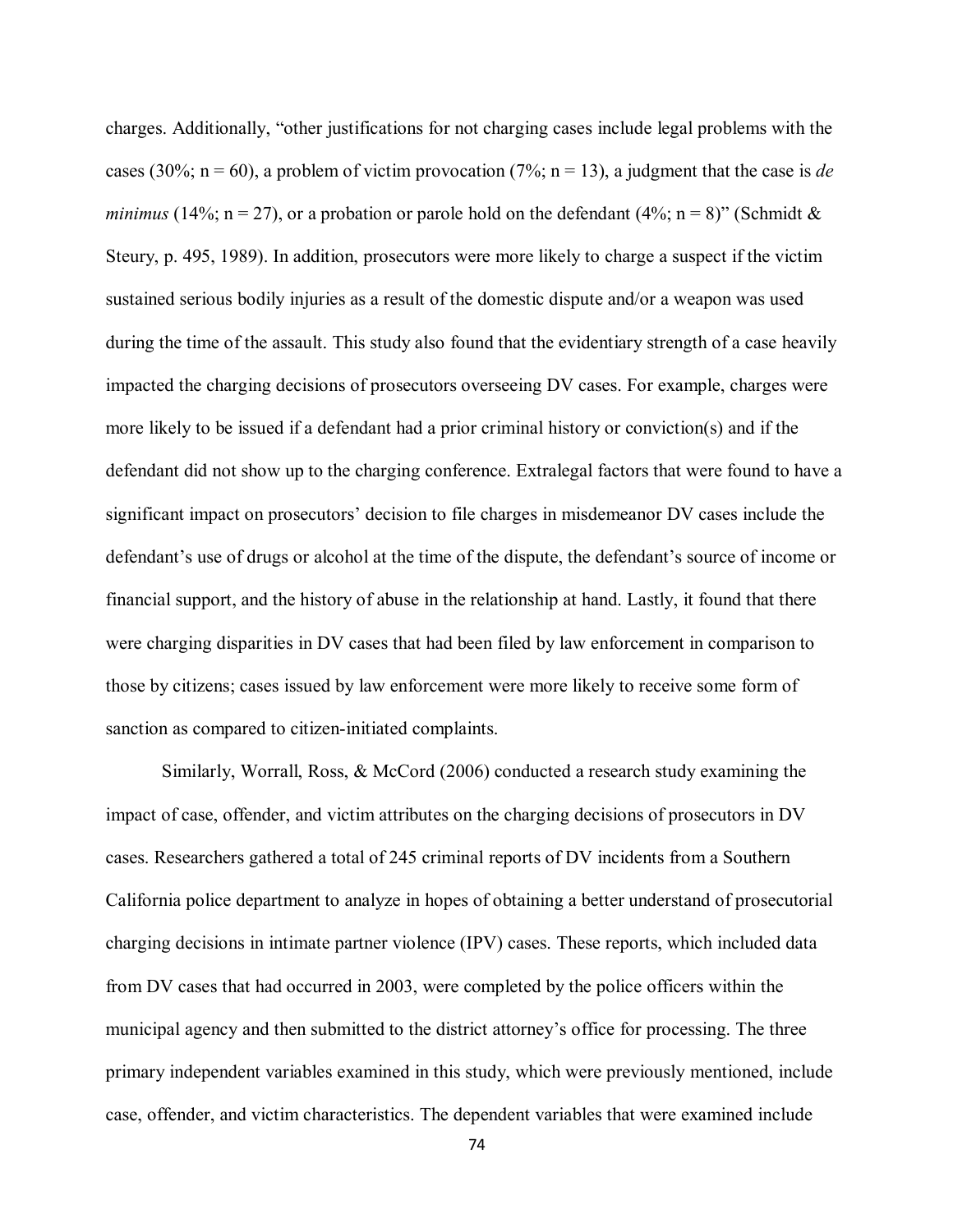charges. Additionally, "other justifications for not charging cases include legal problems with the cases (30%;  $n = 60$ ), a problem of victim provocation (7%;  $n = 13$ ), a judgment that the case is *de minimus* (14%;  $n = 27$ ), or a probation or parole hold on the defendant (4%;  $n = 8$ )" (Schmidt & Steury, p. 495, 1989). In addition, prosecutors were more likely to charge a suspect if the victim sustained serious bodily injuries as a result of the domestic dispute and/or a weapon was used during the time of the assault. This study also found that the evidentiary strength of a case heavily impacted the charging decisions of prosecutors overseeing DV cases. For example, charges were more likely to be issued if a defendant had a prior criminal history or conviction(s) and if the defendant did not show up to the charging conference. Extralegal factors that were found to have a significant impact on prosecutors' decision to file charges in misdemeanor DV cases include the defendant's use of drugs or alcohol at the time of the dispute, the defendant's source of income or financial support, and the history of abuse in the relationship at hand. Lastly, it found that there were charging disparities in DV cases that had been filed by law enforcement in comparison to those by citizens; cases issued by law enforcement were more likely to receive some form of sanction as compared to citizen-initiated complaints.

Similarly, Worrall, Ross, & McCord (2006) conducted a research study examining the impact of case, offender, and victim attributes on the charging decisions of prosecutors in DV cases. Researchers gathered a total of 245 criminal reports of DV incidents from a Southern California police department to analyze in hopes of obtaining a better understand of prosecutorial charging decisions in intimate partner violence (IPV) cases. These reports, which included data from DV cases that had occurred in 2003, were completed by the police officers within the municipal agency and then submitted to the district attorney's office for processing. The three primary independent variables examined in this study, which were previously mentioned, include case, offender, and victim characteristics. The dependent variables that were examined include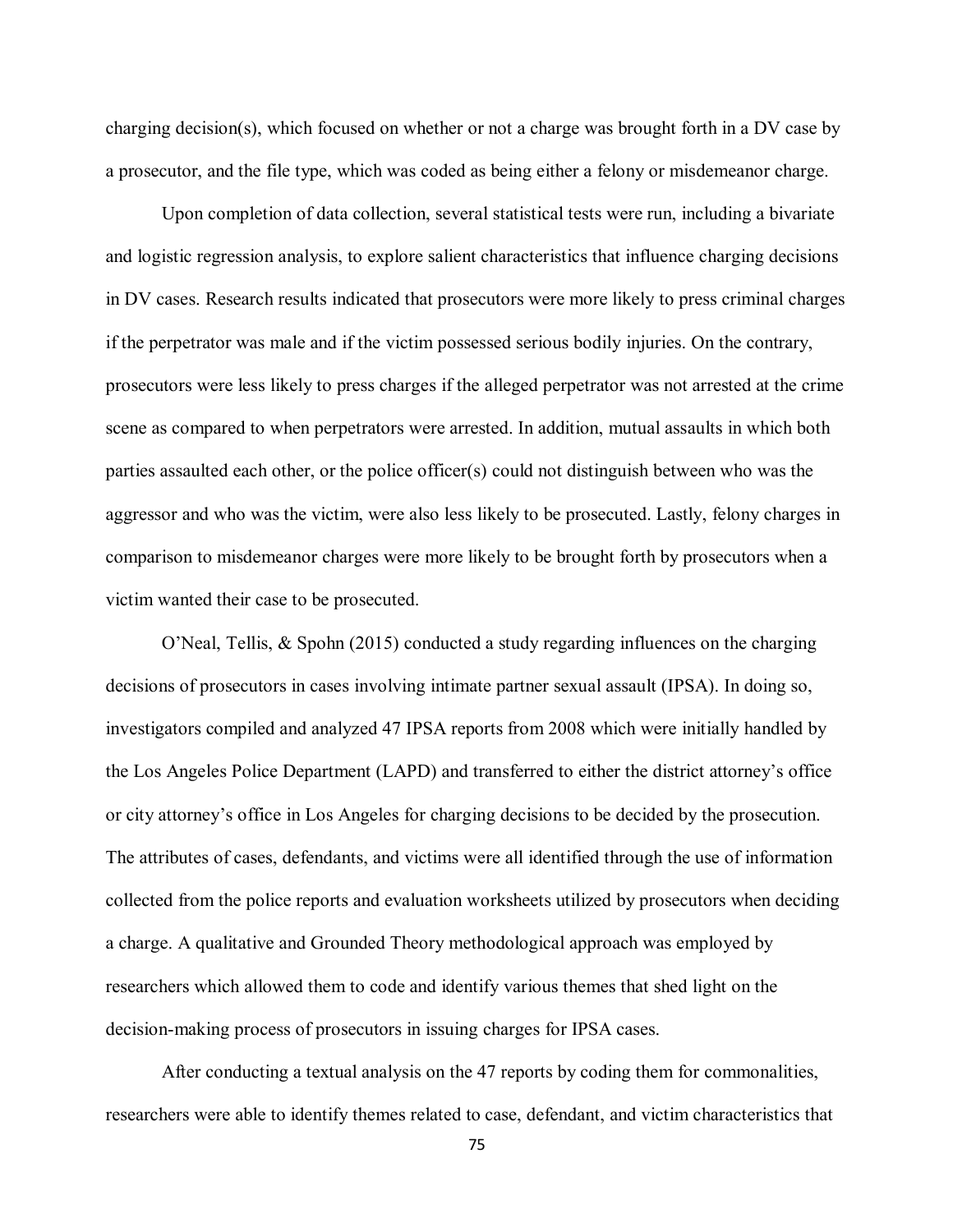charging decision(s), which focused on whether or not a charge was brought forth in a DV case by a prosecutor, and the file type, which was coded as being either a felony or misdemeanor charge.

Upon completion of data collection, several statistical tests were run, including a bivariate and logistic regression analysis, to explore salient characteristics that influence charging decisions in DV cases. Research results indicated that prosecutors were more likely to press criminal charges if the perpetrator was male and if the victim possessed serious bodily injuries. On the contrary, prosecutors were less likely to press charges if the alleged perpetrator was not arrested at the crime scene as compared to when perpetrators were arrested. In addition, mutual assaults in which both parties assaulted each other, or the police officer(s) could not distinguish between who was the aggressor and who was the victim, were also less likely to be prosecuted. Lastly, felony charges in comparison to misdemeanor charges were more likely to be brought forth by prosecutors when a victim wanted their case to be prosecuted.

O'Neal, Tellis, & Spohn (2015) conducted a study regarding influences on the charging decisions of prosecutors in cases involving intimate partner sexual assault (IPSA). In doing so, investigators compiled and analyzed 47 IPSA reports from 2008 which were initially handled by the Los Angeles Police Department (LAPD) and transferred to either the district attorney's office or city attorney's office in Los Angeles for charging decisions to be decided by the prosecution. The attributes of cases, defendants, and victims were all identified through the use of information collected from the police reports and evaluation worksheets utilized by prosecutors when deciding a charge. A qualitative and Grounded Theory methodological approach was employed by researchers which allowed them to code and identify various themes that shed light on the decision-making process of prosecutors in issuing charges for IPSA cases.

After conducting a textual analysis on the 47 reports by coding them for commonalities, researchers were able to identify themes related to case, defendant, and victim characteristics that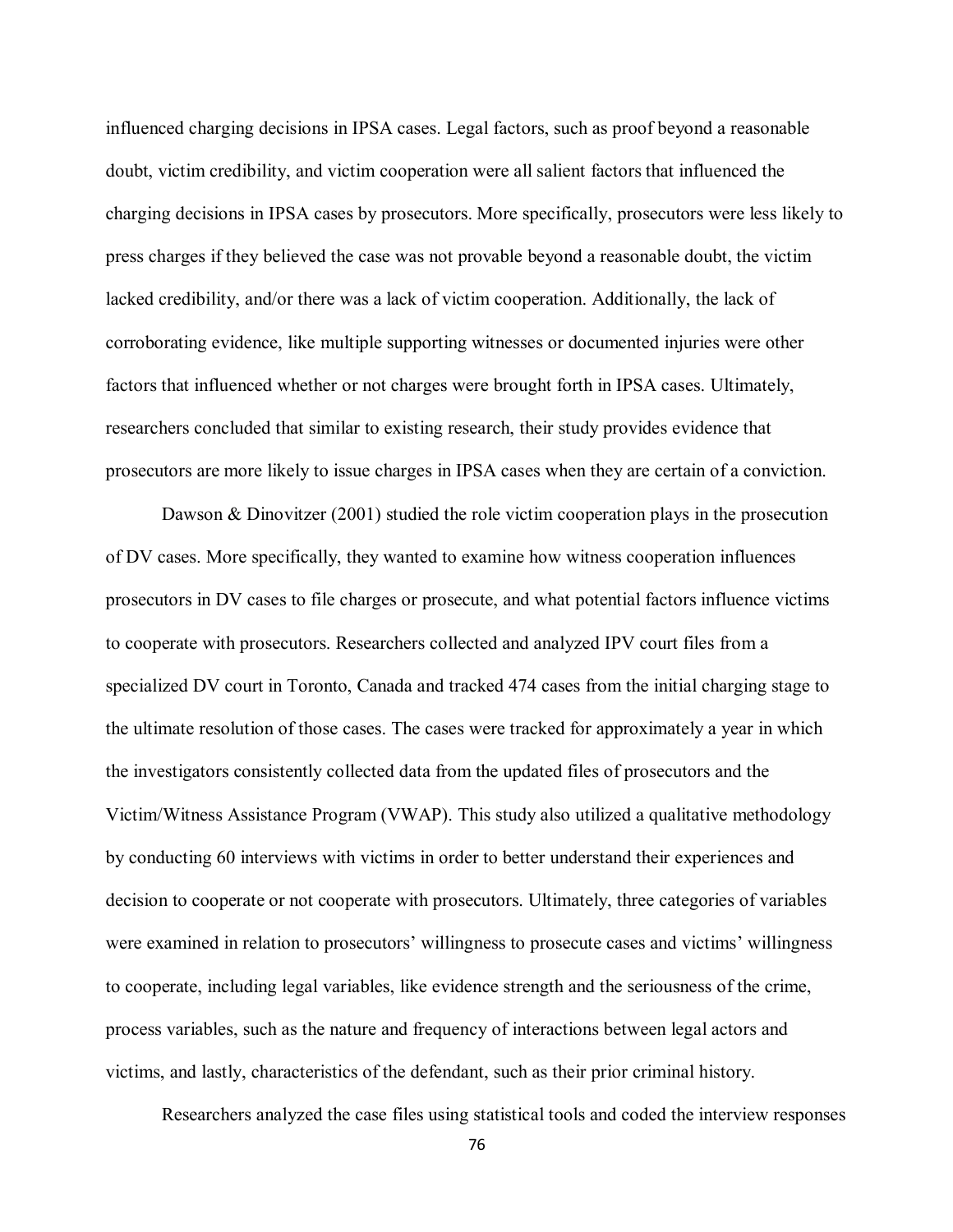influenced charging decisions in IPSA cases. Legal factors, such as proof beyond a reasonable doubt, victim credibility, and victim cooperation were all salient factors that influenced the charging decisions in IPSA cases by prosecutors. More specifically, prosecutors were less likely to press charges if they believed the case was not provable beyond a reasonable doubt, the victim lacked credibility, and/or there was a lack of victim cooperation. Additionally, the lack of corroborating evidence, like multiple supporting witnesses or documented injuries were other factors that influenced whether or not charges were brought forth in IPSA cases. Ultimately, researchers concluded that similar to existing research, their study provides evidence that prosecutors are more likely to issue charges in IPSA cases when they are certain of a conviction.

Dawson & Dinovitzer (2001) studied the role victim cooperation plays in the prosecution of DV cases. More specifically, they wanted to examine how witness cooperation influences prosecutors in DV cases to file charges or prosecute, and what potential factors influence victims to cooperate with prosecutors. Researchers collected and analyzed IPV court files from a specialized DV court in Toronto, Canada and tracked 474 cases from the initial charging stage to the ultimate resolution of those cases. The cases were tracked for approximately a year in which the investigators consistently collected data from the updated files of prosecutors and the Victim/Witness Assistance Program (VWAP). This study also utilized a qualitative methodology by conducting 60 interviews with victims in order to better understand their experiences and decision to cooperate or not cooperate with prosecutors. Ultimately, three categories of variables were examined in relation to prosecutors' willingness to prosecute cases and victims' willingness to cooperate, including legal variables, like evidence strength and the seriousness of the crime, process variables, such as the nature and frequency of interactions between legal actors and victims, and lastly, characteristics of the defendant, such as their prior criminal history.

Researchers analyzed the case files using statistical tools and coded the interview responses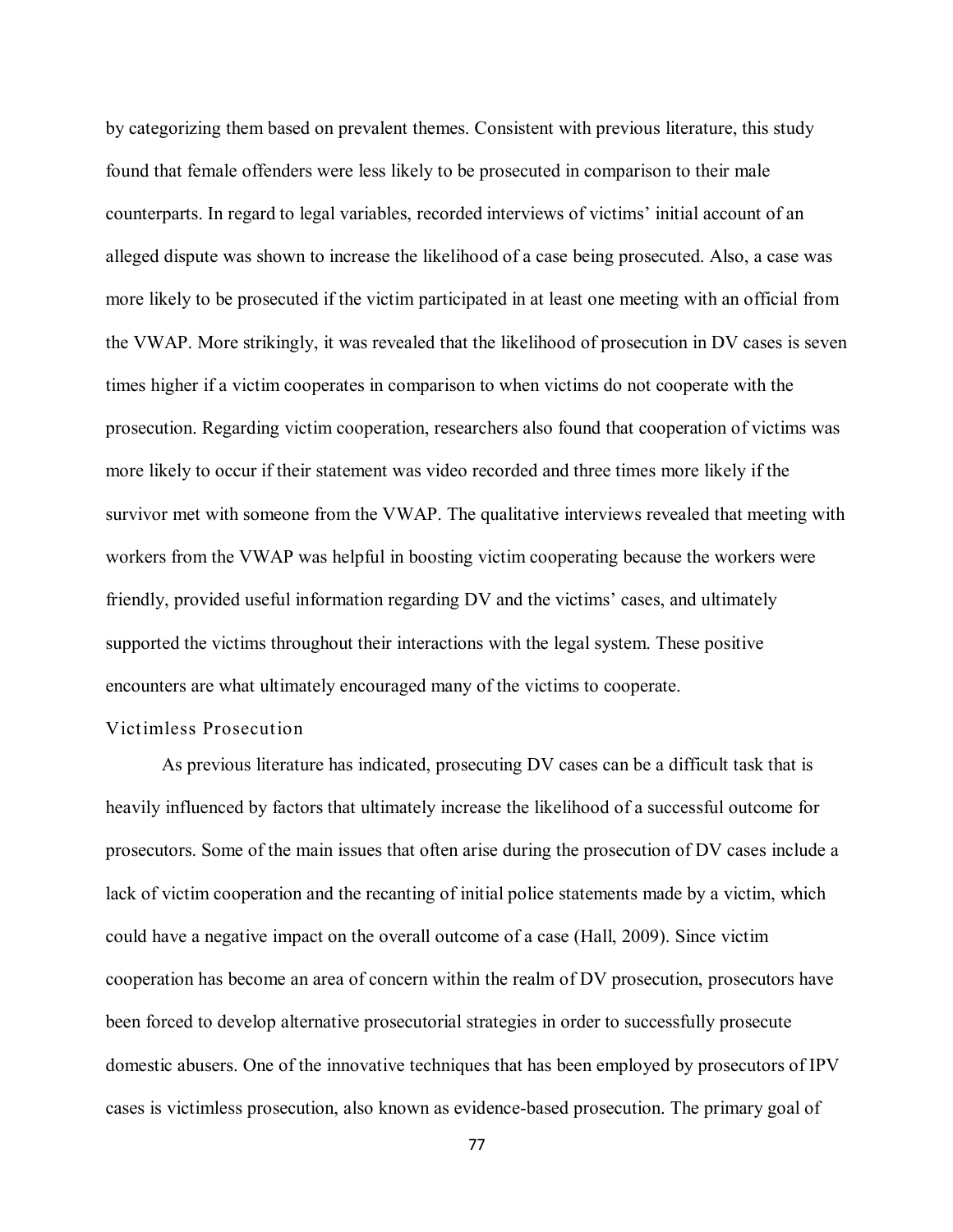by categorizing them based on prevalent themes. Consistent with previous literature, this study found that female offenders were less likely to be prosecuted in comparison to their male counterparts. In regard to legal variables, recorded interviews of victims' initial account of an alleged dispute was shown to increase the likelihood of a case being prosecuted. Also, a case was more likely to be prosecuted if the victim participated in at least one meeting with an official from the VWAP. More strikingly, it was revealed that the likelihood of prosecution in DV cases is seven times higher if a victim cooperates in comparison to when victims do not cooperate with the prosecution. Regarding victim cooperation, researchers also found that cooperation of victims was more likely to occur if their statement was video recorded and three times more likely if the survivor met with someone from the VWAP. The qualitative interviews revealed that meeting with workers from the VWAP was helpful in boosting victim cooperating because the workers were friendly, provided useful information regarding DV and the victims' cases, and ultimately supported the victims throughout their interactions with the legal system. These positive encounters are what ultimately encouraged many of the victims to cooperate.

# Victimless Prosecution

As previous literature has indicated, prosecuting DV cases can be a difficult task that is heavily influenced by factors that ultimately increase the likelihood of a successful outcome for prosecutors. Some of the main issues that often arise during the prosecution of DV cases include a lack of victim cooperation and the recanting of initial police statements made by a victim, which could have a negative impact on the overall outcome of a case (Hall, 2009). Since victim cooperation has become an area of concern within the realm of DV prosecution, prosecutors have been forced to develop alternative prosecutorial strategies in order to successfully prosecute domestic abusers. One of the innovative techniques that has been employed by prosecutors of IPV cases is victimless prosecution, also known as evidence-based prosecution. The primary goal of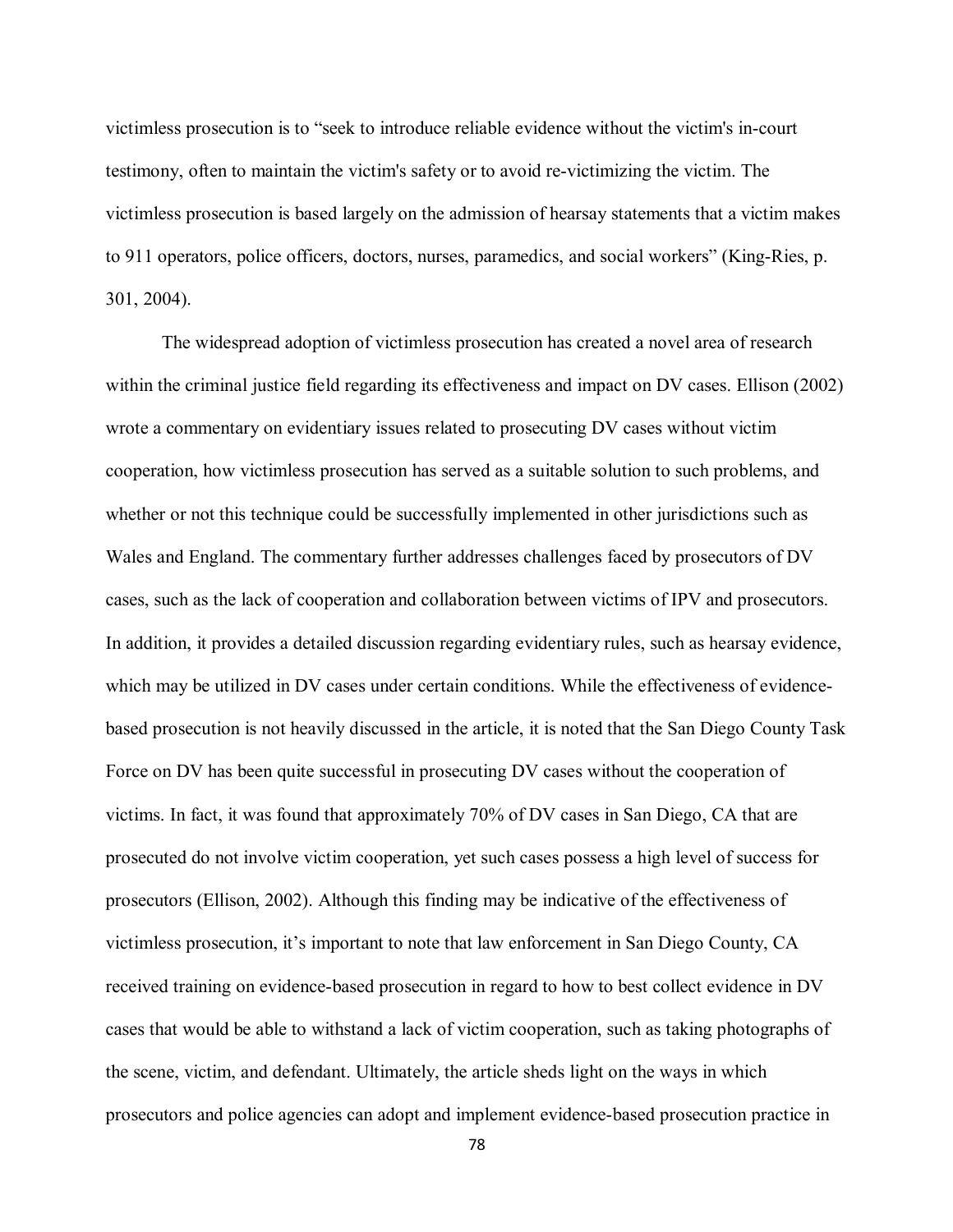victimless prosecution is to "seek to introduce reliable evidence without the victim's in-court testimony, often to maintain the victim's safety or to avoid re-victimizing the victim. The victimless prosecution is based largely on the admission of hearsay statements that a victim makes to 911 operators, police officers, doctors, nurses, paramedics, and social workers" (King-Ries, p. 301, 2004).

The widespread adoption of victimless prosecution has created a novel area of research within the criminal justice field regarding its effectiveness and impact on DV cases. Ellison (2002) wrote a commentary on evidentiary issues related to prosecuting DV cases without victim cooperation, how victimless prosecution has served as a suitable solution to such problems, and whether or not this technique could be successfully implemented in other jurisdictions such as Wales and England. The commentary further addresses challenges faced by prosecutors of DV cases, such as the lack of cooperation and collaboration between victims of IPV and prosecutors. In addition, it provides a detailed discussion regarding evidentiary rules, such as hearsay evidence, which may be utilized in DV cases under certain conditions. While the effectiveness of evidencebased prosecution is not heavily discussed in the article, it is noted that the San Diego County Task Force on DV has been quite successful in prosecuting DV cases without the cooperation of victims. In fact, it was found that approximately 70% of DV cases in San Diego, CA that are prosecuted do not involve victim cooperation, yet such cases possess a high level of success for prosecutors (Ellison, 2002). Although this finding may be indicative of the effectiveness of victimless prosecution, it's important to note that law enforcement in San Diego County, CA received training on evidence-based prosecution in regard to how to best collect evidence in DV cases that would be able to withstand a lack of victim cooperation, such as taking photographs of the scene, victim, and defendant. Ultimately, the article sheds light on the ways in which prosecutors and police agencies can adopt and implement evidence-based prosecution practice in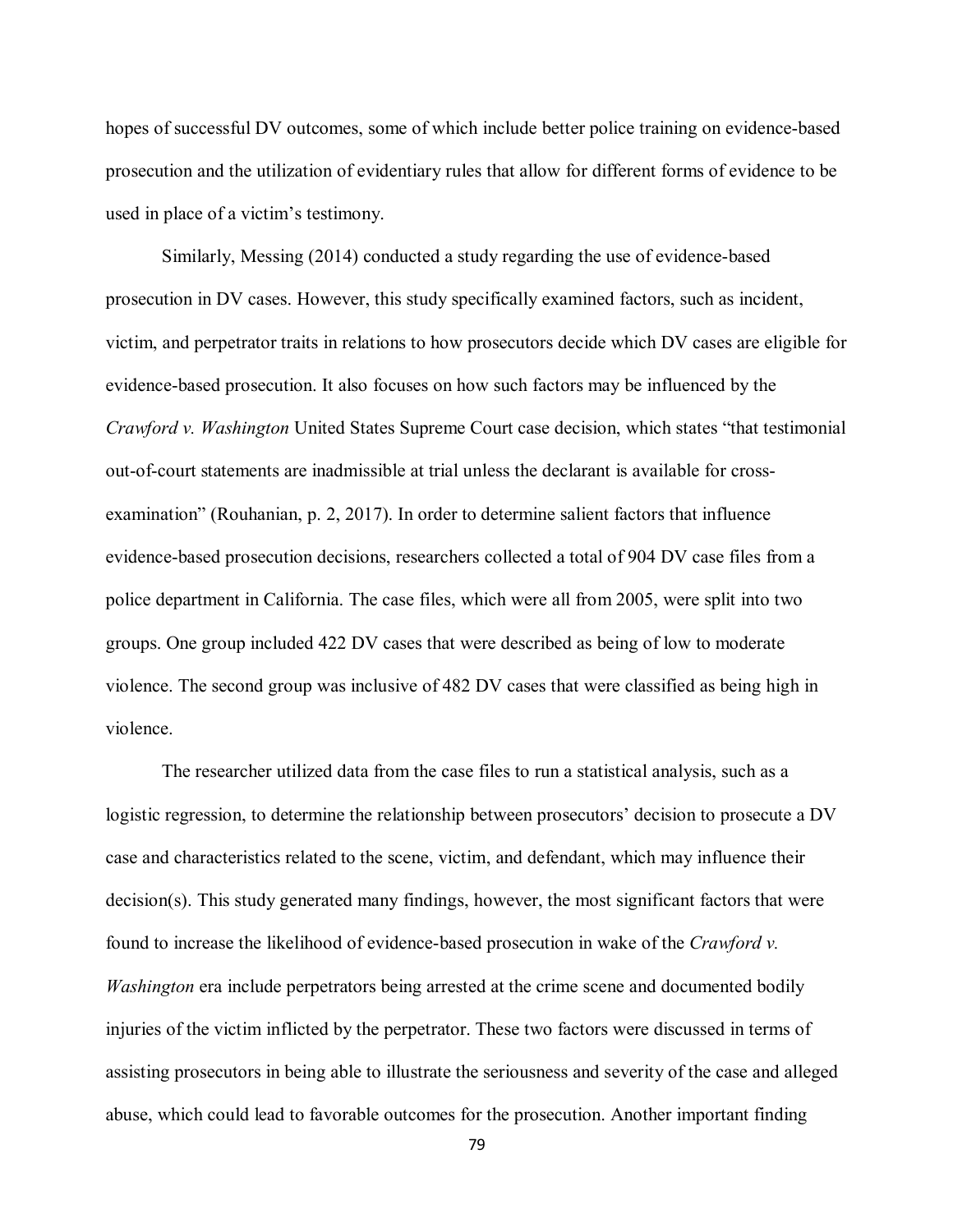hopes of successful DV outcomes, some of which include better police training on evidence-based prosecution and the utilization of evidentiary rules that allow for different forms of evidence to be used in place of a victim's testimony.

Similarly, Messing (2014) conducted a study regarding the use of evidence-based prosecution in DV cases. However, this study specifically examined factors, such as incident, victim, and perpetrator traits in relations to how prosecutors decide which DV cases are eligible for evidence-based prosecution. It also focuses on how such factors may be influenced by the *Crawford v. Washington* United States Supreme Court case decision, which states "that testimonial out-of-court statements are inadmissible at trial unless the declarant is available for crossexamination" (Rouhanian, p. 2, 2017). In order to determine salient factors that influence evidence-based prosecution decisions, researchers collected a total of 904 DV case files from a police department in California. The case files, which were all from 2005, were split into two groups. One group included 422 DV cases that were described as being of low to moderate violence. The second group was inclusive of 482 DV cases that were classified as being high in violence.

The researcher utilized data from the case files to run a statistical analysis, such as a logistic regression, to determine the relationship between prosecutors' decision to prosecute a DV case and characteristics related to the scene, victim, and defendant, which may influence their decision(s). This study generated many findings, however, the most significant factors that were found to increase the likelihood of evidence-based prosecution in wake of the *Crawford v. Washington* era include perpetrators being arrested at the crime scene and documented bodily injuries of the victim inflicted by the perpetrator. These two factors were discussed in terms of assisting prosecutors in being able to illustrate the seriousness and severity of the case and alleged abuse, which could lead to favorable outcomes for the prosecution. Another important finding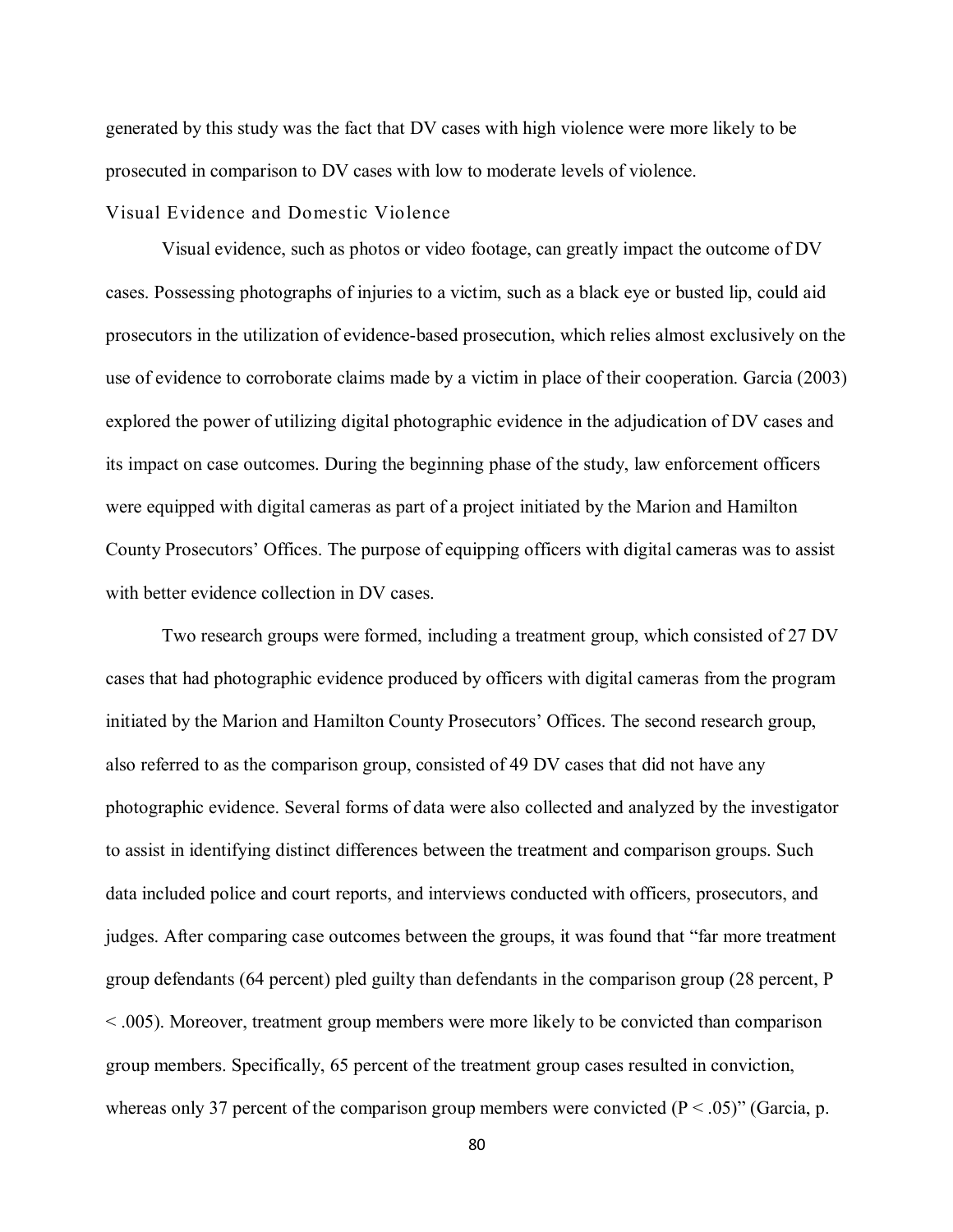generated by this study was the fact that DV cases with high violence were more likely to be prosecuted in comparison to DV cases with low to moderate levels of violence.

#### Visual Evidence and Domestic Violence

Visual evidence, such as photos or video footage, can greatly impact the outcome of DV cases. Possessing photographs of injuries to a victim, such as a black eye or busted lip, could aid prosecutors in the utilization of evidence-based prosecution, which relies almost exclusively on the use of evidence to corroborate claims made by a victim in place of their cooperation. Garcia (2003) explored the power of utilizing digital photographic evidence in the adjudication of DV cases and its impact on case outcomes. During the beginning phase of the study, law enforcement officers were equipped with digital cameras as part of a project initiated by the Marion and Hamilton County Prosecutors' Offices. The purpose of equipping officers with digital cameras was to assist with better evidence collection in DV cases.

Two research groups were formed, including a treatment group, which consisted of 27 DV cases that had photographic evidence produced by officers with digital cameras from the program initiated by the Marion and Hamilton County Prosecutors' Offices. The second research group, also referred to as the comparison group, consisted of 49 DV cases that did not have any photographic evidence. Several forms of data were also collected and analyzed by the investigator to assist in identifying distinct differences between the treatment and comparison groups. Such data included police and court reports, and interviews conducted with officers, prosecutors, and judges. After comparing case outcomes between the groups, it was found that "far more treatment group defendants (64 percent) pled guilty than defendants in the comparison group (28 percent, P < .005). Moreover, treatment group members were more likely to be convicted than comparison group members. Specifically, 65 percent of the treatment group cases resulted in conviction, whereas only 37 percent of the comparison group members were convicted  $(P < .05)$ " (Garcia, p.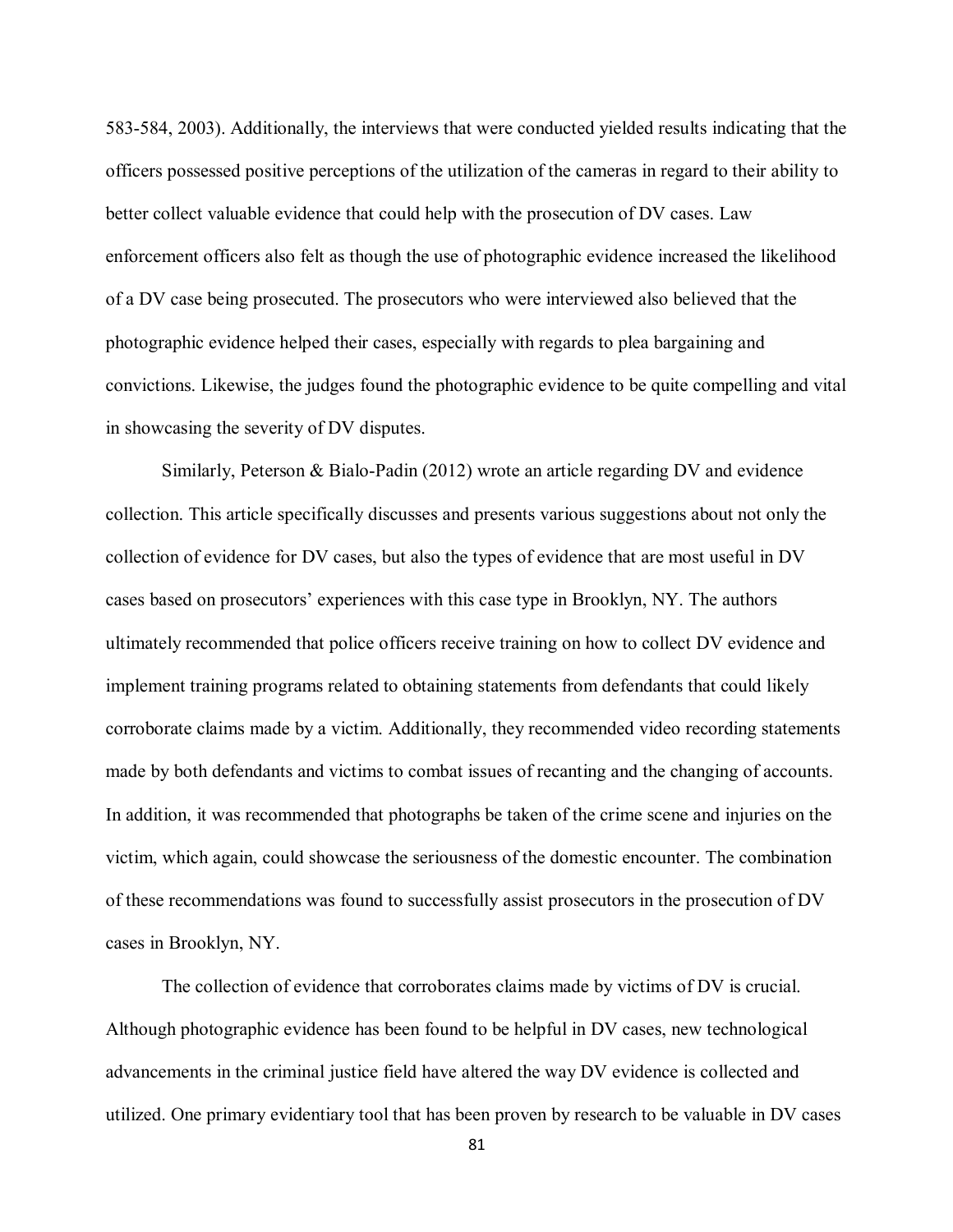583-584, 2003). Additionally, the interviews that were conducted yielded results indicating that the officers possessed positive perceptions of the utilization of the cameras in regard to their ability to better collect valuable evidence that could help with the prosecution of DV cases. Law enforcement officers also felt as though the use of photographic evidence increased the likelihood of a DV case being prosecuted. The prosecutors who were interviewed also believed that the photographic evidence helped their cases, especially with regards to plea bargaining and convictions. Likewise, the judges found the photographic evidence to be quite compelling and vital in showcasing the severity of DV disputes.

Similarly, Peterson & Bialo-Padin (2012) wrote an article regarding DV and evidence collection. This article specifically discusses and presents various suggestions about not only the collection of evidence for DV cases, but also the types of evidence that are most useful in DV cases based on prosecutors' experiences with this case type in Brooklyn, NY. The authors ultimately recommended that police officers receive training on how to collect DV evidence and implement training programs related to obtaining statements from defendants that could likely corroborate claims made by a victim. Additionally, they recommended video recording statements made by both defendants and victims to combat issues of recanting and the changing of accounts. In addition, it was recommended that photographs be taken of the crime scene and injuries on the victim, which again, could showcase the seriousness of the domestic encounter. The combination of these recommendations was found to successfully assist prosecutors in the prosecution of DV cases in Brooklyn, NY.

The collection of evidence that corroborates claims made by victims of DV is crucial. Although photographic evidence has been found to be helpful in DV cases, new technological advancements in the criminal justice field have altered the way DV evidence is collected and utilized. One primary evidentiary tool that has been proven by research to be valuable in DV cases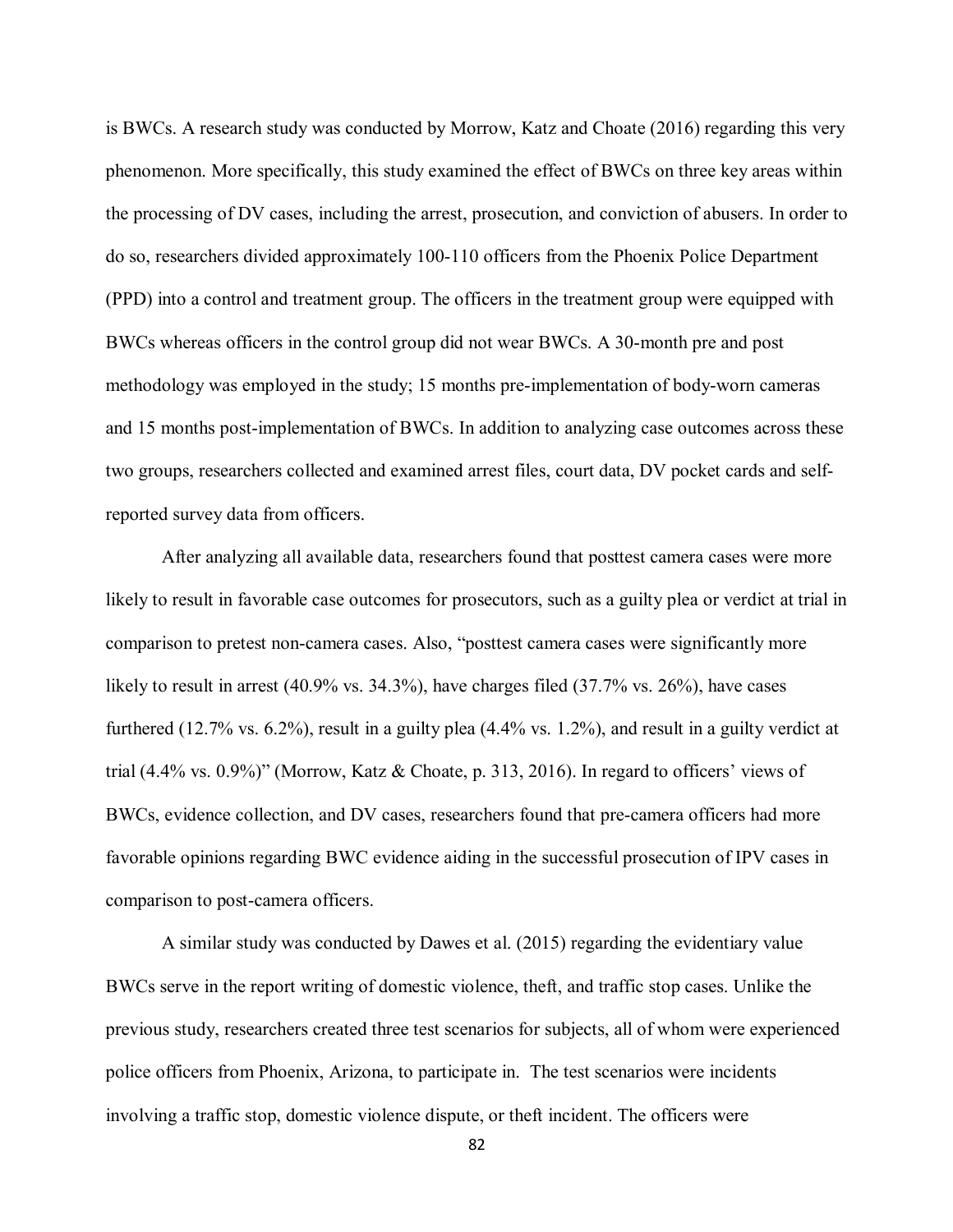is BWCs. A research study was conducted by Morrow, Katz and Choate (2016) regarding this very phenomenon. More specifically, this study examined the effect of BWCs on three key areas within the processing of DV cases, including the arrest, prosecution, and conviction of abusers. In order to do so, researchers divided approximately 100-110 officers from the Phoenix Police Department (PPD) into a control and treatment group. The officers in the treatment group were equipped with BWCs whereas officers in the control group did not wear BWCs. A 30-month pre and post methodology was employed in the study; 15 months pre-implementation of body-worn cameras and 15 months post-implementation of BWCs. In addition to analyzing case outcomes across these two groups, researchers collected and examined arrest files, court data, DV pocket cards and selfreported survey data from officers.

After analyzing all available data, researchers found that posttest camera cases were more likely to result in favorable case outcomes for prosecutors, such as a guilty plea or verdict at trial in comparison to pretest non-camera cases. Also, "posttest camera cases were significantly more likely to result in arrest (40.9% vs. 34.3%), have charges filed (37.7% vs. 26%), have cases furthered (12.7% vs. 6.2%), result in a guilty plea (4.4% vs. 1.2%), and result in a guilty verdict at trial (4.4% vs. 0.9%)" (Morrow, Katz & Choate, p. 313, 2016). In regard to officers' views of BWCs, evidence collection, and DV cases, researchers found that pre-camera officers had more favorable opinions regarding BWC evidence aiding in the successful prosecution of IPV cases in comparison to post-camera officers.

A similar study was conducted by Dawes et al. (2015) regarding the evidentiary value BWCs serve in the report writing of domestic violence, theft, and traffic stop cases. Unlike the previous study, researchers created three test scenarios for subjects, all of whom were experienced police officers from Phoenix, Arizona, to participate in. The test scenarios were incidents involving a traffic stop, domestic violence dispute, or theft incident. The officers were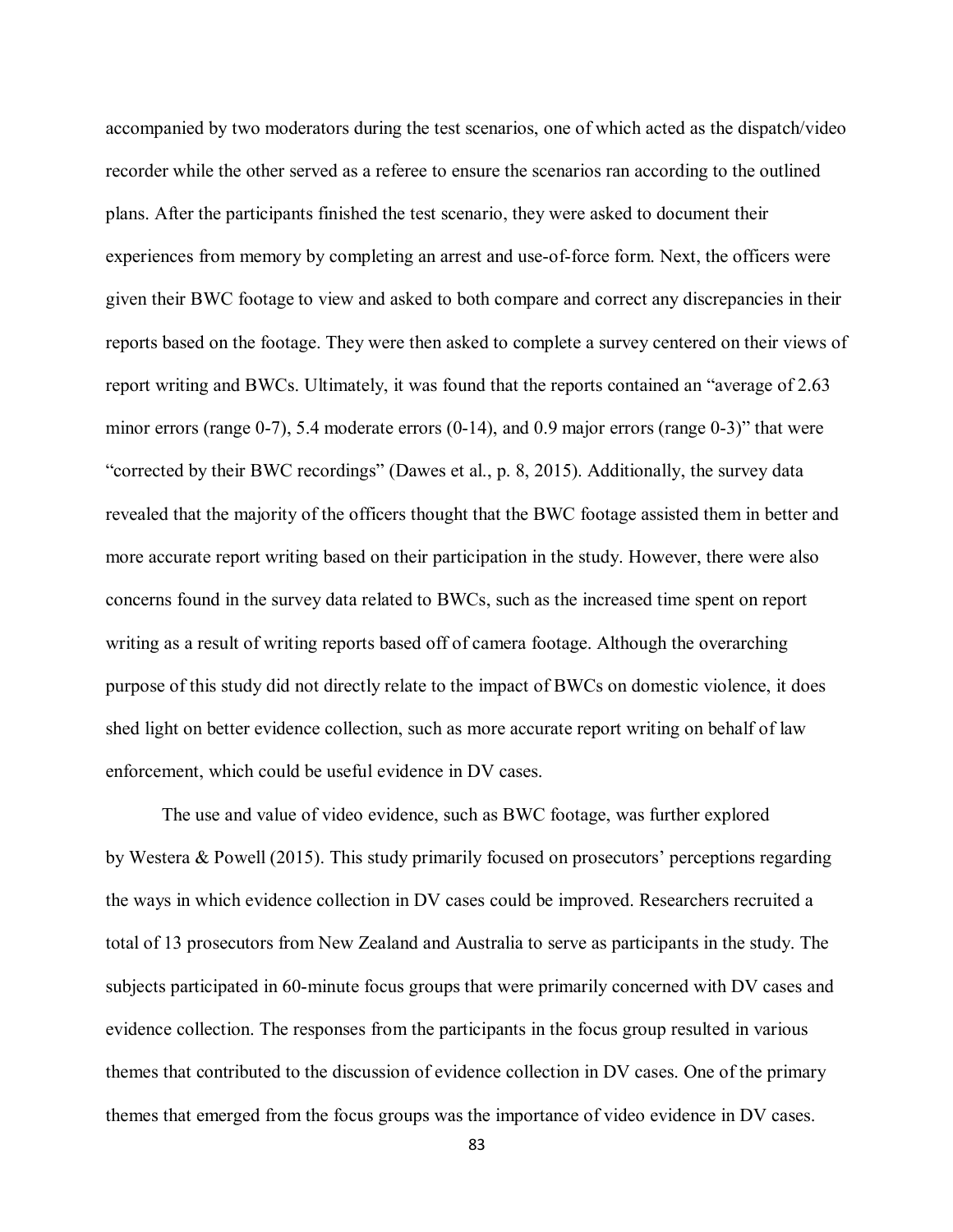accompanied by two moderators during the test scenarios, one of which acted as the dispatch/video recorder while the other served as a referee to ensure the scenarios ran according to the outlined plans. After the participants finished the test scenario, they were asked to document their experiences from memory by completing an arrest and use-of-force form. Next, the officers were given their BWC footage to view and asked to both compare and correct any discrepancies in their reports based on the footage. They were then asked to complete a survey centered on their views of report writing and BWCs. Ultimately, it was found that the reports contained an "average of 2.63 minor errors (range 0-7), 5.4 moderate errors (0-14), and 0.9 major errors (range 0-3)" that were "corrected by their BWC recordings" (Dawes et al., p. 8, 2015). Additionally, the survey data revealed that the majority of the officers thought that the BWC footage assisted them in better and more accurate report writing based on their participation in the study. However, there were also concerns found in the survey data related to BWCs, such as the increased time spent on report writing as a result of writing reports based off of camera footage. Although the overarching purpose of this study did not directly relate to the impact of BWCs on domestic violence, it does shed light on better evidence collection, such as more accurate report writing on behalf of law enforcement, which could be useful evidence in DV cases.

The use and value of video evidence, such as BWC footage, was further explored by Westera & Powell (2015). This study primarily focused on prosecutors' perceptions regarding the ways in which evidence collection in DV cases could be improved. Researchers recruited a total of 13 prosecutors from New Zealand and Australia to serve as participants in the study. The subjects participated in 60-minute focus groups that were primarily concerned with DV cases and evidence collection. The responses from the participants in the focus group resulted in various themes that contributed to the discussion of evidence collection in DV cases. One of the primary themes that emerged from the focus groups was the importance of video evidence in DV cases.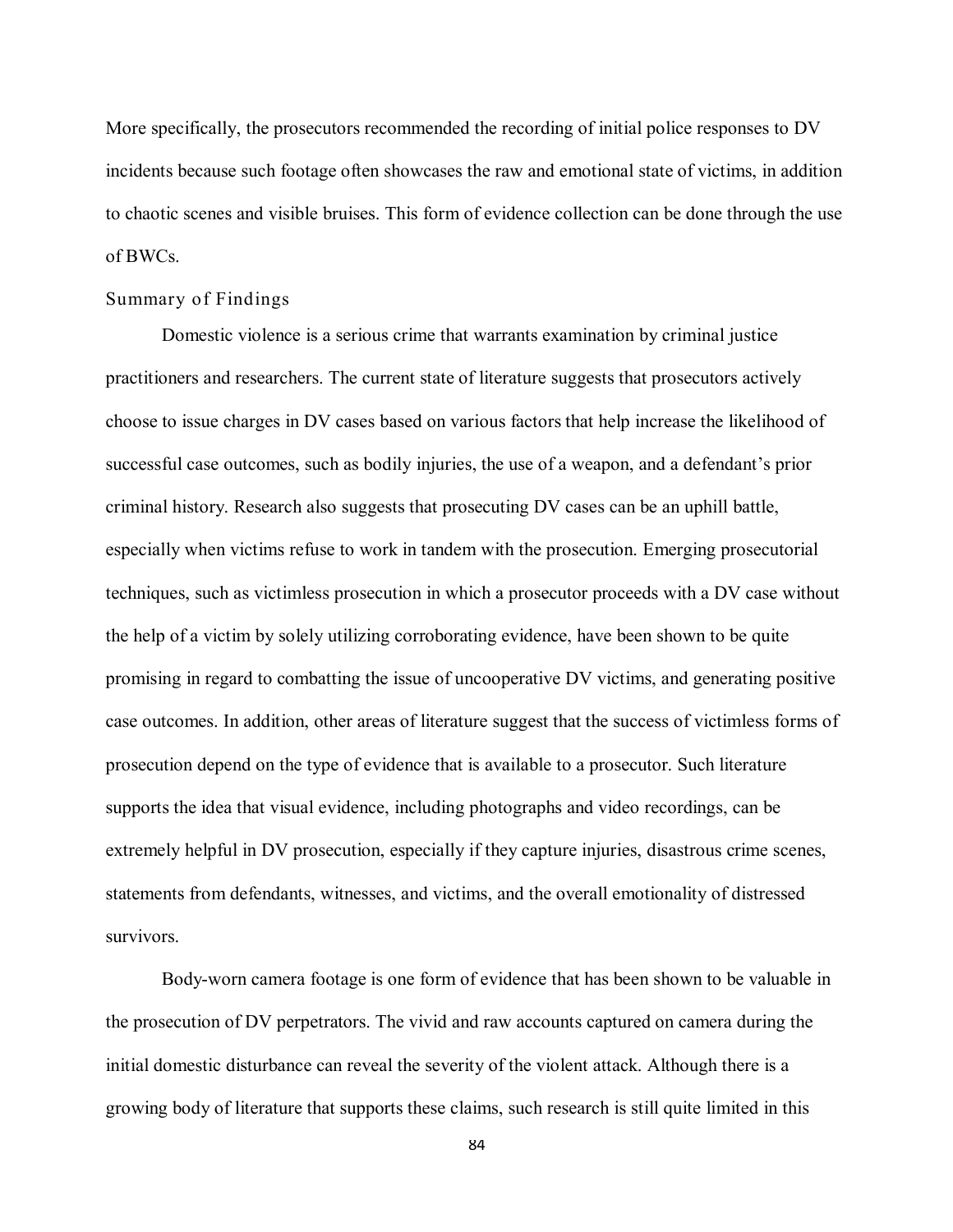More specifically, the prosecutors recommended the recording of initial police responses to DV incidents because such footage often showcases the raw and emotional state of victims, in addition to chaotic scenes and visible bruises. This form of evidence collection can be done through the use of BWCs.

### Summary of Findings

Domestic violence is a serious crime that warrants examination by criminal justice practitioners and researchers. The current state of literature suggests that prosecutors actively choose to issue charges in DV cases based on various factors that help increase the likelihood of successful case outcomes, such as bodily injuries, the use of a weapon, and a defendant's prior criminal history. Research also suggests that prosecuting DV cases can be an uphill battle, especially when victims refuse to work in tandem with the prosecution. Emerging prosecutorial techniques, such as victimless prosecution in which a prosecutor proceeds with a DV case without the help of a victim by solely utilizing corroborating evidence, have been shown to be quite promising in regard to combatting the issue of uncooperative DV victims, and generating positive case outcomes. In addition, other areas of literature suggest that the success of victimless forms of prosecution depend on the type of evidence that is available to a prosecutor. Such literature supports the idea that visual evidence, including photographs and video recordings, can be extremely helpful in DV prosecution, especially if they capture injuries, disastrous crime scenes, statements from defendants, witnesses, and victims, and the overall emotionality of distressed survivors.

Body-worn camera footage is one form of evidence that has been shown to be valuable in the prosecution of DV perpetrators. The vivid and raw accounts captured on camera during the initial domestic disturbance can reveal the severity of the violent attack. Although there is a growing body of literature that supports these claims, such research is still quite limited in this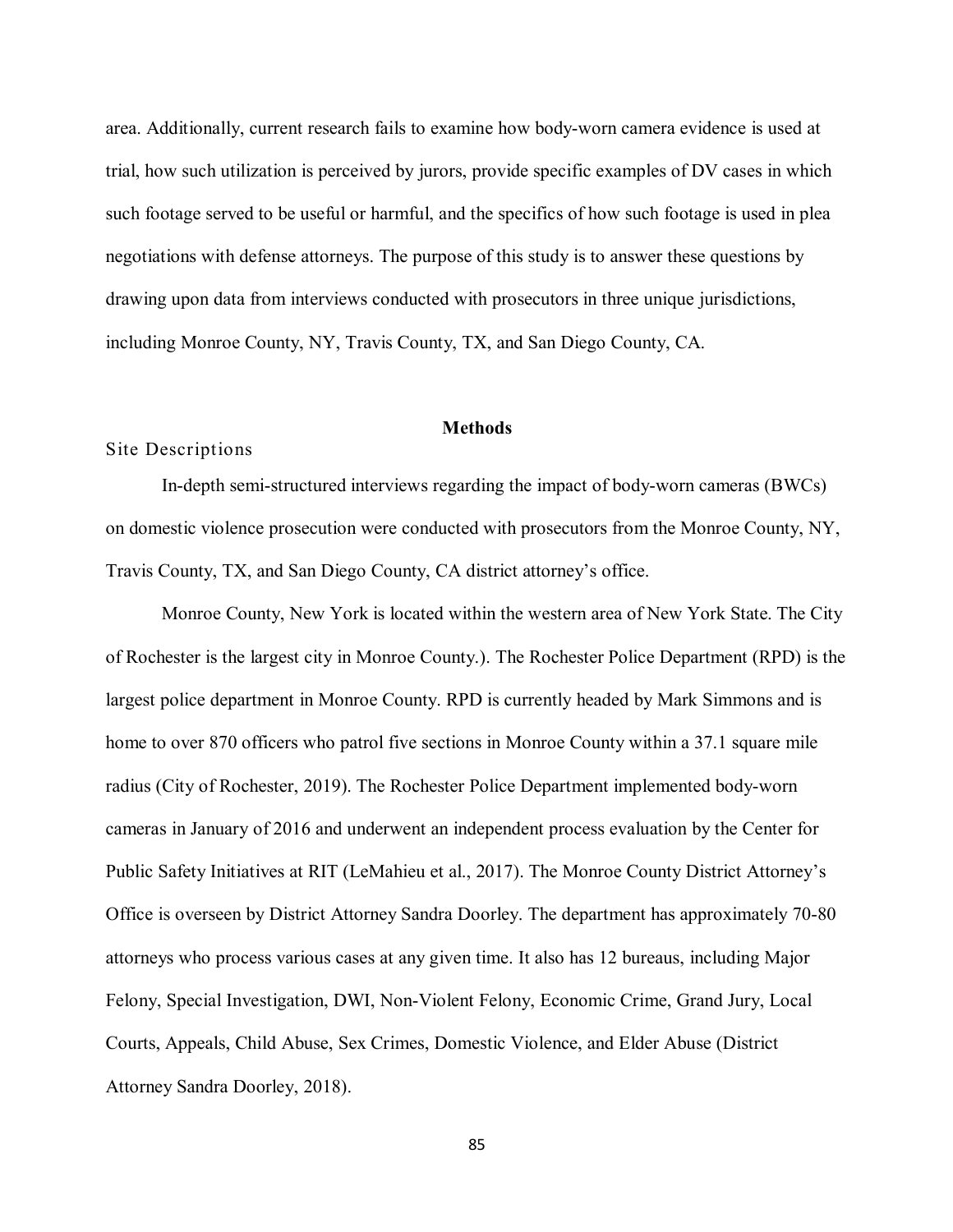area. Additionally, current research fails to examine how body-worn camera evidence is used at trial, how such utilization is perceived by jurors, provide specific examples of DV cases in which such footage served to be useful or harmful, and the specifics of how such footage is used in plea negotiations with defense attorneys. The purpose of this study is to answer these questions by drawing upon data from interviews conducted with prosecutors in three unique jurisdictions, including Monroe County, NY, Travis County, TX, and San Diego County, CA.

#### **Methods**

#### Site Descriptions

In-depth semi-structured interviews regarding the impact of body-worn cameras (BWCs) on domestic violence prosecution were conducted with prosecutors from the Monroe County, NY, Travis County, TX, and San Diego County, CA district attorney's office.

Monroe County, New York is located within the western area of New York State. The City of Rochester is the largest city in Monroe County.). The Rochester Police Department (RPD) is the largest police department in Monroe County. RPD is currently headed by Mark Simmons and is home to over 870 officers who patrol five sections in Monroe County within a 37.1 square mile radius (City of Rochester, 2019). The Rochester Police Department implemented body-worn cameras in January of 2016 and underwent an independent process evaluation by the Center for Public Safety Initiatives at RIT (LeMahieu et al., 2017). The Monroe County District Attorney's Office is overseen by District Attorney Sandra Doorley. The department has approximately 70-80 attorneys who process various cases at any given time. It also has 12 bureaus, including Major Felony, Special Investigation, DWI, Non-Violent Felony, Economic Crime, Grand Jury, Local Courts, Appeals, Child Abuse, Sex Crimes, Domestic Violence, and Elder Abuse (District Attorney Sandra Doorley, 2018).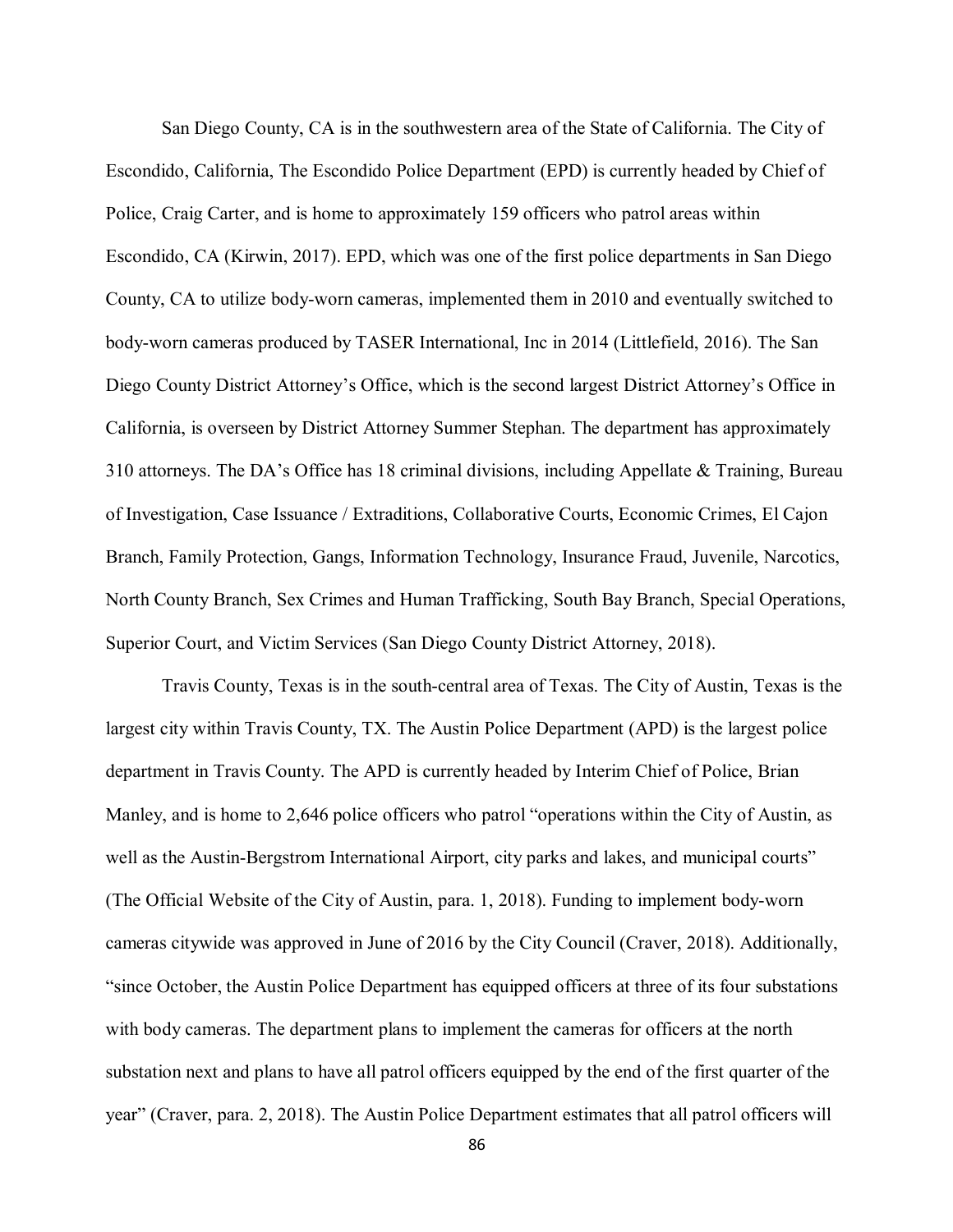San Diego County, CA is in the southwestern area of the State of California. The City of Escondido, California, The Escondido Police Department (EPD) is currently headed by Chief of Police, Craig Carter, and is home to approximately 159 officers who patrol areas within Escondido, CA (Kirwin, 2017). EPD, which was one of the first police departments in San Diego County, CA to utilize body-worn cameras, implemented them in 2010 and eventually switched to body-worn cameras produced by TASER International, Inc in 2014 (Littlefield, 2016). The San Diego County District Attorney's Office, which is the second largest District Attorney's Office in California, is overseen by District Attorney Summer Stephan. The department has approximately 310 attorneys. The DA's Office has 18 criminal divisions, including Appellate & Training, Bureau of Investigation, Case Issuance / Extraditions, Collaborative Courts, Economic Crimes, El Cajon Branch, Family Protection, Gangs, Information Technology, Insurance Fraud, Juvenile, Narcotics, North County Branch, Sex Crimes and Human Trafficking, South Bay Branch, Special Operations, Superior Court, and Victim Services (San Diego County District Attorney, 2018).

Travis County, Texas is in the south-central area of Texas. The City of Austin, Texas is the largest city within Travis County, TX. The Austin Police Department (APD) is the largest police department in Travis County. The APD is currently headed by Interim Chief of Police, Brian Manley, and is home to 2,646 police officers who patrol "operations within the City of Austin, as well as the Austin-Bergstrom International Airport, city parks and lakes, and municipal courts" (The Official Website of the City of Austin, para. 1, 2018). Funding to implement body-worn cameras citywide was approved in June of 2016 by the City Council (Craver, 2018). Additionally, "since October, the Austin Police Department has equipped officers at three of its four substations with body cameras. The department plans to implement the cameras for officers at the north substation next and plans to have all patrol officers equipped by the end of the first quarter of the year" (Craver, para. 2, 2018). The Austin Police Department estimates that all patrol officers will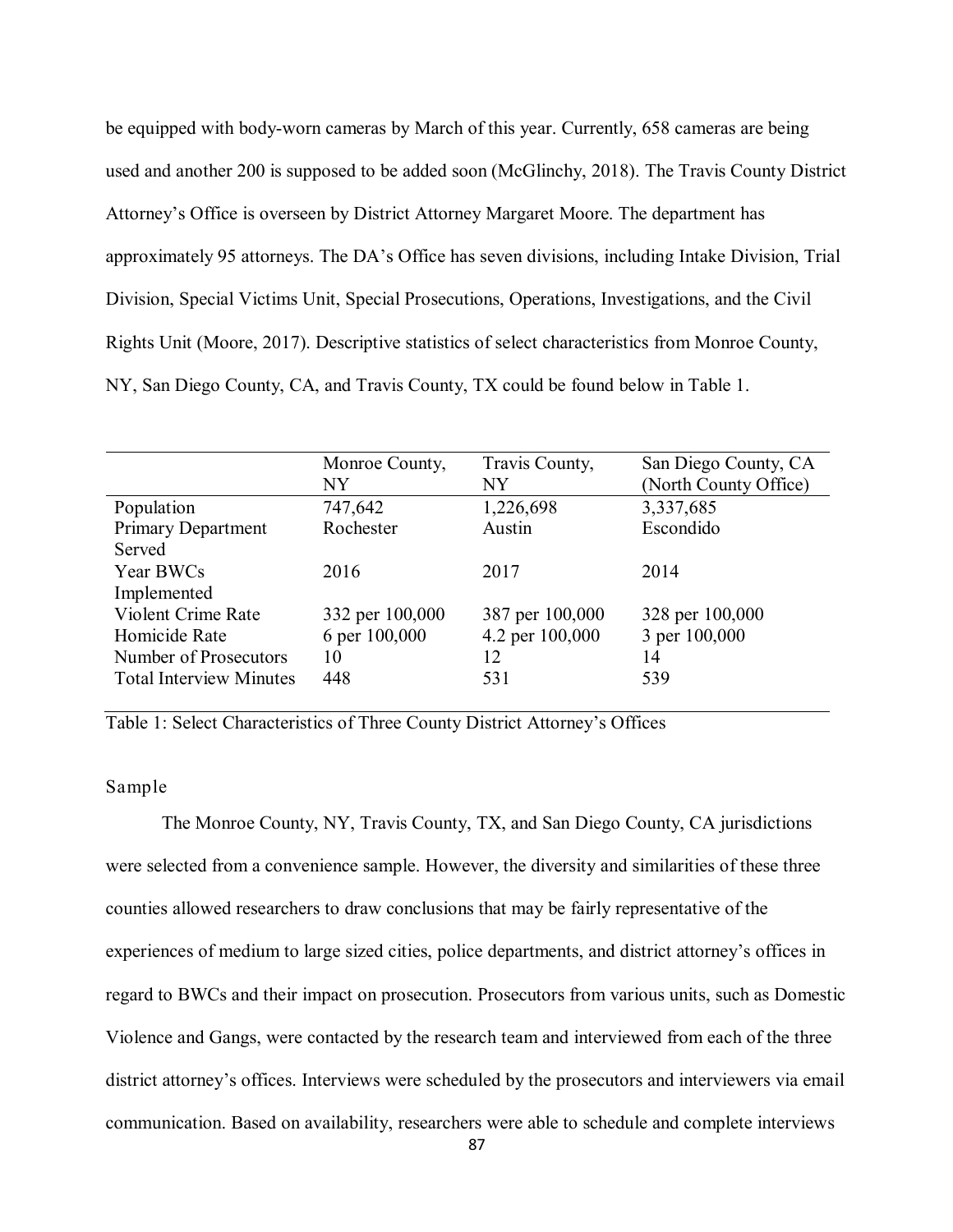be equipped with body-worn cameras by March of this year. Currently, 658 cameras are being used and another 200 is supposed to be added soon (McGlinchy, 2018). The Travis County District Attorney's Office is overseen by District Attorney Margaret Moore. The department has approximately 95 attorneys. The DA's Office has seven divisions, including Intake Division, Trial Division, Special Victims Unit, Special Prosecutions, Operations, Investigations, and the Civil Rights Unit (Moore, 2017). Descriptive statistics of select characteristics from Monroe County, NY, San Diego County, CA, and Travis County, TX could be found below in Table 1.

| Monroe County,  | Travis County,  | San Diego County, CA  |
|-----------------|-----------------|-----------------------|
| NY              | NY              | (North County Office) |
| 747,642         | 1,226,698       | 3,337,685             |
| Rochester       | Austin          | Escondido             |
|                 |                 |                       |
| 2016            | 2017            | 2014                  |
|                 |                 |                       |
| 332 per 100,000 | 387 per 100,000 | 328 per 100,000       |
| 6 per 100,000   | 4.2 per 100,000 | 3 per 100,000         |
| 10              | 12              | 14                    |
| 448             | 531             | 539                   |
|                 |                 |                       |

Table 1: Select Characteristics of Three County District Attorney's Offices

## Sample

The Monroe County, NY, Travis County, TX, and San Diego County, CA jurisdictions were selected from a convenience sample. However, the diversity and similarities of these three counties allowed researchers to draw conclusions that may be fairly representative of the experiences of medium to large sized cities, police departments, and district attorney's offices in regard to BWCs and their impact on prosecution. Prosecutors from various units, such as Domestic Violence and Gangs, were contacted by the research team and interviewed from each of the three district attorney's offices. Interviews were scheduled by the prosecutors and interviewers via email communication. Based on availability, researchers were able to schedule and complete interviews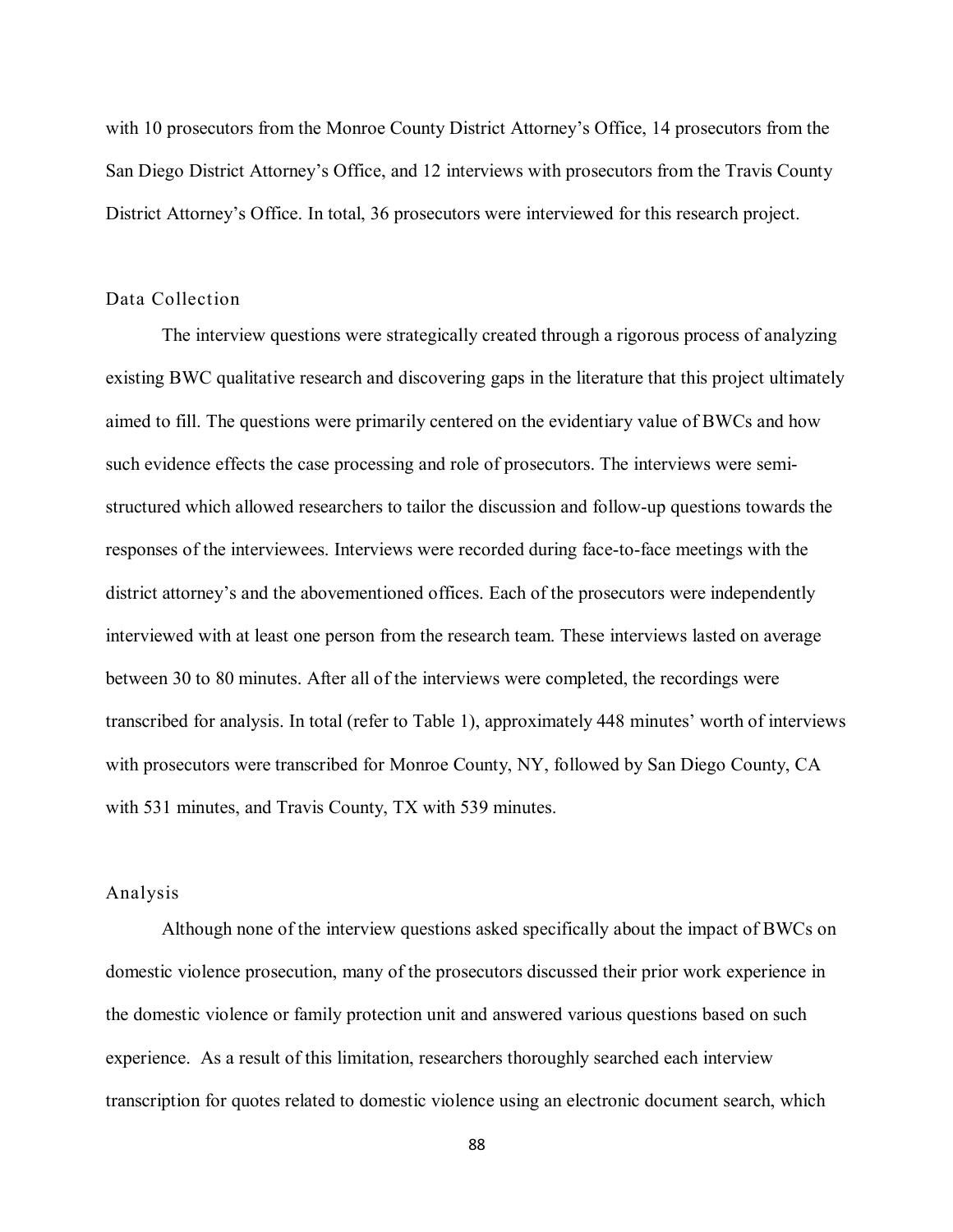with 10 prosecutors from the Monroe County District Attorney's Office, 14 prosecutors from the San Diego District Attorney's Office, and 12 interviews with prosecutors from the Travis County District Attorney's Office. In total, 36 prosecutors were interviewed for this research project.

### Data Collection

The interview questions were strategically created through a rigorous process of analyzing existing BWC qualitative research and discovering gaps in the literature that this project ultimately aimed to fill. The questions were primarily centered on the evidentiary value of BWCs and how such evidence effects the case processing and role of prosecutors. The interviews were semistructured which allowed researchers to tailor the discussion and follow-up questions towards the responses of the interviewees. Interviews were recorded during face-to-face meetings with the district attorney's and the abovementioned offices. Each of the prosecutors were independently interviewed with at least one person from the research team. These interviews lasted on average between 30 to 80 minutes. After all of the interviews were completed, the recordings were transcribed for analysis. In total (refer to Table 1), approximately 448 minutes' worth of interviews with prosecutors were transcribed for Monroe County, NY, followed by San Diego County, CA with 531 minutes, and Travis County, TX with 539 minutes.

## Analysis

Although none of the interview questions asked specifically about the impact of BWCs on domestic violence prosecution, many of the prosecutors discussed their prior work experience in the domestic violence or family protection unit and answered various questions based on such experience. As a result of this limitation, researchers thoroughly searched each interview transcription for quotes related to domestic violence using an electronic document search, which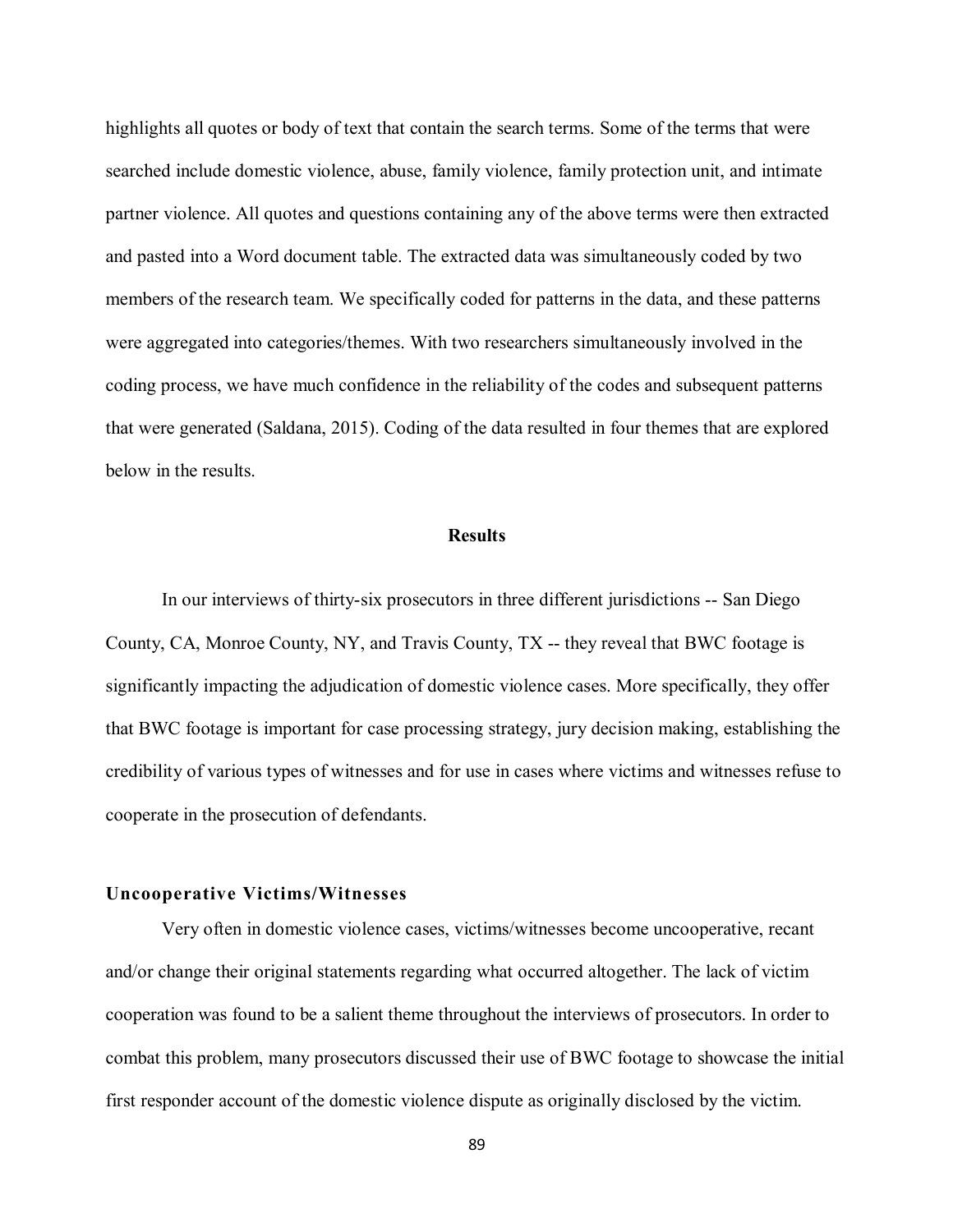highlights all quotes or body of text that contain the search terms. Some of the terms that were searched include domestic violence, abuse, family violence, family protection unit, and intimate partner violence. All quotes and questions containing any of the above terms were then extracted and pasted into a Word document table. The extracted data was simultaneously coded by two members of the research team. We specifically coded for patterns in the data, and these patterns were aggregated into categories/themes. With two researchers simultaneously involved in the coding process, we have much confidence in the reliability of the codes and subsequent patterns that were generated (Saldana, 2015). Coding of the data resulted in four themes that are explored below in the results.

#### **Results**

In our interviews of thirty-six prosecutors in three different jurisdictions -- San Diego County, CA, Monroe County, NY, and Travis County, TX -- they reveal that BWC footage is significantly impacting the adjudication of domestic violence cases. More specifically, they offer that BWC footage is important for case processing strategy, jury decision making, establishing the credibility of various types of witnesses and for use in cases where victims and witnesses refuse to cooperate in the prosecution of defendants.

### **Uncooperative Victims/Witnesses**

Very often in domestic violence cases, victims/witnesses become uncooperative, recant and/or change their original statements regarding what occurred altogether. The lack of victim cooperation was found to be a salient theme throughout the interviews of prosecutors. In order to combat this problem, many prosecutors discussed their use of BWC footage to showcase the initial first responder account of the domestic violence dispute as originally disclosed by the victim.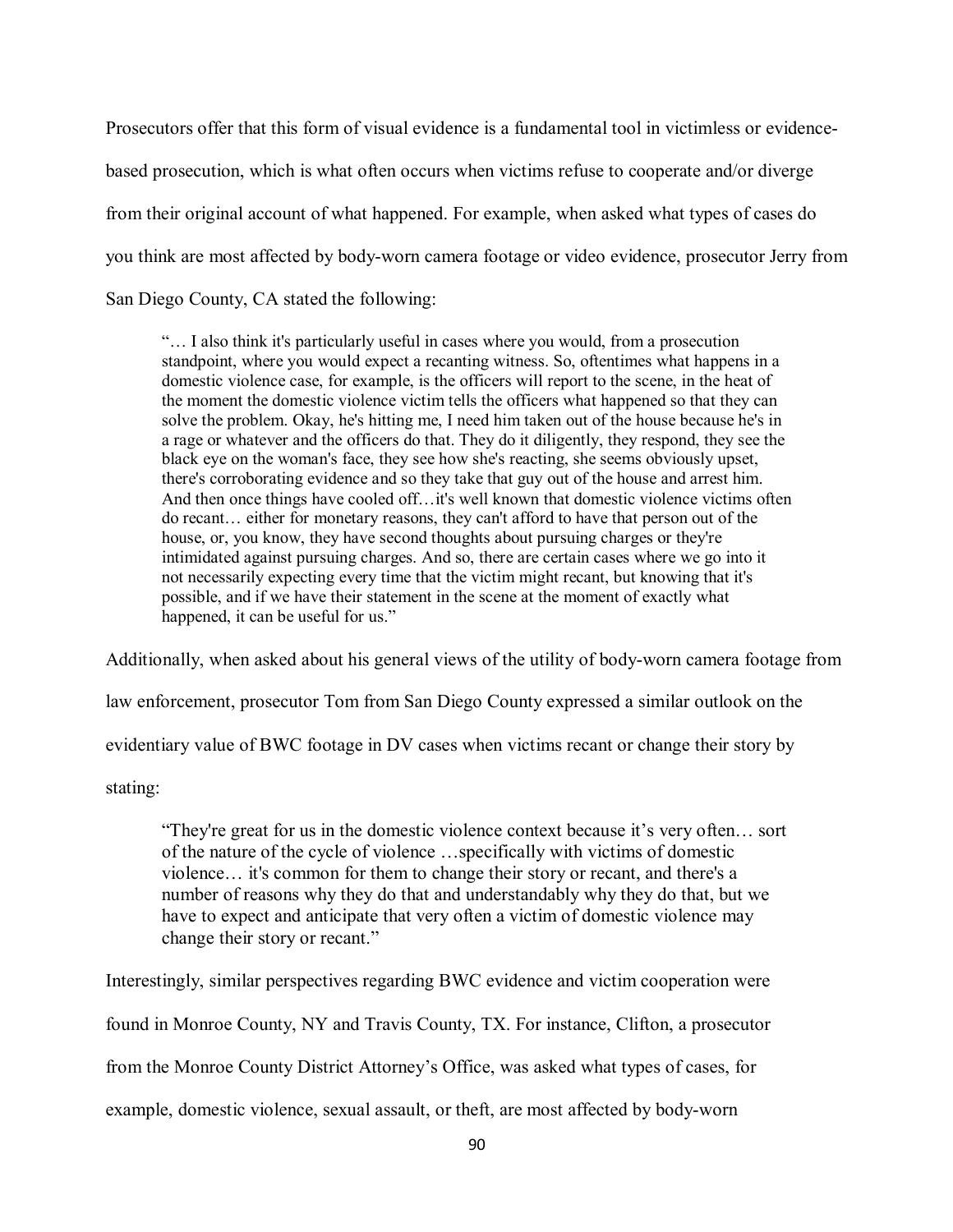Prosecutors offer that this form of visual evidence is a fundamental tool in victimless or evidencebased prosecution, which is what often occurs when victims refuse to cooperate and/or diverge from their original account of what happened. For example, when asked what types of cases do you think are most affected by body-worn camera footage or video evidence, prosecutor Jerry from San Diego County, CA stated the following:

"… I also think it's particularly useful in cases where you would, from a prosecution standpoint, where you would expect a recanting witness. So, oftentimes what happens in a domestic violence case, for example, is the officers will report to the scene, in the heat of the moment the domestic violence victim tells the officers what happened so that they can solve the problem. Okay, he's hitting me, I need him taken out of the house because he's in a rage or whatever and the officers do that. They do it diligently, they respond, they see the black eye on the woman's face, they see how she's reacting, she seems obviously upset, there's corroborating evidence and so they take that guy out of the house and arrest him. And then once things have cooled off…it's well known that domestic violence victims often do recant… either for monetary reasons, they can't afford to have that person out of the house, or, you know, they have second thoughts about pursuing charges or they're intimidated against pursuing charges. And so, there are certain cases where we go into it not necessarily expecting every time that the victim might recant, but knowing that it's possible, and if we have their statement in the scene at the moment of exactly what happened, it can be useful for us."

Additionally, when asked about his general views of the utility of body-worn camera footage from

law enforcement, prosecutor Tom from San Diego County expressed a similar outlook on the

evidentiary value of BWC footage in DV cases when victims recant or change their story by

stating:

"They're great for us in the domestic violence context because it's very often… sort of the nature of the cycle of violence …specifically with victims of domestic violence… it's common for them to change their story or recant, and there's a number of reasons why they do that and understandably why they do that, but we have to expect and anticipate that very often a victim of domestic violence may change their story or recant."

Interestingly, similar perspectives regarding BWC evidence and victim cooperation were

found in Monroe County, NY and Travis County, TX. For instance, Clifton, a prosecutor

from the Monroe County District Attorney's Office, was asked what types of cases, for

example, domestic violence, sexual assault, or theft, are most affected by body-worn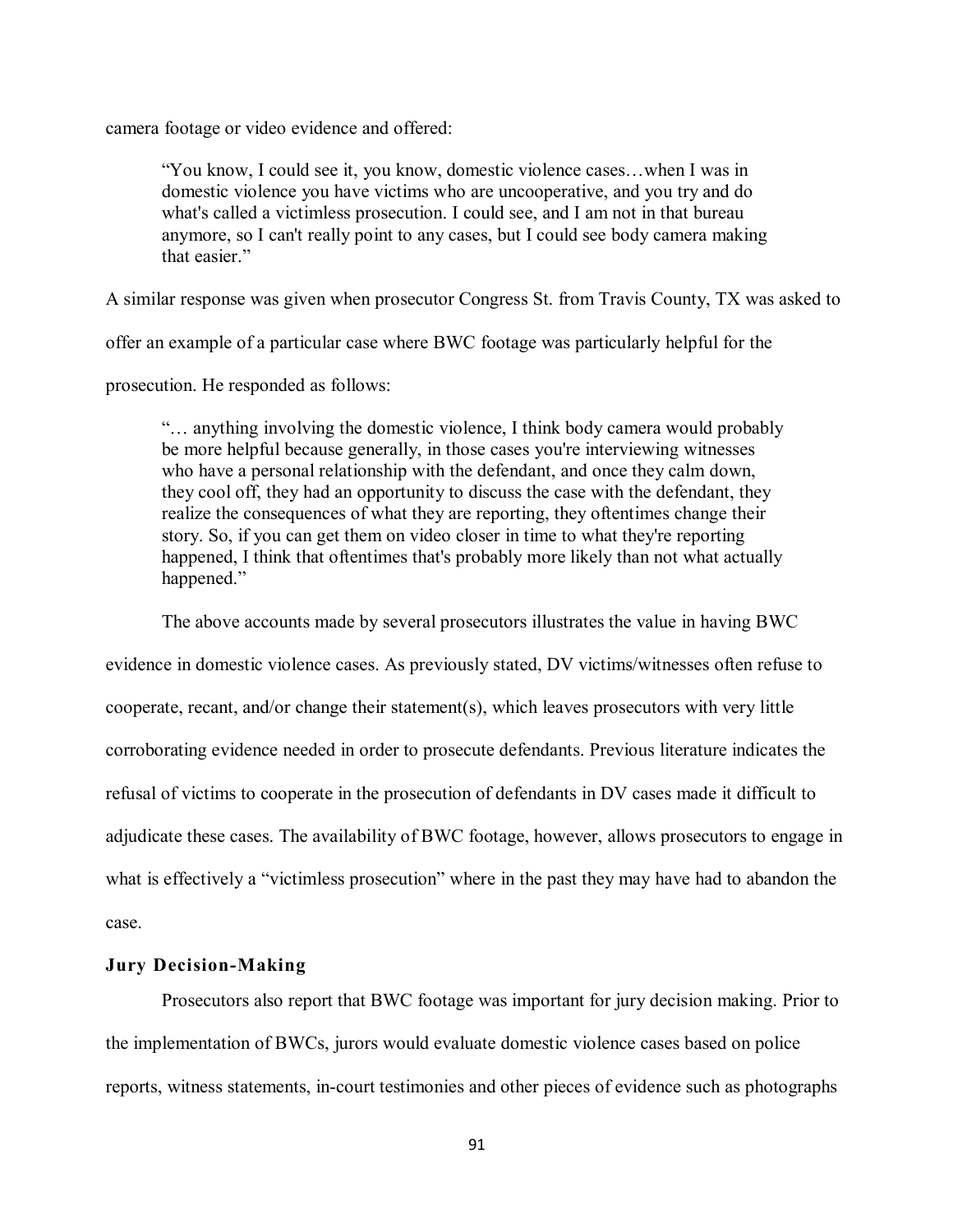camera footage or video evidence and offered:

"You know, I could see it, you know, domestic violence cases…when I was in domestic violence you have victims who are uncooperative, and you try and do what's called a victimless prosecution. I could see, and I am not in that bureau anymore, so I can't really point to any cases, but I could see body camera making that easier."

A similar response was given when prosecutor Congress St. from Travis County, TX was asked to

offer an example of a particular case where BWC footage was particularly helpful for the

prosecution. He responded as follows:

"… anything involving the domestic violence, I think body camera would probably be more helpful because generally, in those cases you're interviewing witnesses who have a personal relationship with the defendant, and once they calm down, they cool off, they had an opportunity to discuss the case with the defendant, they realize the consequences of what they are reporting, they oftentimes change their story. So, if you can get them on video closer in time to what they're reporting happened, I think that oftentimes that's probably more likely than not what actually happened."

The above accounts made by several prosecutors illustrates the value in having BWC

evidence in domestic violence cases. As previously stated, DV victims/witnesses often refuse to cooperate, recant, and/or change their statement(s), which leaves prosecutors with very little corroborating evidence needed in order to prosecute defendants. Previous literature indicates the refusal of victims to cooperate in the prosecution of defendants in DV cases made it difficult to adjudicate these cases. The availability of BWC footage, however, allows prosecutors to engage in what is effectively a "victimless prosecution" where in the past they may have had to abandon the case.

### **Jury Decision-Making**

Prosecutors also report that BWC footage was important for jury decision making. Prior to the implementation of BWCs, jurors would evaluate domestic violence cases based on police reports, witness statements, in-court testimonies and other pieces of evidence such as photographs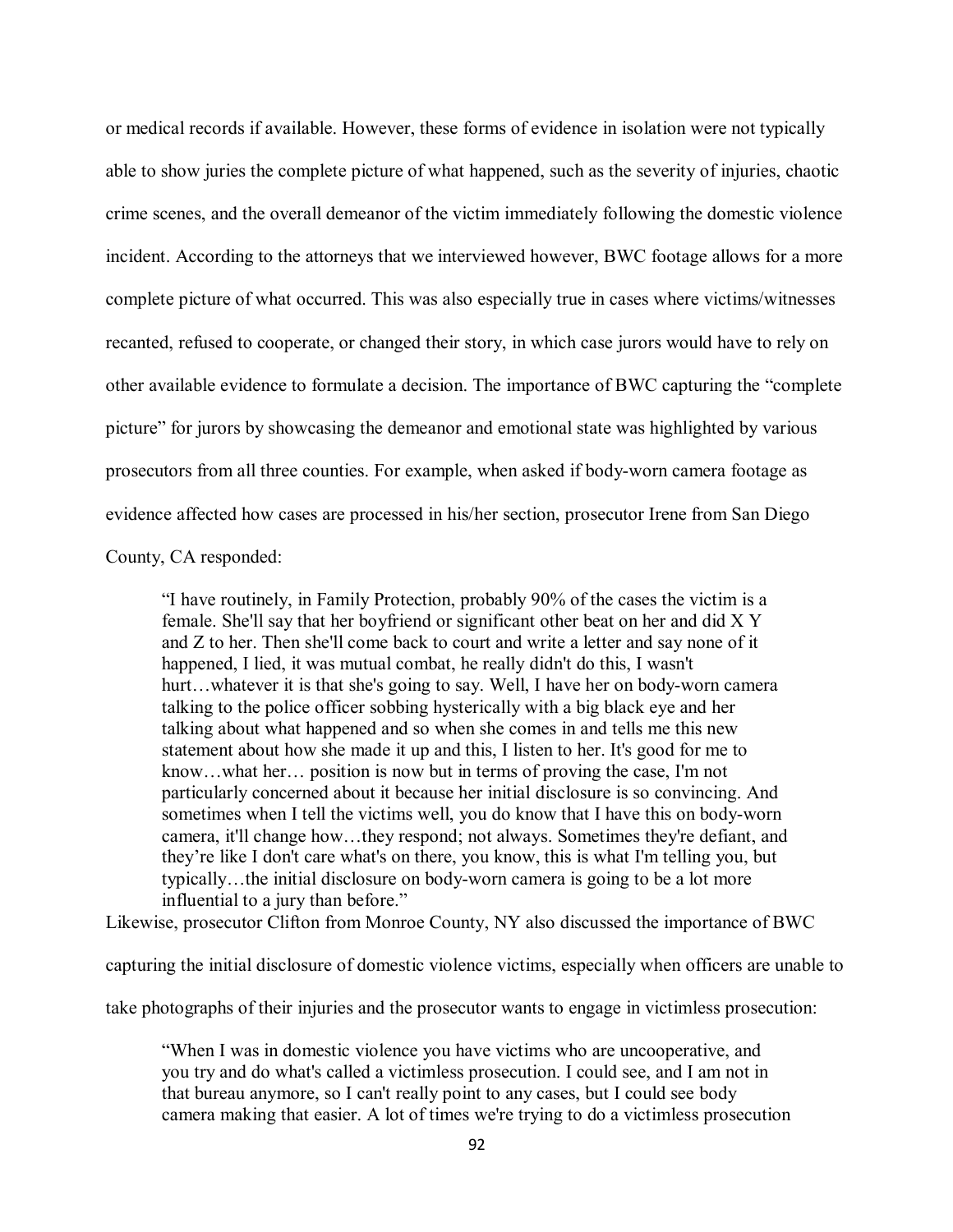or medical records if available. However, these forms of evidence in isolation were not typically able to show juries the complete picture of what happened, such as the severity of injuries, chaotic crime scenes, and the overall demeanor of the victim immediately following the domestic violence incident. According to the attorneys that we interviewed however, BWC footage allows for a more complete picture of what occurred. This was also especially true in cases where victims/witnesses recanted, refused to cooperate, or changed their story, in which case jurors would have to rely on other available evidence to formulate a decision. The importance of BWC capturing the "complete picture" for jurors by showcasing the demeanor and emotional state was highlighted by various prosecutors from all three counties. For example, when asked if body-worn camera footage as evidence affected how cases are processed in his/her section, prosecutor Irene from San Diego

County, CA responded:

"I have routinely, in Family Protection, probably 90% of the cases the victim is a female. She'll say that her boyfriend or significant other beat on her and did X Y and Z to her. Then she'll come back to court and write a letter and say none of it happened, I lied, it was mutual combat, he really didn't do this, I wasn't hurt...whatever it is that she's going to say. Well, I have her on body-worn camera talking to the police officer sobbing hysterically with a big black eye and her talking about what happened and so when she comes in and tells me this new statement about how she made it up and this, I listen to her. It's good for me to know…what her… position is now but in terms of proving the case, I'm not particularly concerned about it because her initial disclosure is so convincing. And sometimes when I tell the victims well, you do know that I have this on body-worn camera, it'll change how…they respond; not always. Sometimes they're defiant, and they're like I don't care what's on there, you know, this is what I'm telling you, but typically…the initial disclosure on body-worn camera is going to be a lot more influential to a jury than before."

Likewise, prosecutor Clifton from Monroe County, NY also discussed the importance of BWC

capturing the initial disclosure of domestic violence victims, especially when officers are unable to

take photographs of their injuries and the prosecutor wants to engage in victimless prosecution:

"When I was in domestic violence you have victims who are uncooperative, and you try and do what's called a victimless prosecution. I could see, and I am not in that bureau anymore, so I can't really point to any cases, but I could see body camera making that easier. A lot of times we're trying to do a victimless prosecution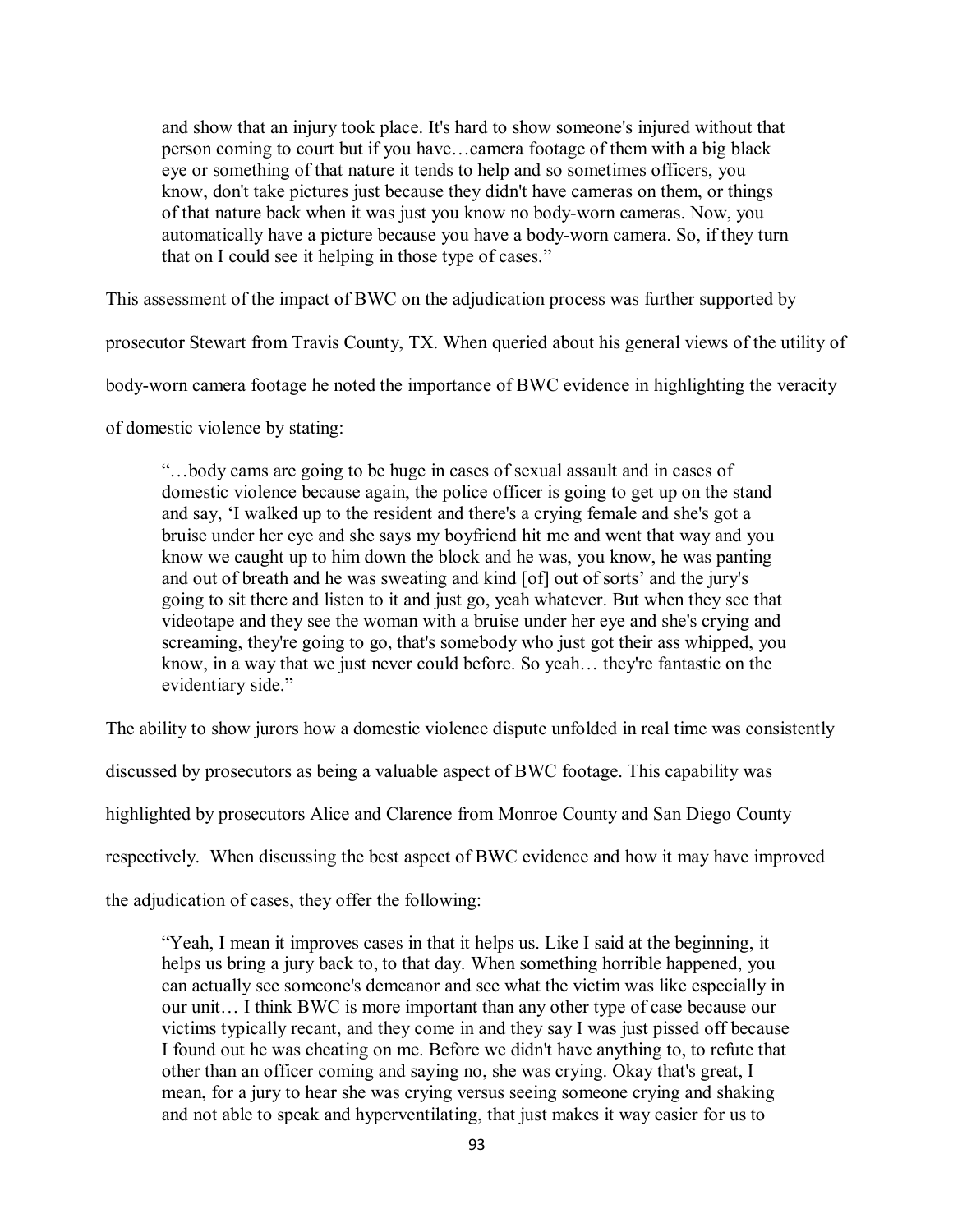and show that an injury took place. It's hard to show someone's injured without that person coming to court but if you have…camera footage of them with a big black eye or something of that nature it tends to help and so sometimes officers, you know, don't take pictures just because they didn't have cameras on them, or things of that nature back when it was just you know no body-worn cameras. Now, you automatically have a picture because you have a body-worn camera. So, if they turn that on I could see it helping in those type of cases."

This assessment of the impact of BWC on the adjudication process was further supported by

prosecutor Stewart from Travis County, TX. When queried about his general views of the utility of

body-worn camera footage he noted the importance of BWC evidence in highlighting the veracity

of domestic violence by stating:

"…body cams are going to be huge in cases of sexual assault and in cases of domestic violence because again, the police officer is going to get up on the stand and say, 'I walked up to the resident and there's a crying female and she's got a bruise under her eye and she says my boyfriend hit me and went that way and you know we caught up to him down the block and he was, you know, he was panting and out of breath and he was sweating and kind [of] out of sorts' and the jury's going to sit there and listen to it and just go, yeah whatever. But when they see that videotape and they see the woman with a bruise under her eye and she's crying and screaming, they're going to go, that's somebody who just got their ass whipped, you know, in a way that we just never could before. So yeah… they're fantastic on the evidentiary side."

The ability to show jurors how a domestic violence dispute unfolded in real time was consistently

discussed by prosecutors as being a valuable aspect of BWC footage. This capability was

highlighted by prosecutors Alice and Clarence from Monroe County and San Diego County

respectively. When discussing the best aspect of BWC evidence and how it may have improved

the adjudication of cases, they offer the following:

"Yeah, I mean it improves cases in that it helps us. Like I said at the beginning, it helps us bring a jury back to, to that day. When something horrible happened, you can actually see someone's demeanor and see what the victim was like especially in our unit… I think BWC is more important than any other type of case because our victims typically recant, and they come in and they say I was just pissed off because I found out he was cheating on me. Before we didn't have anything to, to refute that other than an officer coming and saying no, she was crying. Okay that's great, I mean, for a jury to hear she was crying versus seeing someone crying and shaking and not able to speak and hyperventilating, that just makes it way easier for us to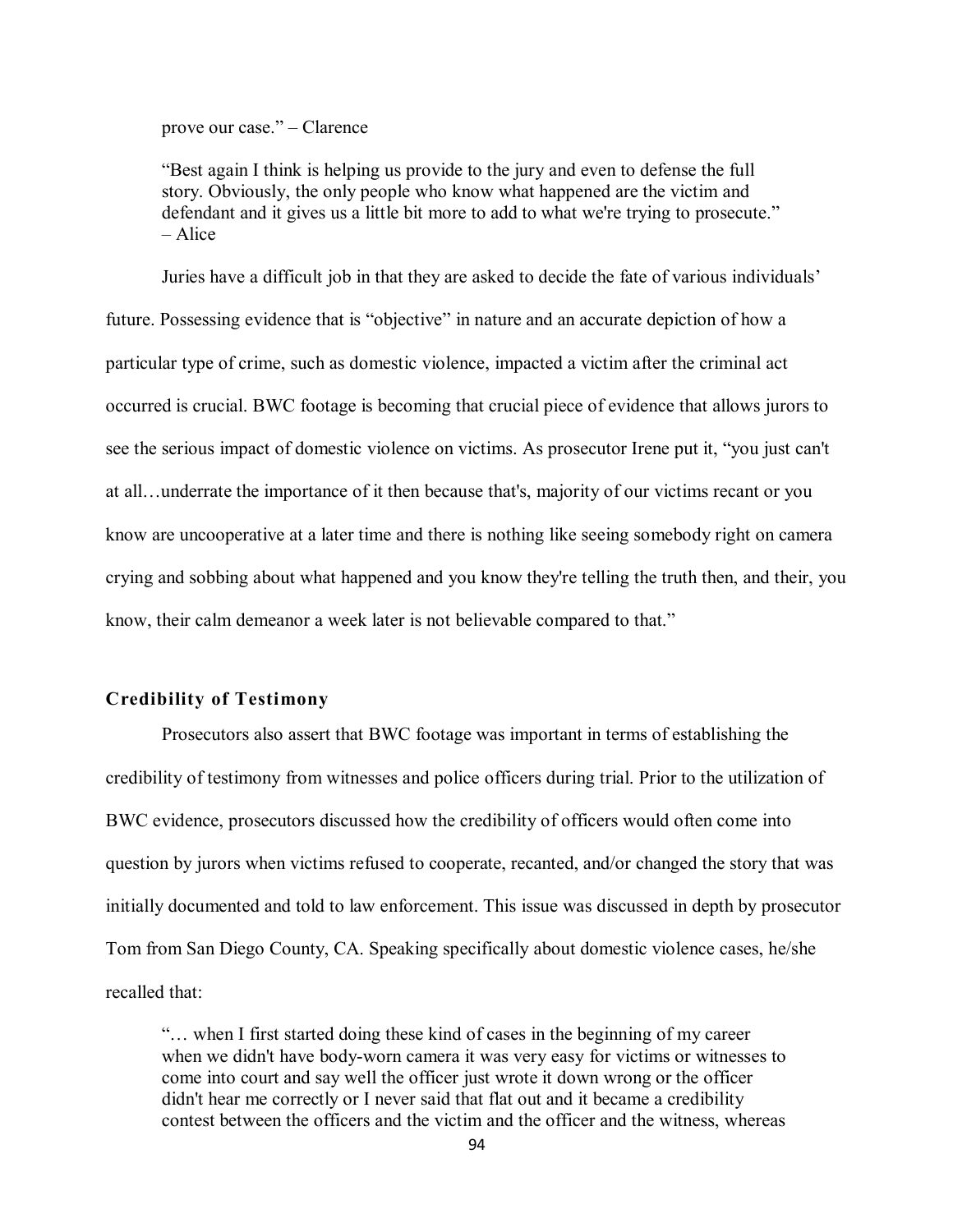prove our case." – Clarence

"Best again I think is helping us provide to the jury and even to defense the full story. Obviously, the only people who know what happened are the victim and defendant and it gives us a little bit more to add to what we're trying to prosecute." – Alice

Juries have a difficult job in that they are asked to decide the fate of various individuals' future. Possessing evidence that is "objective" in nature and an accurate depiction of how a particular type of crime, such as domestic violence, impacted a victim after the criminal act occurred is crucial. BWC footage is becoming that crucial piece of evidence that allows jurors to see the serious impact of domestic violence on victims. As prosecutor Irene put it, "you just can't at all…underrate the importance of it then because that's, majority of our victims recant or you know are uncooperative at a later time and there is nothing like seeing somebody right on camera crying and sobbing about what happened and you know they're telling the truth then, and their, you know, their calm demeanor a week later is not believable compared to that."

## **Credibility of Testimony**

Prosecutors also assert that BWC footage was important in terms of establishing the credibility of testimony from witnesses and police officers during trial. Prior to the utilization of BWC evidence, prosecutors discussed how the credibility of officers would often come into question by jurors when victims refused to cooperate, recanted, and/or changed the story that was initially documented and told to law enforcement. This issue was discussed in depth by prosecutor Tom from San Diego County, CA. Speaking specifically about domestic violence cases, he/she recalled that:

"… when I first started doing these kind of cases in the beginning of my career when we didn't have body-worn camera it was very easy for victims or witnesses to come into court and say well the officer just wrote it down wrong or the officer didn't hear me correctly or I never said that flat out and it became a credibility contest between the officers and the victim and the officer and the witness, whereas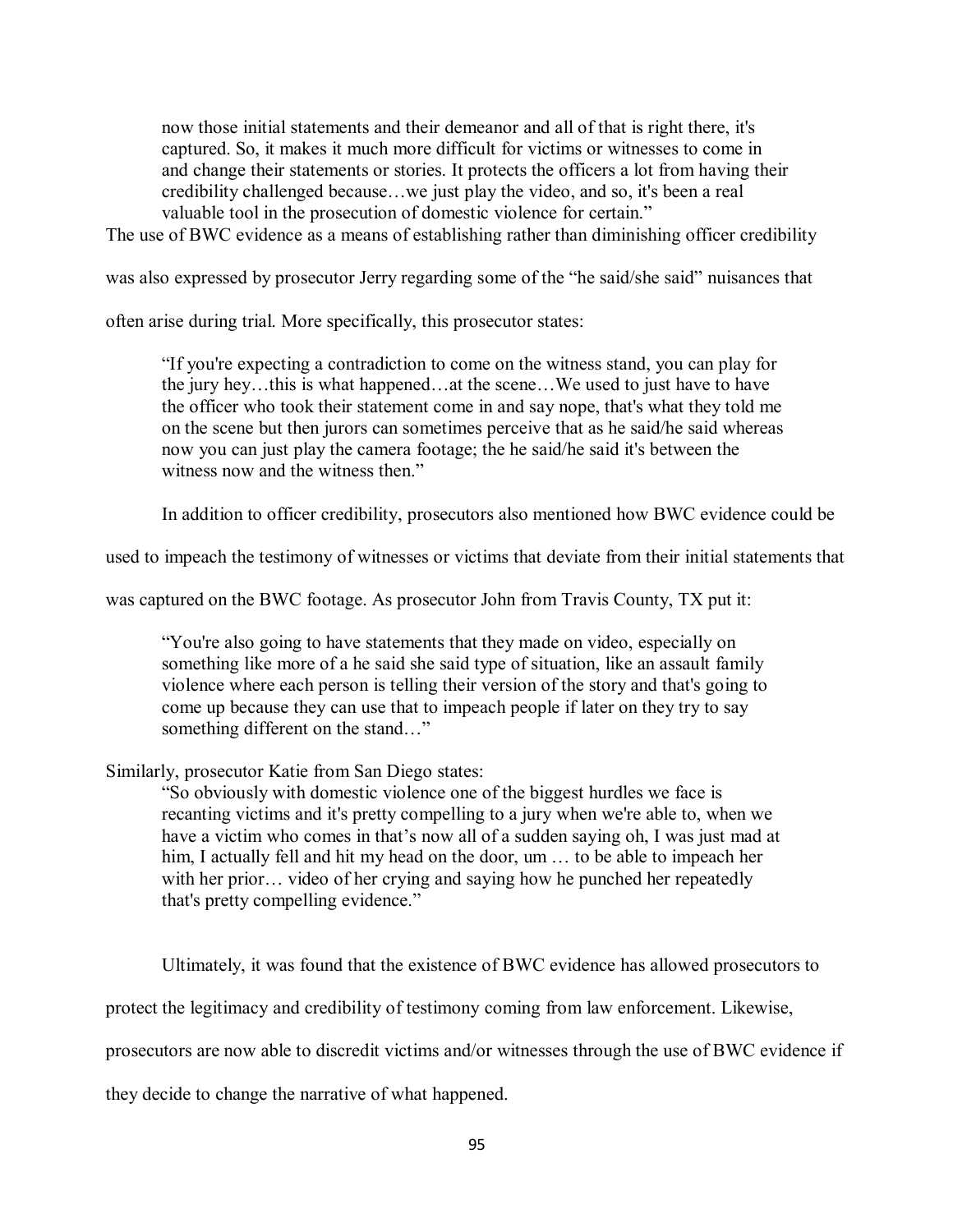now those initial statements and their demeanor and all of that is right there, it's captured. So, it makes it much more difficult for victims or witnesses to come in and change their statements or stories. It protects the officers a lot from having their credibility challenged because…we just play the video, and so, it's been a real valuable tool in the prosecution of domestic violence for certain."

The use of BWC evidence as a means of establishing rather than diminishing officer credibility

was also expressed by prosecutor Jerry regarding some of the "he said/she said" nuisances that

often arise during trial. More specifically, this prosecutor states:

"If you're expecting a contradiction to come on the witness stand, you can play for the jury hey…this is what happened…at the scene…We used to just have to have the officer who took their statement come in and say nope, that's what they told me on the scene but then jurors can sometimes perceive that as he said/he said whereas now you can just play the camera footage; the he said/he said it's between the witness now and the witness then."

In addition to officer credibility, prosecutors also mentioned how BWC evidence could be

used to impeach the testimony of witnesses or victims that deviate from their initial statements that

was captured on the BWC footage. As prosecutor John from Travis County, TX put it:

"You're also going to have statements that they made on video, especially on something like more of a he said she said type of situation, like an assault family violence where each person is telling their version of the story and that's going to come up because they can use that to impeach people if later on they try to say something different on the stand…"

Similarly, prosecutor Katie from San Diego states:

"So obviously with domestic violence one of the biggest hurdles we face is recanting victims and it's pretty compelling to a jury when we're able to, when we have a victim who comes in that's now all of a sudden saying oh, I was just mad at him, I actually fell and hit my head on the door, um ... to be able to impeach her with her prior… video of her crying and saying how he punched her repeatedly that's pretty compelling evidence."

Ultimately, it was found that the existence of BWC evidence has allowed prosecutors to

protect the legitimacy and credibility of testimony coming from law enforcement. Likewise,

prosecutors are now able to discredit victims and/or witnesses through the use of BWC evidence if

they decide to change the narrative of what happened.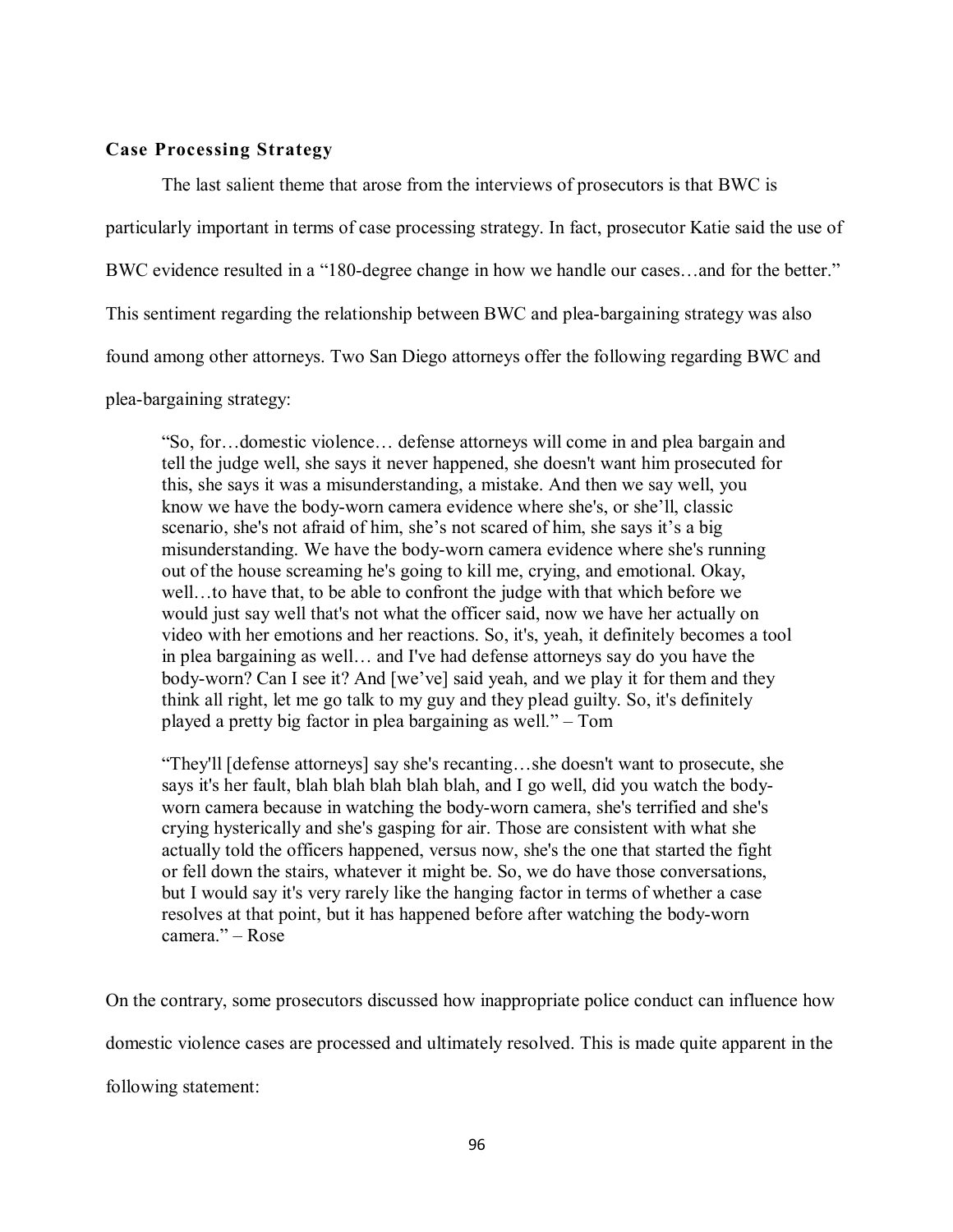## **Case Processing Strategy**

The last salient theme that arose from the interviews of prosecutors is that BWC is particularly important in terms of case processing strategy. In fact, prosecutor Katie said the use of BWC evidence resulted in a "180-degree change in how we handle our cases…and for the better." This sentiment regarding the relationship between BWC and plea-bargaining strategy was also found among other attorneys. Two San Diego attorneys offer the following regarding BWC and plea-bargaining strategy:

"So, for…domestic violence… defense attorneys will come in and plea bargain and tell the judge well, she says it never happened, she doesn't want him prosecuted for this, she says it was a misunderstanding, a mistake. And then we say well, you know we have the body-worn camera evidence where she's, or she'll, classic scenario, she's not afraid of him, she's not scared of him, she says it's a big misunderstanding. We have the body-worn camera evidence where she's running out of the house screaming he's going to kill me, crying, and emotional. Okay, well…to have that, to be able to confront the judge with that which before we would just say well that's not what the officer said, now we have her actually on video with her emotions and her reactions. So, it's, yeah, it definitely becomes a tool in plea bargaining as well… and I've had defense attorneys say do you have the body-worn? Can I see it? And [we've] said yeah, and we play it for them and they think all right, let me go talk to my guy and they plead guilty. So, it's definitely played a pretty big factor in plea bargaining as well." – Tom

"They'll [defense attorneys] say she's recanting…she doesn't want to prosecute, she says it's her fault, blah blah blah blah blah, and I go well, did you watch the bodyworn camera because in watching the body-worn camera, she's terrified and she's crying hysterically and she's gasping for air. Those are consistent with what she actually told the officers happened, versus now, she's the one that started the fight or fell down the stairs, whatever it might be. So, we do have those conversations, but I would say it's very rarely like the hanging factor in terms of whether a case resolves at that point, but it has happened before after watching the body-worn camera." – Rose

On the contrary, some prosecutors discussed how inappropriate police conduct can influence how

domestic violence cases are processed and ultimately resolved. This is made quite apparent in the

following statement: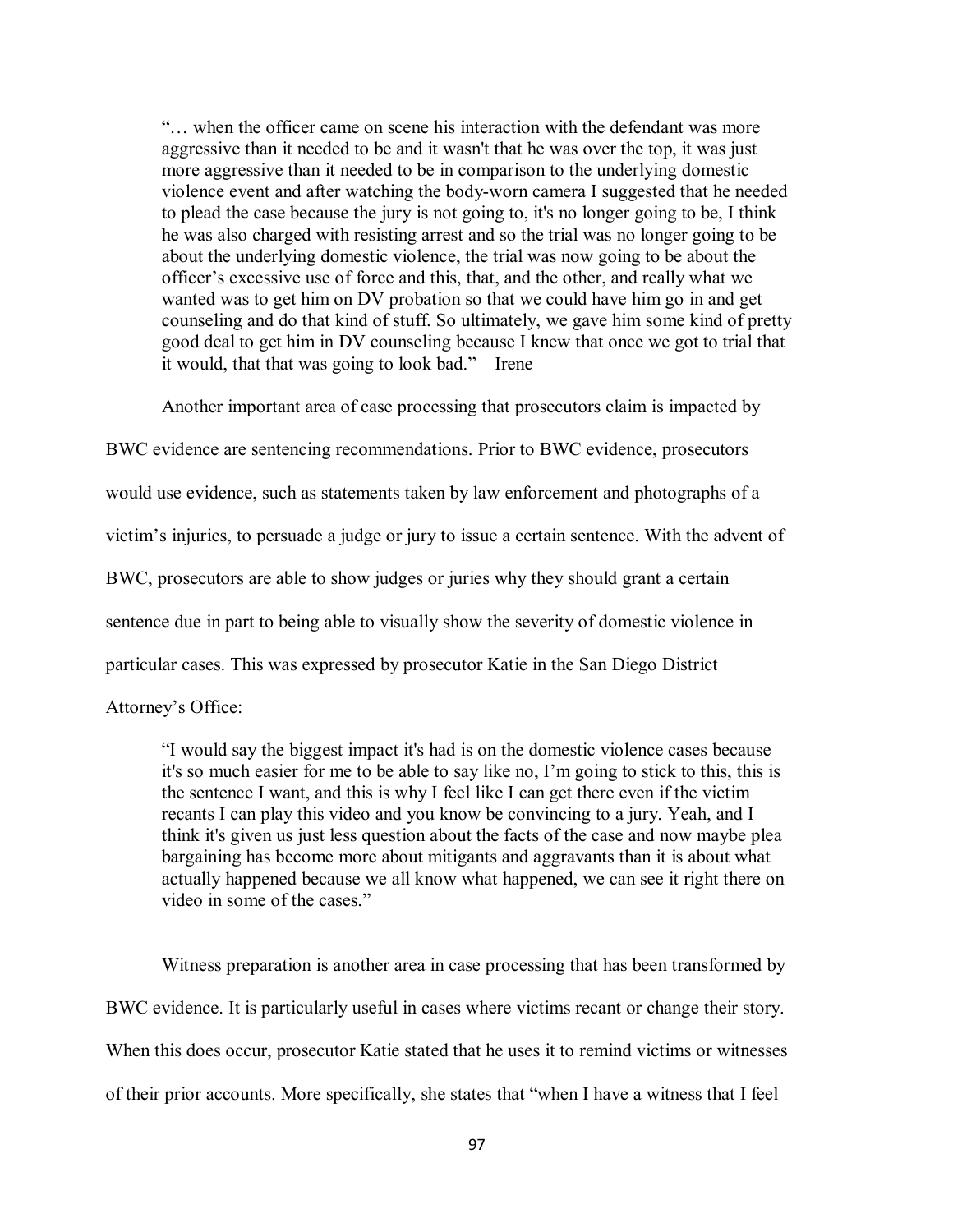"… when the officer came on scene his interaction with the defendant was more aggressive than it needed to be and it wasn't that he was over the top, it was just more aggressive than it needed to be in comparison to the underlying domestic violence event and after watching the body-worn camera I suggested that he needed to plead the case because the jury is not going to, it's no longer going to be, I think he was also charged with resisting arrest and so the trial was no longer going to be about the underlying domestic violence, the trial was now going to be about the officer's excessive use of force and this, that, and the other, and really what we wanted was to get him on DV probation so that we could have him go in and get counseling and do that kind of stuff. So ultimately, we gave him some kind of pretty good deal to get him in DV counseling because I knew that once we got to trial that it would, that that was going to look bad." – Irene

Another important area of case processing that prosecutors claim is impacted by

BWC evidence are sentencing recommendations. Prior to BWC evidence, prosecutors would use evidence, such as statements taken by law enforcement and photographs of a victim's injuries, to persuade a judge or jury to issue a certain sentence. With the advent of BWC, prosecutors are able to show judges or juries why they should grant a certain sentence due in part to being able to visually show the severity of domestic violence in particular cases. This was expressed by prosecutor Katie in the San Diego District

Attorney's Office:

"I would say the biggest impact it's had is on the domestic violence cases because it's so much easier for me to be able to say like no, I'm going to stick to this, this is the sentence I want, and this is why I feel like I can get there even if the victim recants I can play this video and you know be convincing to a jury. Yeah, and I think it's given us just less question about the facts of the case and now maybe plea bargaining has become more about mitigants and aggravants than it is about what actually happened because we all know what happened, we can see it right there on video in some of the cases."

Witness preparation is another area in case processing that has been transformed by BWC evidence. It is particularly useful in cases where victims recant or change their story. When this does occur, prosecutor Katie stated that he uses it to remind victims or witnesses of their prior accounts. More specifically, she states that "when I have a witness that I feel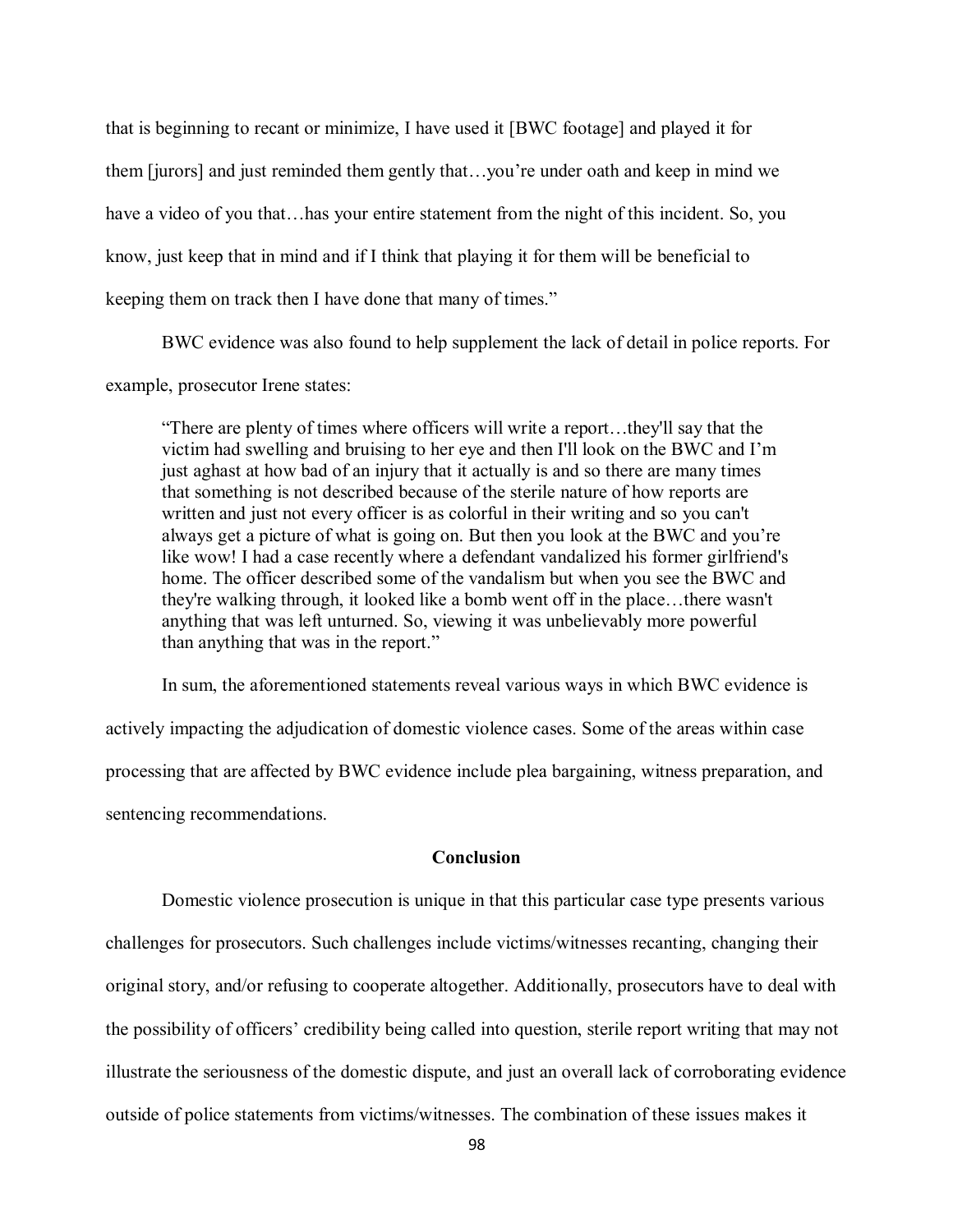that is beginning to recant or minimize, I have used it [BWC footage] and played it for them [jurors] and just reminded them gently that…you're under oath and keep in mind we have a video of you that…has your entire statement from the night of this incident. So, you know, just keep that in mind and if I think that playing it for them will be beneficial to keeping them on track then I have done that many of times."

BWC evidence was also found to help supplement the lack of detail in police reports. For example, prosecutor Irene states:

"There are plenty of times where officers will write a report…they'll say that the victim had swelling and bruising to her eye and then I'll look on the BWC and I'm just aghast at how bad of an injury that it actually is and so there are many times that something is not described because of the sterile nature of how reports are written and just not every officer is as colorful in their writing and so you can't always get a picture of what is going on. But then you look at the BWC and you're like wow! I had a case recently where a defendant vandalized his former girlfriend's home. The officer described some of the vandalism but when you see the BWC and they're walking through, it looked like a bomb went off in the place…there wasn't anything that was left unturned. So, viewing it was unbelievably more powerful than anything that was in the report."

In sum, the aforementioned statements reveal various ways in which BWC evidence is actively impacting the adjudication of domestic violence cases. Some of the areas within case processing that are affected by BWC evidence include plea bargaining, witness preparation, and sentencing recommendations.

# **Conclusion**

Domestic violence prosecution is unique in that this particular case type presents various challenges for prosecutors. Such challenges include victims/witnesses recanting, changing their original story, and/or refusing to cooperate altogether. Additionally, prosecutors have to deal with the possibility of officers' credibility being called into question, sterile report writing that may not illustrate the seriousness of the domestic dispute, and just an overall lack of corroborating evidence outside of police statements from victims/witnesses. The combination of these issues makes it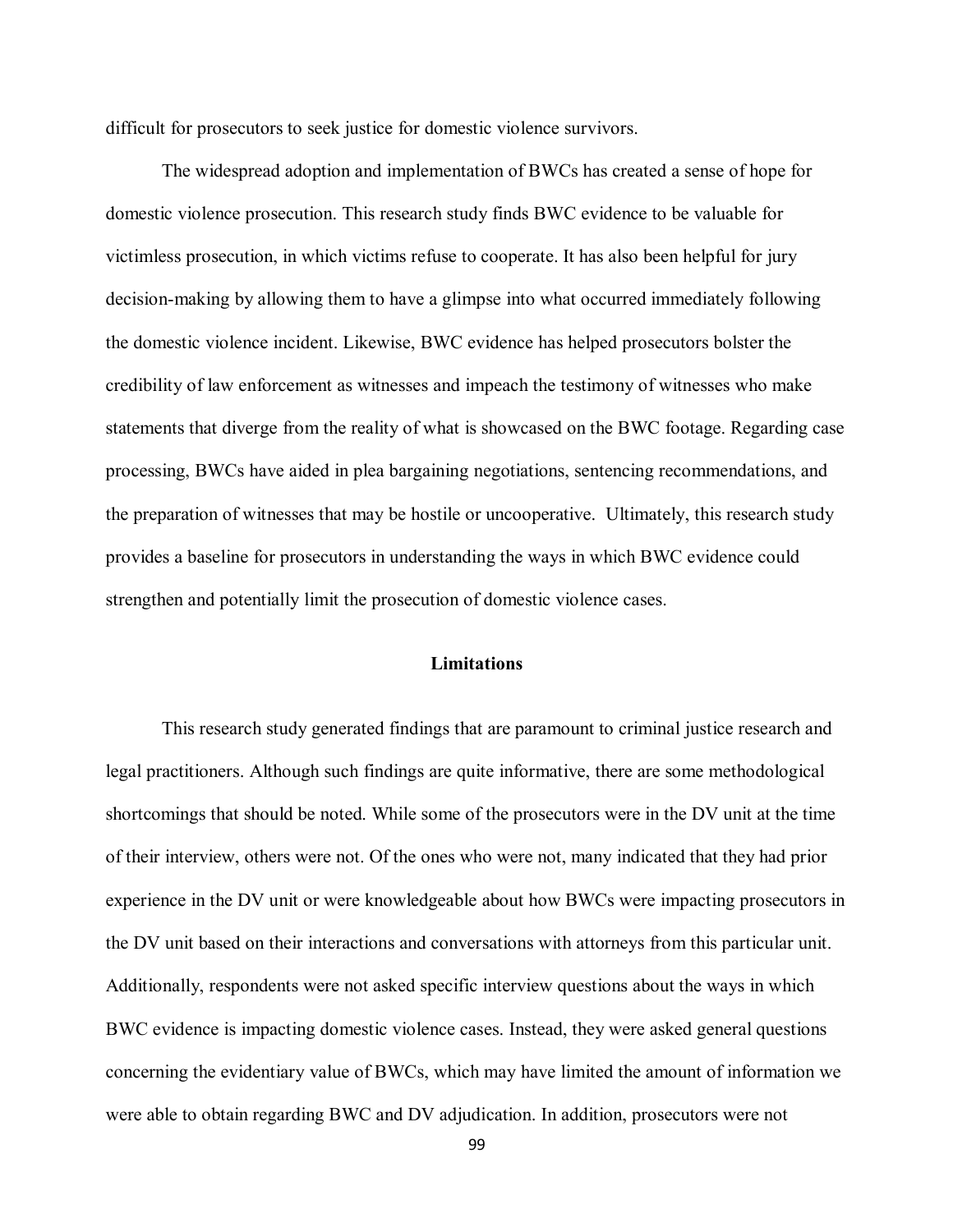difficult for prosecutors to seek justice for domestic violence survivors.

The widespread adoption and implementation of BWCs has created a sense of hope for domestic violence prosecution. This research study finds BWC evidence to be valuable for victimless prosecution, in which victims refuse to cooperate. It has also been helpful for jury decision-making by allowing them to have a glimpse into what occurred immediately following the domestic violence incident. Likewise, BWC evidence has helped prosecutors bolster the credibility of law enforcement as witnesses and impeach the testimony of witnesses who make statements that diverge from the reality of what is showcased on the BWC footage. Regarding case processing, BWCs have aided in plea bargaining negotiations, sentencing recommendations, and the preparation of witnesses that may be hostile or uncooperative. Ultimately, this research study provides a baseline for prosecutors in understanding the ways in which BWC evidence could strengthen and potentially limit the prosecution of domestic violence cases.

## **Limitations**

This research study generated findings that are paramount to criminal justice research and legal practitioners. Although such findings are quite informative, there are some methodological shortcomings that should be noted. While some of the prosecutors were in the DV unit at the time of their interview, others were not. Of the ones who were not, many indicated that they had prior experience in the DV unit or were knowledgeable about how BWCs were impacting prosecutors in the DV unit based on their interactions and conversations with attorneys from this particular unit. Additionally, respondents were not asked specific interview questions about the ways in which BWC evidence is impacting domestic violence cases. Instead, they were asked general questions concerning the evidentiary value of BWCs, which may have limited the amount of information we were able to obtain regarding BWC and DV adjudication. In addition, prosecutors were not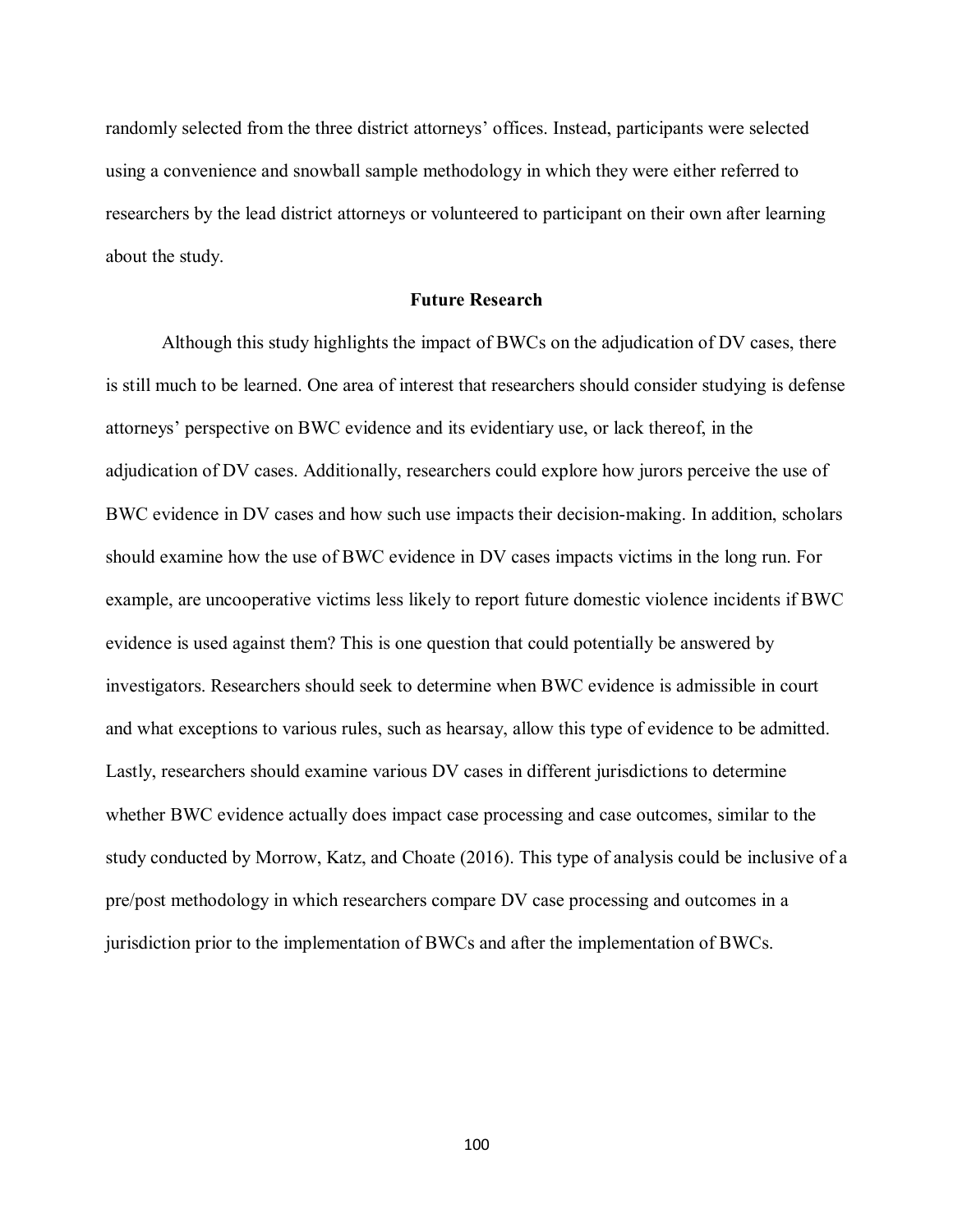randomly selected from the three district attorneys' offices. Instead, participants were selected using a convenience and snowball sample methodology in which they were either referred to researchers by the lead district attorneys or volunteered to participant on their own after learning about the study.

### **Future Research**

Although this study highlights the impact of BWCs on the adjudication of DV cases, there is still much to be learned. One area of interest that researchers should consider studying is defense attorneys' perspective on BWC evidence and its evidentiary use, or lack thereof, in the adjudication of DV cases. Additionally, researchers could explore how jurors perceive the use of BWC evidence in DV cases and how such use impacts their decision-making. In addition, scholars should examine how the use of BWC evidence in DV cases impacts victims in the long run. For example, are uncooperative victims less likely to report future domestic violence incidents if BWC evidence is used against them? This is one question that could potentially be answered by investigators. Researchers should seek to determine when BWC evidence is admissible in court and what exceptions to various rules, such as hearsay, allow this type of evidence to be admitted. Lastly, researchers should examine various DV cases in different jurisdictions to determine whether BWC evidence actually does impact case processing and case outcomes, similar to the study conducted by Morrow, Katz, and Choate (2016). This type of analysis could be inclusive of a pre/post methodology in which researchers compare DV case processing and outcomes in a jurisdiction prior to the implementation of BWCs and after the implementation of BWCs.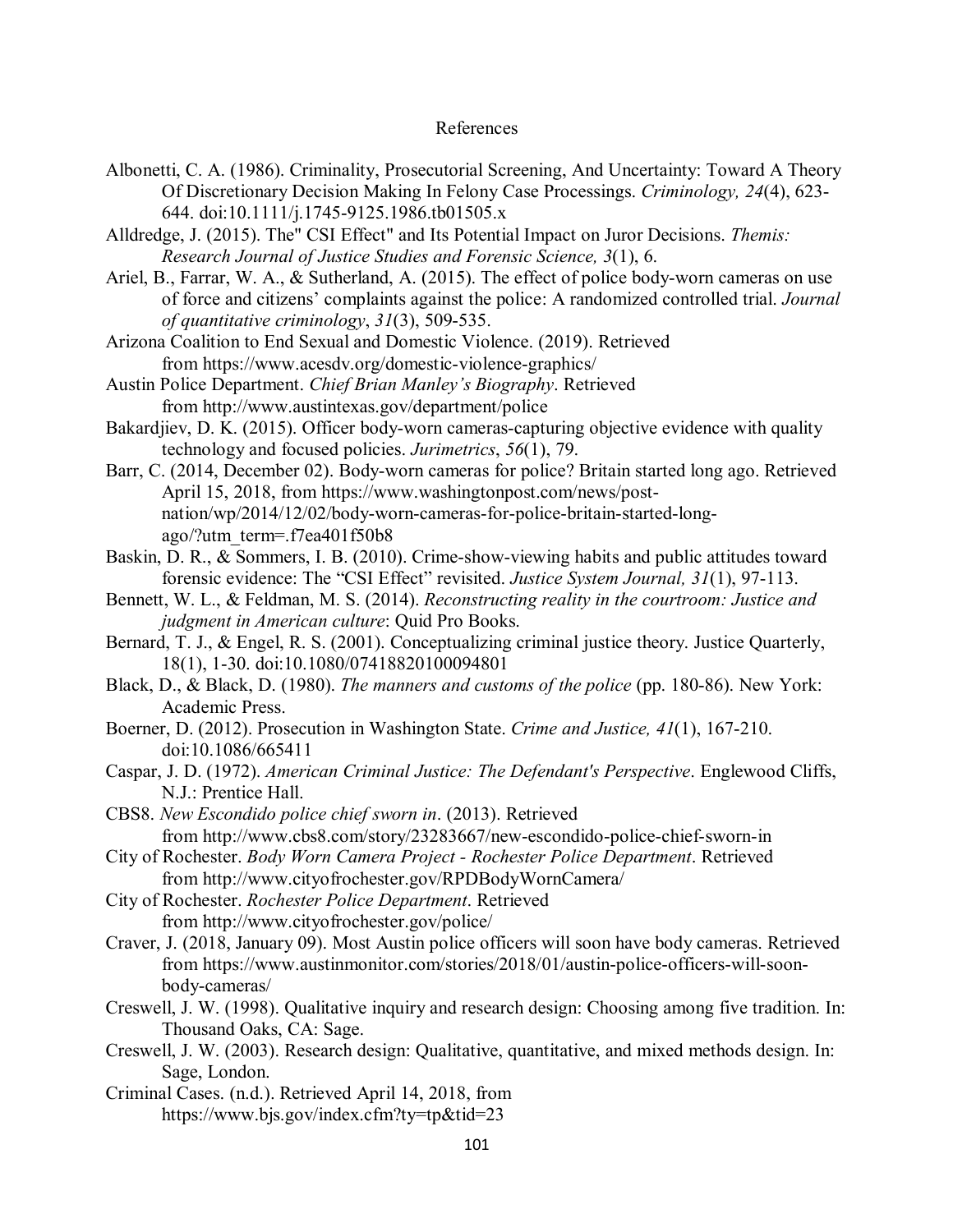#### References

- Albonetti, C. A. (1986). Criminality, Prosecutorial Screening, And Uncertainty: Toward A Theory Of Discretionary Decision Making In Felony Case Processings. *Criminology, 24*(4), 623- 644. doi:10.1111/j.1745-9125.1986.tb01505.x
- Alldredge, J. (2015). The" CSI Effect" and Its Potential Impact on Juror Decisions. *Themis: Research Journal of Justice Studies and Forensic Science, 3*(1), 6.
- Ariel, B., Farrar, W. A., & Sutherland, A. (2015). The effect of police body-worn cameras on use of force and citizens' complaints against the police: A randomized controlled trial. *Journal of quantitative criminology*, *31*(3), 509-535.
- Arizona Coalition to End Sexual and Domestic Violence. (2019). Retrieved from https://www.acesdv.org/domestic-violence-graphics/
- Austin Police Department. *Chief Brian Manley's Biography*. Retrieved from http://www.austintexas.gov/department/police
- Bakardjiev, D. K. (2015). Officer body-worn cameras-capturing objective evidence with quality technology and focused policies. *Jurimetrics*, *56*(1), 79.
- Barr, C. (2014, December 02). Body-worn cameras for police? Britain started long ago. Retrieved April 15, 2018, from https://www.washingtonpost.com/news/postnation/wp/2014/12/02/body-worn-cameras-for-police-britain-started-longago/?utm\_term=.f7ea401f50b8
- Baskin, D. R., & Sommers, I. B. (2010). Crime-show-viewing habits and public attitudes toward forensic evidence: The "CSI Effect" revisited. *Justice System Journal, 31*(1), 97-113.
- Bennett, W. L., & Feldman, M. S. (2014). *Reconstructing reality in the courtroom: Justice and judgment in American culture*: Quid Pro Books.
- Bernard, T. J., & Engel, R. S. (2001). Conceptualizing criminal justice theory. Justice Quarterly, 18(1), 1-30. doi:10.1080/07418820100094801
- Black, D., & Black, D. (1980). *The manners and customs of the police* (pp. 180-86). New York: Academic Press.
- Boerner, D. (2012). Prosecution in Washington State. *Crime and Justice, 41*(1), 167-210. doi:10.1086/665411
- Caspar, J. D. (1972). *American Criminal Justice: The Defendant's Perspective*. Englewood Cliffs, N.J.: Prentice Hall.
- CBS8. *New Escondido police chief sworn in*. (2013). Retrieved from http://www.cbs8.com/story/23283667/new-escondido-police-chief-sworn-in
- City of Rochester. *Body Worn Camera Project - Rochester Police Department*. Retrieved from http://www.cityofrochester.gov/RPDBodyWornCamera/
- City of Rochester. *Rochester Police Department*. Retrieved from http://www.cityofrochester.gov/police/
- Craver, J. (2018, January 09). Most Austin police officers will soon have body cameras. Retrieved from https://www.austinmonitor.com/stories/2018/01/austin-police-officers-will-soonbody-cameras/
- Creswell, J. W. (1998). Qualitative inquiry and research design: Choosing among five tradition. In: Thousand Oaks, CA: Sage.
- Creswell, J. W. (2003). Research design: Qualitative, quantitative, and mixed methods design. In: Sage, London.

Criminal Cases. (n.d.). Retrieved April 14, 2018, from https://www.bjs.gov/index.cfm?ty=tp&tid=23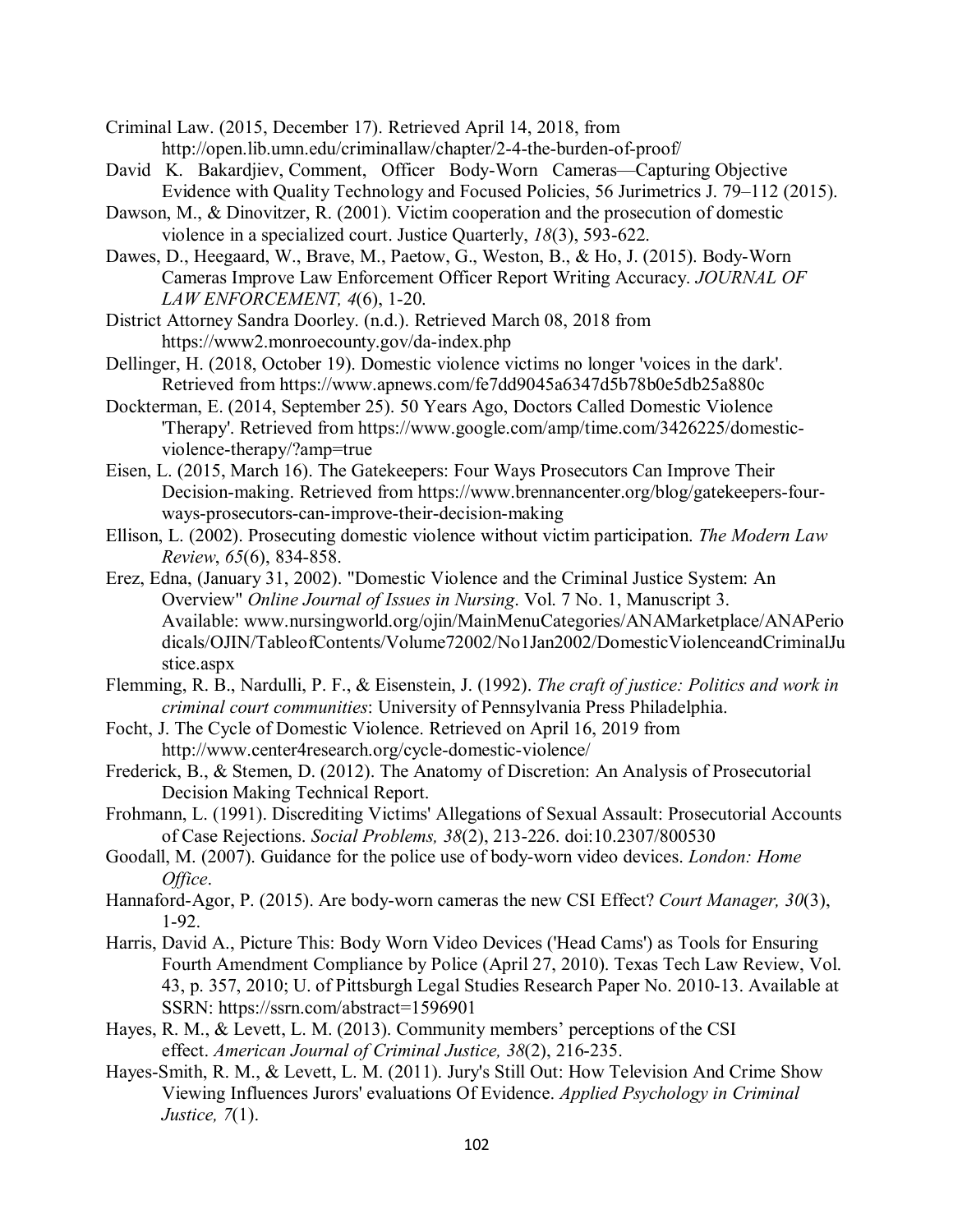- Criminal Law. (2015, December 17). Retrieved April 14, 2018, from http://open.lib.umn.edu/criminallaw/chapter/2-4-the-burden-of-proof/
- David K. Bakardjiev, Comment, Officer Body-Worn Cameras—Capturing Objective Evidence with Quality Technology and Focused Policies, 56 Jurimetrics J. 79–112 (2015).
- Dawson, M., & Dinovitzer, R. (2001). Victim cooperation and the prosecution of domestic violence in a specialized court. Justice Quarterly, *18*(3), 593-622.
- Dawes, D., Heegaard, W., Brave, M., Paetow, G., Weston, B., & Ho, J. (2015). Body-Worn Cameras Improve Law Enforcement Officer Report Writing Accuracy. *JOURNAL OF LAW ENFORCEMENT, 4*(6), 1-20.
- District Attorney Sandra Doorley. (n.d.). Retrieved March 08, 2018 from https://www2.monroecounty.gov/da-index.php
- Dellinger, H. (2018, October 19). Domestic violence victims no longer 'voices in the dark'. Retrieved from https://www.apnews.com/fe7dd9045a6347d5b78b0e5db25a880c
- Dockterman, E. (2014, September 25). 50 Years Ago, Doctors Called Domestic Violence 'Therapy'. Retrieved from https://www.google.com/amp/time.com/3426225/domesticviolence-therapy/?amp=true
- Eisen, L. (2015, March 16). The Gatekeepers: Four Ways Prosecutors Can Improve Their Decision-making. Retrieved from https://www.brennancenter.org/blog/gatekeepers-fourways-prosecutors-can-improve-their-decision-making
- Ellison, L. (2002). Prosecuting domestic violence without victim participation. *The Modern Law Review*, *65*(6), 834-858.
- Erez, Edna, (January 31, 2002). "Domestic Violence and the Criminal Justice System: An Overview" *Online Journal of Issues in Nursing*. Vol. 7 No. 1, Manuscript 3. Available: www.nursingworld.org/ojin/MainMenuCategories/ANAMarketplace/ANAPerio dicals/OJIN/TableofContents/Volume72002/No1Jan2002/DomesticViolenceandCriminalJu stice.aspx
- Flemming, R. B., Nardulli, P. F., & Eisenstein, J. (1992). *The craft of justice: Politics and work in criminal court communities*: University of Pennsylvania Press Philadelphia.
- Focht, J. The Cycle of Domestic Violence. Retrieved on April 16, 2019 from http://www.center4research.org/cycle-domestic-violence/
- Frederick, B., & Stemen, D. (2012). The Anatomy of Discretion: An Analysis of Prosecutorial Decision Making Technical Report.
- Frohmann, L. (1991). Discrediting Victims' Allegations of Sexual Assault: Prosecutorial Accounts of Case Rejections. *Social Problems, 38*(2), 213-226. doi:10.2307/800530
- Goodall, M. (2007). Guidance for the police use of body-worn video devices. *London: Home Office*.
- Hannaford-Agor, P. (2015). Are body-worn cameras the new CSI Effect? *Court Manager, 30*(3), 1-92.
- Harris, David A., Picture This: Body Worn Video Devices ('Head Cams') as Tools for Ensuring Fourth Amendment Compliance by Police (April 27, 2010). Texas Tech Law Review, Vol. 43, p. 357, 2010; U. of Pittsburgh Legal Studies Research Paper No. 2010-13. Available at SSRN: https://ssrn.com/abstract=1596901
- Hayes, R. M., & Levett, L. M. (2013). Community members' perceptions of the CSI effect. *American Journal of Criminal Justice, 38*(2), 216-235.
- Hayes-Smith, R. M., & Levett, L. M. (2011). Jury's Still Out: How Television And Crime Show Viewing Influences Jurors' evaluations Of Evidence. *Applied Psychology in Criminal Justice, 7*(1).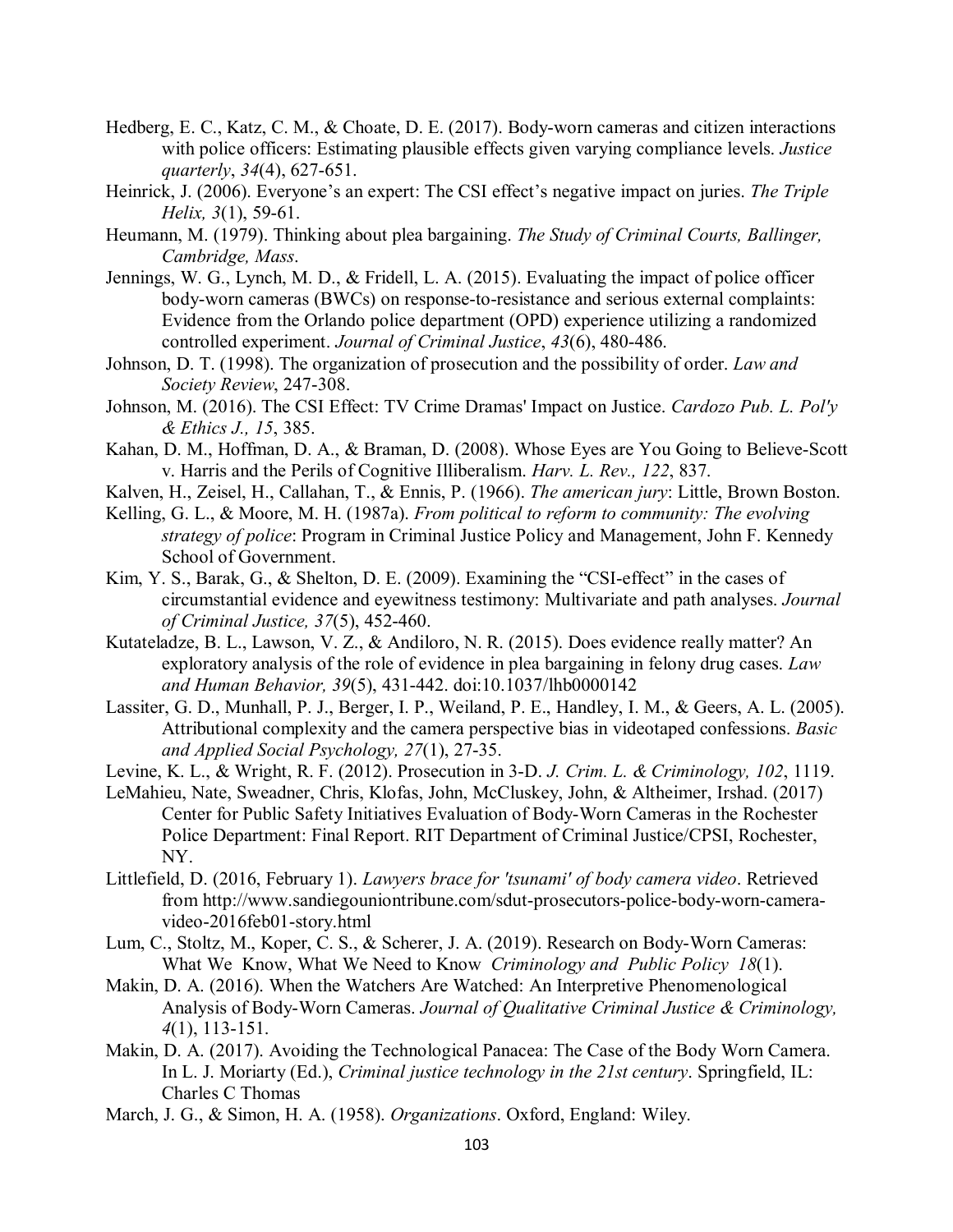- Hedberg, E. C., Katz, C. M., & Choate, D. E. (2017). Body-worn cameras and citizen interactions with police officers: Estimating plausible effects given varying compliance levels. *Justice quarterly*, *34*(4), 627-651.
- Heinrick, J. (2006). Everyone's an expert: The CSI effect's negative impact on juries. *The Triple Helix, 3*(1), 59-61.
- Heumann, M. (1979). Thinking about plea bargaining. *The Study of Criminal Courts, Ballinger, Cambridge, Mass*.
- Jennings, W. G., Lynch, M. D., & Fridell, L. A. (2015). Evaluating the impact of police officer body-worn cameras (BWCs) on response-to-resistance and serious external complaints: Evidence from the Orlando police department (OPD) experience utilizing a randomized controlled experiment. *Journal of Criminal Justice*, *43*(6), 480-486.
- Johnson, D. T. (1998). The organization of prosecution and the possibility of order. *Law and Society Review*, 247-308.
- Johnson, M. (2016). The CSI Effect: TV Crime Dramas' Impact on Justice. *Cardozo Pub. L. Pol'y & Ethics J., 15*, 385.
- Kahan, D. M., Hoffman, D. A., & Braman, D. (2008). Whose Eyes are You Going to Believe-Scott v. Harris and the Perils of Cognitive Illiberalism. *Harv. L. Rev., 122*, 837.
- Kalven, H., Zeisel, H., Callahan, T., & Ennis, P. (1966). *The american jury*: Little, Brown Boston.
- Kelling, G. L., & Moore, M. H. (1987a). *From political to reform to community: The evolving strategy of police*: Program in Criminal Justice Policy and Management, John F. Kennedy School of Government.
- Kim, Y. S., Barak, G., & Shelton, D. E. (2009). Examining the "CSI-effect" in the cases of circumstantial evidence and eyewitness testimony: Multivariate and path analyses. *Journal of Criminal Justice, 37*(5), 452-460.
- Kutateladze, B. L., Lawson, V. Z., & Andiloro, N. R. (2015). Does evidence really matter? An exploratory analysis of the role of evidence in plea bargaining in felony drug cases. *Law and Human Behavior, 39*(5), 431-442. doi:10.1037/lhb0000142
- Lassiter, G. D., Munhall, P. J., Berger, I. P., Weiland, P. E., Handley, I. M., & Geers, A. L. (2005). Attributional complexity and the camera perspective bias in videotaped confessions. *Basic and Applied Social Psychology, 27*(1), 27-35.
- Levine, K. L., & Wright, R. F. (2012). Prosecution in 3-D. *J. Crim. L. & Criminology, 102*, 1119.
- LeMahieu, Nate, Sweadner, Chris, Klofas, John, McCluskey, John, & Altheimer, Irshad. (2017) Center for Public Safety Initiatives Evaluation of Body-Worn Cameras in the Rochester Police Department: Final Report. RIT Department of Criminal Justice/CPSI, Rochester, NY.
- Littlefield, D. (2016, February 1). *Lawyers brace for 'tsunami' of body camera video*. Retrieved from http://www.sandiegouniontribune.com/sdut-prosecutors-police-body-worn-cameravideo-2016feb01-story.html
- Lum, C., Stoltz, M., Koper, C. S., & Scherer, J. A. (2019). Research on Body-Worn Cameras: What We Know, What We Need to Know *Criminology and Public Policy 18*(1).
- Makin, D. A. (2016). When the Watchers Are Watched: An Interpretive Phenomenological Analysis of Body-Worn Cameras. *Journal of Qualitative Criminal Justice & Criminology, 4*(1), 113-151.
- Makin, D. A. (2017). Avoiding the Technological Panacea: The Case of the Body Worn Camera. In L. J. Moriarty (Ed.), *Criminal justice technology in the 21st century*. Springfield, IL: Charles C Thomas
- March, J. G., & Simon, H. A. (1958). *Organizations*. Oxford, England: Wiley.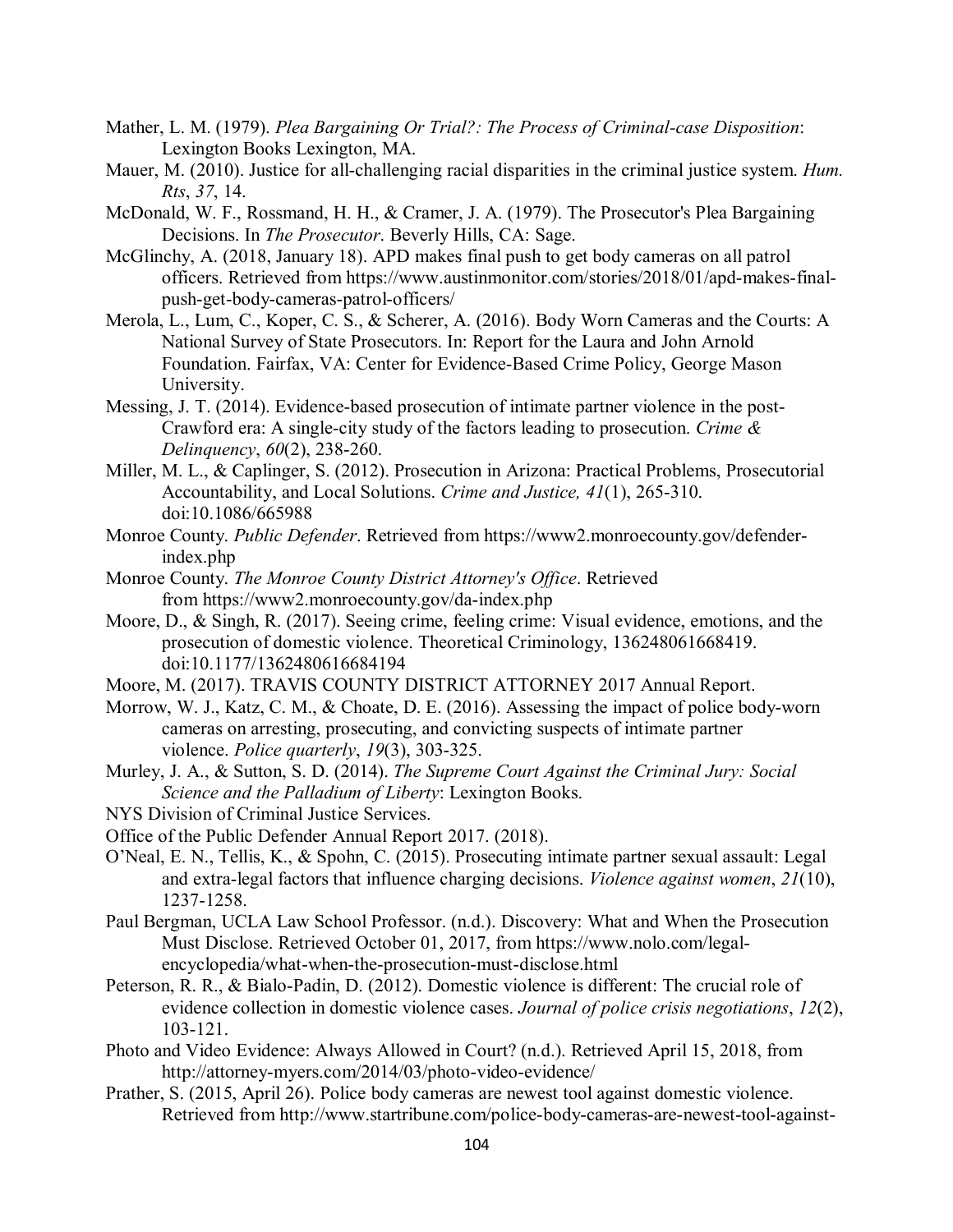- Mather, L. M. (1979). *Plea Bargaining Or Trial?: The Process of Criminal-case Disposition*: Lexington Books Lexington, MA.
- Mauer, M. (2010). Justice for all-challenging racial disparities in the criminal justice system. *Hum. Rts*, *37*, 14.
- McDonald, W. F., Rossmand, H. H., & Cramer, J. A. (1979). The Prosecutor's Plea Bargaining Decisions. In *The Prosecutor*. Beverly Hills, CA: Sage.
- McGlinchy, A. (2018, January 18). APD makes final push to get body cameras on all patrol officers. Retrieved from https://www.austinmonitor.com/stories/2018/01/apd-makes-finalpush-get-body-cameras-patrol-officers/
- Merola, L., Lum, C., Koper, C. S., & Scherer, A. (2016). Body Worn Cameras and the Courts: A National Survey of State Prosecutors. In: Report for the Laura and John Arnold Foundation. Fairfax, VA: Center for Evidence-Based Crime Policy, George Mason University.
- Messing, J. T. (2014). Evidence-based prosecution of intimate partner violence in the post-Crawford era: A single-city study of the factors leading to prosecution. *Crime & Delinquency*, *60*(2), 238-260.
- Miller, M. L., & Caplinger, S. (2012). Prosecution in Arizona: Practical Problems, Prosecutorial Accountability, and Local Solutions. *Crime and Justice, 41*(1), 265-310. doi:10.1086/665988
- Monroe County. *Public Defender*. Retrieved from https://www2.monroecounty.gov/defenderindex.php
- Monroe County. *The Monroe County District Attorney's Office*. Retrieved from https://www2.monroecounty.gov/da-index.php
- Moore, D., & Singh, R. (2017). Seeing crime, feeling crime: Visual evidence, emotions, and the prosecution of domestic violence. Theoretical Criminology, 136248061668419. doi:10.1177/1362480616684194
- Moore, M. (2017). TRAVIS COUNTY DISTRICT ATTORNEY 2017 Annual Report.
- Morrow, W. J., Katz, C. M., & Choate, D. E. (2016). Assessing the impact of police body-worn cameras on arresting, prosecuting, and convicting suspects of intimate partner violence. *Police quarterly*, *19*(3), 303-325.
- Murley, J. A., & Sutton, S. D. (2014). *The Supreme Court Against the Criminal Jury: Social Science and the Palladium of Liberty*: Lexington Books.
- NYS Division of Criminal Justice Services.
- Office of the Public Defender Annual Report 2017. (2018).
- O'Neal, E. N., Tellis, K., & Spohn, C. (2015). Prosecuting intimate partner sexual assault: Legal and extra-legal factors that influence charging decisions. *Violence against women*, *21*(10), 1237-1258.
- Paul Bergman, UCLA Law School Professor. (n.d.). Discovery: What and When the Prosecution Must Disclose. Retrieved October 01, 2017, from https://www.nolo.com/legalencyclopedia/what-when-the-prosecution-must-disclose.html
- Peterson, R. R., & Bialo-Padin, D. (2012). Domestic violence is different: The crucial role of evidence collection in domestic violence cases. *Journal of police crisis negotiations*, *12*(2), 103-121.
- Photo and Video Evidence: Always Allowed in Court? (n.d.). Retrieved April 15, 2018, from http://attorney-myers.com/2014/03/photo-video-evidence/
- Prather, S. (2015, April 26). Police body cameras are newest tool against domestic violence. Retrieved from http://www.startribune.com/police-body-cameras-are-newest-tool-against-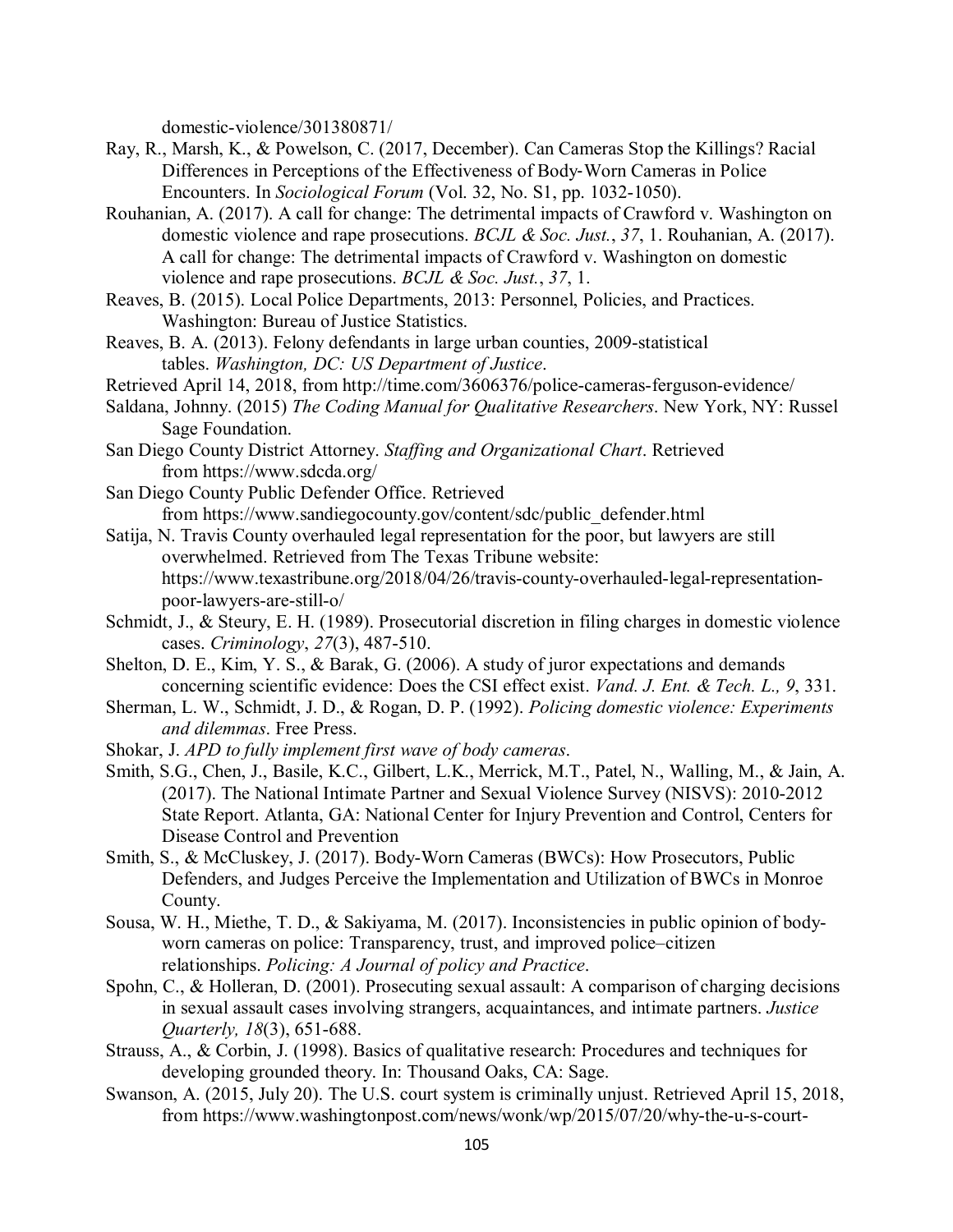domestic-violence/301380871/

- Ray, R., Marsh, K., & Powelson, C. (2017, December). Can Cameras Stop the Killings? Racial Differences in Perceptions of the Effectiveness of Body‐Worn Cameras in Police Encounters. In *Sociological Forum* (Vol. 32, No. S1, pp. 1032-1050).
- Rouhanian, A. (2017). A call for change: The detrimental impacts of Crawford v. Washington on domestic violence and rape prosecutions. *BCJL & Soc. Just.*, *37*, 1. Rouhanian, A. (2017). A call for change: The detrimental impacts of Crawford v. Washington on domestic violence and rape prosecutions. *BCJL & Soc. Just.*, *37*, 1.
- Reaves, B. (2015). Local Police Departments, 2013: Personnel, Policies, and Practices. Washington: Bureau of Justice Statistics.
- Reaves, B. A. (2013). Felony defendants in large urban counties, 2009-statistical tables. *Washington, DC: US Department of Justice*.
- Retrieved April 14, 2018, from http://time.com/3606376/police-cameras-ferguson-evidence/
- Saldana, Johnny. (2015) *The Coding Manual for Qualitative Researchers*. New York, NY: Russel Sage Foundation.
- San Diego County District Attorney. *Staffing and Organizational Chart*. Retrieved from https://www.sdcda.org/
- San Diego County Public Defender Office. Retrieved from https://www.sandiegocounty.gov/content/sdc/public\_defender.html
- Satija, N. Travis County overhauled legal representation for the poor, but lawyers are still overwhelmed. Retrieved from The Texas Tribune website: https://www.texastribune.org/2018/04/26/travis-county-overhauled-legal-representationpoor-lawyers-are-still-o/
- Schmidt, J., & Steury, E. H. (1989). Prosecutorial discretion in filing charges in domestic violence cases. *Criminology*, *27*(3), 487-510.
- Shelton, D. E., Kim, Y. S., & Barak, G. (2006). A study of juror expectations and demands concerning scientific evidence: Does the CSI effect exist. *Vand. J. Ent. & Tech. L., 9*, 331.
- Sherman, L. W., Schmidt, J. D., & Rogan, D. P. (1992). *Policing domestic violence: Experiments and dilemmas*. Free Press.
- Shokar, J. *APD to fully implement first wave of body cameras*.
- Smith, S.G., Chen, J., Basile, K.C., Gilbert, L.K., Merrick, M.T., Patel, N., Walling, M., & Jain, A. (2017). The National Intimate Partner and Sexual Violence Survey (NISVS): 2010-2012 State Report. Atlanta, GA: National Center for Injury Prevention and Control, Centers for Disease Control and Prevention
- Smith, S., & McCluskey, J. (2017). Body-Worn Cameras (BWCs): How Prosecutors, Public Defenders, and Judges Perceive the Implementation and Utilization of BWCs in Monroe County.
- Sousa, W. H., Miethe, T. D., & Sakiyama, M. (2017). Inconsistencies in public opinion of bodyworn cameras on police: Transparency, trust, and improved police–citizen relationships. *Policing: A Journal of policy and Practice*.
- Spohn, C., & Holleran, D. (2001). Prosecuting sexual assault: A comparison of charging decisions in sexual assault cases involving strangers, acquaintances, and intimate partners. *Justice Quarterly, 18*(3), 651-688.
- Strauss, A., & Corbin, J. (1998). Basics of qualitative research: Procedures and techniques for developing grounded theory. In: Thousand Oaks, CA: Sage.
- Swanson, A. (2015, July 20). The U.S. court system is criminally unjust. Retrieved April 15, 2018, from https://www.washingtonpost.com/news/wonk/wp/2015/07/20/why-the-u-s-court-